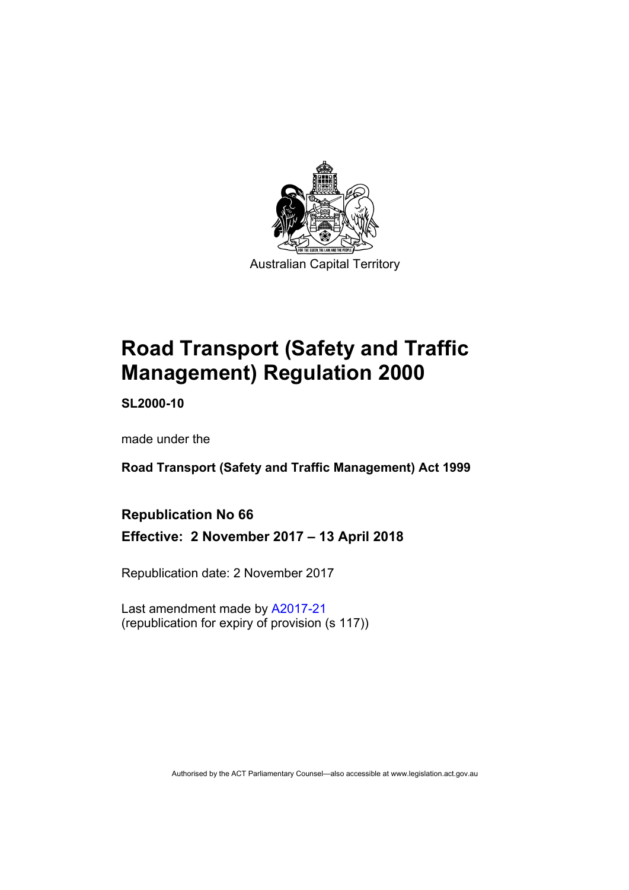

# **Road Transport (Safety and Traffic Management) Regulation 2000**

**SL2000-10** 

made under the

**Road Transport (Safety and Traffic Management) Act 1999** 

### **Republication No 66**

**Effective: 2 November 2017 – 13 April 2018** 

Republication date: 2 November 2017

Last amendment made by [A2017-21](http://www.legislation.act.gov.au/a/2017-21/default.asp) (republication for expiry of provision (s 117))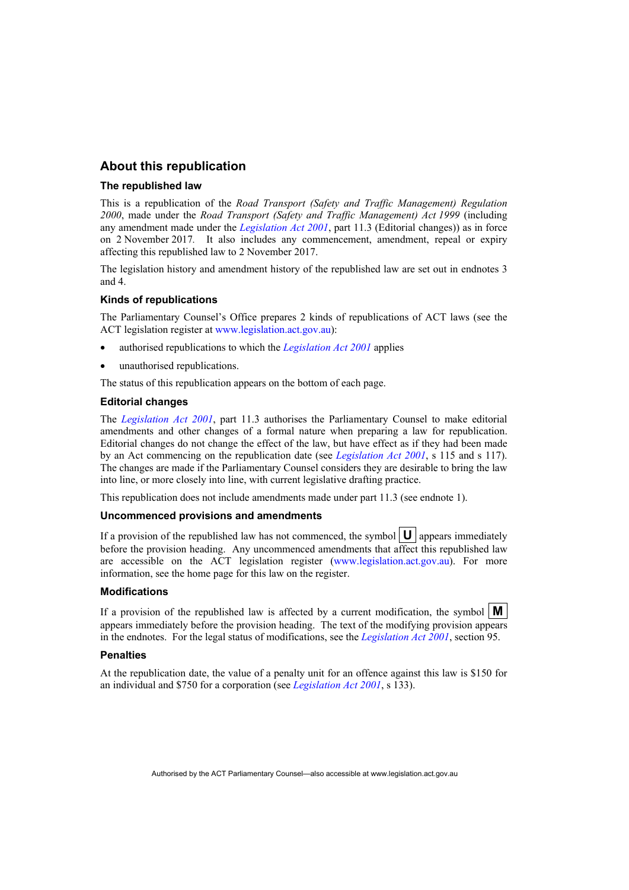#### **About this republication**

#### **The republished law**

This is a republication of the *Road Transport (Safety and Traffic Management) Regulation 2000*, made under the *Road Transport (Safety and Traffic Management) Act 1999* (including any amendment made under the *[Legislation Act 2001](http://www.legislation.act.gov.au/a/2001-14)*, part 11.3 (Editorial changes)) as in force on 2 November 2017*.* It also includes any commencement, amendment, repeal or expiry affecting this republished law to 2 November 2017.

The legislation history and amendment history of the republished law are set out in endnotes 3 and 4.

#### **Kinds of republications**

The Parliamentary Counsel's Office prepares 2 kinds of republications of ACT laws (see the ACT legislation register at [www.legislation.act.gov.au](http://www.legislation.act.gov.au/)):

- authorised republications to which the *[Legislation Act 2001](http://www.legislation.act.gov.au/a/2001-14)* applies
- unauthorised republications.

The status of this republication appears on the bottom of each page.

#### **Editorial changes**

The *[Legislation Act 2001](http://www.legislation.act.gov.au/a/2001-14)*, part 11.3 authorises the Parliamentary Counsel to make editorial amendments and other changes of a formal nature when preparing a law for republication. Editorial changes do not change the effect of the law, but have effect as if they had been made by an Act commencing on the republication date (see *[Legislation Act 2001](http://www.legislation.act.gov.au/a/2001-14)*, s 115 and s 117). The changes are made if the Parliamentary Counsel considers they are desirable to bring the law into line, or more closely into line, with current legislative drafting practice.

This republication does not include amendments made under part 11.3 (see endnote 1).

#### **Uncommenced provisions and amendments**

If a provision of the republished law has not commenced, the symbol  $|\mathbf{U}|$  appears immediately before the provision heading. Any uncommenced amendments that affect this republished law are accessible on the ACT legislation register [\(www.legislation.act.gov.au](http://www.legislation.act.gov.au/)). For more information, see the home page for this law on the register.

#### **Modifications**

If a provision of the republished law is affected by a current modification, the symbol  $\mathbf{M}$ appears immediately before the provision heading. The text of the modifying provision appears in the endnotes. For the legal status of modifications, see the *[Legislation Act 2001](http://www.legislation.act.gov.au/a/2001-14)*, section 95.

#### **Penalties**

At the republication date, the value of a penalty unit for an offence against this law is \$150 for an individual and \$750 for a corporation (see *[Legislation Act 2001](http://www.legislation.act.gov.au/a/2001-14)*, s 133).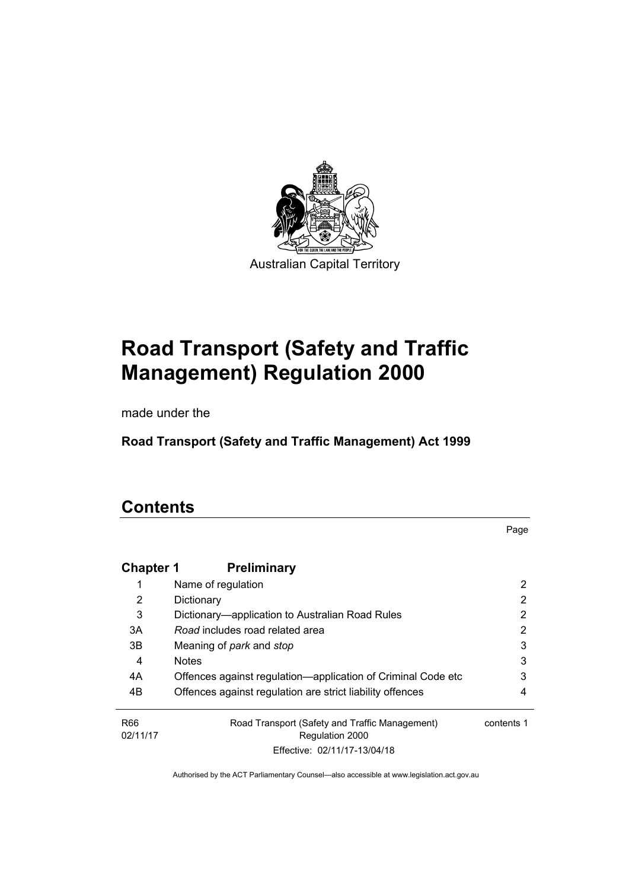

# **Road Transport (Safety and Traffic Management) Regulation 2000**

made under the

**Road Transport (Safety and Traffic Management) Act 1999** 

## **Contents**

Page

| <b>Chapter 1</b>            | <b>Preliminary</b>                                                |            |
|-----------------------------|-------------------------------------------------------------------|------------|
|                             | Name of regulation                                                | 2          |
| 2                           | Dictionary                                                        | 2          |
| 3                           | Dictionary—application to Australian Road Rules                   | 2          |
| 3A                          | Road includes road related area                                   | 2          |
| 3B                          | Meaning of <i>park</i> and <i>stop</i>                            | 3          |
| 4                           | <b>Notes</b>                                                      | 3          |
| 4A                          | Offences against regulation—application of Criminal Code etc      | 3          |
| 4B                          | Offences against regulation are strict liability offences         | 4          |
| R <sub>66</sub><br>02/11/17 | Road Transport (Safety and Traffic Management)<br>Regulation 2000 | contents 1 |
|                             | Effective: 02/11/17-13/04/18                                      |            |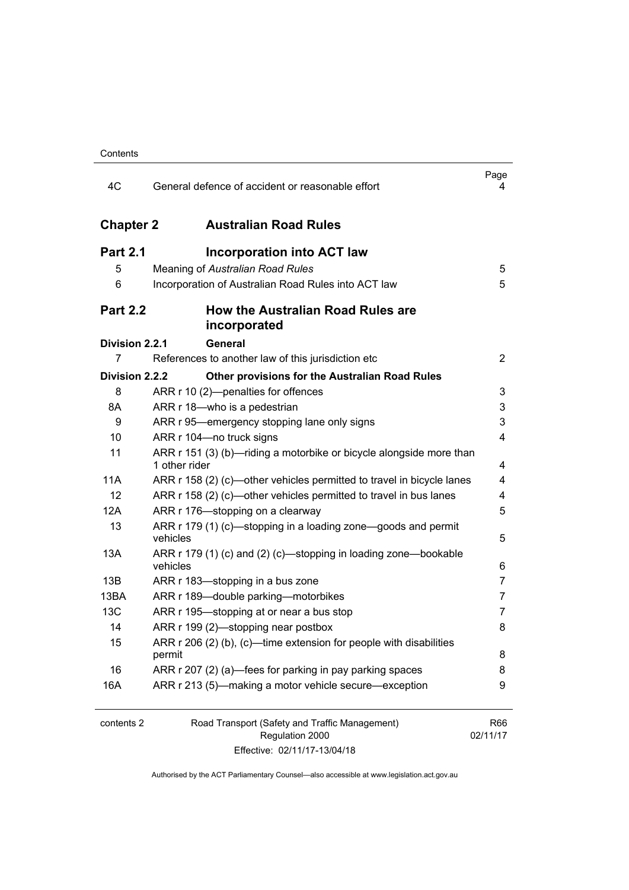| 4C               | General defence of accident or reasonable effort                                     | Page<br>4       |
|------------------|--------------------------------------------------------------------------------------|-----------------|
| <b>Chapter 2</b> | <b>Australian Road Rules</b>                                                         |                 |
| <b>Part 2.1</b>  | Incorporation into ACT law                                                           |                 |
| 5                | Meaning of Australian Road Rules                                                     | 5               |
| 6                | Incorporation of Australian Road Rules into ACT law                                  | 5               |
| <b>Part 2.2</b>  | <b>How the Australian Road Rules are</b><br>incorporated                             |                 |
| Division 2.2.1   | <b>General</b>                                                                       |                 |
| 7                | References to another law of this jurisdiction etc                                   | 2               |
| Division 2.2.2   | <b>Other provisions for the Australian Road Rules</b>                                |                 |
| 8                | ARR r 10 (2)-penalties for offences                                                  | 3               |
| 8A               | ARR r 18-who is a pedestrian                                                         | 3               |
| 9                | ARR r 95—emergency stopping lane only signs                                          | 3               |
| 10               | ARR r 104-no truck signs                                                             | 4               |
| 11               | ARR r 151 (3) (b)—riding a motorbike or bicycle alongside more than<br>1 other rider | 4               |
| 11A              | ARR r 158 (2) (c)—other vehicles permitted to travel in bicycle lanes                | 4               |
| 12               | ARR r 158 (2) (c)—other vehicles permitted to travel in bus lanes                    | 4               |
| 12A              | ARR r 176-stopping on a clearway                                                     | 5               |
| 13               | ARR r 179 (1) (c)—stopping in a loading zone—goods and permit<br>vehicles            | 5               |
| 13A              | ARR r 179 (1) (c) and (2) (c)—stopping in loading zone—bookable<br>vehicles          | 6               |
| 13B              | ARR r 183—stopping in a bus zone                                                     | 7               |
| 13BA             | ARR r 189-double parking-motorbikes                                                  | 7               |
| 13C              | ARR r 195—stopping at or near a bus stop                                             | 7               |
| 14               | ARR r 199 (2)-stopping near postbox                                                  | 8               |
| 15               | ARR r 206 (2) (b), (c)-time extension for people with disabilities<br>permit         | 8               |
| 16               | ARR r 207 (2) (a)—fees for parking in pay parking spaces                             | 8               |
| 16A              | ARR r 213 (5)-making a motor vehicle secure-exception                                | 9               |
| contents 2       | Road Transport (Safety and Traffic Management)<br>Regulation 2000                    | R66<br>02/11/17 |

Effective: 02/11/17-13/04/18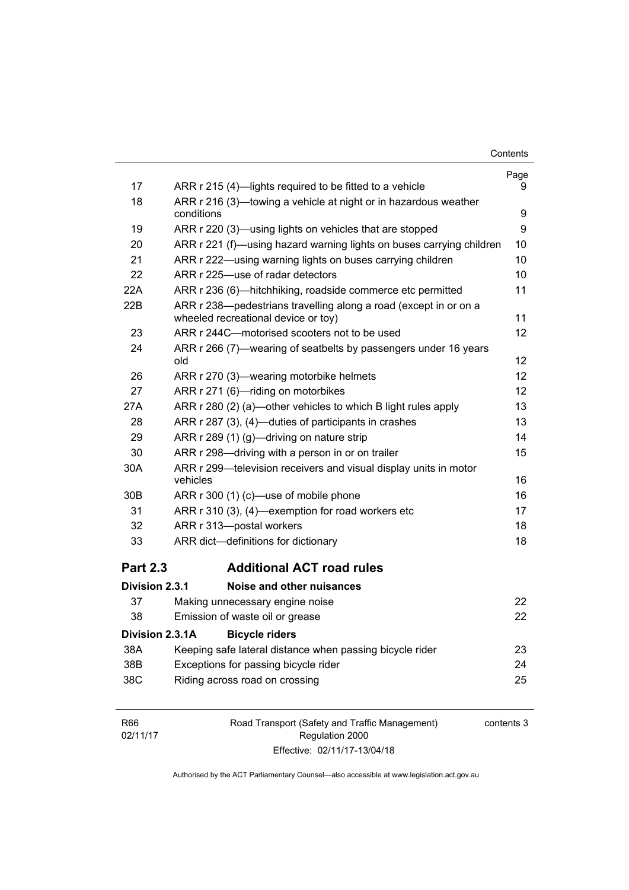| Contents |
|----------|
|----------|

|                 |                                                                                                         | Page |
|-----------------|---------------------------------------------------------------------------------------------------------|------|
| 17              | ARR r 215 (4)—lights required to be fitted to a vehicle                                                 | 9    |
| 18              | ARR r 216 (3)—towing a vehicle at night or in hazardous weather<br>conditions                           | 9    |
| 19              | ARR r 220 (3)—using lights on vehicles that are stopped                                                 | 9    |
| 20              | ARR r 221 (f)-using hazard warning lights on buses carrying children                                    | 10   |
| 21              | ARR r 222—using warning lights on buses carrying children                                               | 10   |
| 22              | ARR r 225-use of radar detectors                                                                        | 10   |
| 22A             | ARR r 236 (6)—hitchhiking, roadside commerce etc permitted                                              | 11   |
| 22B             | ARR r 238-pedestrians travelling along a road (except in or on a<br>wheeled recreational device or toy) | 11   |
| 23              | ARR r 244C-motorised scooters not to be used                                                            | 12   |
| 24              | ARR r 266 (7)—wearing of seatbelts by passengers under 16 years<br>old                                  | 12   |
| 26              | ARR r 270 (3)—wearing motorbike helmets                                                                 | 12   |
| 27              | ARR r 271 (6)-riding on motorbikes                                                                      | 12   |
| 27A             | ARR r 280 (2) (a)—other vehicles to which B light rules apply                                           | 13   |
| 28              | ARR r 287 (3), (4)-duties of participants in crashes                                                    | 13   |
| 29              | ARR r 289 (1) (g)—driving on nature strip                                                               | 14   |
| 30              | ARR r 298-driving with a person in or on trailer                                                        | 15   |
| 30A             | ARR r 299-television receivers and visual display units in motor<br>vehicles                            | 16   |
| 30B             | ARR r 300 (1) (c)—use of mobile phone                                                                   | 16   |
| 31              | ARR r 310 (3), (4)-exemption for road workers etc                                                       | 17   |
| 32              | ARR r 313-postal workers                                                                                | 18   |
| 33              | ARR dict-definitions for dictionary                                                                     | 18   |
| <b>Part 2.3</b> | <b>Additional ACT road rules</b>                                                                        |      |
| Division 2.3.1  | Noise and other nuisances                                                                               |      |
| 37              | Making unnecessary engine noise                                                                         | 22   |
| 38              | Emission of waste oil or grease                                                                         | 22   |
| Division 2.3.1A | <b>Bicycle riders</b>                                                                                   |      |
| 38A             | Keeping safe lateral distance when passing bicycle rider                                                | 23   |
| 38B             | Exceptions for passing bicycle rider                                                                    | 24   |
| 38C             | Riding across road on crossing                                                                          | 25   |
|                 |                                                                                                         |      |

| R66      | Road Transport (Safety and Traffic Management) | contents 3 |
|----------|------------------------------------------------|------------|
| 02/11/17 | Regulation 2000                                |            |
|          | Effective: 02/11/17-13/04/18                   |            |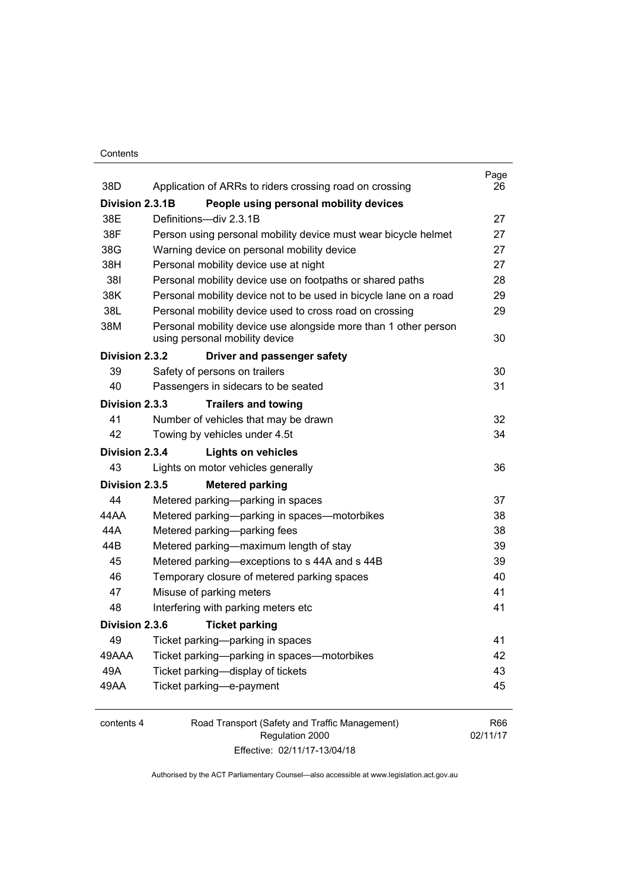#### **Contents**

| 38D             | Application of ARRs to riders crossing road on crossing                                           | Page<br>26 |
|-----------------|---------------------------------------------------------------------------------------------------|------------|
| Division 2.3.1B | People using personal mobility devices                                                            |            |
| 38E             | Definitions-div 2.3.1B                                                                            | 27         |
| 38F             | Person using personal mobility device must wear bicycle helmet                                    | 27         |
| 38G             | Warning device on personal mobility device                                                        | 27         |
| 38H             | Personal mobility device use at night                                                             | 27         |
| 381             | Personal mobility device use on footpaths or shared paths                                         | 28         |
| 38K             | Personal mobility device not to be used in bicycle lane on a road                                 | 29         |
| 38L             | Personal mobility device used to cross road on crossing                                           | 29         |
| 38M             | Personal mobility device use alongside more than 1 other person<br>using personal mobility device | 30         |
| Division 2.3.2  | Driver and passenger safety                                                                       |            |
| 39              | Safety of persons on trailers                                                                     | 30         |
| 40              | Passengers in sidecars to be seated                                                               | 31         |
| Division 2.3.3  | <b>Trailers and towing</b>                                                                        |            |
| 41              | Number of vehicles that may be drawn                                                              | 32         |
| 42              | Towing by vehicles under 4.5t                                                                     | 34         |
| Division 2.3.4  | <b>Lights on vehicles</b>                                                                         |            |
| 43              | Lights on motor vehicles generally                                                                | 36         |
| Division 2.3.5  | <b>Metered parking</b>                                                                            |            |
| 44              | Metered parking-parking in spaces                                                                 | 37         |
| 44 A A          | Metered parking-parking in spaces-motorbikes                                                      | 38         |
| 44A             | Metered parking-parking fees                                                                      | 38         |
| 44B             | Metered parking-maximum length of stay                                                            | 39         |
| 45              | Metered parking—exceptions to s 44A and s 44B                                                     | 39         |
| 46              | Temporary closure of metered parking spaces                                                       | 40         |
| 47              | Misuse of parking meters                                                                          | 41         |
| 48              | Interfering with parking meters etc                                                               | 41         |
| Division 2.3.6  | <b>Ticket parking</b>                                                                             |            |
| 49              | Ticket parking-parking in spaces                                                                  | 41         |
| 49AAA           | Ticket parking-parking in spaces-motorbikes                                                       | 42         |
| 49A             | Ticket parking-display of tickets                                                                 | 43         |
| 49AA            | Ticket parking-e-payment                                                                          | 45         |
| contents 4      | Road Transport (Safety and Traffic Management)                                                    | R66        |

Regulation 2000 Effective: 02/11/17-13/04/18 02/11/17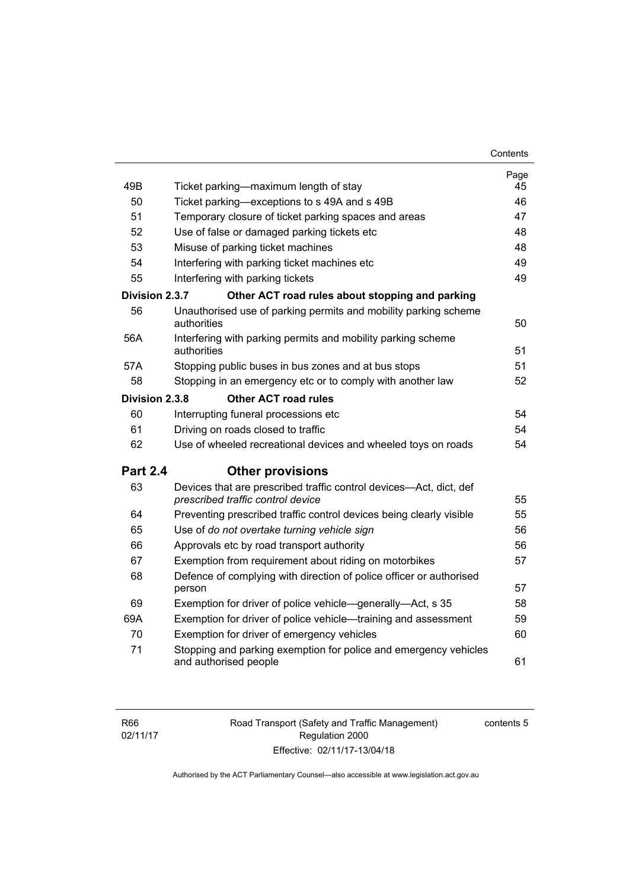| 49B             | Ticket parking—maximum length of stay                                                     | Page<br>45 |
|-----------------|-------------------------------------------------------------------------------------------|------------|
| 50              | Ticket parking—exceptions to s 49A and s 49B                                              | 46         |
| 51              | Temporary closure of ticket parking spaces and areas                                      | 47         |
| 52              | Use of false or damaged parking tickets etc                                               | 48         |
| 53              | Misuse of parking ticket machines                                                         | 48         |
| 54              | Interfering with parking ticket machines etc                                              | 49         |
| 55              | Interfering with parking tickets                                                          | 49         |
| Division 2.3.7  | Other ACT road rules about stopping and parking                                           |            |
| 56              | Unauthorised use of parking permits and mobility parking scheme                           |            |
|                 | authorities                                                                               | 50         |
| 56A             | Interfering with parking permits and mobility parking scheme                              |            |
|                 | authorities                                                                               | 51         |
| 57A             | Stopping public buses in bus zones and at bus stops                                       | 51         |
| 58              | Stopping in an emergency etc or to comply with another law                                | 52         |
| Division 2.3.8  | <b>Other ACT road rules</b>                                                               |            |
| 60              | Interrupting funeral processions etc                                                      | 54         |
| 61              | Driving on roads closed to traffic                                                        | 54         |
| 62              | Use of wheeled recreational devices and wheeled toys on roads                             | 54         |
| <b>Part 2.4</b> | <b>Other provisions</b>                                                                   |            |
| 63              | Devices that are prescribed traffic control devices-Act, dict, def                        |            |
|                 | prescribed traffic control device                                                         | 55         |
| 64              | Preventing prescribed traffic control devices being clearly visible                       | 55         |
| 65              | Use of do not overtake turning vehicle sign                                               | 56         |
| 66              | Approvals etc by road transport authority                                                 | 56         |
| 67              | Exemption from requirement about riding on motorbikes                                     | 57         |
| 68              | Defence of complying with direction of police officer or authorised<br>person             | 57         |
| 69              | Exemption for driver of police vehicle—generally—Act, s 35                                | 58         |
| 69A             | Exemption for driver of police vehicle—training and assessment                            | 59         |
| 70              | Exemption for driver of emergency vehicles                                                | 60         |
| 71              | Stopping and parking exemption for police and emergency vehicles<br>and authorised people | 61         |
|                 |                                                                                           |            |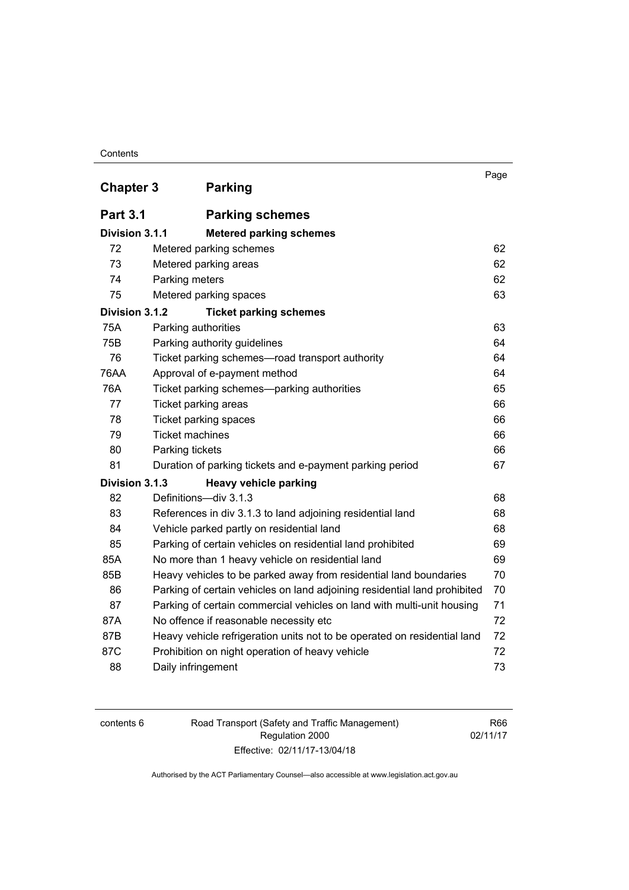#### **Contents**

| <b>Chapter 3</b> | <b>Parking</b>                                                            | Page |
|------------------|---------------------------------------------------------------------------|------|
| <b>Part 3.1</b>  | <b>Parking schemes</b>                                                    |      |
| Division 3.1.1   | <b>Metered parking schemes</b>                                            |      |
| 72               | Metered parking schemes                                                   | 62   |
| 73               | Metered parking areas                                                     | 62   |
| 74               | Parking meters                                                            | 62   |
| 75               | Metered parking spaces                                                    | 63   |
| Division 3.1.2   | <b>Ticket parking schemes</b>                                             |      |
| 75A              | Parking authorities                                                       | 63   |
| 75B              | Parking authority guidelines                                              | 64   |
| 76               | Ticket parking schemes-road transport authority                           | 64   |
| 76AA             | Approval of e-payment method                                              | 64   |
| 76A              | Ticket parking schemes—parking authorities                                | 65   |
| 77               | Ticket parking areas                                                      | 66   |
| 78               | Ticket parking spaces                                                     | 66   |
| 79               | <b>Ticket machines</b>                                                    | 66   |
| 80               | Parking tickets                                                           | 66   |
| 81               | Duration of parking tickets and e-payment parking period                  | 67   |
| Division 3.1.3   | <b>Heavy vehicle parking</b>                                              |      |
| 82               | Definitions-div 3.1.3                                                     | 68   |
| 83               | References in div 3.1.3 to land adjoining residential land                | 68   |
| 84               | Vehicle parked partly on residential land                                 | 68   |
| 85               | Parking of certain vehicles on residential land prohibited                | 69   |
| 85A              | No more than 1 heavy vehicle on residential land                          | 69   |
| 85B              | Heavy vehicles to be parked away from residential land boundaries         | 70   |
| 86               | Parking of certain vehicles on land adjoining residential land prohibited | 70   |
| 87               | Parking of certain commercial vehicles on land with multi-unit housing    | 71   |
| 87A              | No offence if reasonable necessity etc                                    | 72   |
| 87B              | Heavy vehicle refrigeration units not to be operated on residential land  | 72   |
| 87C              | Prohibition on night operation of heavy vehicle                           | 72   |
| 88               | Daily infringement                                                        | 73   |

| contents 6 |  |
|------------|--|
|------------|--|

Road Transport (Safety and Traffic Management) Regulation 2000 Effective: 02/11/17-13/04/18

R66 02/11/17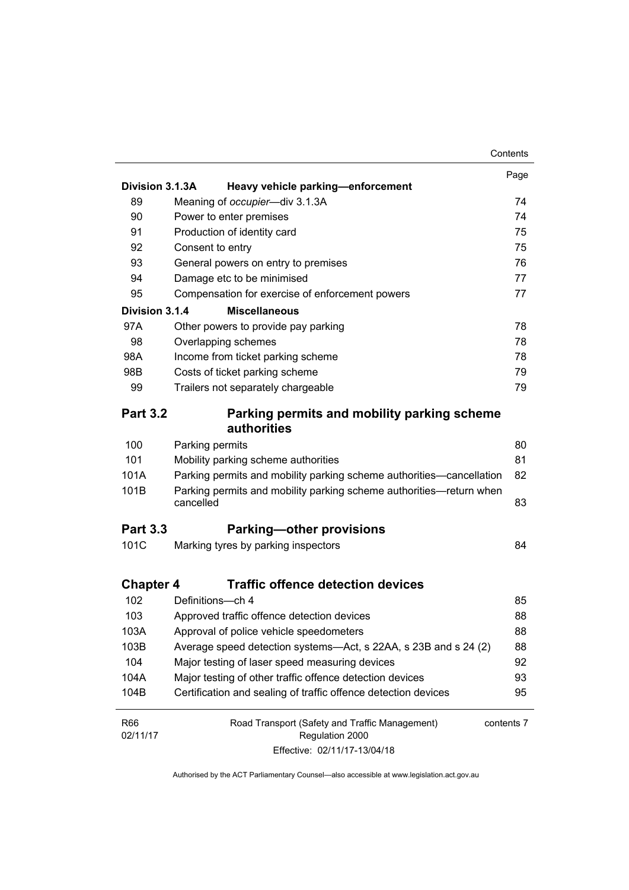|                  |                                                                                  | Contents   |
|------------------|----------------------------------------------------------------------------------|------------|
|                  |                                                                                  | Page       |
| Division 3.1.3A  | Heavy vehicle parking-enforcement                                                |            |
| 89               | Meaning of occupier-div 3.1.3A                                                   | 74         |
| 90               | Power to enter premises                                                          | 74         |
| 91               | Production of identity card                                                      | 75         |
| 92               | Consent to entry                                                                 | 75         |
| 93               | General powers on entry to premises                                              | 76         |
| 94               | Damage etc to be minimised                                                       | 77         |
| 95               | Compensation for exercise of enforcement powers                                  | 77         |
| Division 3.1.4   | <b>Miscellaneous</b>                                                             |            |
| 97A              | Other powers to provide pay parking                                              | 78         |
| 98               | Overlapping schemes                                                              | 78         |
| 98A              | Income from ticket parking scheme                                                | 78         |
| 98B              | Costs of ticket parking scheme                                                   | 79         |
| 99               | Trailers not separately chargeable                                               | 79         |
| <b>Part 3.2</b>  | Parking permits and mobility parking scheme<br>authorities                       |            |
| 100              | Parking permits                                                                  | 80         |
| 101              | Mobility parking scheme authorities                                              | 81         |
| 101A             | Parking permits and mobility parking scheme authorities—cancellation             | 82         |
| 101B             | Parking permits and mobility parking scheme authorities-return when<br>cancelled | 83         |
| <b>Part 3.3</b>  | <b>Parking-other provisions</b>                                                  |            |
| 101C             | Marking tyres by parking inspectors                                              | 84         |
| <b>Chapter 4</b> | <b>Traffic offence detection devices</b>                                         |            |
| 102              | Definitions-ch 4                                                                 | 85         |
| 103              | Approved traffic offence detection devices                                       | 88         |
| 103A             | Approval of police vehicle speedometers                                          | 88         |
| 103B             | Average speed detection systems-Act, s 22AA, s 23B and s 24 (2)                  | 88         |
| 104              | Major testing of laser speed measuring devices                                   | 92         |
| 104A             | Major testing of other traffic offence detection devices                         | 93         |
| 104B             | Certification and sealing of traffic offence detection devices                   | 95         |
| <b>R66</b>       | Road Transport (Safety and Traffic Management)                                   | contents 7 |
| 02/11/17         | Regulation 2000                                                                  |            |
|                  | Effective: 02/11/17-13/04/18                                                     |            |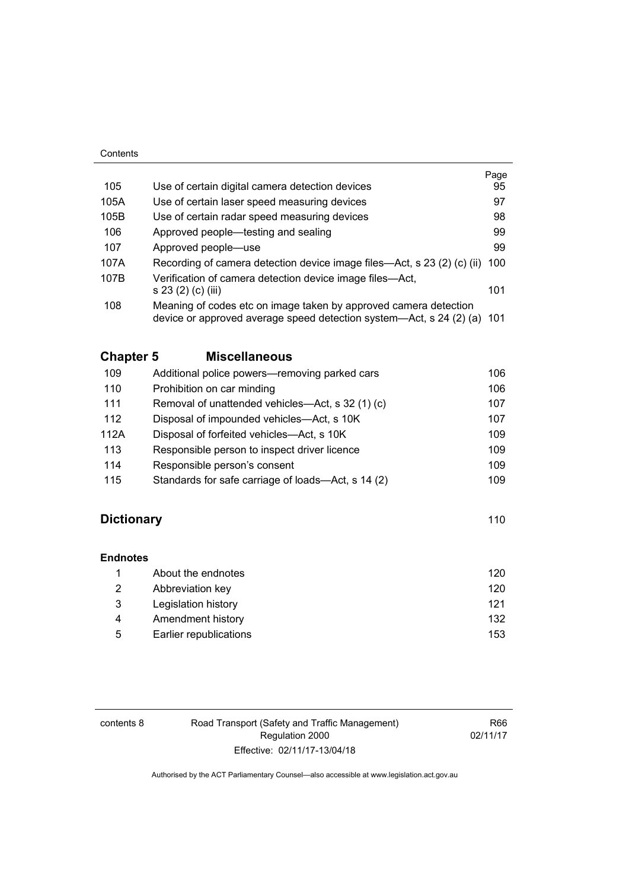#### **Contents**

|      |                                                                                                                                             | Page |
|------|---------------------------------------------------------------------------------------------------------------------------------------------|------|
| 105  | Use of certain digital camera detection devices                                                                                             | 95   |
| 105A | Use of certain laser speed measuring devices                                                                                                | 97   |
| 105B | Use of certain radar speed measuring devices                                                                                                | 98   |
| 106  | Approved people—testing and sealing                                                                                                         | 99   |
| 107  | Approved people—use                                                                                                                         | 99   |
| 107A | Recording of camera detection device image files—Act, s 23 (2) (c) (ii)                                                                     | 100  |
| 107B | Verification of camera detection device image files—Act,<br>s 23 (2) (c) (iii)                                                              | 101  |
| 108  | Meaning of codes etc on image taken by approved camera detection<br>device or approved average speed detection system—Act, s 24 (2) (a) 101 |      |

### **Chapter 5 [Miscellaneous](#page-122-0)**

| 109  | Additional police powers-removing parked cars      | 106 |
|------|----------------------------------------------------|-----|
| 110  | Prohibition on car minding                         | 106 |
| 111  | Removal of unattended vehicles—Act, s 32 (1) (c)   | 107 |
| 112  | Disposal of impounded vehicles—Act, s 10K          | 107 |
| 112A | Disposal of forfeited vehicles—Act, s 10K          | 109 |
| 113  | Responsible person to inspect driver licence       | 109 |
| 114  | Responsible person's consent                       | 109 |
| 115  | Standards for safe carriage of loads—Act, s 14 (2) | 109 |

### **Dictionary** [110](#page-126-0)

**[Endnotes](#page-137-0)**

|   | About the endnotes     | 120 |
|---|------------------------|-----|
| 2 | Abbreviation key       | 120 |
| 3 | Legislation history    | 121 |
| 4 | Amendment history      | 132 |
| 5 | Earlier republications | 153 |

| contents 8 | Road Transport (Safety and Traffic Management) | R66      |
|------------|------------------------------------------------|----------|
|            | Regulation 2000                                | 02/11/17 |
|            | Effective: 02/11/17-13/04/18                   |          |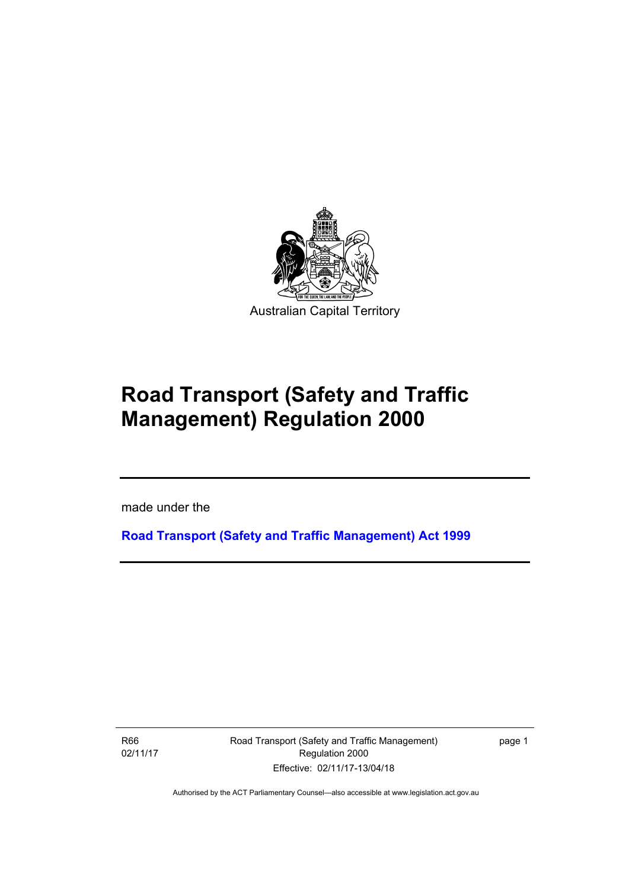

# **Road Transport (Safety and Traffic Management) Regulation 2000**

made under the

**[Road Transport \(Safety and Traffic Management\) Act 1999](http://www.legislation.act.gov.au/a/1999-80)**

R66 02/11/17

l

Road Transport (Safety and Traffic Management) Regulation 2000 Effective: 02/11/17-13/04/18

page 1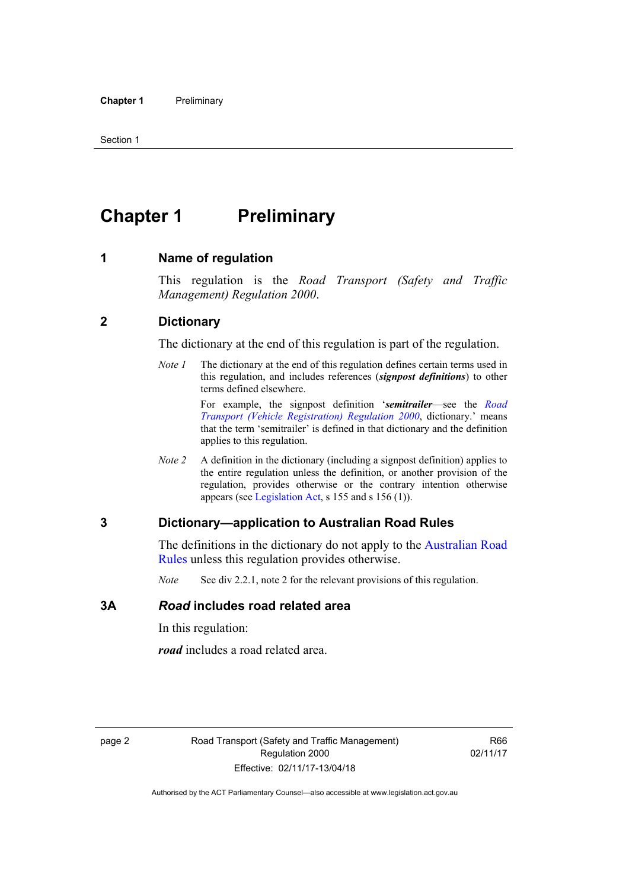## <span id="page-11-0"></span>**Chapter 1** Preliminary

#### <span id="page-11-1"></span>**1 Name of regulation**

This regulation is the *Road Transport (Safety and Traffic Management) Regulation 2000*.

#### <span id="page-11-2"></span>**2 Dictionary**

The dictionary at the end of this regulation is part of the regulation.

*Note 1* The dictionary at the end of this regulation defines certain terms used in this regulation, and includes references (*signpost definitions*) to other terms defined elsewhere.

> For example, the signpost definition '*semitrailer*—see the *[Road](http://www.legislation.act.gov.au/sl/2000-12)  [Transport \(Vehicle Registration\) Regulation 2000](http://www.legislation.act.gov.au/sl/2000-12)*, dictionary.' means that the term 'semitrailer' is defined in that dictionary and the definition applies to this regulation.

*Note 2* A definition in the dictionary (including a signpost definition) applies to the entire regulation unless the definition, or another provision of the regulation, provides otherwise or the contrary intention otherwise appears (see [Legislation Act,](http://www.legislation.act.gov.au/a/2001-14) s 155 and s 156 (1)).

#### <span id="page-11-3"></span>**3 Dictionary—application to Australian Road Rules**

The definitions in the dictionary do not apply to the [Australian Road](http://www.legislation.act.gov.au//ni/db_37271/default.asp)  [Rules](http://www.legislation.act.gov.au//ni/db_37271/default.asp) unless this regulation provides otherwise.

*Note* See div 2.2.1, note 2 for the relevant provisions of this regulation.

#### <span id="page-11-4"></span>**3A** *Road* **includes road related area**

In this regulation:

*road* includes a road related area.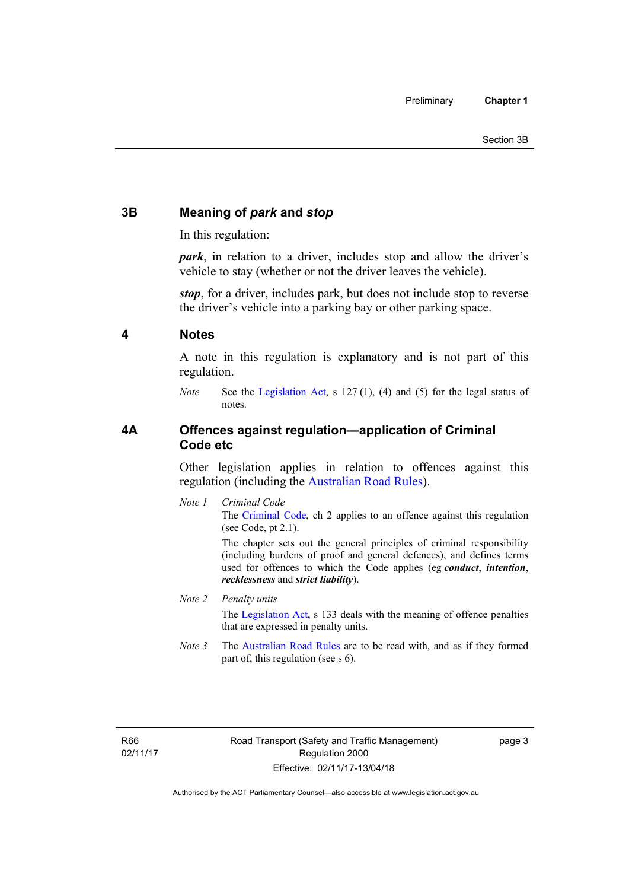#### <span id="page-12-0"></span>**3B Meaning of** *park* **and** *stop*

In this regulation:

*park*, in relation to a driver, includes stop and allow the driver's vehicle to stay (whether or not the driver leaves the vehicle).

*stop*, for a driver, includes park, but does not include stop to reverse the driver's vehicle into a parking bay or other parking space.

#### <span id="page-12-1"></span>**4 Notes**

A note in this regulation is explanatory and is not part of this regulation.

*Note* See the [Legislation Act,](http://www.legislation.act.gov.au/a/2001-14) s 127 (1), (4) and (5) for the legal status of notes.

#### <span id="page-12-2"></span>**4A Offences against regulation—application of Criminal Code etc**

Other legislation applies in relation to offences against this regulation (including the [Australian Road Rules](http://www.legislation.act.gov.au//ni/db_37271/default.asp)).

*Note 1 Criminal Code* The [Criminal Code,](http://www.legislation.act.gov.au/a/2002-51) ch 2 applies to an offence against this regulation (see Code, pt 2.1).

> The chapter sets out the general principles of criminal responsibility (including burdens of proof and general defences), and defines terms used for offences to which the Code applies (eg *conduct*, *intention*, *recklessness* and *strict liability*).

#### *Note 2 Penalty units*

The [Legislation Act](http://www.legislation.act.gov.au/a/2001-14), s 133 deals with the meaning of offence penalties that are expressed in penalty units.

*Note* 3 The [Australian Road Rules](http://www.legislation.act.gov.au//ni/db_37271/default.asp) are to be read with, and as if they formed part of, this regulation (see s 6).

R66 02/11/17 page 3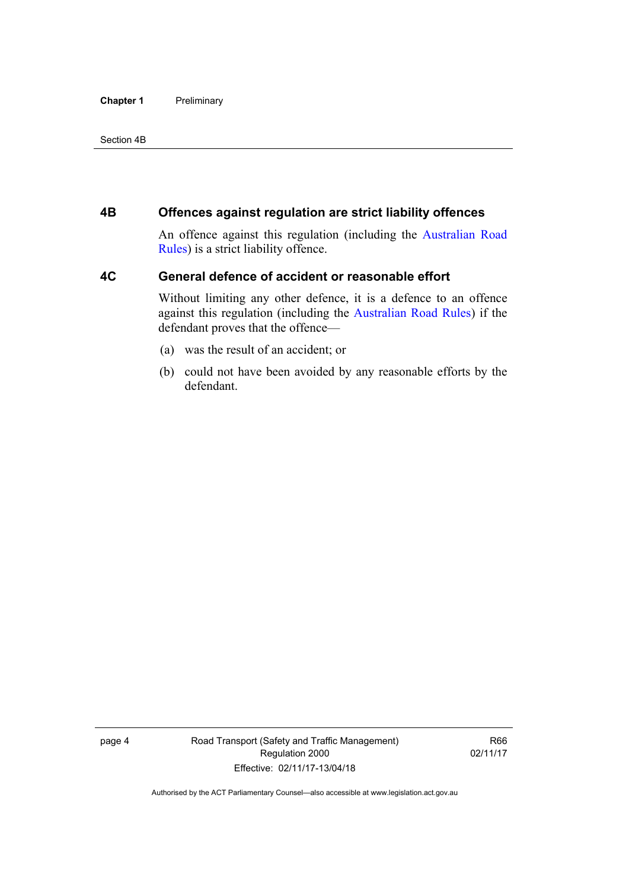#### **Chapter 1** Preliminary

#### Section 4B

#### <span id="page-13-0"></span>**4B Offences against regulation are strict liability offences**

An offence against this regulation (including the [Australian Road](http://www.legislation.act.gov.au//ni/db_37271/default.asp)  [Rules](http://www.legislation.act.gov.au//ni/db_37271/default.asp)) is a strict liability offence.

#### <span id="page-13-1"></span>**4C General defence of accident or reasonable effort**

Without limiting any other defence, it is a defence to an offence against this regulation (including the [Australian Road Rules\)](http://www.legislation.act.gov.au//ni/db_37271/default.asp) if the defendant proves that the offence—

- (a) was the result of an accident; or
- (b) could not have been avoided by any reasonable efforts by the defendant.

page 4 Road Transport (Safety and Traffic Management) Regulation 2000 Effective: 02/11/17-13/04/18

R66 02/11/17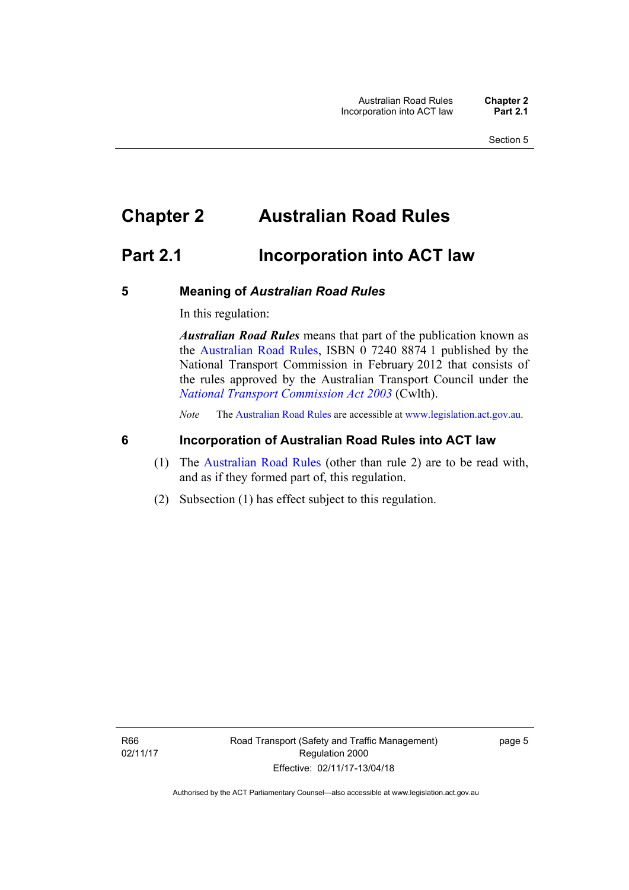### <span id="page-14-0"></span>**Chapter 2 Australian Road Rules**

### <span id="page-14-1"></span>**Part 2.1 Incorporation into ACT law**

#### <span id="page-14-2"></span>**5 Meaning of** *Australian Road Rules*

In this regulation:

*Australian Road Rules* means that part of the publication known as the [Australian Road Rules](http://www.legislation.act.gov.au//ni/db_37271/default.asp), ISBN 0 7240 8874 1 published by the National Transport Commission in February 2012 that consists of the rules approved by the Australian Transport Council under the *[National Transport Commission Act 2003](http://www.comlaw.gov.au/Series/C2004A01166)* (Cwlth).

*Note* The [Australian Road Rules](http://www.legislation.act.gov.au//ni/db_37271/default.asp) are accessible at [www.legislation.act.gov.au](http://www.legislation.act.gov.au/).

#### <span id="page-14-3"></span>**6 Incorporation of Australian Road Rules into ACT law**

- (1) The [Australian Road Rules](http://www.legislation.act.gov.au//ni/db_37271/default.asp) (other than rule 2) are to be read with, and as if they formed part of, this regulation.
- (2) Subsection (1) has effect subject to this regulation.

page 5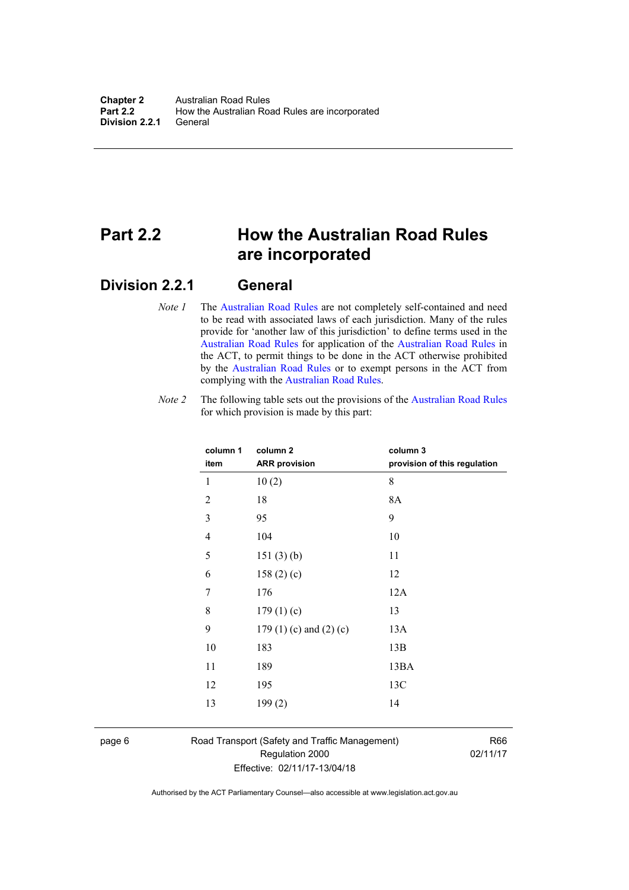### <span id="page-15-0"></span>**Part 2.2 How the Australian Road Rules are incorporated**

#### <span id="page-15-1"></span>**Division 2.2.1 General**

*Note 1* The [Australian Road Rules](http://www.legislation.act.gov.au//ni/db_37271/default.asp) are not completely self-contained and need to be read with associated laws of each jurisdiction. Many of the rules provide for 'another law of this jurisdiction' to define terms used in the [Australian Road Rules](http://www.legislation.act.gov.au//ni/db_37271/default.asp) for application of the [Australian Road Rules](http://www.legislation.act.gov.au//ni/db_37271/default.asp) in the ACT, to permit things to be done in the ACT otherwise prohibited by the [Australian Road Rules](http://www.legislation.act.gov.au//ni/db_37271/default.asp) or to exempt persons in the ACT from complying with the [Australian Road Rules.](http://www.legislation.act.gov.au//ni/db_37271/default.asp)

*Note 2* The following table sets out the provisions of the [Australian Road Rules](http://www.legislation.act.gov.au//ni/db_37271/default.asp) for which provision is made by this part:

| column 1<br>item | column <sub>2</sub><br><b>ARR provision</b> | column 3<br>provision of this regulation |
|------------------|---------------------------------------------|------------------------------------------|
| 1                | 10(2)                                       | 8                                        |
| $\overline{2}$   | 18                                          | 8A                                       |
| 3                | 95                                          | 9                                        |
| $\overline{4}$   | 104                                         | 10                                       |
| 5                | 151(3)(b)                                   | 11                                       |
| 6                | 158 $(2)(c)$                                | 12                                       |
| 7                | 176                                         | 12A                                      |
| 8                | 179(1)(c)                                   | 13                                       |
| 9                | 179 $(1)(c)$ and $(2)(c)$                   | 13A                                      |
| 10               | 183                                         | 13B                                      |
| 11               | 189                                         | 13BA                                     |
| 12               | 195                                         | 13C                                      |
| 13               | 199(2)                                      | 14                                       |
|                  |                                             |                                          |

page 6 Road Transport (Safety and Traffic Management) Regulation 2000 Effective: 02/11/17-13/04/18

R66 02/11/17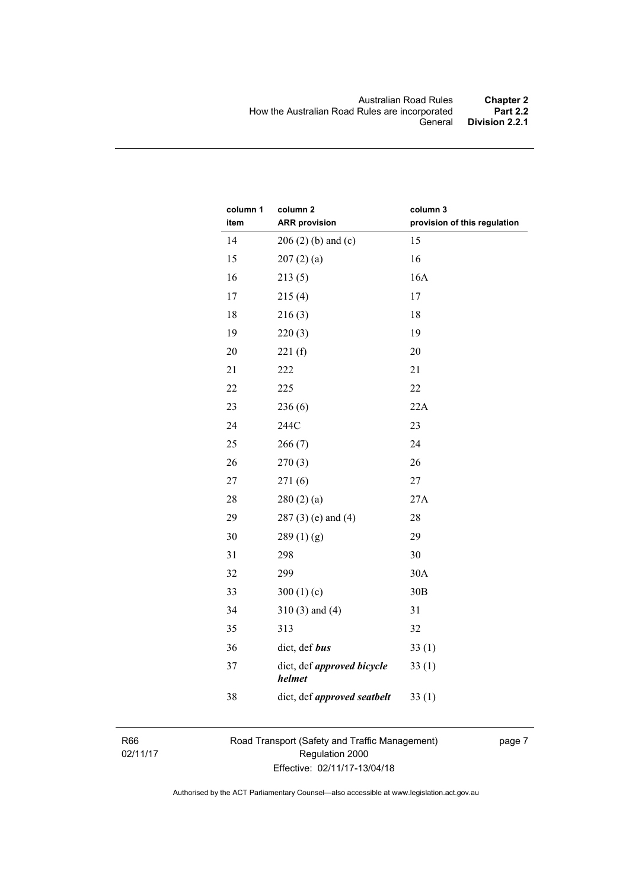| column 1<br>item | column <sub>2</sub><br><b>ARR provision</b> | column 3<br>provision of this regulation |
|------------------|---------------------------------------------|------------------------------------------|
| 14               | $206(2)$ (b) and (c)                        | 15                                       |
| 15               | 207(2)(a)                                   | 16                                       |
| 16               | 213(5)                                      | 16A                                      |
| 17               | 215(4)                                      | 17                                       |
| 18               | 216(3)                                      | 18                                       |
| 19               | 220(3)                                      | 19                                       |
| 20               | 221(f)                                      | 20                                       |
| 21               | 222                                         | 21                                       |
| 22               | 225                                         | 22                                       |
| 23               | 236(6)                                      | 22A                                      |
| 24               | 244C                                        | 23                                       |
| 25               | 266(7)                                      | 24                                       |
| 26               | 270(3)                                      | 26                                       |
| 27               | 271(6)                                      | 27                                       |
| 28               | 280(2)(a)                                   | 27A                                      |
| 29               | $287(3)$ (e) and (4)                        | 28                                       |
| 30               | 289(1)(g)                                   | 29                                       |
| 31               | 298                                         | 30                                       |
| 32               | 299                                         | 30A                                      |
| 33               | 300 $(1)(c)$                                | 30B                                      |
| 34               | $310(3)$ and $(4)$                          | 31                                       |
| 35               | 313                                         | 32                                       |
| 36               | dict, def bus                               | 33(1)                                    |
| 37               | dict, def <i>approved</i> bicycle<br>helmet | 33(1)                                    |
| 38               | dict, def approved seatbelt                 | 33(1)                                    |

R66 02/11/17 Road Transport (Safety and Traffic Management) Regulation 2000 Effective: 02/11/17-13/04/18

page 7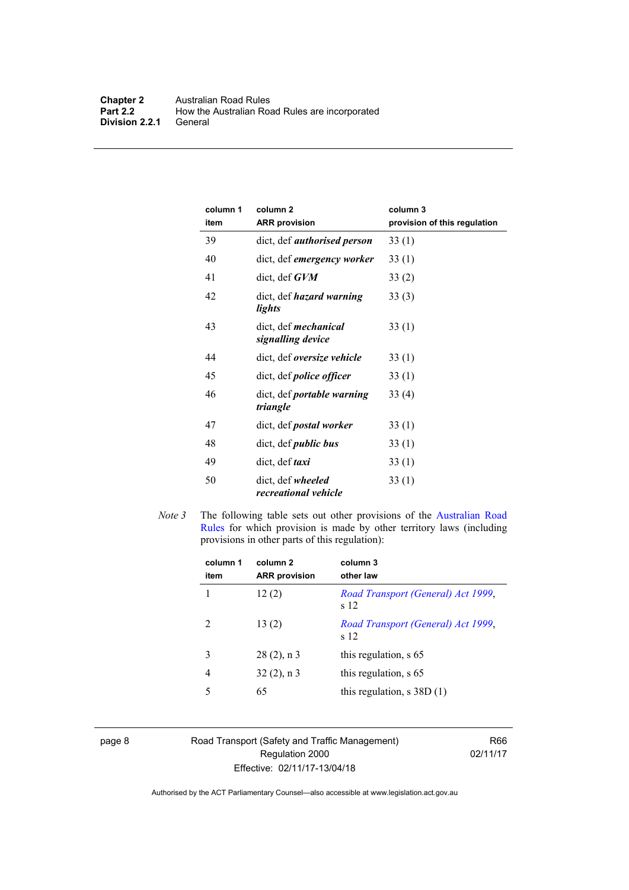| column 1<br>item | column <sub>2</sub><br><b>ARR provision</b>      | column 3<br>provision of this regulation |
|------------------|--------------------------------------------------|------------------------------------------|
| 39               | dict, def <i>authorised person</i>               | 33(1)                                    |
| 40               | dict, def emergency worker                       | 33(1)                                    |
| 41               | $dict, def$ $GVM$                                | 33(2)                                    |
| 42               | dict, def <i>hazard</i> warning<br>lights        | 33(3)                                    |
| 43               | dict, def <i>mechanical</i><br>signalling device | 33(1)                                    |
| 44               | dict, def oversize vehicle                       | 33(1)                                    |
| 45               | dict, def <i>police</i> officer                  | 33(1)                                    |
| 46               | dict, def <i>portable warning</i><br>triangle    | 33(4)                                    |
| 47               | dict, def <i>postal</i> worker                   | 33(1)                                    |
| 48               | dict, def <i>public</i> bus                      | 33(1)                                    |
| 49               | dict, def <i>taxi</i>                            | 33(1)                                    |
| 50               | dict, def wheeled<br>recreational vehicle        | 33(1)                                    |

*Note 3* The following table sets out other provisions of the [Australian Road](http://www.legislation.act.gov.au//ni/db_37271/default.asp)  [Rules](http://www.legislation.act.gov.au//ni/db_37271/default.asp) for which provision is made by other territory laws (including provisions in other parts of this regulation):

| column 1<br>item | column <sub>2</sub><br><b>ARR</b> provision | column 3<br>other law                      |
|------------------|---------------------------------------------|--------------------------------------------|
|                  | 12(2)                                       | Road Transport (General) Act 1999,<br>s 12 |
| 2                | 13(2)                                       | Road Transport (General) Act 1999,<br>s 12 |
| 3                | $28(2)$ , n 3                               | this regulation, s 65                      |
| 4                | $32(2)$ , n 3                               | this regulation, s 65                      |
| 5                | 65                                          | this regulation, $s$ 38D $(1)$             |
|                  |                                             |                                            |

page 8 Road Transport (Safety and Traffic Management) Regulation 2000 Effective: 02/11/17-13/04/18

R66 02/11/17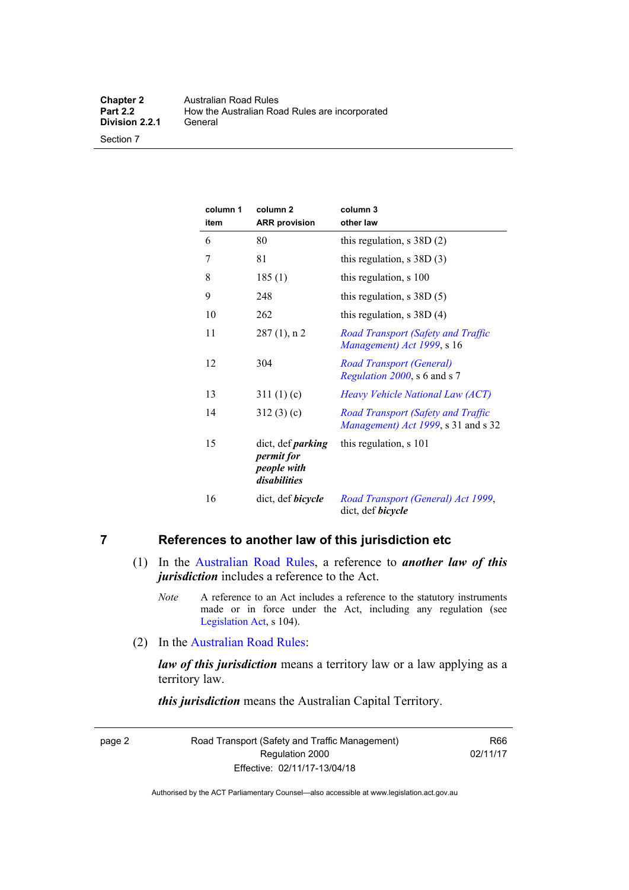Section 7

| column 1<br>item | column <sub>2</sub><br><b>ARR</b> provision                           | column 3<br>other law                                                     |
|------------------|-----------------------------------------------------------------------|---------------------------------------------------------------------------|
| 6                | 80                                                                    | this regulation, $s$ 38D $(2)$                                            |
| 7                | 81                                                                    | this regulation, $s$ 38D (3)                                              |
| 8                | 185(1)                                                                | this regulation, s 100                                                    |
| 9                | 248                                                                   | this regulation, $s$ 38D $(5)$                                            |
| 10               | 262                                                                   | this regulation, $s$ 38D (4)                                              |
| 11               | $287(1)$ , n 2                                                        | Road Transport (Safety and Traffic<br>Management) Act 1999, s 16          |
| 12               | 304                                                                   | <b>Road Transport (General)</b><br>Regulation 2000, s 6 and s 7           |
| 13               | 311(1)(c)                                                             | Heavy Vehicle National Law (ACT)                                          |
| 14               | 312(3)(c)                                                             | Road Transport (Safety and Traffic<br>Management) Act 1999, s 31 and s 32 |
| 15               | dict, def <i>parking</i><br>permit for<br>people with<br>disabilities | this regulation, s 101                                                    |
| 16               | dict, def <i>bicycle</i>                                              | Road Transport (General) Act 1999,<br>dict, def bicycle                   |

#### <span id="page-18-0"></span>**7 References to another law of this jurisdiction etc**

- (1) In the [Australian Road Rules,](http://www.legislation.act.gov.au//ni/db_37271/default.asp) a reference to *another law of this jurisdiction* includes a reference to the Act.
	- *Note* A reference to an Act includes a reference to the statutory instruments made or in force under the Act, including any regulation (see [Legislation Act,](http://www.legislation.act.gov.au/a/2001-14) s 104).
- (2) In the [Australian Road Rules](http://www.legislation.act.gov.au//ni/db_37271/default.asp):

*law of this jurisdiction* means a territory law or a law applying as a territory law.

*this jurisdiction* means the Australian Capital Territory.

page 2 Road Transport (Safety and Traffic Management) Regulation 2000 Effective: 02/11/17-13/04/18

R66 02/11/17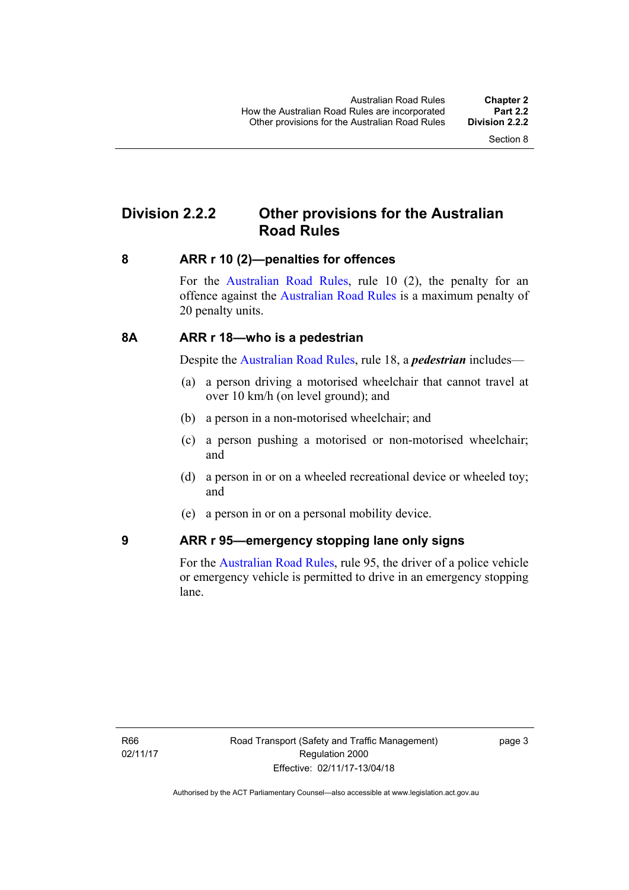### <span id="page-19-0"></span>**Division 2.2.2 Other provisions for the Australian Road Rules**

#### <span id="page-19-1"></span>**8 ARR r 10 (2)—penalties for offences**

For the [Australian Road Rules,](http://www.legislation.act.gov.au//ni/db_37271/default.asp) rule 10 (2), the penalty for an offence against the [Australian Road Rules](http://www.legislation.act.gov.au//ni/db_37271/default.asp) is a maximum penalty of 20 penalty units.

#### <span id="page-19-2"></span>**8A ARR r 18—who is a pedestrian**

Despite the [Australian Road Rules](http://www.legislation.act.gov.au//ni/db_37271/default.asp), rule 18, a *pedestrian* includes—

- (a) a person driving a motorised wheelchair that cannot travel at over 10 km/h (on level ground); and
- (b) a person in a non-motorised wheelchair; and
- (c) a person pushing a motorised or non-motorised wheelchair; and
- (d) a person in or on a wheeled recreational device or wheeled toy; and
- (e) a person in or on a personal mobility device.

#### <span id="page-19-3"></span>**9 ARR r 95—emergency stopping lane only signs**

For the [Australian Road Rules,](http://www.legislation.act.gov.au//ni/db_37271/default.asp) rule 95, the driver of a police vehicle or emergency vehicle is permitted to drive in an emergency stopping lane.

page 3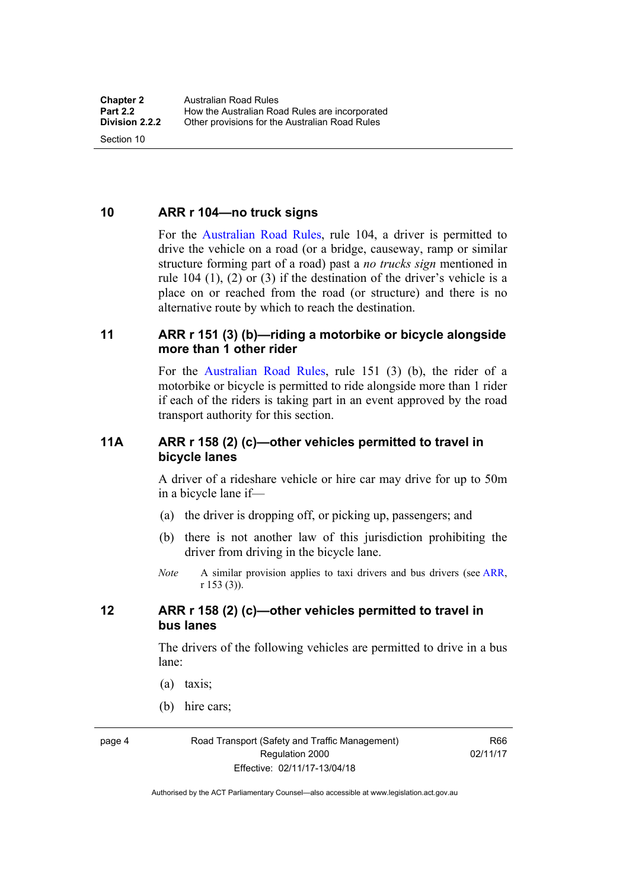<span id="page-20-0"></span>**10 ARR r 104—no truck signs**

Section 10

For the [Australian Road Rules](http://www.legislation.act.gov.au//ni/db_37271/default.asp), rule 104, a driver is permitted to drive the vehicle on a road (or a bridge, causeway, ramp or similar structure forming part of a road) past a *no trucks sign* mentioned in rule 104 (1), (2) or (3) if the destination of the driver's vehicle is a place on or reached from the road (or structure) and there is no alternative route by which to reach the destination.

#### <span id="page-20-1"></span>**11 ARR r 151 (3) (b)—riding a motorbike or bicycle alongside more than 1 other rider**

For the [Australian Road Rules](http://www.legislation.act.gov.au//ni/db_37271/default.asp), rule 151 (3) (b), the rider of a motorbike or bicycle is permitted to ride alongside more than 1 rider if each of the riders is taking part in an event approved by the road transport authority for this section.

#### <span id="page-20-2"></span>**11A ARR r 158 (2) (c)—other vehicles permitted to travel in bicycle lanes**

A driver of a rideshare vehicle or hire car may drive for up to 50m in a bicycle lane if—

- (a) the driver is dropping off, or picking up, passengers; and
- (b) there is not another law of this jurisdiction prohibiting the driver from driving in the bicycle lane.
- *Note* A similar provision applies to taxi drivers and bus drivers (see [ARR,](http://www.legislation.act.gov.au//ni/db_37271/default.asp) r 153 (3)).

#### <span id="page-20-3"></span>**12 ARR r 158 (2) (c)—other vehicles permitted to travel in bus lanes**

The drivers of the following vehicles are permitted to drive in a bus lane:

- (a) taxis;
- (b) hire cars;

page 4 Road Transport (Safety and Traffic Management) Regulation 2000 Effective: 02/11/17-13/04/18

R66 02/11/17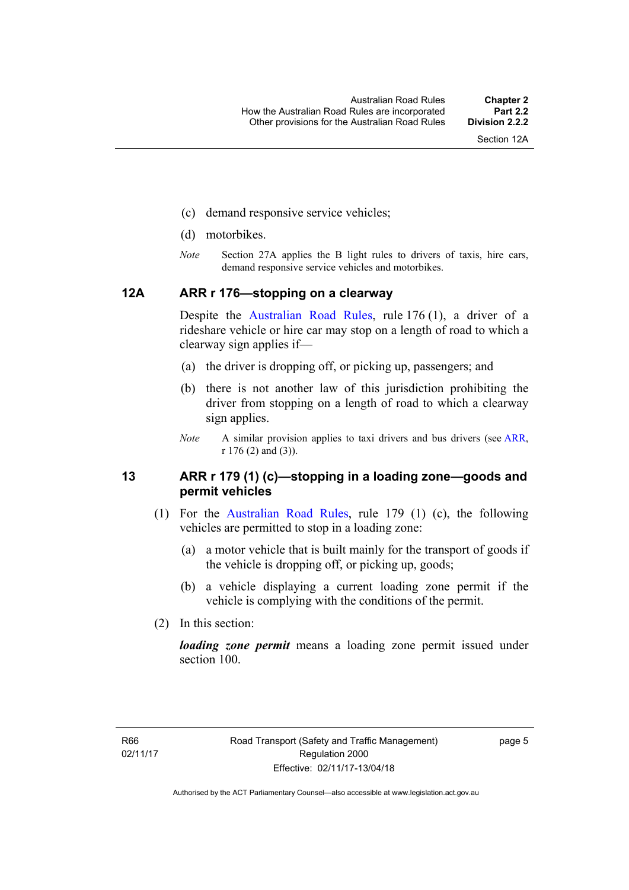Section 12A

- (c) demand responsive service vehicles;
- (d) motorbikes.
- *Note* Section 27A applies the B light rules to drivers of taxis, hire cars, demand responsive service vehicles and motorbikes.

#### <span id="page-21-0"></span>**12A ARR r 176—stopping on a clearway**

Despite the [Australian Road Rules,](http://www.legislation.act.gov.au//ni/db_37271/default.asp) rule 176 (1), a driver of a rideshare vehicle or hire car may stop on a length of road to which a clearway sign applies if—

- (a) the driver is dropping off, or picking up, passengers; and
- (b) there is not another law of this jurisdiction prohibiting the driver from stopping on a length of road to which a clearway sign applies.
- *Note* A similar provision applies to taxi drivers and bus drivers (see [ARR,](http://www.legislation.act.gov.au//ni/db_37271/default.asp) r 176 (2) and (3)).

#### <span id="page-21-1"></span>**13 ARR r 179 (1) (c)—stopping in a loading zone—goods and permit vehicles**

- (1) For the [Australian Road Rules](http://www.legislation.act.gov.au//ni/db_37271/default.asp), rule 179 (1) (c), the following vehicles are permitted to stop in a loading zone:
	- (a) a motor vehicle that is built mainly for the transport of goods if the vehicle is dropping off, or picking up, goods;
	- (b) a vehicle displaying a current loading zone permit if the vehicle is complying with the conditions of the permit.
- (2) In this section:

*loading zone permit* means a loading zone permit issued under section 100.

page 5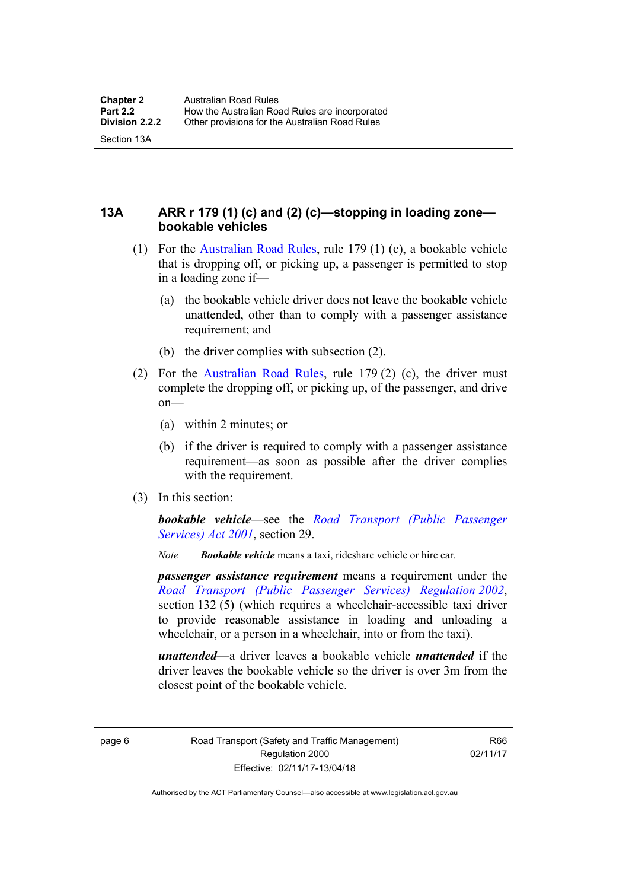Section 13A

<span id="page-22-0"></span>**13A ARR r 179 (1) (c) and (2) (c)—stopping in loading zone bookable vehicles** 

- (1) For the [Australian Road Rules,](http://www.legislation.act.gov.au//ni/db_37271/default.asp) rule 179 (1) (c), a bookable vehicle that is dropping off, or picking up, a passenger is permitted to stop in a loading zone if—
	- (a) the bookable vehicle driver does not leave the bookable vehicle unattended, other than to comply with a passenger assistance requirement; and
	- (b) the driver complies with subsection (2).
- (2) For the [Australian Road Rules,](http://www.legislation.act.gov.au//ni/db_37271/default.asp) rule 179 (2) (c), the driver must complete the dropping off, or picking up, of the passenger, and drive on—
	- (a) within 2 minutes; or
	- (b) if the driver is required to comply with a passenger assistance requirement—as soon as possible after the driver complies with the requirement.
- (3) In this section:

*bookable vehicle*—see the *[Road Transport \(Public Passenger](http://www.legislation.act.gov.au/a/2001-62)  [Services\) Act 2001](http://www.legislation.act.gov.au/a/2001-62)*, section 29.

*Note Bookable vehicle* means a taxi, rideshare vehicle or hire car.

*passenger assistance requirement* means a requirement under the *[Road Transport \(Public Passenger Services\) Regulation 2002](http://www.legislation.act.gov.au/sl/2002-3)*, section 132 (5) (which requires a wheelchair-accessible taxi driver to provide reasonable assistance in loading and unloading a wheelchair, or a person in a wheelchair, into or from the taxi).

*unattended*—a driver leaves a bookable vehicle *unattended* if the driver leaves the bookable vehicle so the driver is over 3m from the closest point of the bookable vehicle.

page 6 Road Transport (Safety and Traffic Management) Regulation 2000 Effective: 02/11/17-13/04/18

R66 02/11/17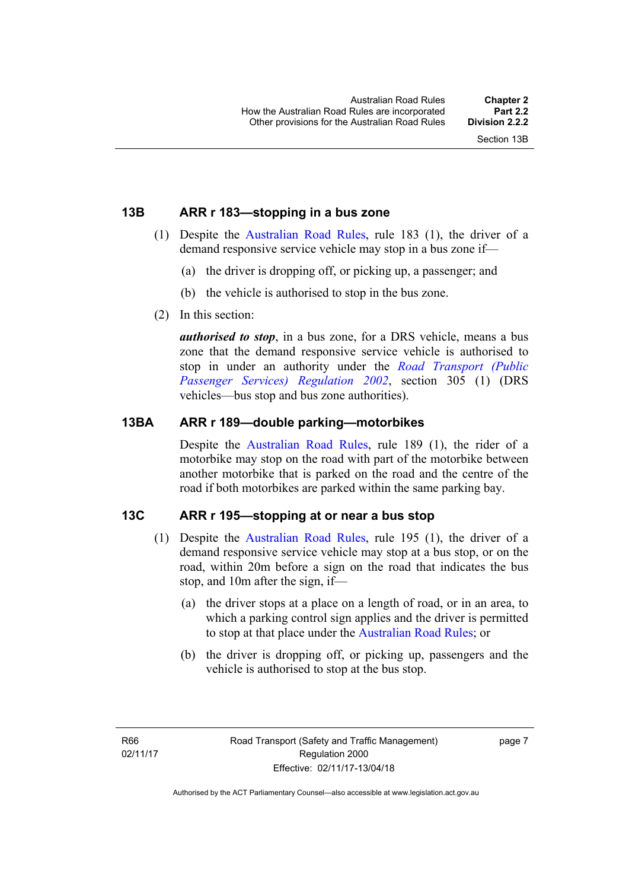#### <span id="page-23-0"></span>**13B ARR r 183—stopping in a bus zone**

- (1) Despite the [Australian Road Rules](http://www.legislation.act.gov.au//ni/db_37271/default.asp), rule 183 (1), the driver of a demand responsive service vehicle may stop in a bus zone if—
	- (a) the driver is dropping off, or picking up, a passenger; and
	- (b) the vehicle is authorised to stop in the bus zone.
- (2) In this section:

*authorised to stop*, in a bus zone, for a DRS vehicle, means a bus zone that the demand responsive service vehicle is authorised to stop in under an authority under the *[Road Transport \(Public](http://www.legislation.act.gov.au/sl/2002-3)  [Passenger Services\) Regulation 2002](http://www.legislation.act.gov.au/sl/2002-3)*, section 305 (1) (DRS vehicles—bus stop and bus zone authorities).

#### <span id="page-23-1"></span>**13BA ARR r 189—double parking—motorbikes**

Despite the [Australian Road Rules,](http://www.legislation.act.gov.au//ni/db_37271/default.asp) rule 189 (1), the rider of a motorbike may stop on the road with part of the motorbike between another motorbike that is parked on the road and the centre of the road if both motorbikes are parked within the same parking bay.

#### <span id="page-23-2"></span>**13C ARR r 195—stopping at or near a bus stop**

- (1) Despite the [Australian Road Rules](http://www.legislation.act.gov.au//ni/db_37271/default.asp), rule 195 (1), the driver of a demand responsive service vehicle may stop at a bus stop, or on the road, within 20m before a sign on the road that indicates the bus stop, and 10m after the sign, if—
	- (a) the driver stops at a place on a length of road, or in an area, to which a parking control sign applies and the driver is permitted to stop at that place under the [Australian Road Rules](http://www.legislation.act.gov.au//ni/db_37271/default.asp); or
	- (b) the driver is dropping off, or picking up, passengers and the vehicle is authorised to stop at the bus stop.

page 7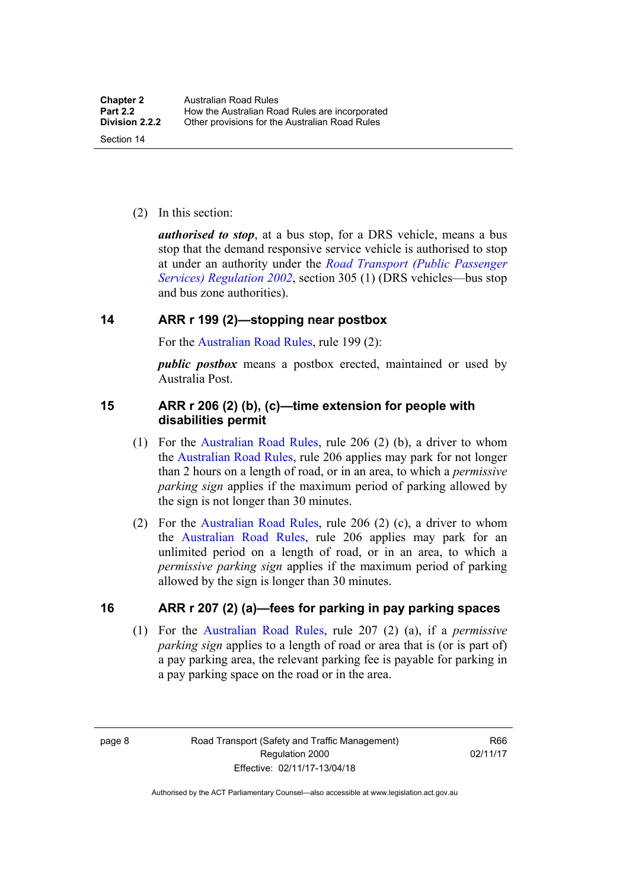(2) In this section:

*authorised to stop*, at a bus stop, for a DRS vehicle, means a bus stop that the demand responsive service vehicle is authorised to stop at under an authority under the *[Road Transport \(Public Passenger](http://www.legislation.act.gov.au/sl/2002-3)  [Services\) Regulation 2002](http://www.legislation.act.gov.au/sl/2002-3)*, section 305 (1) (DRS vehicles—bus stop and bus zone authorities).

#### <span id="page-24-0"></span>**14 ARR r 199 (2)—stopping near postbox**

For the [Australian Road Rules,](http://www.legislation.act.gov.au//ni/db_37271/default.asp) rule 199 (2):

*public postbox* means a postbox erected, maintained or used by Australia Post.

#### <span id="page-24-1"></span>**15 ARR r 206 (2) (b), (c)—time extension for people with disabilities permit**

- (1) For the [Australian Road Rules](http://www.legislation.act.gov.au//ni/db_37271/default.asp), rule 206 (2) (b), a driver to whom the [Australian Road Rules](http://www.legislation.act.gov.au//ni/db_37271/default.asp), rule 206 applies may park for not longer than 2 hours on a length of road, or in an area, to which a *permissive parking sign* applies if the maximum period of parking allowed by the sign is not longer than 30 minutes.
- (2) For the [Australian Road Rules,](http://www.legislation.act.gov.au//ni/db_37271/default.asp) rule 206 (2) (c), a driver to whom the [Australian Road Rules,](http://www.legislation.act.gov.au//ni/db_37271/default.asp) rule 206 applies may park for an unlimited period on a length of road, or in an area, to which a *permissive parking sign* applies if the maximum period of parking allowed by the sign is longer than 30 minutes.

#### <span id="page-24-2"></span>**16 ARR r 207 (2) (a)—fees for parking in pay parking spaces**

 (1) For the [Australian Road Rules,](http://www.legislation.act.gov.au//ni/db_37271/default.asp) rule 207 (2) (a), if a *permissive parking sign* applies to a length of road or area that is (or is part of) a pay parking area, the relevant parking fee is payable for parking in a pay parking space on the road or in the area.

page 8 Road Transport (Safety and Traffic Management) Regulation 2000 Effective: 02/11/17-13/04/18

R66 02/11/17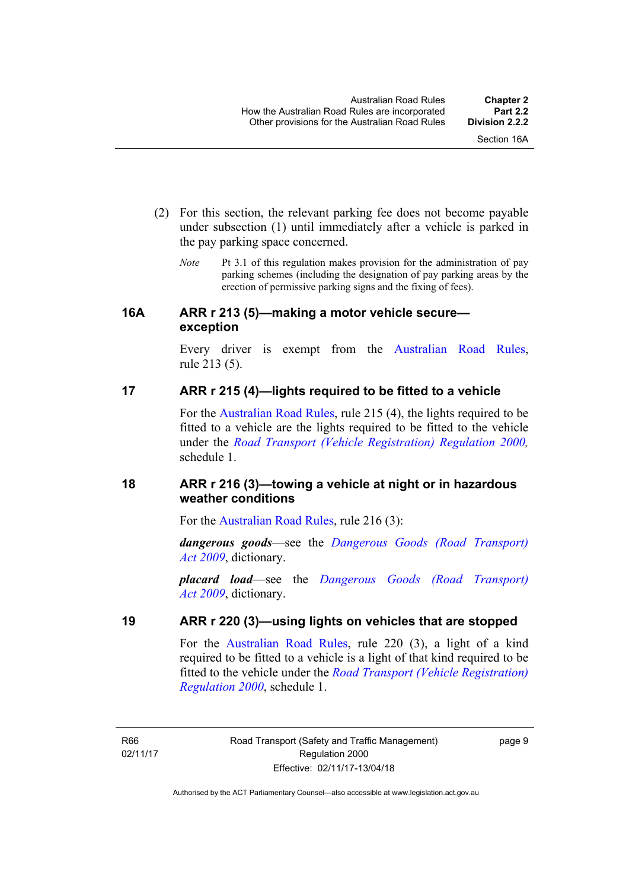- (2) For this section, the relevant parking fee does not become payable under subsection (1) until immediately after a vehicle is parked in the pay parking space concerned.
	- *Note* Pt 3.1 of this regulation makes provision for the administration of pay parking schemes (including the designation of pay parking areas by the erection of permissive parking signs and the fixing of fees).

#### <span id="page-25-0"></span>**16A ARR r 213 (5)—making a motor vehicle secure exception**

Every driver is exempt from the [Australian Road Rules](http://www.legislation.act.gov.au//ni/db_37271/default.asp), rule 213 (5).

### <span id="page-25-1"></span>**17 ARR r 215 (4)—lights required to be fitted to a vehicle**

For the [Australian Road Rules,](http://www.legislation.act.gov.au//ni/db_37271/default.asp) rule 215 (4), the lights required to be fitted to a vehicle are the lights required to be fitted to the vehicle under the *[Road Transport \(Vehicle Registration\) Regulation 2000](http://www.legislation.act.gov.au/sl/2000-12),*  schedule 1.

### <span id="page-25-2"></span>**18 ARR r 216 (3)—towing a vehicle at night or in hazardous weather conditions**

For the [Australian Road Rules](http://www.legislation.act.gov.au//ni/db_37271/default.asp), rule 216 (3):

*dangerous goods*—see the *[Dangerous Goods \(Road Transport\)](http://www.legislation.act.gov.au/a/2009-34)  [Act 2009](http://www.legislation.act.gov.au/a/2009-34)*, dictionary.

*placard load*—see the *[Dangerous Goods \(Road Transport\)](http://www.legislation.act.gov.au/a/2009-34)  [Act 2009](http://www.legislation.act.gov.au/a/2009-34)*, dictionary.

### <span id="page-25-3"></span>**19 ARR r 220 (3)—using lights on vehicles that are stopped**

For the [Australian Road Rules](http://www.legislation.act.gov.au//ni/db_37271/default.asp), rule 220 (3), a light of a kind required to be fitted to a vehicle is a light of that kind required to be fitted to the vehicle under the *[Road Transport \(Vehicle Registration\)](http://www.legislation.act.gov.au/sl/2000-12)  [Regulation 2000](http://www.legislation.act.gov.au/sl/2000-12)*, schedule 1.

R66 02/11/17 page 9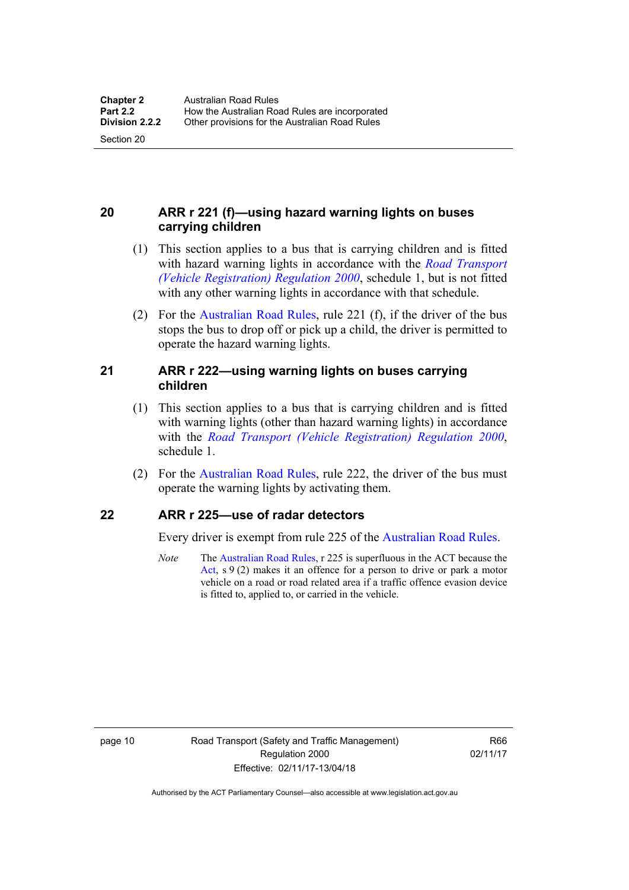Section 20

#### <span id="page-26-0"></span>**20 ARR r 221 (f)—using hazard warning lights on buses carrying children**

- (1) This section applies to a bus that is carrying children and is fitted with hazard warning lights in accordance with the *[Road Transport](http://www.legislation.act.gov.au/sl/2000-12)  [\(Vehicle Registration\) Regulation 2000](http://www.legislation.act.gov.au/sl/2000-12)*, schedule 1, but is not fitted with any other warning lights in accordance with that schedule.
- (2) For the [Australian Road Rules](http://www.legislation.act.gov.au//ni/db_37271/default.asp), rule 221 (f), if the driver of the bus stops the bus to drop off or pick up a child, the driver is permitted to operate the hazard warning lights.

#### <span id="page-26-1"></span>**21 ARR r 222—using warning lights on buses carrying children**

- (1) This section applies to a bus that is carrying children and is fitted with warning lights (other than hazard warning lights) in accordance with the *[Road Transport \(Vehicle Registration\) Regulation 2000](http://www.legislation.act.gov.au/sl/2000-12)*, schedule 1.
- (2) For the [Australian Road Rules](http://www.legislation.act.gov.au//ni/db_37271/default.asp), rule 222, the driver of the bus must operate the warning lights by activating them.

#### <span id="page-26-2"></span>**22 ARR r 225—use of radar detectors**

Every driver is exempt from rule 225 of the [Australian Road Rules.](http://www.legislation.act.gov.au//ni/db_37271/default.asp)

*Note* The [Australian Road Rules,](http://www.legislation.act.gov.au//ni/db_37271/default.asp) r 225 is superfluous in the ACT because the [Act](http://www.legislation.act.gov.au/a/1999-80/default.asp), s 9 (2) makes it an offence for a person to drive or park a motor vehicle on a road or road related area if a traffic offence evasion device is fitted to, applied to, or carried in the vehicle.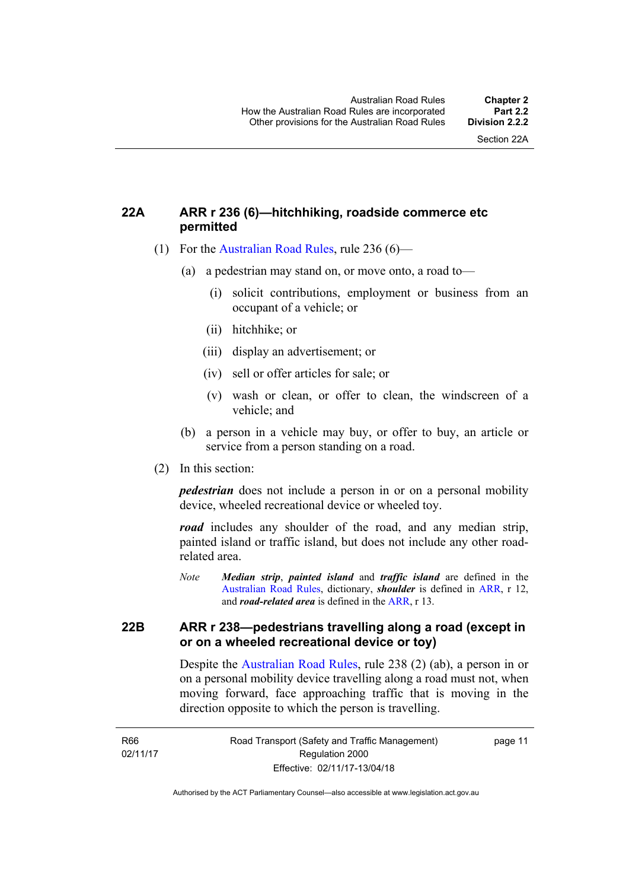#### <span id="page-27-0"></span>**22A ARR r 236 (6)—hitchhiking, roadside commerce etc permitted**

- (1) For the [Australian Road Rules](http://www.legislation.act.gov.au//ni/db_37271/default.asp), rule 236 (6)—
	- (a) a pedestrian may stand on, or move onto, a road to—
		- (i) solicit contributions, employment or business from an occupant of a vehicle; or
		- (ii) hitchhike; or
		- (iii) display an advertisement; or
		- (iv) sell or offer articles for sale; or
		- (v) wash or clean, or offer to clean, the windscreen of a vehicle; and
	- (b) a person in a vehicle may buy, or offer to buy, an article or service from a person standing on a road.
- (2) In this section:

*pedestrian* does not include a person in or on a personal mobility device, wheeled recreational device or wheeled toy.

*road* includes any shoulder of the road, and any median strip, painted island or traffic island, but does not include any other roadrelated area.

*Note Median strip*, *painted island* and *traffic island* are defined in the [Australian Road Rules,](http://www.legislation.act.gov.au//ni/db_37271/default.asp) dictionary, *shoulder* is defined in [ARR](http://www.legislation.act.gov.au//ni/db_37271/default.asp), r 12, and *road-related area* is defined in the [ARR](http://www.legislation.act.gov.au//ni/db_37271/default.asp), r 13.

#### <span id="page-27-1"></span>**22B ARR r 238—pedestrians travelling along a road (except in or on a wheeled recreational device or toy)**

Despite the [Australian Road Rules,](http://www.legislation.act.gov.au//ni/db_37271/default.asp) rule 238 (2) (ab), a person in or on a personal mobility device travelling along a road must not, when moving forward, face approaching traffic that is moving in the direction opposite to which the person is travelling.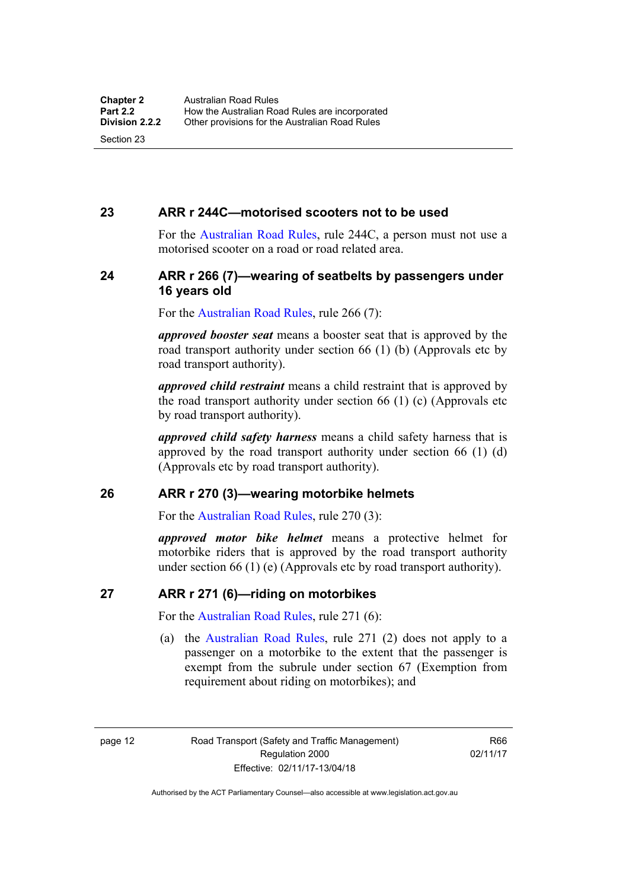#### <span id="page-28-0"></span>**23 ARR r 244C—motorised scooters not to be used**

For the [Australian Road Rules](http://www.legislation.act.gov.au//ni/db_37271/default.asp), rule 244C, a person must not use a motorised scooter on a road or road related area.

#### <span id="page-28-1"></span>**24 ARR r 266 (7)—wearing of seatbelts by passengers under 16 years old**

For the [Australian Road Rules,](http://www.legislation.act.gov.au//ni/db_37271/default.asp) rule 266 (7):

*approved booster seat* means a booster seat that is approved by the road transport authority under section 66 (1) (b) (Approvals etc by road transport authority).

*approved child restraint* means a child restraint that is approved by the road transport authority under section 66 (1) (c) (Approvals etc by road transport authority).

*approved child safety harness* means a child safety harness that is approved by the road transport authority under section 66 (1) (d) (Approvals etc by road transport authority).

#### <span id="page-28-2"></span>**26 ARR r 270 (3)—wearing motorbike helmets**

For the [Australian Road Rules,](http://www.legislation.act.gov.au//ni/db_37271/default.asp) rule 270 (3):

*approved motor bike helmet* means a protective helmet for motorbike riders that is approved by the road transport authority under section 66 (1) (e) (Approvals etc by road transport authority).

#### <span id="page-28-3"></span>**27 ARR r 271 (6)—riding on motorbikes**

For the [Australian Road Rules,](http://www.legislation.act.gov.au//ni/db_37271/default.asp) rule 271 (6):

 (a) the [Australian Road Rules](http://www.legislation.act.gov.au//ni/db_37271/default.asp), rule 271 (2) does not apply to a passenger on a motorbike to the extent that the passenger is exempt from the subrule under section 67 (Exemption from requirement about riding on motorbikes); and

page 12 Road Transport (Safety and Traffic Management) Regulation 2000 Effective: 02/11/17-13/04/18

R66 02/11/17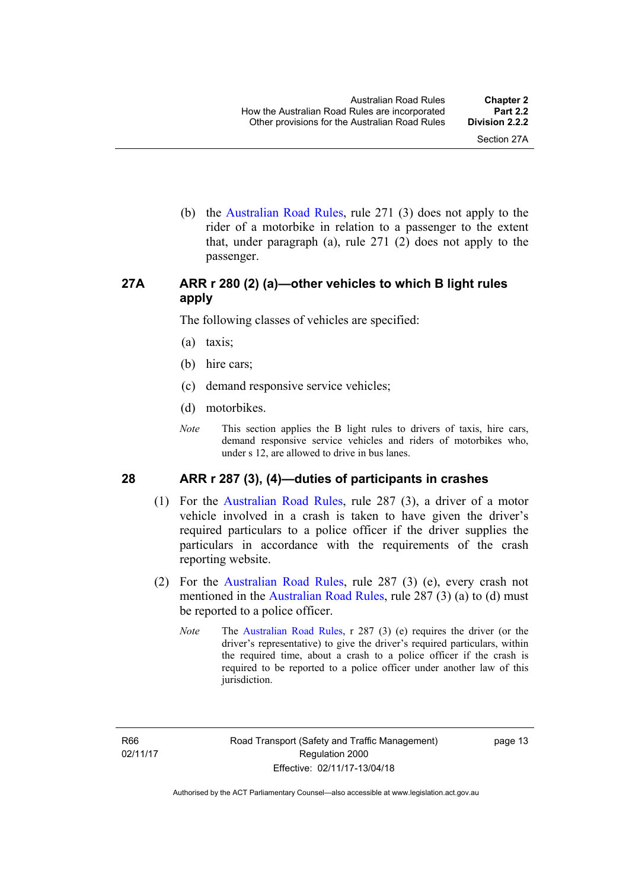(b) the [Australian Road Rules](http://www.legislation.act.gov.au//ni/db_37271/default.asp), rule 271 (3) does not apply to the rider of a motorbike in relation to a passenger to the extent that, under paragraph (a), rule 271 (2) does not apply to the passenger.

#### <span id="page-29-0"></span>**27A ARR r 280 (2) (a)—other vehicles to which B light rules apply**

The following classes of vehicles are specified:

- (a) taxis;
- (b) hire cars;
- (c) demand responsive service vehicles;
- (d) motorbikes.
- *Note* This section applies the B light rules to drivers of taxis, hire cars, demand responsive service vehicles and riders of motorbikes who, under s 12, are allowed to drive in bus lanes.

#### <span id="page-29-1"></span>**28 ARR r 287 (3), (4)—duties of participants in crashes**

- (1) For the [Australian Road Rules,](http://www.legislation.act.gov.au//ni/db_37271/default.asp) rule 287 (3), a driver of a motor vehicle involved in a crash is taken to have given the driver's required particulars to a police officer if the driver supplies the particulars in accordance with the requirements of the crash reporting website.
- (2) For the [Australian Road Rules,](http://www.legislation.act.gov.au//ni/db_37271/default.asp) rule 287 (3) (e), every crash not mentioned in the [Australian Road Rules,](http://www.legislation.act.gov.au//ni/db_37271/default.asp) rule 287 (3) (a) to (d) must be reported to a police officer.
	- *Note* The [Australian Road Rules,](http://www.legislation.act.gov.au//ni/db_37271/default.asp) r 287 (3) (e) requires the driver (or the driver's representative) to give the driver's required particulars, within the required time, about a crash to a police officer if the crash is required to be reported to a police officer under another law of this jurisdiction.

page 13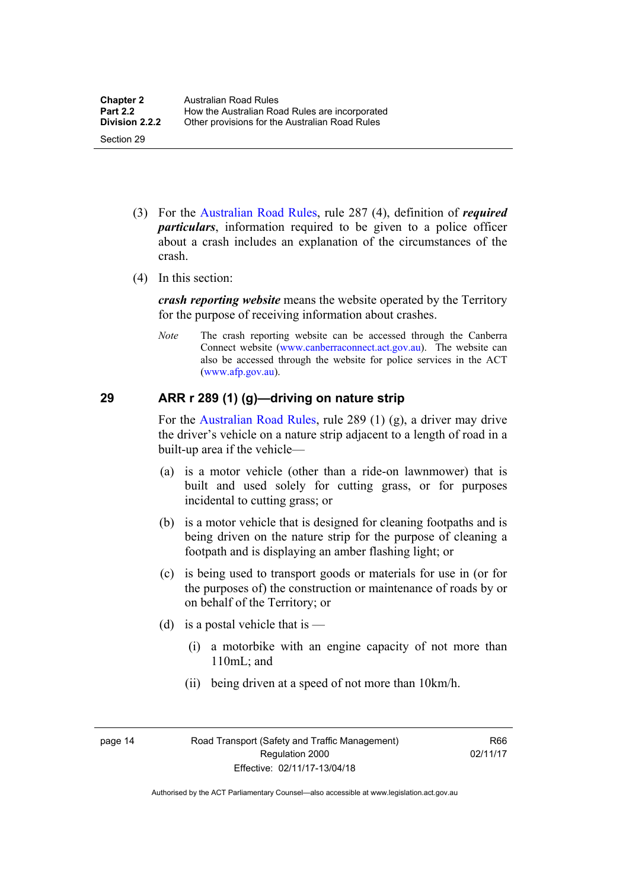- (3) For the [Australian Road Rules](http://www.legislation.act.gov.au//ni/db_37271/default.asp), rule 287 (4), definition of *required particulars*, information required to be given to a police officer about a crash includes an explanation of the circumstances of the crash.
- (4) In this section:

*crash reporting website* means the website operated by the Territory for the purpose of receiving information about crashes.

*Note* The crash reporting website can be accessed through the Canberra Connect website [\(www.canberraconnect.act.gov.au](http://www.canberraconnect.act.gov.au/)). The website can also be accessed through the website for police services in the ACT [\(www.afp.gov.au\)](http://www.afp.gov.au/).

#### <span id="page-30-0"></span>**29 ARR r 289 (1) (g)—driving on nature strip**

For the [Australian Road Rules](http://www.legislation.act.gov.au//ni/db_37271/default.asp), rule 289 (1) (g), a driver may drive the driver's vehicle on a nature strip adjacent to a length of road in a built-up area if the vehicle—

- (a) is a motor vehicle (other than a ride-on lawnmower) that is built and used solely for cutting grass, or for purposes incidental to cutting grass; or
- (b) is a motor vehicle that is designed for cleaning footpaths and is being driven on the nature strip for the purpose of cleaning a footpath and is displaying an amber flashing light; or
- (c) is being used to transport goods or materials for use in (or for the purposes of) the construction or maintenance of roads by or on behalf of the Territory; or
- (d) is a postal vehicle that is  $-$ 
	- (i) a motorbike with an engine capacity of not more than 110mL; and
	- (ii) being driven at a speed of not more than 10km/h.

page 14 Road Transport (Safety and Traffic Management) Regulation 2000 Effective: 02/11/17-13/04/18

R66 02/11/17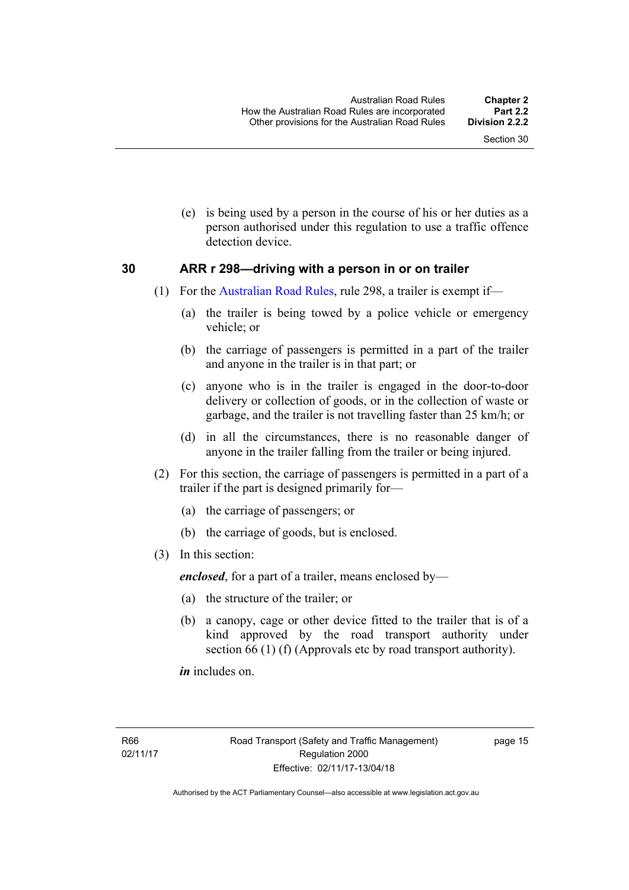(e) is being used by a person in the course of his or her duties as a person authorised under this regulation to use a traffic offence detection device.

#### <span id="page-31-0"></span>**30 ARR r 298—driving with a person in or on trailer**

- (1) For the [Australian Road Rules](http://www.legislation.act.gov.au//ni/db_37271/default.asp), rule 298, a trailer is exempt if—
	- (a) the trailer is being towed by a police vehicle or emergency vehicle; or
	- (b) the carriage of passengers is permitted in a part of the trailer and anyone in the trailer is in that part; or
	- (c) anyone who is in the trailer is engaged in the door-to-door delivery or collection of goods, or in the collection of waste or garbage, and the trailer is not travelling faster than 25 km/h; or
	- (d) in all the circumstances, there is no reasonable danger of anyone in the trailer falling from the trailer or being injured.
- (2) For this section, the carriage of passengers is permitted in a part of a trailer if the part is designed primarily for—
	- (a) the carriage of passengers; or
	- (b) the carriage of goods, but is enclosed.
- (3) In this section:

*enclosed*, for a part of a trailer, means enclosed by—

- (a) the structure of the trailer; or
- (b) a canopy, cage or other device fitted to the trailer that is of a kind approved by the road transport authority under section 66 (1) (f) (Approvals etc by road transport authority).

*in* includes on.

page 15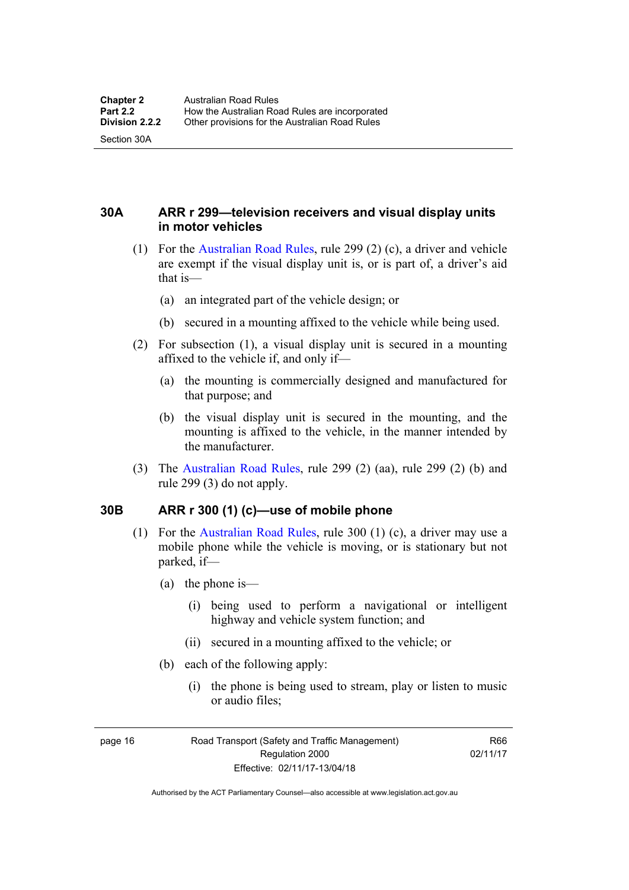Section 30A

<span id="page-32-0"></span>**30A ARR r 299—television receivers and visual display units in motor vehicles** 

- (1) For the [Australian Road Rules](http://www.legislation.act.gov.au//ni/db_37271/default.asp), rule 299 (2) (c), a driver and vehicle are exempt if the visual display unit is, or is part of, a driver's aid that is—
	- (a) an integrated part of the vehicle design; or
	- (b) secured in a mounting affixed to the vehicle while being used.
- (2) For subsection (1), a visual display unit is secured in a mounting affixed to the vehicle if, and only if—
	- (a) the mounting is commercially designed and manufactured for that purpose; and
	- (b) the visual display unit is secured in the mounting, and the mounting is affixed to the vehicle, in the manner intended by the manufacturer.
- (3) The [Australian Road Rules](http://www.legislation.act.gov.au//ni/db_37271/default.asp), rule 299 (2) (aa), rule 299 (2) (b) and rule 299 (3) do not apply.

#### <span id="page-32-1"></span>**30B ARR r 300 (1) (c)—use of mobile phone**

- (1) For the [Australian Road Rules,](http://www.legislation.act.gov.au//ni/db_37271/default.asp) rule 300 (1) (c), a driver may use a mobile phone while the vehicle is moving, or is stationary but not parked, if—
	- (a) the phone is—
		- (i) being used to perform a navigational or intelligent highway and vehicle system function; and
		- (ii) secured in a mounting affixed to the vehicle; or
	- (b) each of the following apply:
		- (i) the phone is being used to stream, play or listen to music or audio files;

page 16 Road Transport (Safety and Traffic Management) Regulation 2000 Effective: 02/11/17-13/04/18

R66 02/11/17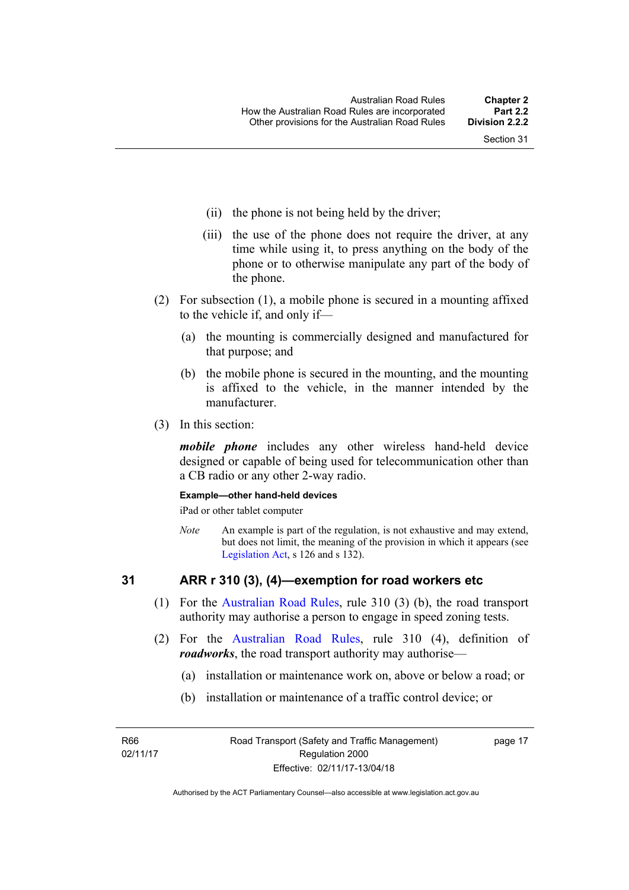- (ii) the phone is not being held by the driver;
- (iii) the use of the phone does not require the driver, at any time while using it, to press anything on the body of the phone or to otherwise manipulate any part of the body of the phone.
- (2) For subsection (1), a mobile phone is secured in a mounting affixed to the vehicle if, and only if—
	- (a) the mounting is commercially designed and manufactured for that purpose; and
	- (b) the mobile phone is secured in the mounting, and the mounting is affixed to the vehicle, in the manner intended by the manufacturer.
- (3) In this section:

*mobile phone* includes any other wireless hand-held device designed or capable of being used for telecommunication other than a CB radio or any other 2-way radio.

#### **Example—other hand-held devices**

iPad or other tablet computer

*Note* An example is part of the regulation, is not exhaustive and may extend, but does not limit, the meaning of the provision in which it appears (see [Legislation Act,](http://www.legislation.act.gov.au/a/2001-14) s 126 and s 132).

#### <span id="page-33-0"></span>**31 ARR r 310 (3), (4)—exemption for road workers etc**

- (1) For the [Australian Road Rules](http://www.legislation.act.gov.au//ni/db_37271/default.asp), rule 310 (3) (b), the road transport authority may authorise a person to engage in speed zoning tests.
- (2) For the [Australian Road Rules](http://www.legislation.act.gov.au//ni/db_37271/default.asp), rule 310 (4), definition of *roadworks*, the road transport authority may authorise—
	- (a) installation or maintenance work on, above or below a road; or
	- (b) installation or maintenance of a traffic control device; or

R66 02/11/17 page 17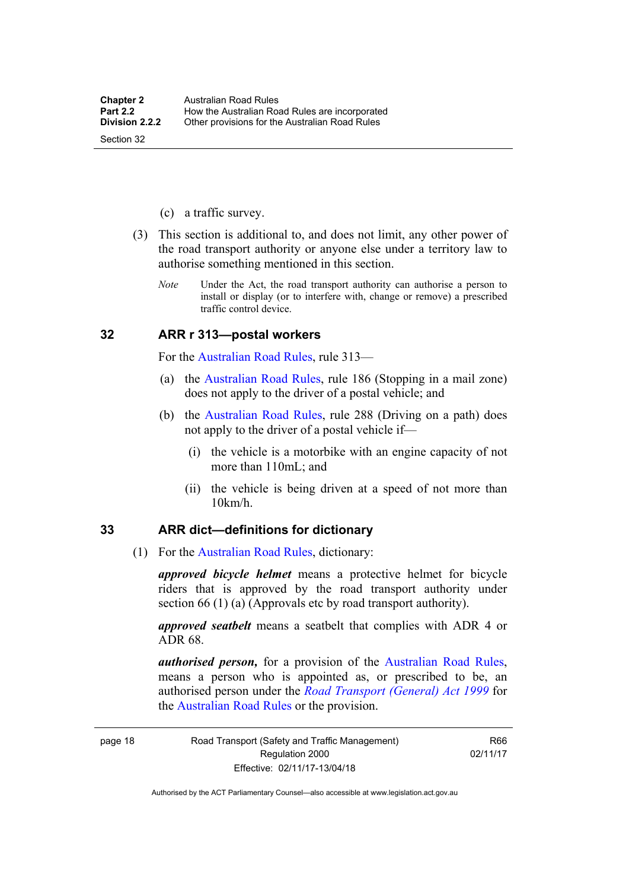- (c) a traffic survey.
- (3) This section is additional to, and does not limit, any other power of the road transport authority or anyone else under a territory law to authorise something mentioned in this section.
	- *Note* Under the Act, the road transport authority can authorise a person to install or display (or to interfere with, change or remove) a prescribed traffic control device.

#### <span id="page-34-0"></span>**32 ARR r 313—postal workers**

For the [Australian Road Rules,](http://www.legislation.act.gov.au//ni/db_37271/default.asp) rule 313—

- (a) the [Australian Road Rules,](http://www.legislation.act.gov.au//ni/db_37271/default.asp) rule 186 (Stopping in a mail zone) does not apply to the driver of a postal vehicle; and
- (b) the [Australian Road Rules](http://www.legislation.act.gov.au//ni/db_37271/default.asp), rule 288 (Driving on a path) does not apply to the driver of a postal vehicle if—
	- (i) the vehicle is a motorbike with an engine capacity of not more than 110mL; and
	- (ii) the vehicle is being driven at a speed of not more than 10km/h.

#### <span id="page-34-1"></span>**33 ARR dict—definitions for dictionary**

(1) For the [Australian Road Rules,](http://www.legislation.act.gov.au//ni/db_37271/default.asp) dictionary:

*approved bicycle helmet* means a protective helmet for bicycle riders that is approved by the road transport authority under section 66 (1) (a) (Approvals etc by road transport authority).

*approved seatbelt* means a seatbelt that complies with ADR 4 or ADR 68.

*authorised person,* for a provision of the [Australian Road Rules](http://www.legislation.act.gov.au//ni/db_37271/default.asp), means a person who is appointed as, or prescribed to be, an authorised person under the *[Road Transport \(General\) Act 1999](http://www.legislation.act.gov.au/a/1999-77)* for the [Australian Road Rules](http://www.legislation.act.gov.au//ni/db_37271/default.asp) or the provision.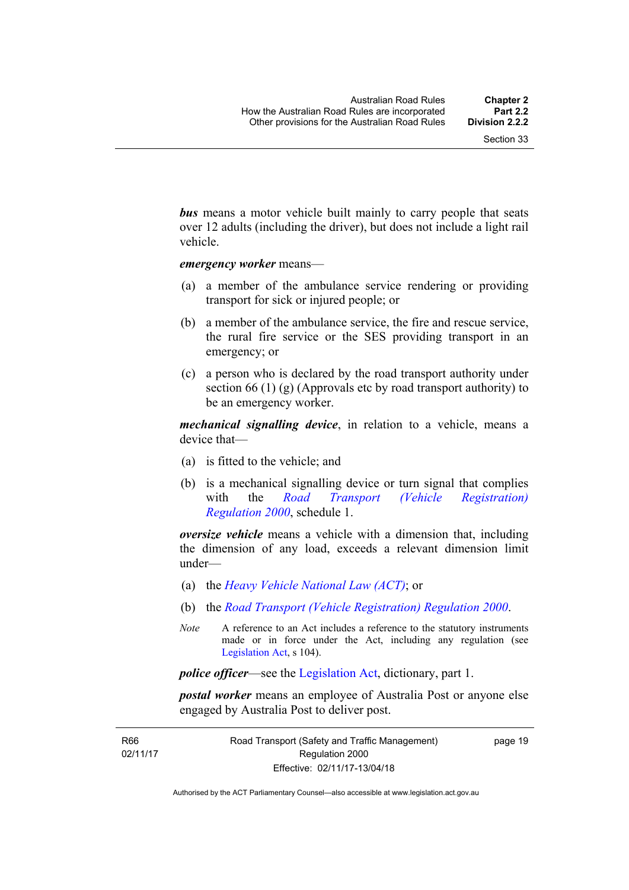*bus* means a motor vehicle built mainly to carry people that seats over 12 adults (including the driver), but does not include a light rail vehicle.

*emergency worker* means—

- (a) a member of the ambulance service rendering or providing transport for sick or injured people; or
- (b) a member of the ambulance service, the fire and rescue service, the rural fire service or the SES providing transport in an emergency; or
- (c) a person who is declared by the road transport authority under section 66 (1) (g) (Approvals etc by road transport authority) to be an emergency worker.

*mechanical signalling device*, in relation to a vehicle, means a device that—

- (a) is fitted to the vehicle; and
- (b) is a mechanical signalling device or turn signal that complies with the *[Road Transport \(Vehicle Registration\)](http://www.legislation.act.gov.au/sl/2000-12)  [Regulation 2000](http://www.legislation.act.gov.au/sl/2000-12)*, schedule 1.

*oversize vehicle* means a vehicle with a dimension that, including the dimension of any load, exceeds a relevant dimension limit under—

- (a) the *[Heavy Vehicle National Law \(ACT\)](http://www.legislation.act.gov.au/a/db_49155/default.asp)*; or
- (b) the *[Road Transport \(Vehicle Registration\) Regulation 2000](http://www.legislation.act.gov.au/sl/2000-12)*.
- *Note* A reference to an Act includes a reference to the statutory instruments made or in force under the Act, including any regulation (see [Legislation Act,](http://www.legislation.act.gov.au/a/2001-14) s 104).

*police officer*—see the [Legislation Act](http://www.legislation.act.gov.au/a/2001-14), dictionary, part 1.

*postal worker* means an employee of Australia Post or anyone else engaged by Australia Post to deliver post.

R66 02/11/17 page 19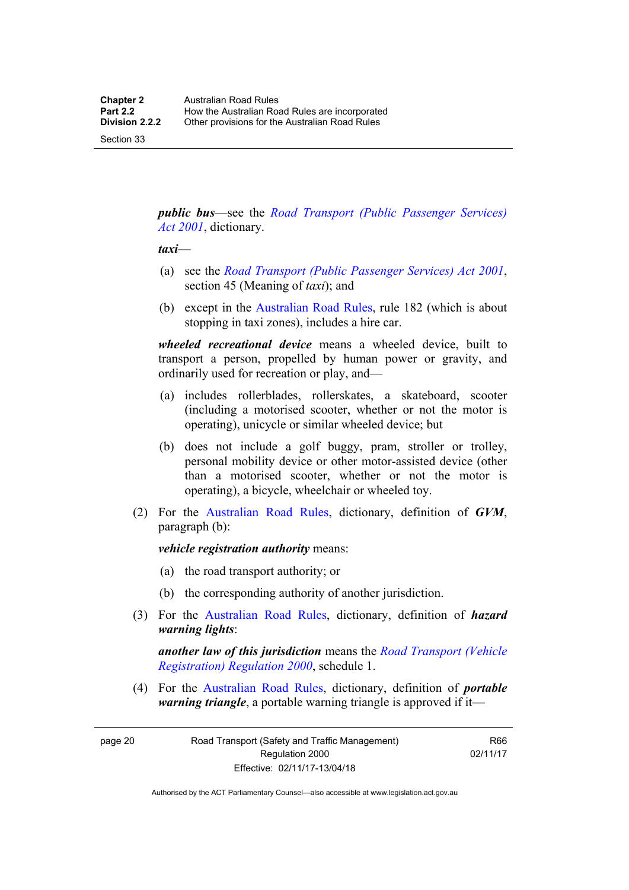Section 33

*public bus*—see the *[Road Transport \(Public Passenger Services\)](http://www.legislation.act.gov.au/a/2001-62)  [Act 2001](http://www.legislation.act.gov.au/a/2001-62)*, dictionary.

#### *taxi*—

- (a) see the *[Road Transport \(Public Passenger Services\) Act 2001](http://www.legislation.act.gov.au/a/2001-62)*, section 45 (Meaning of *taxi*); and
- (b) except in the [Australian Road Rules,](http://www.legislation.act.gov.au//ni/db_37271/default.asp) rule 182 (which is about stopping in taxi zones), includes a hire car.

*wheeled recreational device* means a wheeled device, built to transport a person, propelled by human power or gravity, and ordinarily used for recreation or play, and—

- (a) includes rollerblades, rollerskates, a skateboard, scooter (including a motorised scooter, whether or not the motor is operating), unicycle or similar wheeled device; but
- (b) does not include a golf buggy, pram, stroller or trolley, personal mobility device or other motor-assisted device (other than a motorised scooter, whether or not the motor is operating), a bicycle, wheelchair or wheeled toy.
- (2) For the [Australian Road Rules](http://www.legislation.act.gov.au//ni/db_37271/default.asp), dictionary, definition of *GVM*, paragraph (b):

*vehicle registration authority* means:

- (a) the road transport authority; or
- (b) the corresponding authority of another jurisdiction.
- (3) For the [Australian Road Rules](http://www.legislation.act.gov.au//ni/db_37271/default.asp), dictionary, definition of *hazard warning lights*:

*another law of this jurisdiction* means the *[Road Transport \(Vehicle](http://www.legislation.act.gov.au/sl/2000-12)  [Registration\) Regulation 2000](http://www.legislation.act.gov.au/sl/2000-12)*, schedule 1.

 (4) For the [Australian Road Rules](http://www.legislation.act.gov.au//ni/db_37271/default.asp), dictionary, definition of *portable warning triangle*, a portable warning triangle is approved if it—

page 20 Road Transport (Safety and Traffic Management) Regulation 2000 Effective: 02/11/17-13/04/18

R66 02/11/17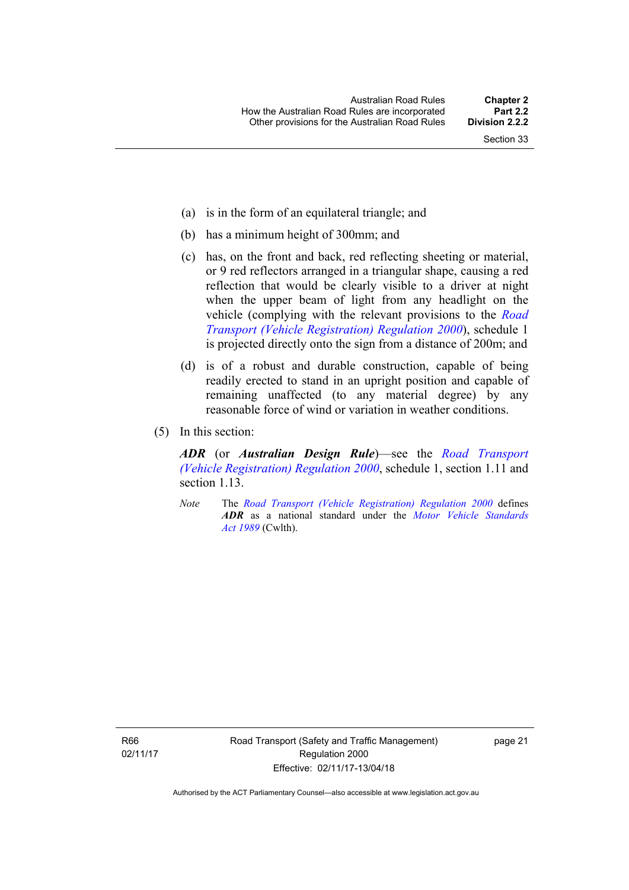- (a) is in the form of an equilateral triangle; and
- (b) has a minimum height of 300mm; and
- (c) has, on the front and back, red reflecting sheeting or material, or 9 red reflectors arranged in a triangular shape, causing a red reflection that would be clearly visible to a driver at night when the upper beam of light from any headlight on the vehicle (complying with the relevant provisions to the *[Road](http://www.legislation.act.gov.au/sl/2000-12)  [Transport \(Vehicle Registration\) Regulation 2000](http://www.legislation.act.gov.au/sl/2000-12)*), schedule 1 is projected directly onto the sign from a distance of 200m; and
- (d) is of a robust and durable construction, capable of being readily erected to stand in an upright position and capable of remaining unaffected (to any material degree) by any reasonable force of wind or variation in weather conditions.
- (5) In this section:

*ADR* (or *Australian Design Rule*)—see the *[Road Transport](http://www.legislation.act.gov.au/sl/2000-12)  [\(Vehicle Registration\) Regulation 2000](http://www.legislation.act.gov.au/sl/2000-12)*, schedule 1, section 1.11 and section 1.13.

*Note* The *[Road Transport \(Vehicle Registration\) Regulation 2000](http://www.legislation.act.gov.au/sl/2000-12)* defines *ADR* as a national standard under the *[Motor Vehicle Standards](http://www.comlaw.gov.au/Series/C2004A03813)  [Act 1989](http://www.comlaw.gov.au/Series/C2004A03813)* (Cwlth).

R66 02/11/17 page 21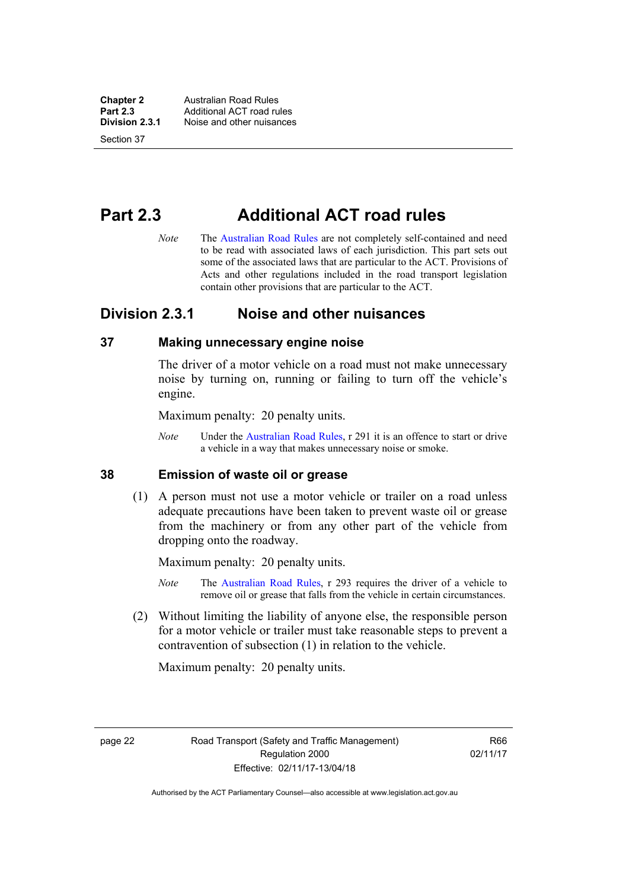**Chapter 2 Australian Road Rules**<br>**Part 2.3 Additional ACT road rules Part 2.3 Additional ACT road rules**<br>**Division 2.3.1** Noise and other nuisances **Division 2.3.1** Noise and other nuisances

Section 37

# **Part 2.3 Additional ACT road rules**

*Note* The [Australian Road Rules](http://www.legislation.act.gov.au//ni/db_37271/default.asp) are not completely self-contained and need to be read with associated laws of each jurisdiction. This part sets out some of the associated laws that are particular to the ACT. Provisions of Acts and other regulations included in the road transport legislation contain other provisions that are particular to the ACT.

## **Division 2.3.1 Noise and other nuisances**

#### **37 Making unnecessary engine noise**

The driver of a motor vehicle on a road must not make unnecessary noise by turning on, running or failing to turn off the vehicle's engine.

Maximum penalty: 20 penalty units.

*Note* Under the [Australian Road Rules,](http://www.legislation.act.gov.au//ni/db_37271/default.asp) r 291 it is an offence to start or drive a vehicle in a way that makes unnecessary noise or smoke.

#### **38 Emission of waste oil or grease**

 (1) A person must not use a motor vehicle or trailer on a road unless adequate precautions have been taken to prevent waste oil or grease from the machinery or from any other part of the vehicle from dropping onto the roadway.

Maximum penalty: 20 penalty units.

- *Note* The [Australian Road Rules,](http://www.legislation.act.gov.au//ni/db_37271/default.asp) r 293 requires the driver of a vehicle to remove oil or grease that falls from the vehicle in certain circumstances.
- (2) Without limiting the liability of anyone else, the responsible person for a motor vehicle or trailer must take reasonable steps to prevent a contravention of subsection (1) in relation to the vehicle.

Maximum penalty: 20 penalty units.

page 22 Road Transport (Safety and Traffic Management) Regulation 2000 Effective: 02/11/17-13/04/18

R66 02/11/17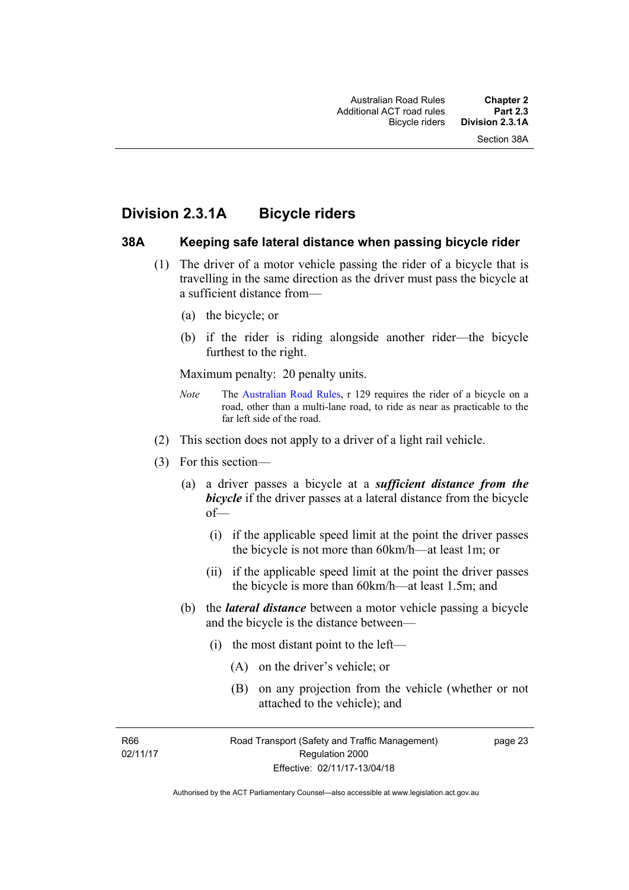## **Division 2.3.1A Bicycle riders**

#### **38A Keeping safe lateral distance when passing bicycle rider**

- (1) The driver of a motor vehicle passing the rider of a bicycle that is travelling in the same direction as the driver must pass the bicycle at a sufficient distance from—
	- (a) the bicycle; or
	- (b) if the rider is riding alongside another rider—the bicycle furthest to the right.

Maximum penalty: 20 penalty units.

- *Note* The [Australian Road Rules](http://www.legislation.act.gov.au//ni/db_37271/default.asp), r 129 requires the rider of a bicycle on a road, other than a multi-lane road, to ride as near as practicable to the far left side of the road.
- (2) This section does not apply to a driver of a light rail vehicle.
- (3) For this section—
	- (a) a driver passes a bicycle at a *sufficient distance from the*  **bicycle** if the driver passes at a lateral distance from the bicycle of—
		- (i) if the applicable speed limit at the point the driver passes the bicycle is not more than 60km/h—at least 1m; or
		- (ii) if the applicable speed limit at the point the driver passes the bicycle is more than 60km/h—at least 1.5m; and
	- (b) the *lateral distance* between a motor vehicle passing a bicycle and the bicycle is the distance between—
		- (i) the most distant point to the left—
			- (A) on the driver's vehicle; or
			- (B) on any projection from the vehicle (whether or not attached to the vehicle); and

R66 02/11/17 page 23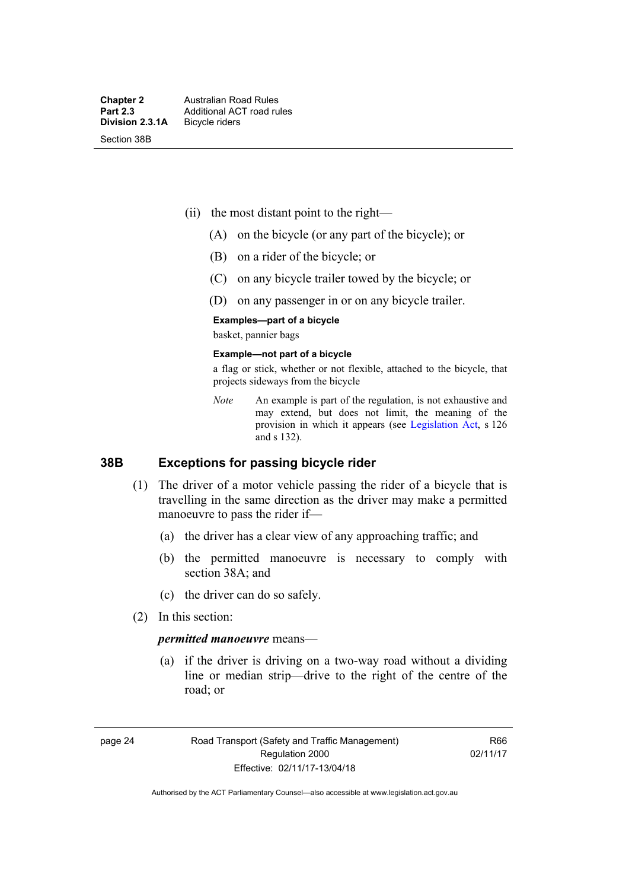- (ii) the most distant point to the right—
	- (A) on the bicycle (or any part of the bicycle); or
	- (B) on a rider of the bicycle; or
	- (C) on any bicycle trailer towed by the bicycle; or
	- (D) on any passenger in or on any bicycle trailer.

#### **Examples—part of a bicycle**

basket, pannier bags

#### **Example—not part of a bicycle**

a flag or stick, whether or not flexible, attached to the bicycle, that projects sideways from the bicycle

*Note* An example is part of the regulation, is not exhaustive and may extend, but does not limit, the meaning of the provision in which it appears (see [Legislation Act](http://www.legislation.act.gov.au/a/2001-14), s 126 and s 132).

#### **38B Exceptions for passing bicycle rider**

- (1) The driver of a motor vehicle passing the rider of a bicycle that is travelling in the same direction as the driver may make a permitted manoeuvre to pass the rider if—
	- (a) the driver has a clear view of any approaching traffic; and
	- (b) the permitted manoeuvre is necessary to comply with section 38A; and
	- (c) the driver can do so safely.
- (2) In this section:

#### *permitted manoeuvre* means—

 (a) if the driver is driving on a two-way road without a dividing line or median strip—drive to the right of the centre of the road; or

page 24 Road Transport (Safety and Traffic Management) Regulation 2000 Effective: 02/11/17-13/04/18

R66 02/11/17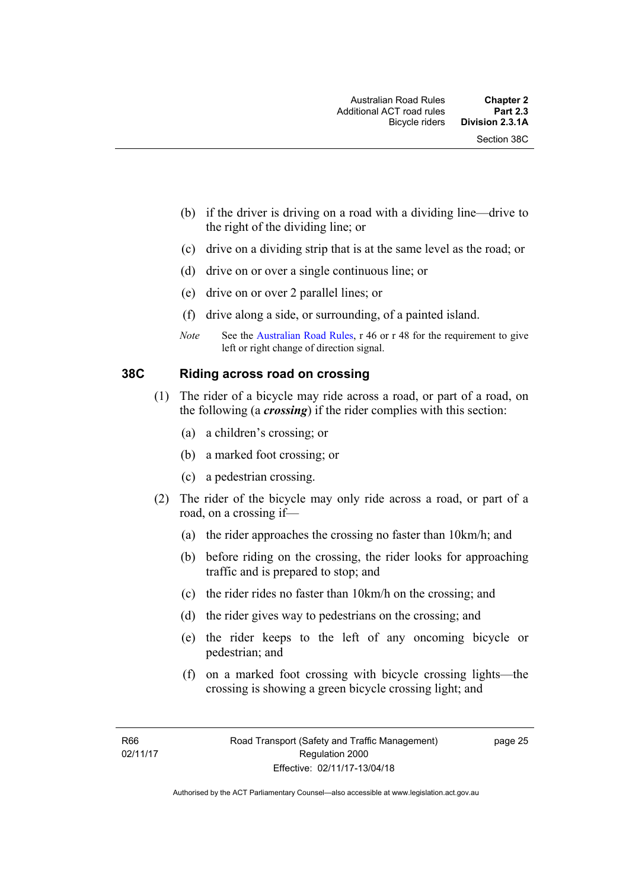- (b) if the driver is driving on a road with a dividing line—drive to the right of the dividing line; or
- (c) drive on a dividing strip that is at the same level as the road; or
- (d) drive on or over a single continuous line; or
- (e) drive on or over 2 parallel lines; or
- (f) drive along a side, or surrounding, of a painted island.
- *Note* See the [Australian Road Rules,](http://www.legislation.act.gov.au//ni/db_37271/default.asp) r 46 or r 48 for the requirement to give left or right change of direction signal.

#### **38C Riding across road on crossing**

- (1) The rider of a bicycle may ride across a road, or part of a road, on the following (a *crossing*) if the rider complies with this section:
	- (a) a children's crossing; or
	- (b) a marked foot crossing; or
	- (c) a pedestrian crossing.
- (2) The rider of the bicycle may only ride across a road, or part of a road, on a crossing if—
	- (a) the rider approaches the crossing no faster than 10km/h; and
	- (b) before riding on the crossing, the rider looks for approaching traffic and is prepared to stop; and
	- (c) the rider rides no faster than 10km/h on the crossing; and
	- (d) the rider gives way to pedestrians on the crossing; and
	- (e) the rider keeps to the left of any oncoming bicycle or pedestrian; and
	- (f) on a marked foot crossing with bicycle crossing lights—the crossing is showing a green bicycle crossing light; and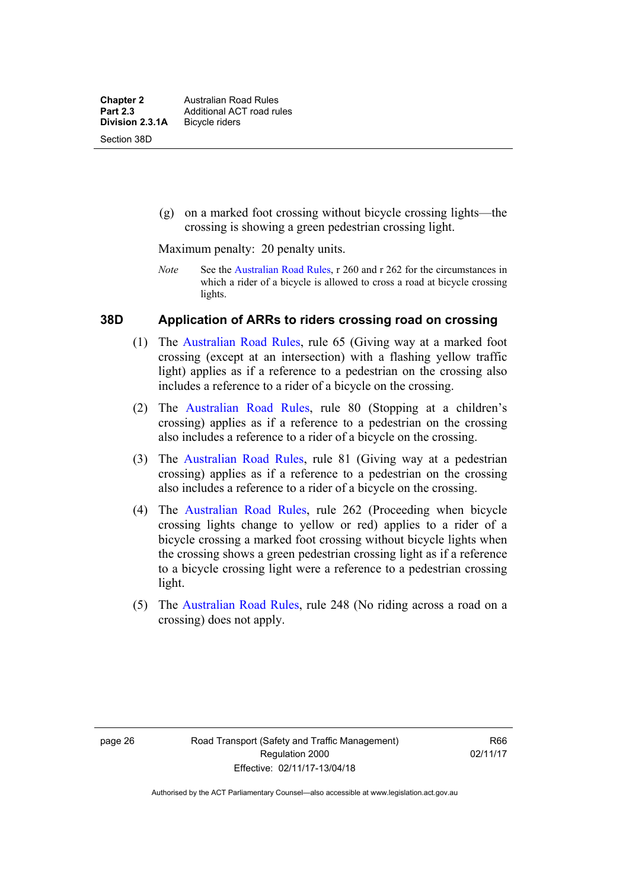(g) on a marked foot crossing without bicycle crossing lights—the crossing is showing a green pedestrian crossing light.

Maximum penalty: 20 penalty units.

*Note* See the [Australian Road Rules](http://www.legislation.act.gov.au//ni/db_37271/default.asp), r 260 and r 262 for the circumstances in which a rider of a bicycle is allowed to cross a road at bicycle crossing lights.

#### **38D Application of ARRs to riders crossing road on crossing**

- (1) The [Australian Road Rules,](http://www.legislation.act.gov.au//ni/db_37271/default.asp) rule 65 (Giving way at a marked foot crossing (except at an intersection) with a flashing yellow traffic light) applies as if a reference to a pedestrian on the crossing also includes a reference to a rider of a bicycle on the crossing.
- (2) The [Australian Road Rules](http://www.legislation.act.gov.au//ni/db_37271/default.asp), rule 80 (Stopping at a children's crossing) applies as if a reference to a pedestrian on the crossing also includes a reference to a rider of a bicycle on the crossing.
- (3) The [Australian Road Rules,](http://www.legislation.act.gov.au//ni/db_37271/default.asp) rule 81 (Giving way at a pedestrian crossing) applies as if a reference to a pedestrian on the crossing also includes a reference to a rider of a bicycle on the crossing.
- (4) The [Australian Road Rules](http://www.legislation.act.gov.au//ni/db_37271/default.asp), rule 262 (Proceeding when bicycle crossing lights change to yellow or red) applies to a rider of a bicycle crossing a marked foot crossing without bicycle lights when the crossing shows a green pedestrian crossing light as if a reference to a bicycle crossing light were a reference to a pedestrian crossing light.
- (5) The [Australian Road Rules](http://www.legislation.act.gov.au//ni/db_37271/default.asp), rule 248 (No riding across a road on a crossing) does not apply.

R66 02/11/17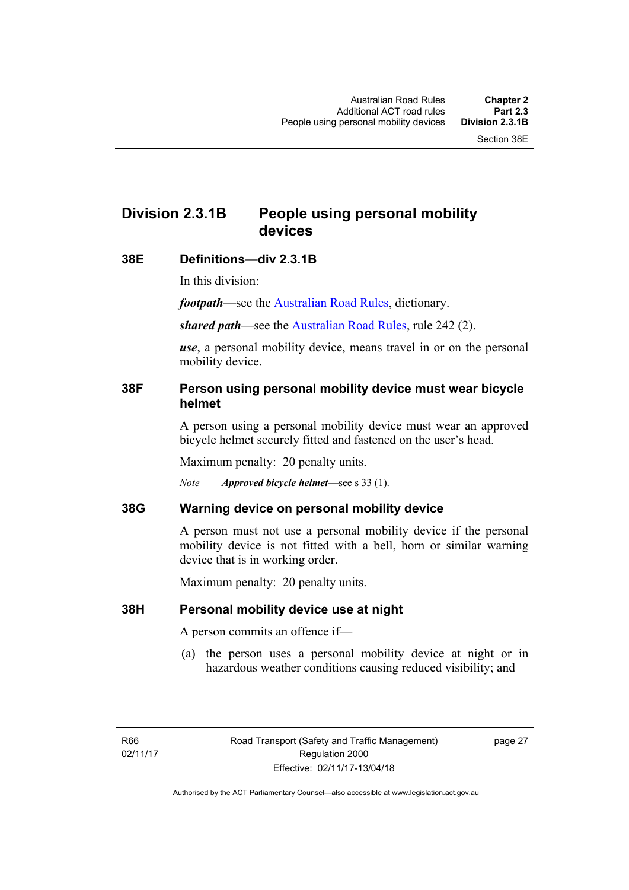# **Division 2.3.1B People using personal mobility devices**

### **38E Definitions—div 2.3.1B**

In this division:

*footpath*—see the [Australian Road Rules](http://www.legislation.act.gov.au//ni/db_37271/default.asp), dictionary.

*shared path*—see the [Australian Road Rules](http://www.legislation.act.gov.au//ni/db_37271/default.asp), rule 242 (2).

*use*, a personal mobility device, means travel in or on the personal mobility device.

## **38F Person using personal mobility device must wear bicycle helmet**

A person using a personal mobility device must wear an approved bicycle helmet securely fitted and fastened on the user's head.

Maximum penalty: 20 penalty units.

*Note Approved bicycle helmet*—see s 33 (1).

## **38G Warning device on personal mobility device**

A person must not use a personal mobility device if the personal mobility device is not fitted with a bell, horn or similar warning device that is in working order.

Maximum penalty: 20 penalty units.

## **38H Personal mobility device use at night**

A person commits an offence if—

(a) the person uses a personal mobility device at night or in hazardous weather conditions causing reduced visibility; and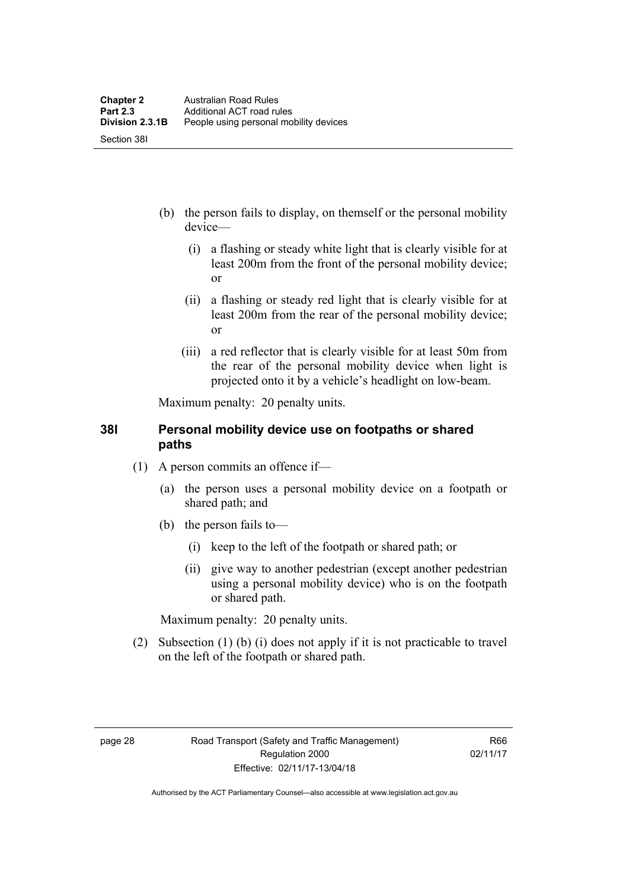- (b) the person fails to display, on themself or the personal mobility device—
	- (i) a flashing or steady white light that is clearly visible for at least 200m from the front of the personal mobility device; or
	- (ii) a flashing or steady red light that is clearly visible for at least 200m from the rear of the personal mobility device; or
	- (iii) a red reflector that is clearly visible for at least 50m from the rear of the personal mobility device when light is projected onto it by a vehicle's headlight on low-beam.

Maximum penalty: 20 penalty units.

## **38I Personal mobility device use on footpaths or shared paths**

- (1) A person commits an offence if—
	- (a) the person uses a personal mobility device on a footpath or shared path; and
	- (b) the person fails to—
		- (i) keep to the left of the footpath or shared path; or
		- (ii) give way to another pedestrian (except another pedestrian using a personal mobility device) who is on the footpath or shared path.

Maximum penalty: 20 penalty units.

 (2) Subsection (1) (b) (i) does not apply if it is not practicable to travel on the left of the footpath or shared path.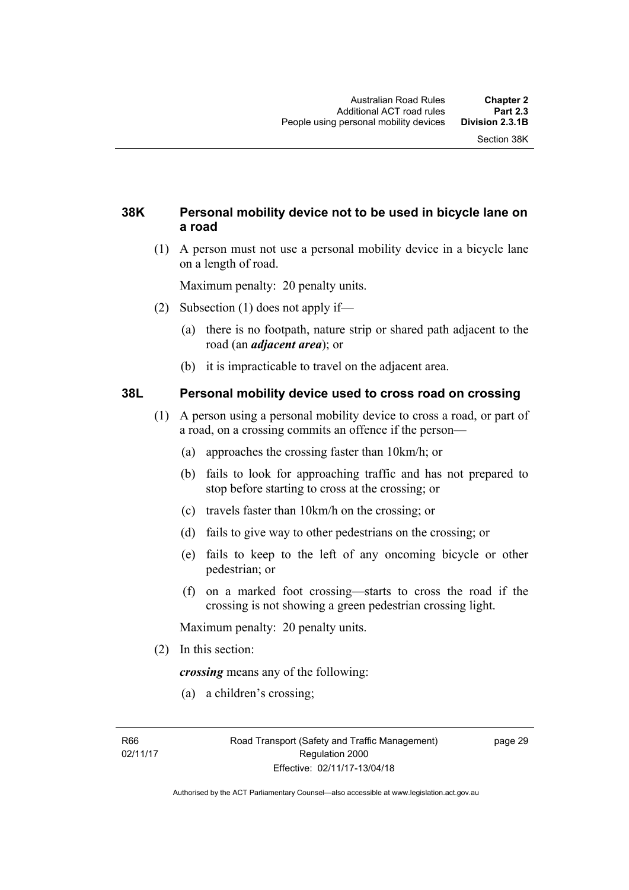## **38K Personal mobility device not to be used in bicycle lane on a road**

 (1) A person must not use a personal mobility device in a bicycle lane on a length of road.

Maximum penalty: 20 penalty units.

- (2) Subsection (1) does not apply if—
	- (a) there is no footpath, nature strip or shared path adjacent to the road (an *adjacent area*); or
	- (b) it is impracticable to travel on the adjacent area.

#### **38L Personal mobility device used to cross road on crossing**

- (1) A person using a personal mobility device to cross a road, or part of a road, on a crossing commits an offence if the person—
	- (a) approaches the crossing faster than 10km/h; or
	- (b) fails to look for approaching traffic and has not prepared to stop before starting to cross at the crossing; or
	- (c) travels faster than 10km/h on the crossing; or
	- (d) fails to give way to other pedestrians on the crossing; or
	- (e) fails to keep to the left of any oncoming bicycle or other pedestrian; or
	- (f) on a marked foot crossing—starts to cross the road if the crossing is not showing a green pedestrian crossing light.

Maximum penalty: 20 penalty units.

(2) In this section:

*crossing* means any of the following:

(a) a children's crossing;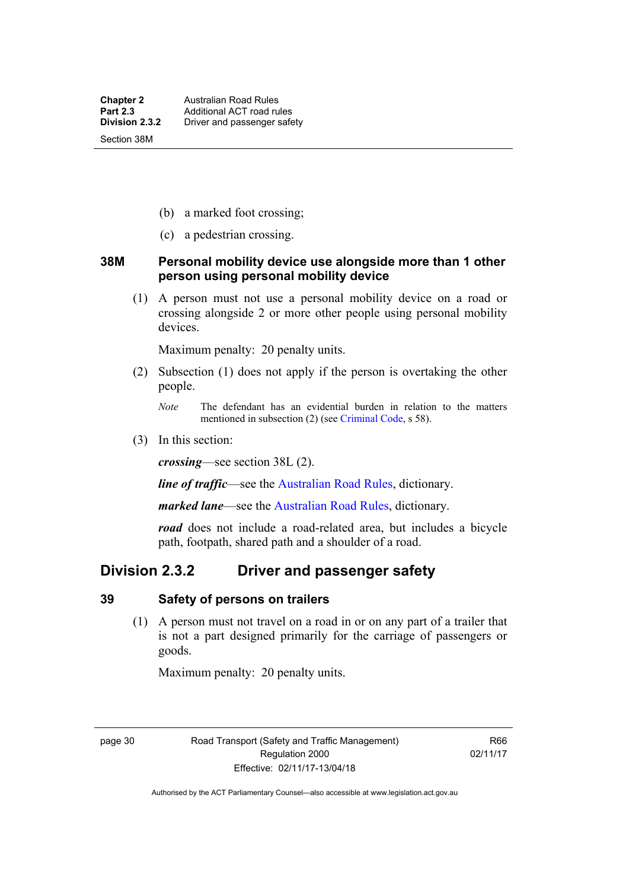- (b) a marked foot crossing;
- (c) a pedestrian crossing.

#### **38M Personal mobility device use alongside more than 1 other person using personal mobility device**

 (1) A person must not use a personal mobility device on a road or crossing alongside 2 or more other people using personal mobility devices.

Maximum penalty: 20 penalty units.

- (2) Subsection (1) does not apply if the person is overtaking the other people.
	- *Note* The defendant has an evidential burden in relation to the matters mentioned in subsection (2) (see [Criminal Code,](http://www.legislation.act.gov.au/a/2002-51) s 58).
- (3) In this section:

*crossing*—see section 38L (2).

*line of traffic*—see the [Australian Road Rules,](http://www.legislation.act.gov.au//ni/db_37271/default.asp) dictionary.

*marked lane*—see the [Australian Road Rules](http://www.legislation.act.gov.au//ni/db_37271/default.asp), dictionary.

*road* does not include a road-related area, but includes a bicycle path, footpath, shared path and a shoulder of a road.

## **Division 2.3.2 Driver and passenger safety**

#### **39 Safety of persons on trailers**

 (1) A person must not travel on a road in or on any part of a trailer that is not a part designed primarily for the carriage of passengers or goods.

Maximum penalty: 20 penalty units.

page 30 Road Transport (Safety and Traffic Management) Regulation 2000 Effective: 02/11/17-13/04/18

R66 02/11/17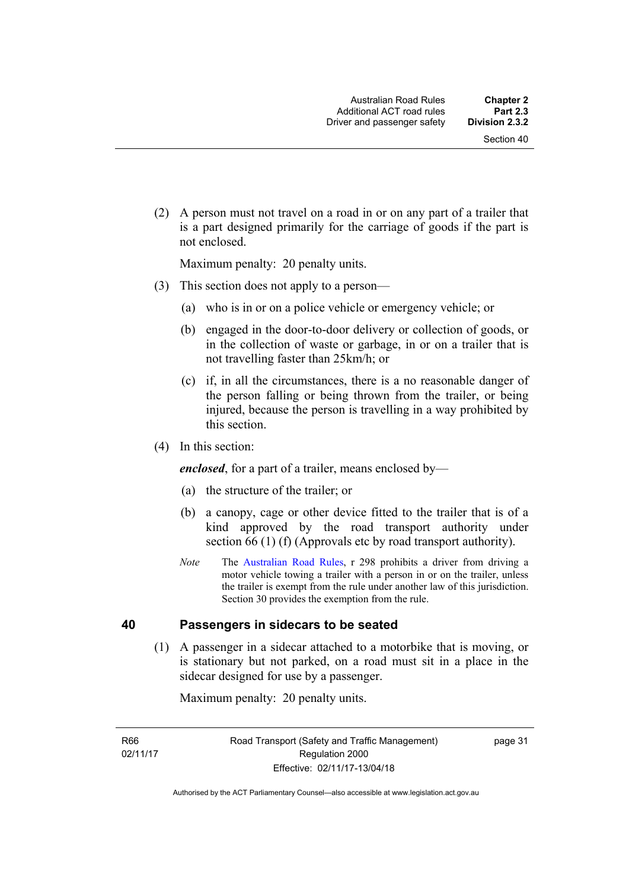(2) A person must not travel on a road in or on any part of a trailer that is a part designed primarily for the carriage of goods if the part is not enclosed.

Maximum penalty: 20 penalty units.

- (3) This section does not apply to a person—
	- (a) who is in or on a police vehicle or emergency vehicle; or
	- (b) engaged in the door-to-door delivery or collection of goods, or in the collection of waste or garbage, in or on a trailer that is not travelling faster than 25km/h; or
	- (c) if, in all the circumstances, there is a no reasonable danger of the person falling or being thrown from the trailer, or being injured, because the person is travelling in a way prohibited by this section.
- (4) In this section:

*enclosed*, for a part of a trailer, means enclosed by—

- (a) the structure of the trailer; or
- (b) a canopy, cage or other device fitted to the trailer that is of a kind approved by the road transport authority under section 66 (1) (f) (Approvals etc by road transport authority).
- *Note* The [Australian Road Rules](http://www.legislation.act.gov.au//ni/db_37271/default.asp), r 298 prohibits a driver from driving a motor vehicle towing a trailer with a person in or on the trailer, unless the trailer is exempt from the rule under another law of this jurisdiction. Section 30 provides the exemption from the rule.

#### **40 Passengers in sidecars to be seated**

 (1) A passenger in a sidecar attached to a motorbike that is moving, or is stationary but not parked, on a road must sit in a place in the sidecar designed for use by a passenger.

Maximum penalty: 20 penalty units.

R66 02/11/17 page 31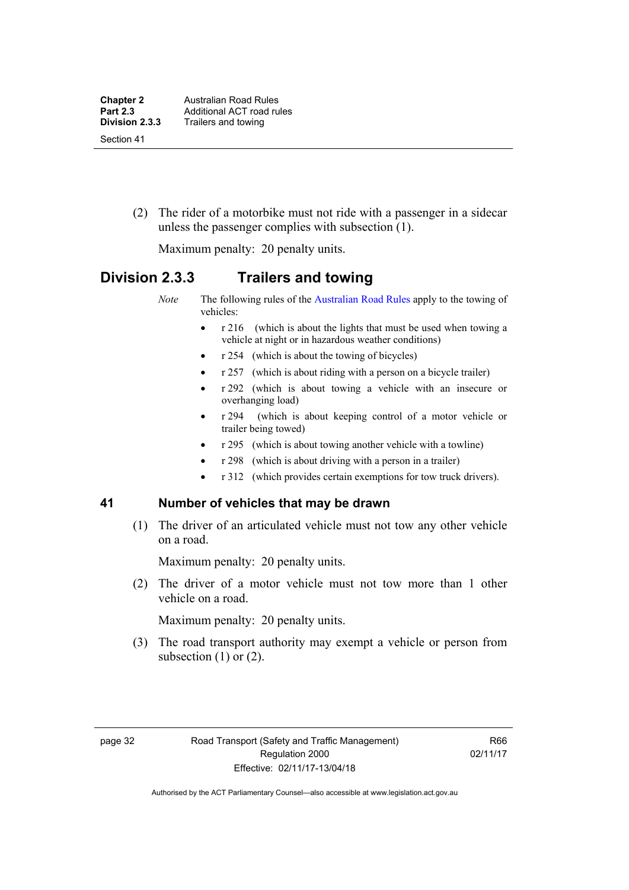(2) The rider of a motorbike must not ride with a passenger in a sidecar unless the passenger complies with subsection (1).

Maximum penalty: 20 penalty units.

## **Division 2.3.3 Trailers and towing**

*Note* The following rules of the [Australian Road Rules](http://www.legislation.act.gov.au//ni/db_37271/default.asp) apply to the towing of vehicles:

- r 216 (which is about the lights that must be used when towing a vehicle at night or in hazardous weather conditions)
- r 254 (which is about the towing of bicycles)
- r 257 (which is about riding with a person on a bicycle trailer)
- r 292 (which is about towing a vehicle with an insecure or overhanging load)
- r 294 (which is about keeping control of a motor vehicle or trailer being towed)
- r 295 (which is about towing another vehicle with a towline)
- r 298 (which is about driving with a person in a trailer)
- r 312 (which provides certain exemptions for tow truck drivers).

#### **41 Number of vehicles that may be drawn**

 (1) The driver of an articulated vehicle must not tow any other vehicle on a road.

Maximum penalty: 20 penalty units.

 (2) The driver of a motor vehicle must not tow more than 1 other vehicle on a road.

Maximum penalty: 20 penalty units.

 (3) The road transport authority may exempt a vehicle or person from subsection  $(1)$  or  $(2)$ .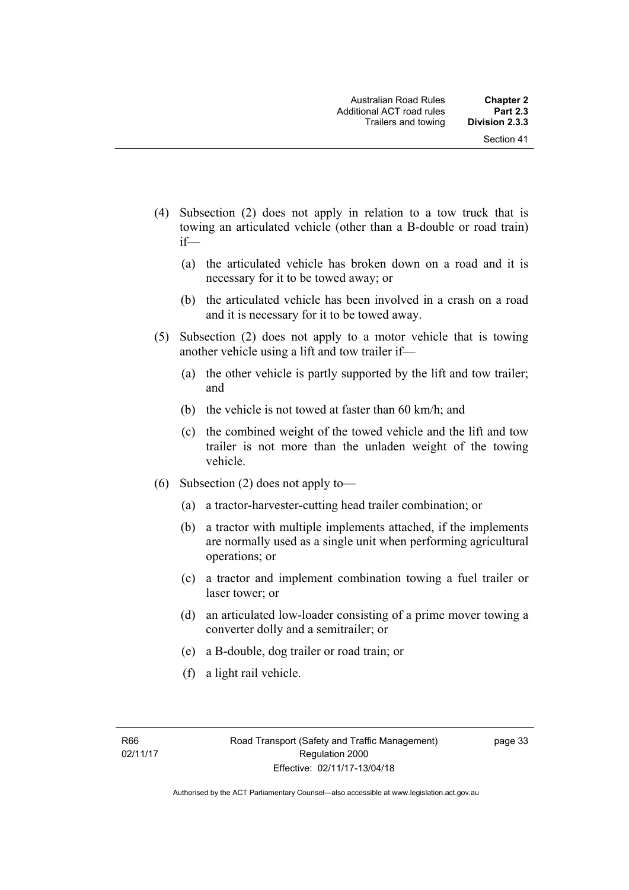- (4) Subsection (2) does not apply in relation to a tow truck that is towing an articulated vehicle (other than a B-double or road train) if—
	- (a) the articulated vehicle has broken down on a road and it is necessary for it to be towed away; or
	- (b) the articulated vehicle has been involved in a crash on a road and it is necessary for it to be towed away.
- (5) Subsection (2) does not apply to a motor vehicle that is towing another vehicle using a lift and tow trailer if—
	- (a) the other vehicle is partly supported by the lift and tow trailer; and
	- (b) the vehicle is not towed at faster than 60 km/h; and
	- (c) the combined weight of the towed vehicle and the lift and tow trailer is not more than the unladen weight of the towing vehicle.
- (6) Subsection (2) does not apply to—
	- (a) a tractor-harvester-cutting head trailer combination; or
	- (b) a tractor with multiple implements attached, if the implements are normally used as a single unit when performing agricultural operations; or
	- (c) a tractor and implement combination towing a fuel trailer or laser tower; or
	- (d) an articulated low-loader consisting of a prime mover towing a converter dolly and a semitrailer; or
	- (e) a B-double, dog trailer or road train; or
	- (f) a light rail vehicle.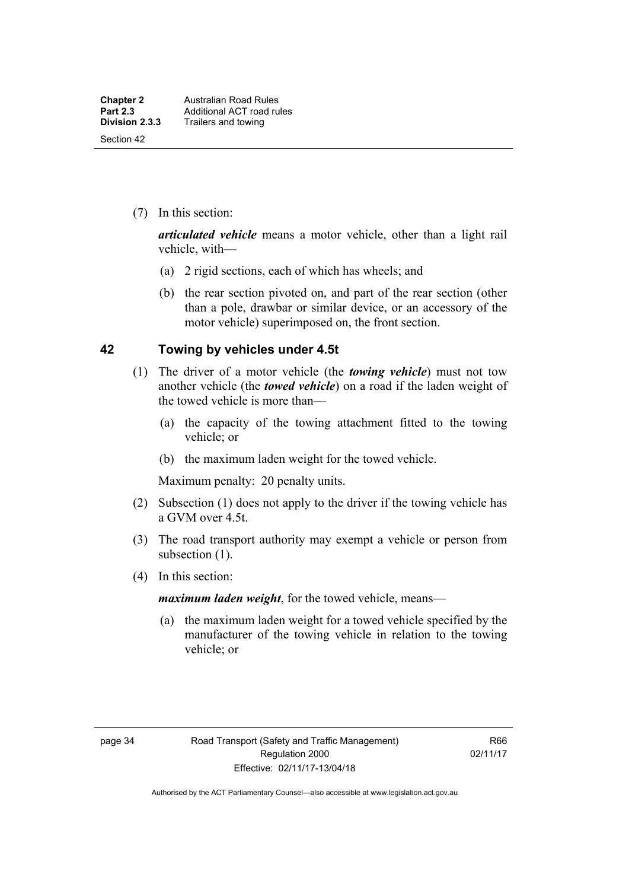(7) In this section:

*articulated vehicle* means a motor vehicle, other than a light rail vehicle, with—

- (a) 2 rigid sections, each of which has wheels; and
- (b) the rear section pivoted on, and part of the rear section (other than a pole, drawbar or similar device, or an accessory of the motor vehicle) superimposed on, the front section.

#### **42 Towing by vehicles under 4.5t**

- (1) The driver of a motor vehicle (the *towing vehicle*) must not tow another vehicle (the *towed vehicle*) on a road if the laden weight of the towed vehicle is more than—
	- (a) the capacity of the towing attachment fitted to the towing vehicle; or
	- (b) the maximum laden weight for the towed vehicle.

Maximum penalty: 20 penalty units.

- (2) Subsection (1) does not apply to the driver if the towing vehicle has a GVM over 4.5t.
- (3) The road transport authority may exempt a vehicle or person from subsection (1).
- (4) In this section:

*maximum laden weight*, for the towed vehicle, means—

 (a) the maximum laden weight for a towed vehicle specified by the manufacturer of the towing vehicle in relation to the towing vehicle; or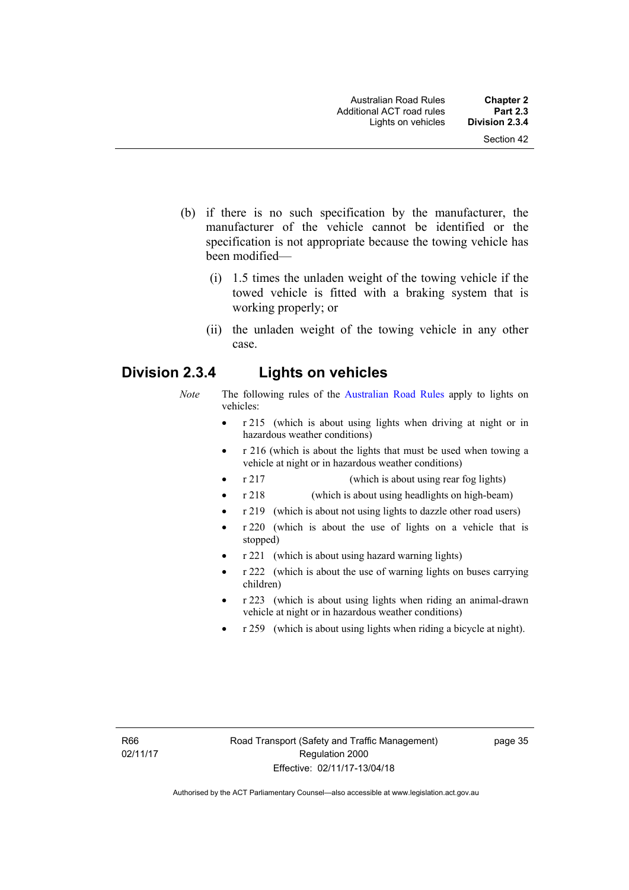- (b) if there is no such specification by the manufacturer, the manufacturer of the vehicle cannot be identified or the specification is not appropriate because the towing vehicle has been modified—
	- (i) 1.5 times the unladen weight of the towing vehicle if the towed vehicle is fitted with a braking system that is working properly; or
	- (ii) the unladen weight of the towing vehicle in any other case.

## **Division 2.3.4 Lights on vehicles**

- *Note* The following rules of the [Australian Road Rules](http://www.legislation.act.gov.au//ni/db_37271/default.asp) apply to lights on vehicles:
	- r 215 (which is about using lights when driving at night or in hazardous weather conditions)
	- r 216 (which is about the lights that must be used when towing a vehicle at night or in hazardous weather conditions)
	- r 217 (which is about using rear fog lights)
	- r 218 (which is about using headlights on high-beam)
	- r 219 (which is about not using lights to dazzle other road users)
	- r 220 (which is about the use of lights on a vehicle that is stopped)
	- r 221 (which is about using hazard warning lights)
	- r 222 (which is about the use of warning lights on buses carrying children)
	- r 223 (which is about using lights when riding an animal-drawn vehicle at night or in hazardous weather conditions)
	- r 259 (which is about using lights when riding a bicycle at night).

page 35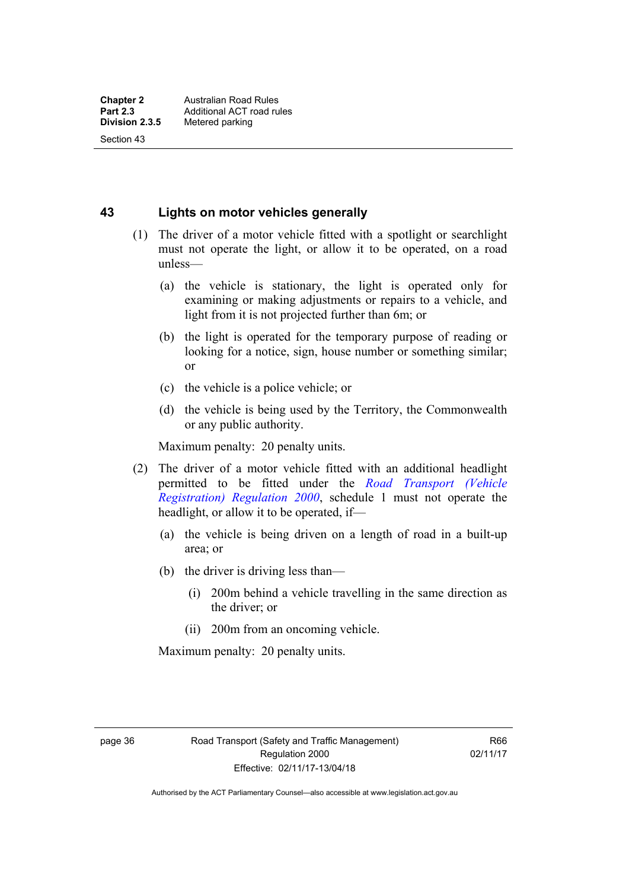Section 43

**43 Lights on motor vehicles generally**

- (1) The driver of a motor vehicle fitted with a spotlight or searchlight must not operate the light, or allow it to be operated, on a road unless—
	- (a) the vehicle is stationary, the light is operated only for examining or making adjustments or repairs to a vehicle, and light from it is not projected further than 6m; or
	- (b) the light is operated for the temporary purpose of reading or looking for a notice, sign, house number or something similar; or
	- (c) the vehicle is a police vehicle; or
	- (d) the vehicle is being used by the Territory, the Commonwealth or any public authority.

Maximum penalty: 20 penalty units.

- (2) The driver of a motor vehicle fitted with an additional headlight permitted to be fitted under the *[Road Transport \(Vehicle](http://www.legislation.act.gov.au/sl/2000-12)  [Registration\) Regulation 2000](http://www.legislation.act.gov.au/sl/2000-12)*, schedule 1 must not operate the headlight, or allow it to be operated, if—
	- (a) the vehicle is being driven on a length of road in a built-up area; or
	- (b) the driver is driving less than—
		- (i) 200m behind a vehicle travelling in the same direction as the driver; or
		- (ii) 200m from an oncoming vehicle.

Maximum penalty: 20 penalty units.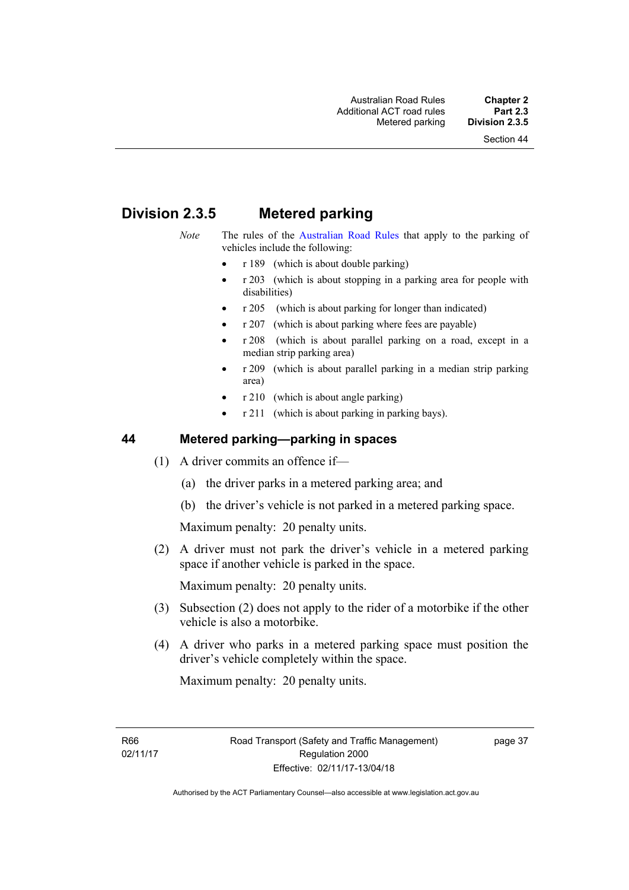# **Division 2.3.5 Metered parking**

- *Note* The rules of the [Australian Road Rules](http://www.legislation.act.gov.au//ni/db_37271/default.asp) that apply to the parking of vehicles include the following:
	- $r 189$  (which is about double parking)
	- r 203 (which is about stopping in a parking area for people with disabilities)
	- r 205 (which is about parking for longer than indicated)
	- r 207 (which is about parking where fees are payable)
	- r 208 (which is about parallel parking on a road, except in a median strip parking area)
	- r 209 (which is about parallel parking in a median strip parking area)
	- r 210 (which is about angle parking)
	- r 211 (which is about parking in parking bays).

### **44 Metered parking—parking in spaces**

- (1) A driver commits an offence if—
	- (a) the driver parks in a metered parking area; and
	- (b) the driver's vehicle is not parked in a metered parking space.

Maximum penalty: 20 penalty units.

 (2) A driver must not park the driver's vehicle in a metered parking space if another vehicle is parked in the space.

Maximum penalty: 20 penalty units.

- (3) Subsection (2) does not apply to the rider of a motorbike if the other vehicle is also a motorbike.
- (4) A driver who parks in a metered parking space must position the driver's vehicle completely within the space.

Maximum penalty: 20 penalty units.

R66 02/11/17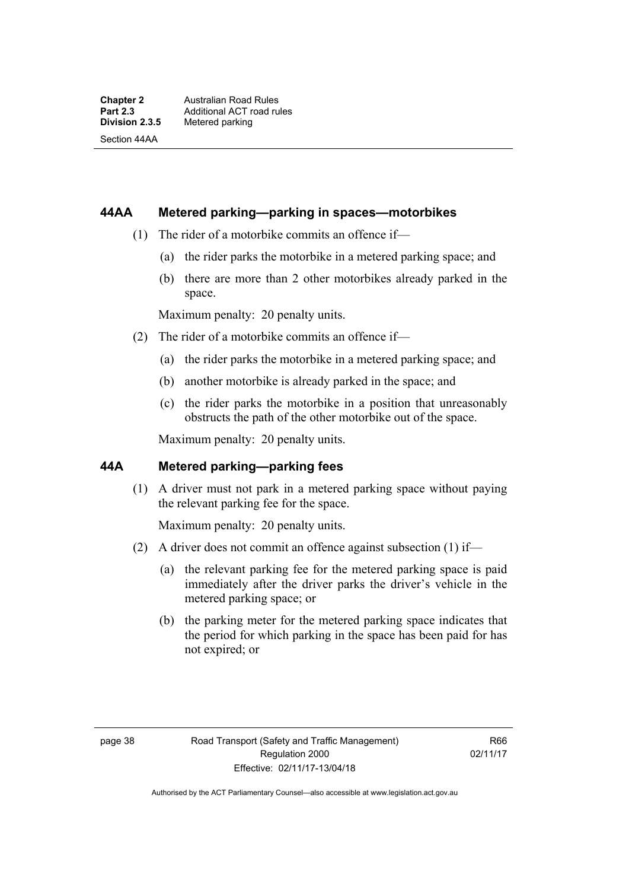Section 44AA

#### **44AA Metered parking—parking in spaces—motorbikes**

- (1) The rider of a motorbike commits an offence if—
	- (a) the rider parks the motorbike in a metered parking space; and
	- (b) there are more than 2 other motorbikes already parked in the space.

Maximum penalty: 20 penalty units.

- (2) The rider of a motorbike commits an offence if—
	- (a) the rider parks the motorbike in a metered parking space; and
	- (b) another motorbike is already parked in the space; and
	- (c) the rider parks the motorbike in a position that unreasonably obstructs the path of the other motorbike out of the space.

Maximum penalty: 20 penalty units.

#### **44A Metered parking—parking fees**

(1) A driver must not park in a metered parking space without paying the relevant parking fee for the space.

Maximum penalty: 20 penalty units.

- (2) A driver does not commit an offence against subsection (1) if—
	- (a) the relevant parking fee for the metered parking space is paid immediately after the driver parks the driver's vehicle in the metered parking space; or
	- (b) the parking meter for the metered parking space indicates that the period for which parking in the space has been paid for has not expired; or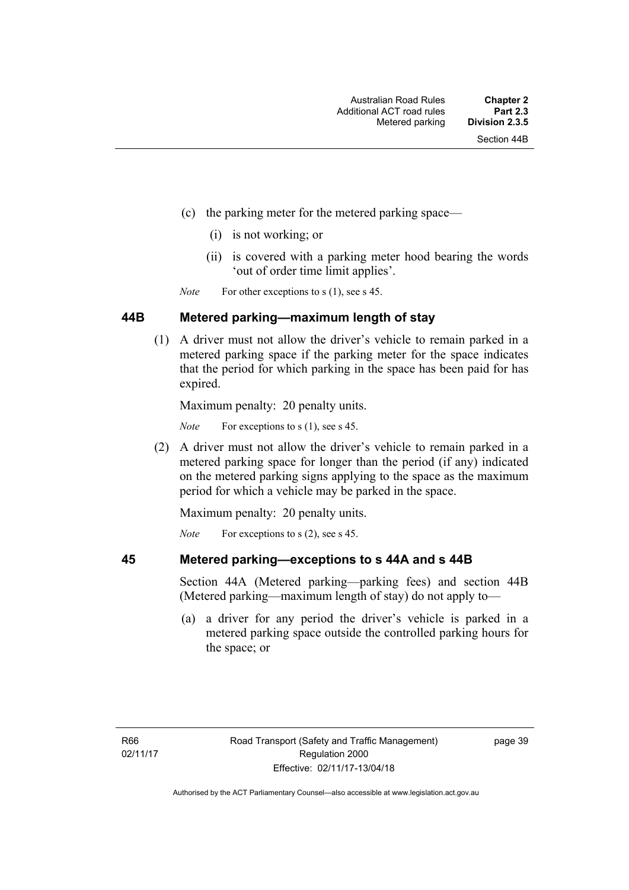- (c) the parking meter for the metered parking space—
	- (i) is not working; or
	- (ii) is covered with a parking meter hood bearing the words 'out of order time limit applies'.

*Note* For other exceptions to s (1), see s 45.

#### **44B Metered parking—maximum length of stay**

 (1) A driver must not allow the driver's vehicle to remain parked in a metered parking space if the parking meter for the space indicates that the period for which parking in the space has been paid for has expired.

Maximum penalty: 20 penalty units.

*Note* For exceptions to s (1), see s 45.

 (2) A driver must not allow the driver's vehicle to remain parked in a metered parking space for longer than the period (if any) indicated on the metered parking signs applying to the space as the maximum period for which a vehicle may be parked in the space.

Maximum penalty: 20 penalty units.

*Note* For exceptions to s (2), see s 45.

# **45 Metered parking—exceptions to s 44A and s 44B**

Section 44A (Metered parking—parking fees) and section 44B (Metered parking—maximum length of stay) do not apply to—

 (a) a driver for any period the driver's vehicle is parked in a metered parking space outside the controlled parking hours for the space; or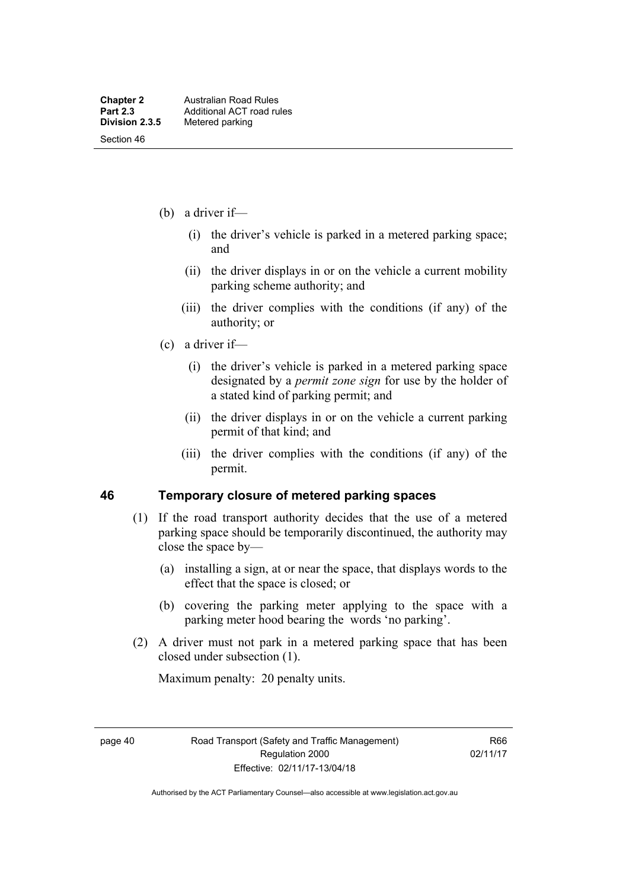- (b) a driver if—
	- (i) the driver's vehicle is parked in a metered parking space; and
	- (ii) the driver displays in or on the vehicle a current mobility parking scheme authority; and
	- (iii) the driver complies with the conditions (if any) of the authority; or
- (c) a driver if—
	- (i) the driver's vehicle is parked in a metered parking space designated by a *permit zone sign* for use by the holder of a stated kind of parking permit; and
	- (ii) the driver displays in or on the vehicle a current parking permit of that kind; and
	- (iii) the driver complies with the conditions (if any) of the permit.

#### **46 Temporary closure of metered parking spaces**

- (1) If the road transport authority decides that the use of a metered parking space should be temporarily discontinued, the authority may close the space by—
	- (a) installing a sign, at or near the space, that displays words to the effect that the space is closed; or
	- (b) covering the parking meter applying to the space with a parking meter hood bearing the words 'no parking'.
- (2) A driver must not park in a metered parking space that has been closed under subsection (1).

Maximum penalty: 20 penalty units.

page 40 Road Transport (Safety and Traffic Management) Regulation 2000 Effective: 02/11/17-13/04/18

R66 02/11/17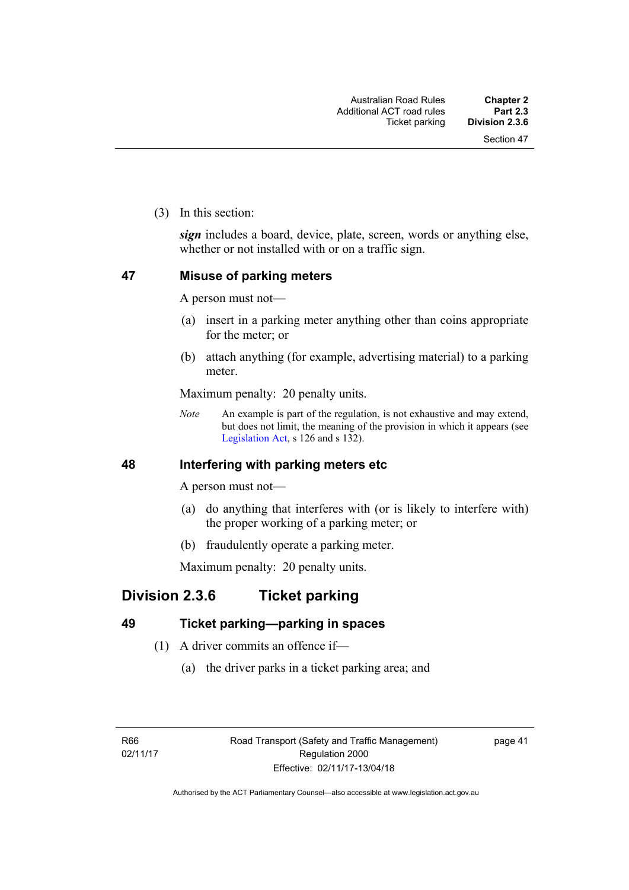(3) In this section:

*sign* includes a board, device, plate, screen, words or anything else, whether or not installed with or on a traffic sign.

### **47 Misuse of parking meters**

A person must not—

- (a) insert in a parking meter anything other than coins appropriate for the meter; or
- (b) attach anything (for example, advertising material) to a parking meter.

Maximum penalty: 20 penalty units.

*Note* An example is part of the regulation, is not exhaustive and may extend, but does not limit, the meaning of the provision in which it appears (see [Legislation Act,](http://www.legislation.act.gov.au/a/2001-14) s 126 and s 132).

#### **48 Interfering with parking meters etc**

A person must not—

- (a) do anything that interferes with (or is likely to interfere with) the proper working of a parking meter; or
- (b) fraudulently operate a parking meter.

Maximum penalty: 20 penalty units.

## **Division 2.3.6 Ticket parking**

### **49 Ticket parking—parking in spaces**

- (1) A driver commits an offence if—
	- (a) the driver parks in a ticket parking area; and

page 41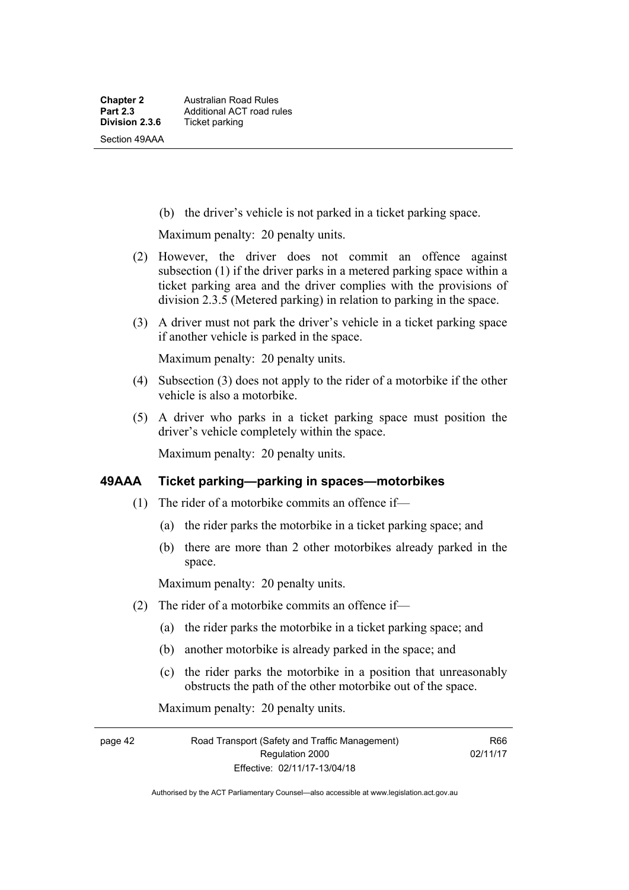(b) the driver's vehicle is not parked in a ticket parking space.

Maximum penalty: 20 penalty units.

- (2) However, the driver does not commit an offence against subsection (1) if the driver parks in a metered parking space within a ticket parking area and the driver complies with the provisions of division 2.3.5 (Metered parking) in relation to parking in the space.
- (3) A driver must not park the driver's vehicle in a ticket parking space if another vehicle is parked in the space.

Maximum penalty: 20 penalty units.

- (4) Subsection (3) does not apply to the rider of a motorbike if the other vehicle is also a motorbike.
- (5) A driver who parks in a ticket parking space must position the driver's vehicle completely within the space.

Maximum penalty: 20 penalty units.

#### **49AAA Ticket parking—parking in spaces—motorbikes**

- (1) The rider of a motorbike commits an offence if—
	- (a) the rider parks the motorbike in a ticket parking space; and
	- (b) there are more than 2 other motorbikes already parked in the space.

Maximum penalty: 20 penalty units.

- (2) The rider of a motorbike commits an offence if—
	- (a) the rider parks the motorbike in a ticket parking space; and
	- (b) another motorbike is already parked in the space; and
	- (c) the rider parks the motorbike in a position that unreasonably obstructs the path of the other motorbike out of the space.

Maximum penalty: 20 penalty units.

page 42 Road Transport (Safety and Traffic Management) Regulation 2000 Effective: 02/11/17-13/04/18

R66 02/11/17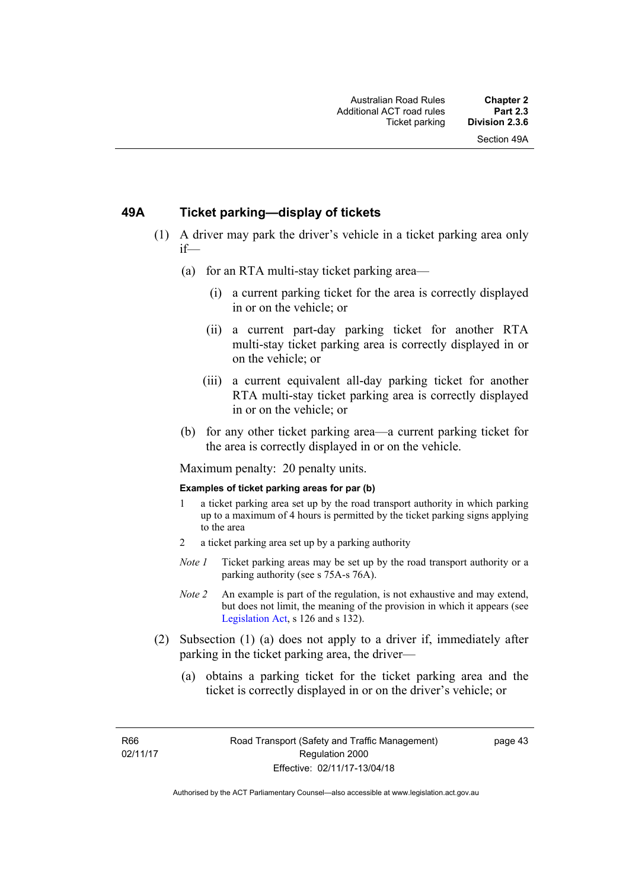### **49A Ticket parking—display of tickets**

- (1) A driver may park the driver's vehicle in a ticket parking area only if—
	- (a) for an RTA multi-stay ticket parking area—
		- (i) a current parking ticket for the area is correctly displayed in or on the vehicle; or
		- (ii) a current part-day parking ticket for another RTA multi-stay ticket parking area is correctly displayed in or on the vehicle; or
		- (iii) a current equivalent all-day parking ticket for another RTA multi-stay ticket parking area is correctly displayed in or on the vehicle; or
	- (b) for any other ticket parking area—a current parking ticket for the area is correctly displayed in or on the vehicle.

Maximum penalty: 20 penalty units.

#### **Examples of ticket parking areas for par (b)**

- 1 a ticket parking area set up by the road transport authority in which parking up to a maximum of 4 hours is permitted by the ticket parking signs applying to the area
- 2 a ticket parking area set up by a parking authority
- *Note 1* Ticket parking areas may be set up by the road transport authority or a parking authority (see s 75A-s 76A).
- *Note 2* An example is part of the regulation, is not exhaustive and may extend, but does not limit, the meaning of the provision in which it appears (see [Legislation Act,](http://www.legislation.act.gov.au/a/2001-14) s 126 and s 132).
- (2) Subsection (1) (a) does not apply to a driver if, immediately after parking in the ticket parking area, the driver—
	- (a) obtains a parking ticket for the ticket parking area and the ticket is correctly displayed in or on the driver's vehicle; or

R66 02/11/17 page 43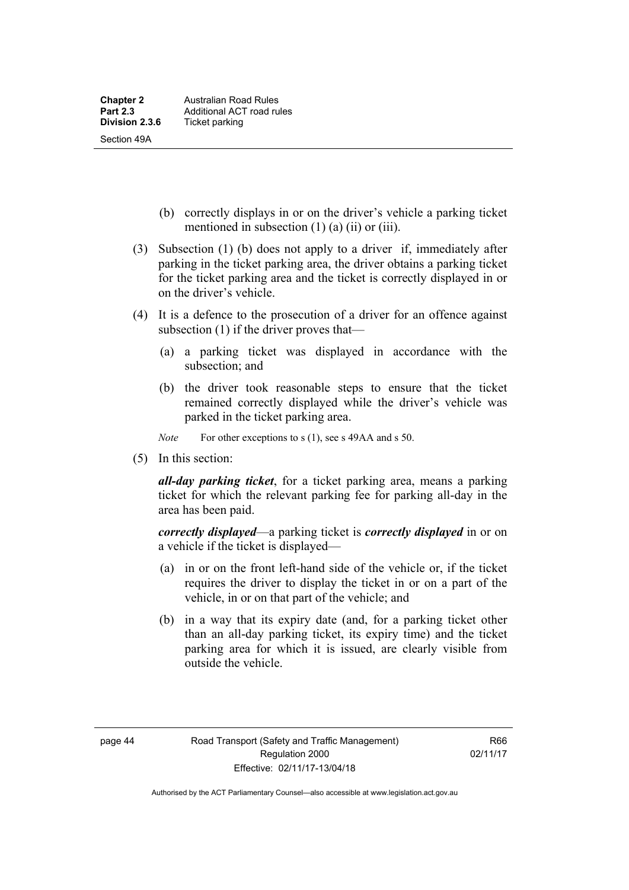- (b) correctly displays in or on the driver's vehicle a parking ticket mentioned in subsection (1) (a) (ii) or (iii).
- (3) Subsection (1) (b) does not apply to a driver if, immediately after parking in the ticket parking area, the driver obtains a parking ticket for the ticket parking area and the ticket is correctly displayed in or on the driver's vehicle.
- (4) It is a defence to the prosecution of a driver for an offence against subsection (1) if the driver proves that—
	- (a) a parking ticket was displayed in accordance with the subsection; and
	- (b) the driver took reasonable steps to ensure that the ticket remained correctly displayed while the driver's vehicle was parked in the ticket parking area.
	- *Note* For other exceptions to s (1), see s 49AA and s 50.
- (5) In this section:

*all-day parking ticket*, for a ticket parking area, means a parking ticket for which the relevant parking fee for parking all-day in the area has been paid.

*correctly displayed*—a parking ticket is *correctly displayed* in or on a vehicle if the ticket is displayed—

- (a) in or on the front left-hand side of the vehicle or, if the ticket requires the driver to display the ticket in or on a part of the vehicle, in or on that part of the vehicle; and
- (b) in a way that its expiry date (and, for a parking ticket other than an all-day parking ticket, its expiry time) and the ticket parking area for which it is issued, are clearly visible from outside the vehicle.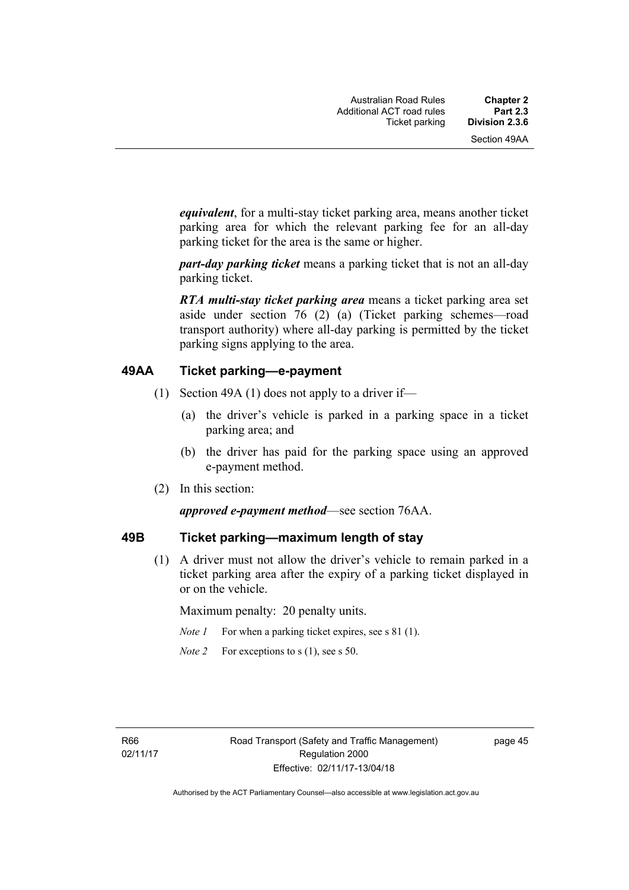*equivalent*, for a multi-stay ticket parking area, means another ticket parking area for which the relevant parking fee for an all-day parking ticket for the area is the same or higher.

*part-day parking ticket* means a parking ticket that is not an all-day parking ticket.

*RTA multi-stay ticket parking area* means a ticket parking area set aside under section 76 (2) (a) (Ticket parking schemes—road transport authority) where all-day parking is permitted by the ticket parking signs applying to the area.

#### **49AA Ticket parking—e-payment**

- (1) Section 49A (1) does not apply to a driver if—
	- (a) the driver's vehicle is parked in a parking space in a ticket parking area; and
	- (b) the driver has paid for the parking space using an approved e-payment method.
- (2) In this section:

#### *approved e-payment method*—see section 76AA.

#### **49B Ticket parking—maximum length of stay**

(1) A driver must not allow the driver's vehicle to remain parked in a ticket parking area after the expiry of a parking ticket displayed in or on the vehicle.

Maximum penalty: 20 penalty units.

- *Note 1* For when a parking ticket expires, see s 81 (1).
- *Note 2* For exceptions to s (1), see s 50.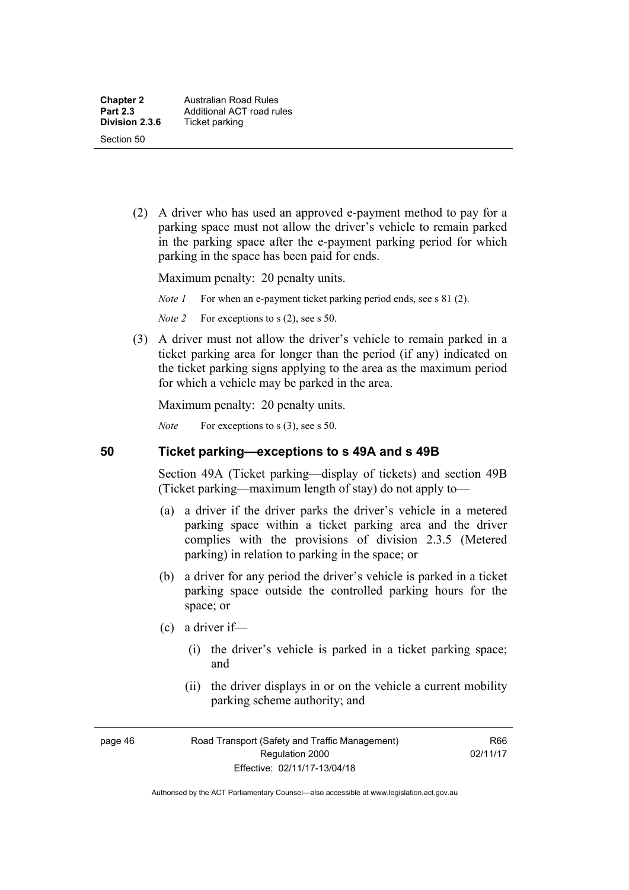(2) A driver who has used an approved e-payment method to pay for a parking space must not allow the driver's vehicle to remain parked in the parking space after the e-payment parking period for which parking in the space has been paid for ends.

Maximum penalty: 20 penalty units.

*Note 1* For when an e-payment ticket parking period ends, see s 81 (2).

*Note 2* For exceptions to s (2), see s 50.

 (3) A driver must not allow the driver's vehicle to remain parked in a ticket parking area for longer than the period (if any) indicated on the ticket parking signs applying to the area as the maximum period for which a vehicle may be parked in the area.

Maximum penalty: 20 penalty units.

*Note* For exceptions to s (3), see s 50.

#### **50 Ticket parking—exceptions to s 49A and s 49B**

Section 49A (Ticket parking—display of tickets) and section 49B (Ticket parking—maximum length of stay) do not apply to—

- (a) a driver if the driver parks the driver's vehicle in a metered parking space within a ticket parking area and the driver complies with the provisions of division 2.3.5 (Metered parking) in relation to parking in the space; or
- (b) a driver for any period the driver's vehicle is parked in a ticket parking space outside the controlled parking hours for the space; or
- (c) a driver if—
	- (i) the driver's vehicle is parked in a ticket parking space; and
	- (ii) the driver displays in or on the vehicle a current mobility parking scheme authority; and

page 46 Road Transport (Safety and Traffic Management) Regulation 2000 Effective: 02/11/17-13/04/18

R66 02/11/17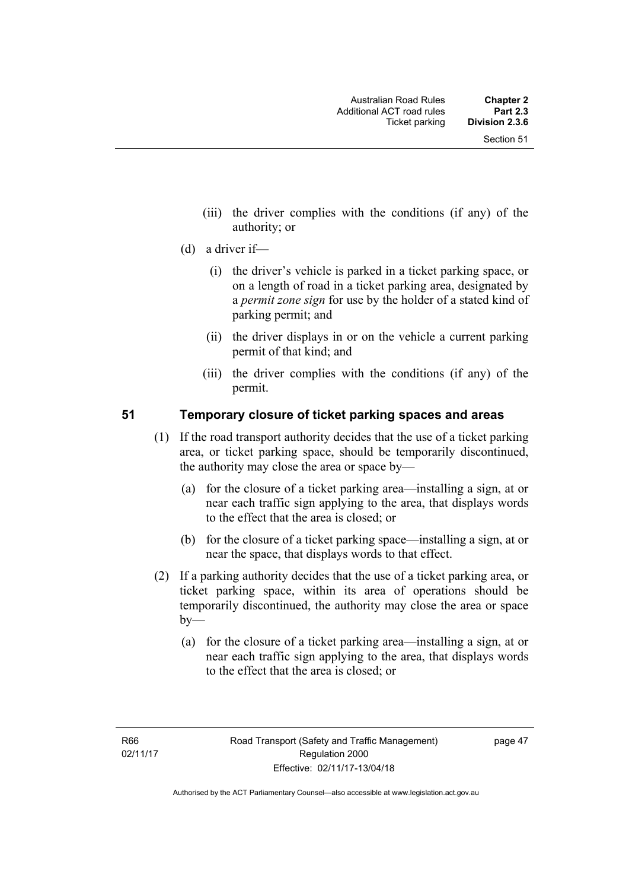- (iii) the driver complies with the conditions (if any) of the authority; or
- (d) a driver if—
	- (i) the driver's vehicle is parked in a ticket parking space, or on a length of road in a ticket parking area, designated by a *permit zone sign* for use by the holder of a stated kind of parking permit; and
	- (ii) the driver displays in or on the vehicle a current parking permit of that kind; and
	- (iii) the driver complies with the conditions (if any) of the permit.

### **51 Temporary closure of ticket parking spaces and areas**

- (1) If the road transport authority decides that the use of a ticket parking area, or ticket parking space, should be temporarily discontinued, the authority may close the area or space by—
	- (a) for the closure of a ticket parking area—installing a sign, at or near each traffic sign applying to the area, that displays words to the effect that the area is closed; or
	- (b) for the closure of a ticket parking space—installing a sign, at or near the space, that displays words to that effect.
- (2) If a parking authority decides that the use of a ticket parking area, or ticket parking space, within its area of operations should be temporarily discontinued, the authority may close the area or space  $b$ v—
	- (a) for the closure of a ticket parking area—installing a sign, at or near each traffic sign applying to the area, that displays words to the effect that the area is closed; or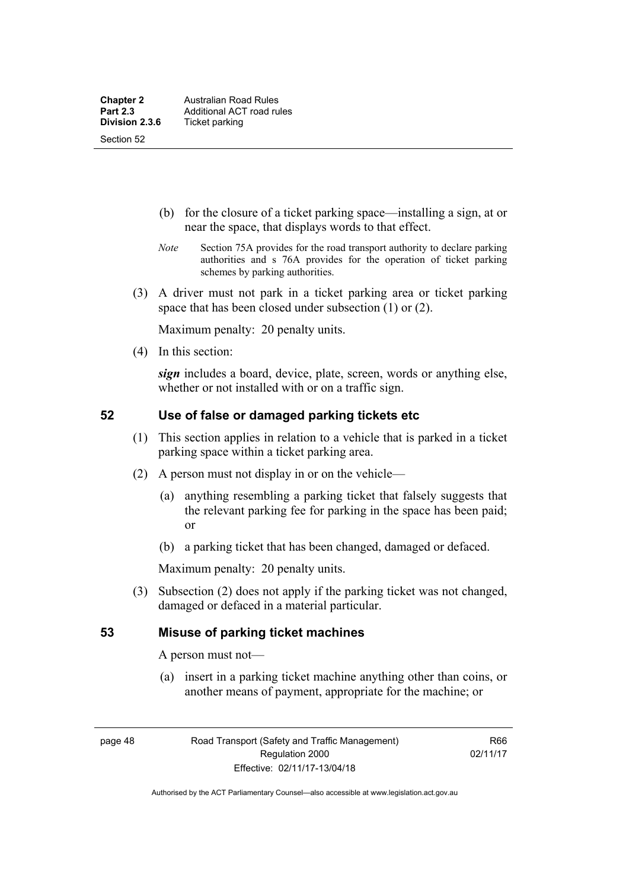- (b) for the closure of a ticket parking space—installing a sign, at or near the space, that displays words to that effect.
- *Note* Section 75A provides for the road transport authority to declare parking authorities and s 76A provides for the operation of ticket parking schemes by parking authorities.
- (3) A driver must not park in a ticket parking area or ticket parking space that has been closed under subsection (1) or (2).

Maximum penalty: 20 penalty units.

(4) In this section:

*sign* includes a board, device, plate, screen, words or anything else, whether or not installed with or on a traffic sign.

### **52 Use of false or damaged parking tickets etc**

- (1) This section applies in relation to a vehicle that is parked in a ticket parking space within a ticket parking area.
- (2) A person must not display in or on the vehicle—
	- (a) anything resembling a parking ticket that falsely suggests that the relevant parking fee for parking in the space has been paid; or
	- (b) a parking ticket that has been changed, damaged or defaced.

Maximum penalty: 20 penalty units.

 (3) Subsection (2) does not apply if the parking ticket was not changed, damaged or defaced in a material particular.

#### **53 Misuse of parking ticket machines**

A person must not—

(a) insert in a parking ticket machine anything other than coins, or another means of payment, appropriate for the machine; or

page 48 Road Transport (Safety and Traffic Management) Regulation 2000 Effective: 02/11/17-13/04/18

R66 02/11/17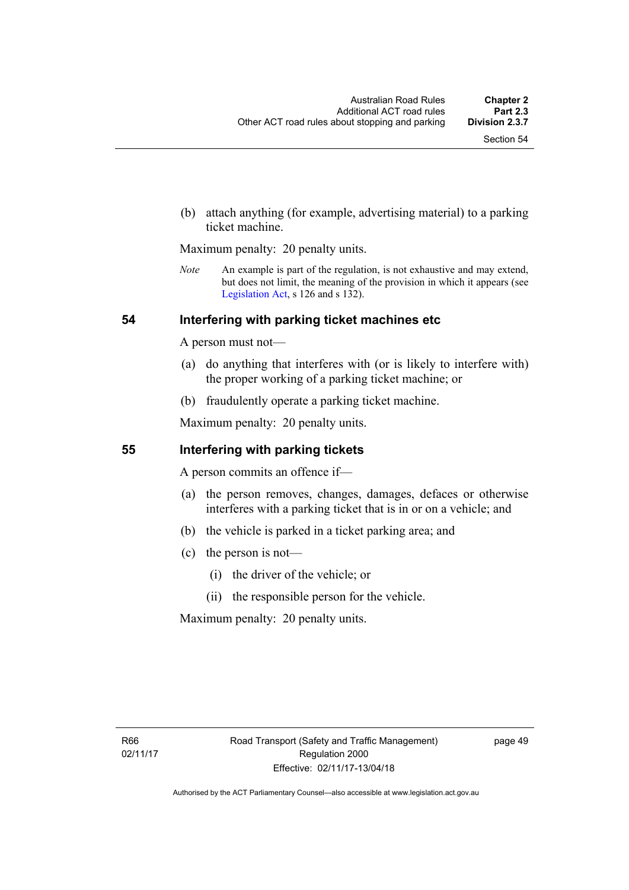(b) attach anything (for example, advertising material) to a parking ticket machine.

Maximum penalty: 20 penalty units.

*Note* An example is part of the regulation, is not exhaustive and may extend, but does not limit, the meaning of the provision in which it appears (see [Legislation Act,](http://www.legislation.act.gov.au/a/2001-14) s 126 and s 132).

#### **54 Interfering with parking ticket machines etc**

A person must not—

- (a) do anything that interferes with (or is likely to interfere with) the proper working of a parking ticket machine; or
- (b) fraudulently operate a parking ticket machine.

Maximum penalty: 20 penalty units.

#### **55 Interfering with parking tickets**

A person commits an offence if—

- (a) the person removes, changes, damages, defaces or otherwise interferes with a parking ticket that is in or on a vehicle; and
- (b) the vehicle is parked in a ticket parking area; and
- (c) the person is not—
	- (i) the driver of the vehicle; or
	- (ii) the responsible person for the vehicle.

Maximum penalty: 20 penalty units.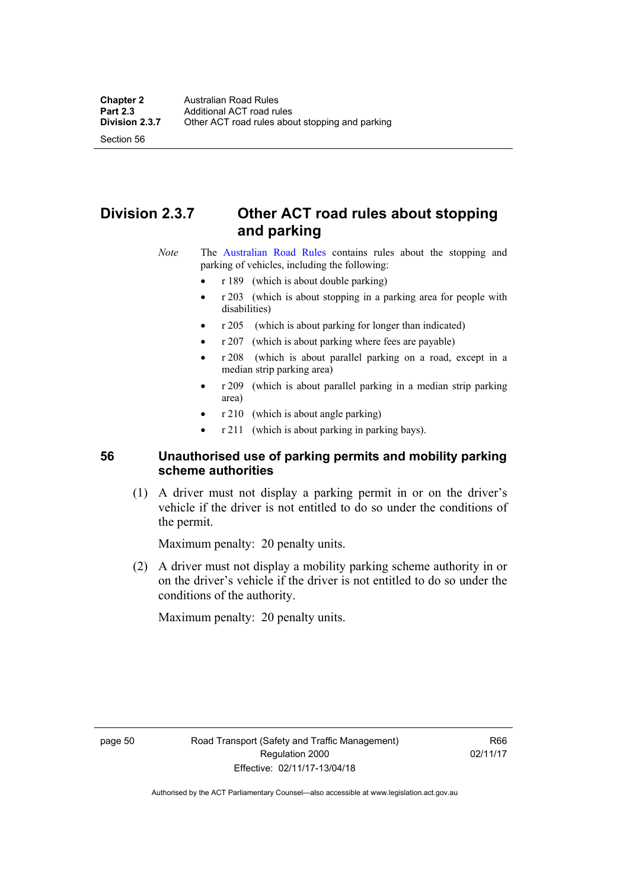Section 56

# **Division 2.3.7 Other ACT road rules about stopping and parking**

*Note* The [Australian Road Rules](http://www.legislation.act.gov.au//ni/db_37271/default.asp) contains rules about the stopping and parking of vehicles, including the following:

- r 189 (which is about double parking)
- r 203 (which is about stopping in a parking area for people with disabilities)
- r 205 (which is about parking for longer than indicated)
- r 207 (which is about parking where fees are payable)
- r 208 (which is about parallel parking on a road, except in a median strip parking area)
- r 209 (which is about parallel parking in a median strip parking area)
- r 210 (which is about angle parking)
- r 211 (which is about parking in parking bays).

## **56 Unauthorised use of parking permits and mobility parking scheme authorities**

 (1) A driver must not display a parking permit in or on the driver's vehicle if the driver is not entitled to do so under the conditions of the permit.

Maximum penalty: 20 penalty units.

 (2) A driver must not display a mobility parking scheme authority in or on the driver's vehicle if the driver is not entitled to do so under the conditions of the authority.

Maximum penalty: 20 penalty units.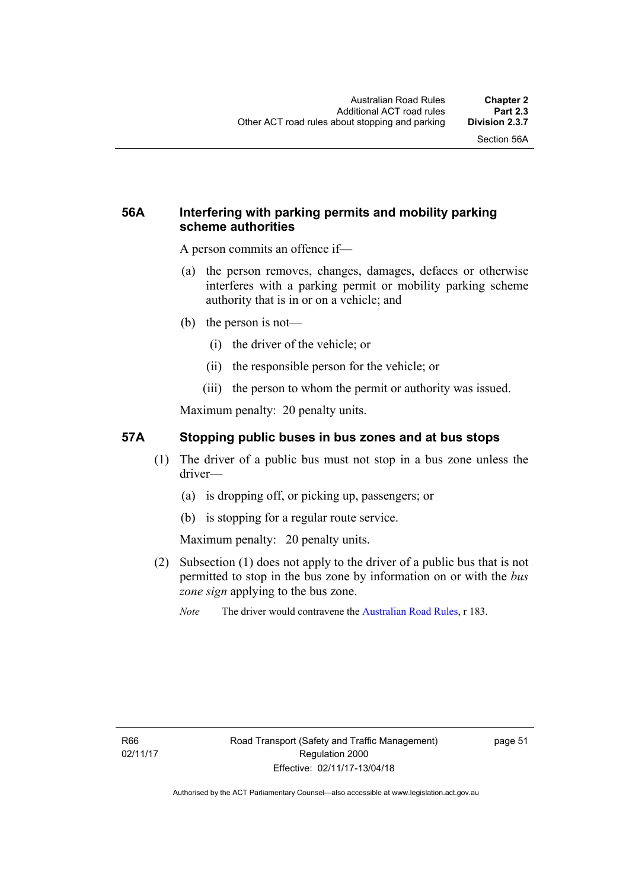## **56A Interfering with parking permits and mobility parking scheme authorities**

A person commits an offence if—

- (a) the person removes, changes, damages, defaces or otherwise interferes with a parking permit or mobility parking scheme authority that is in or on a vehicle; and
- (b) the person is not—
	- (i) the driver of the vehicle; or
	- (ii) the responsible person for the vehicle; or
	- (iii) the person to whom the permit or authority was issued.

Maximum penalty: 20 penalty units.

#### **57A Stopping public buses in bus zones and at bus stops**

- (1) The driver of a public bus must not stop in a bus zone unless the driver—
	- (a) is dropping off, or picking up, passengers; or
	- (b) is stopping for a regular route service.

Maximum penalty: 20 penalty units.

- (2) Subsection (1) does not apply to the driver of a public bus that is not permitted to stop in the bus zone by information on or with the *bus zone sign* applying to the bus zone.
	- *Note* The driver would contravene the [Australian Road Rules,](http://www.legislation.act.gov.au//ni/db_37271/default.asp) r 183.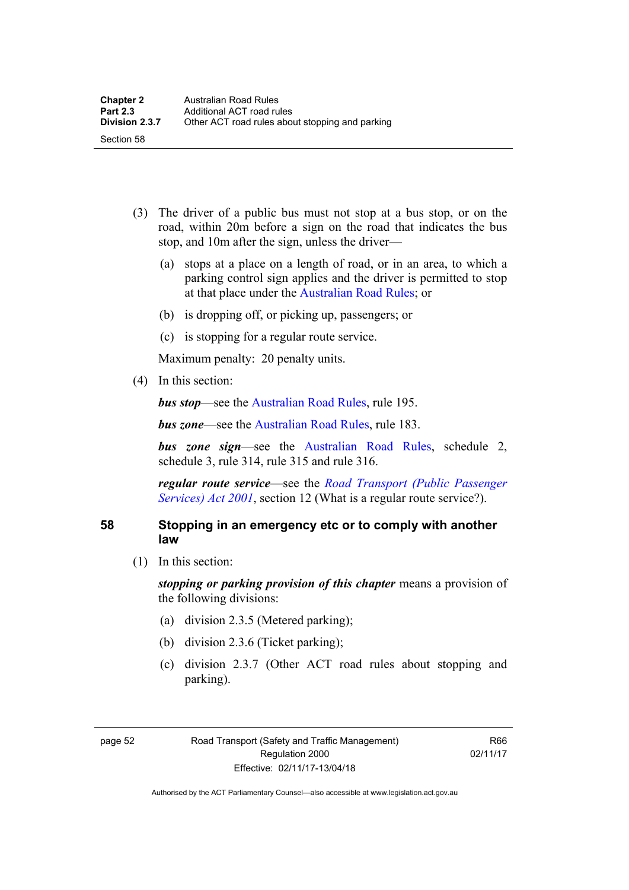- (3) The driver of a public bus must not stop at a bus stop, or on the road, within 20m before a sign on the road that indicates the bus stop, and 10m after the sign, unless the driver—
	- (a) stops at a place on a length of road, or in an area, to which a parking control sign applies and the driver is permitted to stop at that place under the [Australian Road Rules;](http://www.legislation.act.gov.au//ni/db_37271/default.asp) or
	- (b) is dropping off, or picking up, passengers; or
	- (c) is stopping for a regular route service.

Maximum penalty: 20 penalty units.

(4) In this section:

*bus stop***—see the Australian Road Rules**, rule 195.

*bus zone***—see the Australian Road Rules**, rule 183.

*bus zone sign*—see the [Australian Road Rules,](http://www.legislation.act.gov.au//ni/db_37271/default.asp) schedule 2, schedule 3, rule 314, rule 315 and rule 316.

*regular route service*—see the *[Road Transport \(Public Passenger](http://www.legislation.act.gov.au/a/2001-62)  [Services\) Act 2001](http://www.legislation.act.gov.au/a/2001-62)*, section 12 (What is a regular route service?).

### **58 Stopping in an emergency etc or to comply with another law**

(1) In this section:

*stopping or parking provision of this chapter* means a provision of the following divisions:

- (a) division 2.3.5 (Metered parking);
- (b) division 2.3.6 (Ticket parking);
- (c) division 2.3.7 (Other ACT road rules about stopping and parking).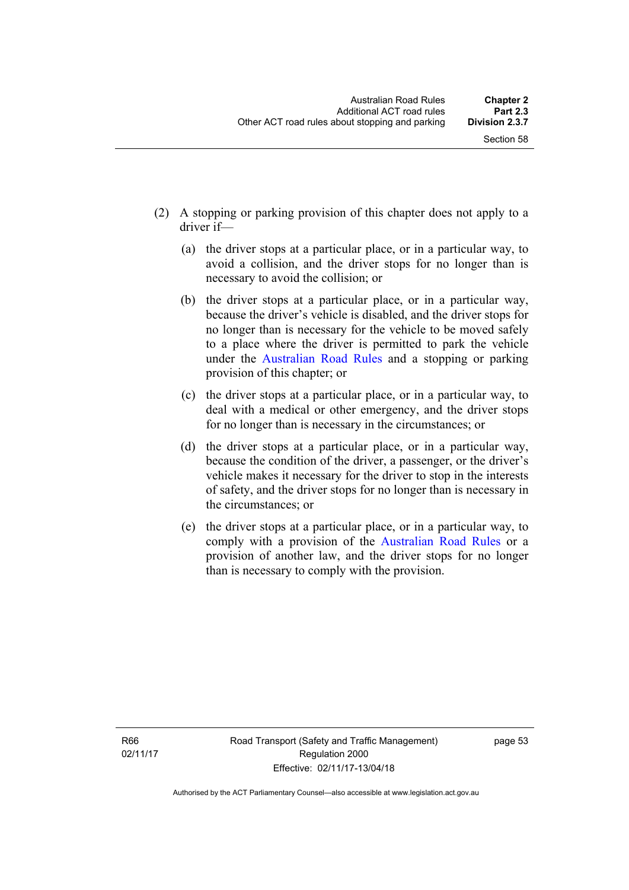- (2) A stopping or parking provision of this chapter does not apply to a driver if—
	- (a) the driver stops at a particular place, or in a particular way, to avoid a collision, and the driver stops for no longer than is necessary to avoid the collision; or
	- (b) the driver stops at a particular place, or in a particular way, because the driver's vehicle is disabled, and the driver stops for no longer than is necessary for the vehicle to be moved safely to a place where the driver is permitted to park the vehicle under the [Australian Road Rules](http://www.legislation.act.gov.au//ni/db_37271/default.asp) and a stopping or parking provision of this chapter; or
	- (c) the driver stops at a particular place, or in a particular way, to deal with a medical or other emergency, and the driver stops for no longer than is necessary in the circumstances; or
	- (d) the driver stops at a particular place, or in a particular way, because the condition of the driver, a passenger, or the driver's vehicle makes it necessary for the driver to stop in the interests of safety, and the driver stops for no longer than is necessary in the circumstances; or
	- (e) the driver stops at a particular place, or in a particular way, to comply with a provision of the [Australian Road Rules](http://www.legislation.act.gov.au//ni/db_37271/default.asp) or a provision of another law, and the driver stops for no longer than is necessary to comply with the provision.

R66 02/11/17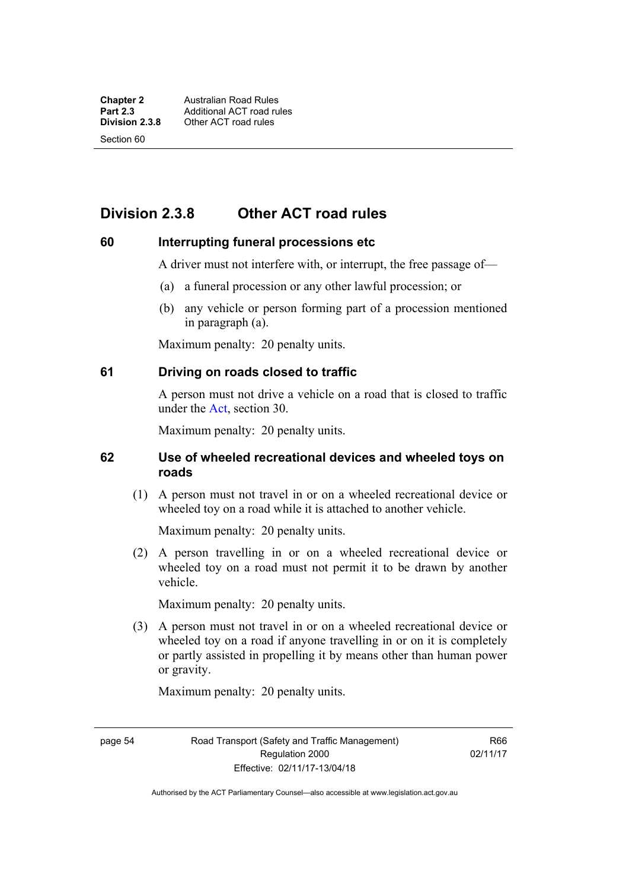Section 60

# **Division 2.3.8 Other ACT road rules**

#### **60 Interrupting funeral processions etc**

A driver must not interfere with, or interrupt, the free passage of—

- (a) a funeral procession or any other lawful procession; or
- (b) any vehicle or person forming part of a procession mentioned in paragraph (a).

Maximum penalty: 20 penalty units.

#### **61 Driving on roads closed to traffic**

A person must not drive a vehicle on a road that is closed to traffic under the [Act](http://www.legislation.act.gov.au/a/1999-80/default.asp), section 30.

Maximum penalty: 20 penalty units.

#### **62 Use of wheeled recreational devices and wheeled toys on roads**

 (1) A person must not travel in or on a wheeled recreational device or wheeled toy on a road while it is attached to another vehicle.

Maximum penalty: 20 penalty units.

 (2) A person travelling in or on a wheeled recreational device or wheeled toy on a road must not permit it to be drawn by another vehicle.

Maximum penalty: 20 penalty units.

 (3) A person must not travel in or on a wheeled recreational device or wheeled toy on a road if anyone travelling in or on it is completely or partly assisted in propelling it by means other than human power or gravity.

Maximum penalty: 20 penalty units.

page 54 Road Transport (Safety and Traffic Management) Regulation 2000 Effective: 02/11/17-13/04/18

R66 02/11/17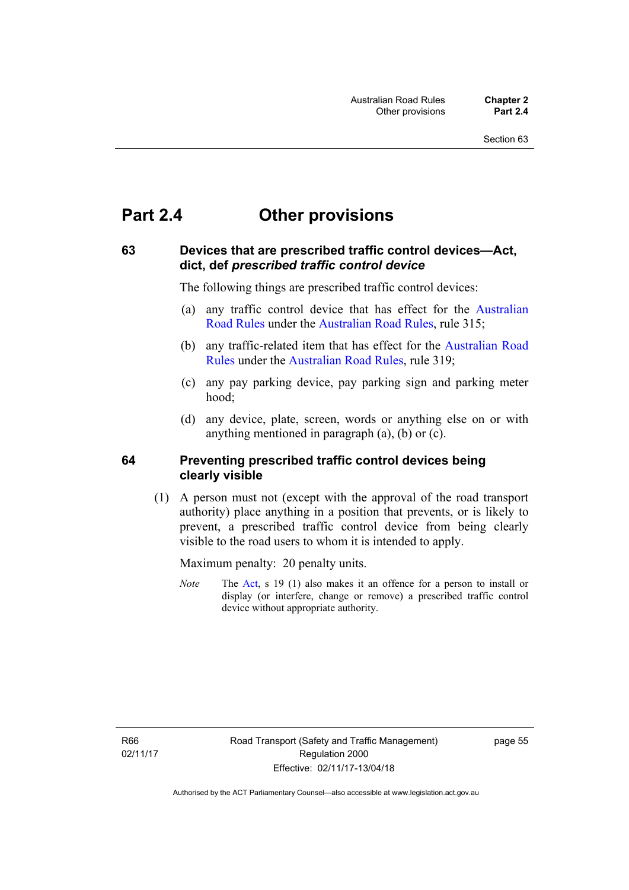# **Part 2.4 Other provisions**

### **63 Devices that are prescribed traffic control devices—Act, dict, def** *prescribed traffic control device*

The following things are prescribed traffic control devices:

- (a) any traffic control device that has effect for the [Australian](http://www.legislation.act.gov.au//ni/db_37271/default.asp)  [Road Rules](http://www.legislation.act.gov.au//ni/db_37271/default.asp) under the [Australian Road Rules](http://www.legislation.act.gov.au//ni/db_37271/default.asp), rule 315;
- (b) any traffic-related item that has effect for the [Australian Road](http://www.legislation.act.gov.au//ni/db_37271/default.asp)  [Rules](http://www.legislation.act.gov.au//ni/db_37271/default.asp) under the [Australian Road Rules](http://www.legislation.act.gov.au//ni/db_37271/default.asp), rule 319;
- (c) any pay parking device, pay parking sign and parking meter hood;
- (d) any device, plate, screen, words or anything else on or with anything mentioned in paragraph (a), (b) or (c).

#### **64 Preventing prescribed traffic control devices being clearly visible**

 (1) A person must not (except with the approval of the road transport authority) place anything in a position that prevents, or is likely to prevent, a prescribed traffic control device from being clearly visible to the road users to whom it is intended to apply.

Maximum penalty: 20 penalty units.

*Note* The [Act](http://www.legislation.act.gov.au/a/1999-80/default.asp), s 19 (1) also makes it an offence for a person to install or display (or interfere, change or remove) a prescribed traffic control device without appropriate authority.

R66 02/11/17 page 55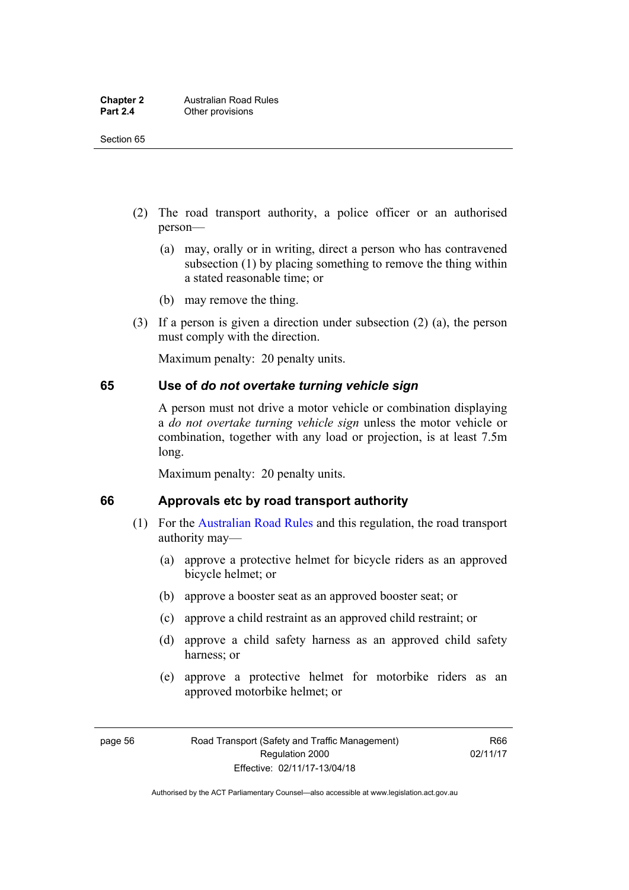- (2) The road transport authority, a police officer or an authorised person—
	- (a) may, orally or in writing, direct a person who has contravened subsection (1) by placing something to remove the thing within a stated reasonable time; or
	- (b) may remove the thing.
- (3) If a person is given a direction under subsection (2) (a), the person must comply with the direction.

Maximum penalty: 20 penalty units.

#### **65 Use of** *do not overtake turning vehicle sign*

A person must not drive a motor vehicle or combination displaying a *do not overtake turning vehicle sign* unless the motor vehicle or combination, together with any load or projection, is at least 7.5m long.

Maximum penalty: 20 penalty units.

#### **66 Approvals etc by road transport authority**

- (1) For the [Australian Road Rules](http://www.legislation.act.gov.au//ni/db_37271/default.asp) and this regulation, the road transport authority may—
	- (a) approve a protective helmet for bicycle riders as an approved bicycle helmet; or
	- (b) approve a booster seat as an approved booster seat; or
	- (c) approve a child restraint as an approved child restraint; or
	- (d) approve a child safety harness as an approved child safety harness; or
	- (e) approve a protective helmet for motorbike riders as an approved motorbike helmet; or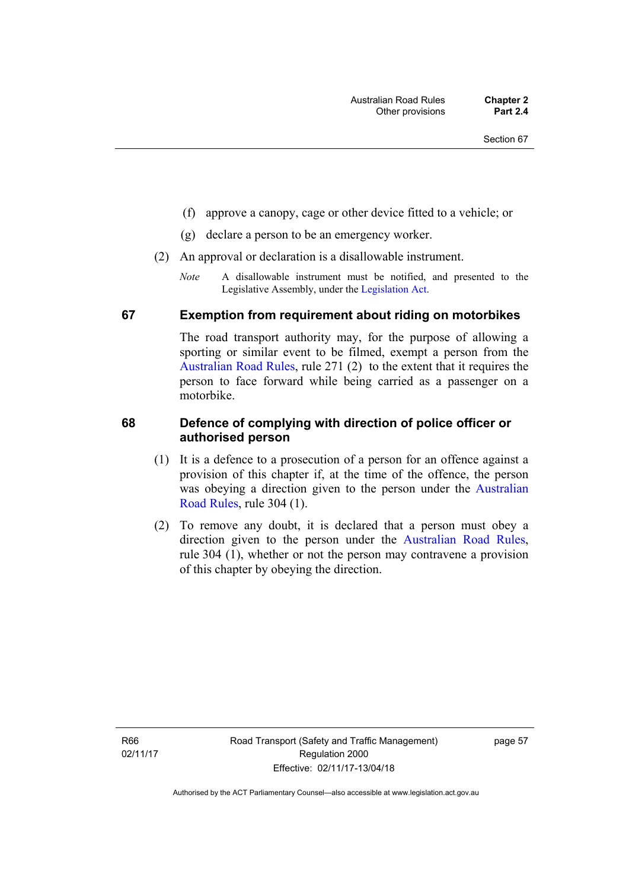- (f) approve a canopy, cage or other device fitted to a vehicle; or
- (g) declare a person to be an emergency worker.
- (2) An approval or declaration is a disallowable instrument.
	- *Note* A disallowable instrument must be notified, and presented to the Legislative Assembly, under the [Legislation Act.](http://www.legislation.act.gov.au/a/2001-14)

#### **67 Exemption from requirement about riding on motorbikes**

The road transport authority may, for the purpose of allowing a sporting or similar event to be filmed, exempt a person from the [Australian Road Rules](http://www.legislation.act.gov.au//ni/db_37271/default.asp), rule 271 (2) to the extent that it requires the person to face forward while being carried as a passenger on a motorbike.

#### **68 Defence of complying with direction of police officer or authorised person**

- (1) It is a defence to a prosecution of a person for an offence against a provision of this chapter if, at the time of the offence, the person was obeying a direction given to the person under the [Australian](http://www.legislation.act.gov.au//ni/db_37271/default.asp)  [Road Rules,](http://www.legislation.act.gov.au//ni/db_37271/default.asp) rule 304 (1).
- (2) To remove any doubt, it is declared that a person must obey a direction given to the person under the [Australian Road Rules](http://www.legislation.act.gov.au//ni/db_37271/default.asp), rule 304 (1), whether or not the person may contravene a provision of this chapter by obeying the direction.

R66 02/11/17 page 57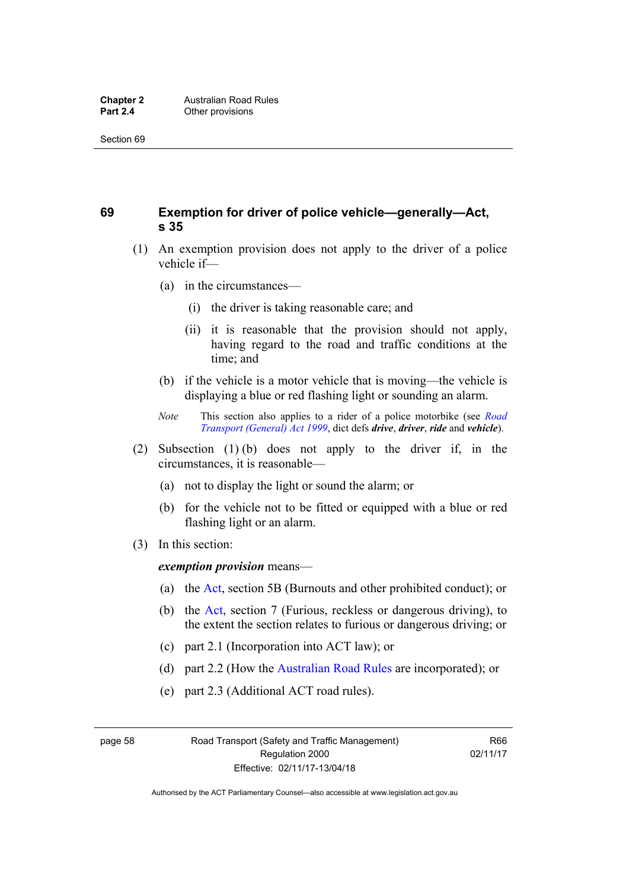## **69 Exemption for driver of police vehicle—generally—Act, s 35**

- (1) An exemption provision does not apply to the driver of a police vehicle if—
	- (a) in the circumstances—
		- (i) the driver is taking reasonable care; and
		- (ii) it is reasonable that the provision should not apply, having regard to the road and traffic conditions at the time; and
	- (b) if the vehicle is a motor vehicle that is moving—the vehicle is displaying a blue or red flashing light or sounding an alarm.
	- *Note* This section also applies to a rider of a police motorbike (see *[Road](http://www.legislation.act.gov.au/a/1999-77)  [Transport \(General\) Act 1999](http://www.legislation.act.gov.au/a/1999-77)*, dict defs *drive*, *driver*, *ride* and *vehicle*).
- (2) Subsection (1) (b) does not apply to the driver if, in the circumstances, it is reasonable—
	- (a) not to display the light or sound the alarm; or
	- (b) for the vehicle not to be fitted or equipped with a blue or red flashing light or an alarm.
- (3) In this section:

*exemption provision* means—

- (a) the [Act,](http://www.legislation.act.gov.au/a/1999-80/default.asp) section 5B (Burnouts and other prohibited conduct); or
- (b) the [Act](http://www.legislation.act.gov.au/a/1999-80/default.asp), section 7 (Furious, reckless or dangerous driving), to the extent the section relates to furious or dangerous driving; or
- (c) part 2.1 (Incorporation into ACT law); or
- (d) part 2.2 (How the [Australian Road Rules](http://www.legislation.act.gov.au//ni/db_37271/default.asp) are incorporated); or
- (e) part 2.3 (Additional ACT road rules).

page 58 Road Transport (Safety and Traffic Management) Regulation 2000 Effective: 02/11/17-13/04/18

R66 02/11/17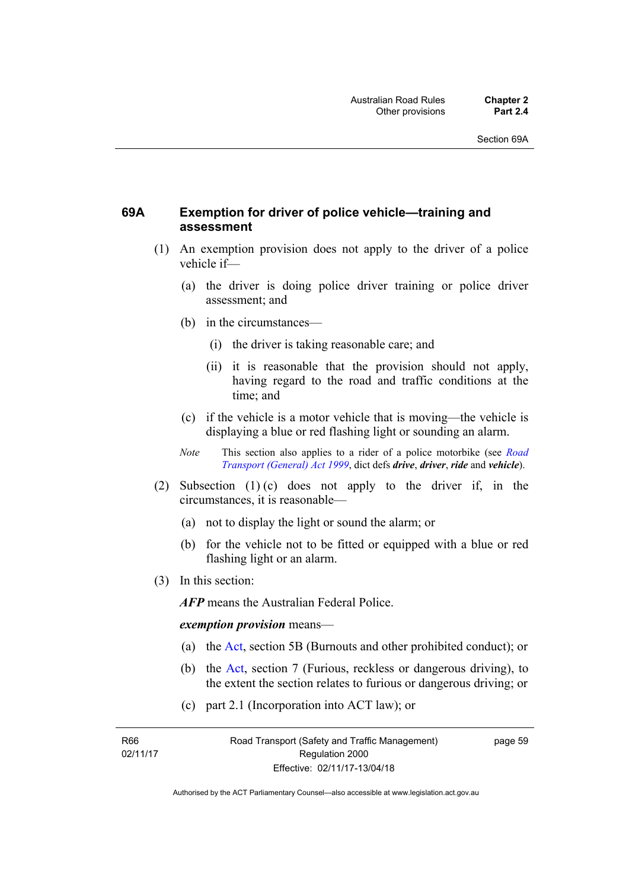## **69A Exemption for driver of police vehicle—training and assessment**

- (1) An exemption provision does not apply to the driver of a police vehicle if—
	- (a) the driver is doing police driver training or police driver assessment; and
	- (b) in the circumstances—
		- (i) the driver is taking reasonable care; and
		- (ii) it is reasonable that the provision should not apply, having regard to the road and traffic conditions at the time; and
	- (c) if the vehicle is a motor vehicle that is moving—the vehicle is displaying a blue or red flashing light or sounding an alarm.
	- *Note* This section also applies to a rider of a police motorbike (see *[Road](http://www.legislation.act.gov.au/a/1999-77)  [Transport \(General\) Act 1999](http://www.legislation.act.gov.au/a/1999-77)*, dict defs *drive*, *driver*, *ride* and *vehicle*).
- (2) Subsection (1) (c) does not apply to the driver if, in the circumstances, it is reasonable—
	- (a) not to display the light or sound the alarm; or
	- (b) for the vehicle not to be fitted or equipped with a blue or red flashing light or an alarm.
- (3) In this section:

*AFP* means the Australian Federal Police.

#### *exemption provision* means—

- (a) the [Act](http://www.legislation.act.gov.au/a/1999-80/default.asp), section 5B (Burnouts and other prohibited conduct); or
- (b) the [Act](http://www.legislation.act.gov.au/a/1999-80/default.asp), section 7 (Furious, reckless or dangerous driving), to the extent the section relates to furious or dangerous driving; or
- (c) part 2.1 (Incorporation into ACT law); or

R66 02/11/17 page 59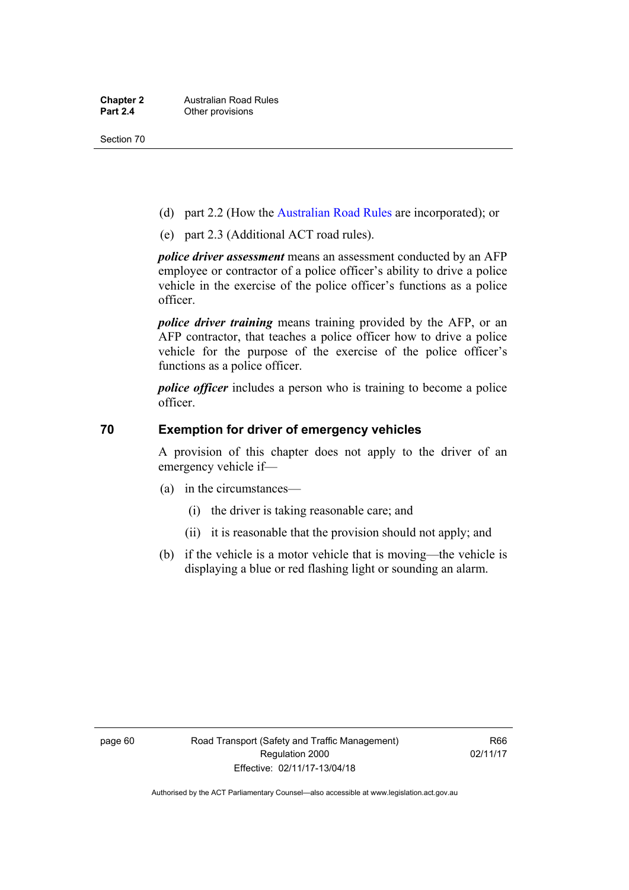- (d) part 2.2 (How the [Australian Road Rules](http://www.legislation.act.gov.au//ni/db_37271/default.asp) are incorporated); or
- (e) part 2.3 (Additional ACT road rules).

*police driver assessment* means an assessment conducted by an AFP employee or contractor of a police officer's ability to drive a police vehicle in the exercise of the police officer's functions as a police officer.

*police driver training* means training provided by the AFP, or an AFP contractor, that teaches a police officer how to drive a police vehicle for the purpose of the exercise of the police officer's functions as a police officer.

*police officer* includes a person who is training to become a police officer.

#### **70 Exemption for driver of emergency vehicles**

A provision of this chapter does not apply to the driver of an emergency vehicle if—

- (a) in the circumstances—
	- (i) the driver is taking reasonable care; and
	- (ii) it is reasonable that the provision should not apply; and
- (b) if the vehicle is a motor vehicle that is moving—the vehicle is displaying a blue or red flashing light or sounding an alarm.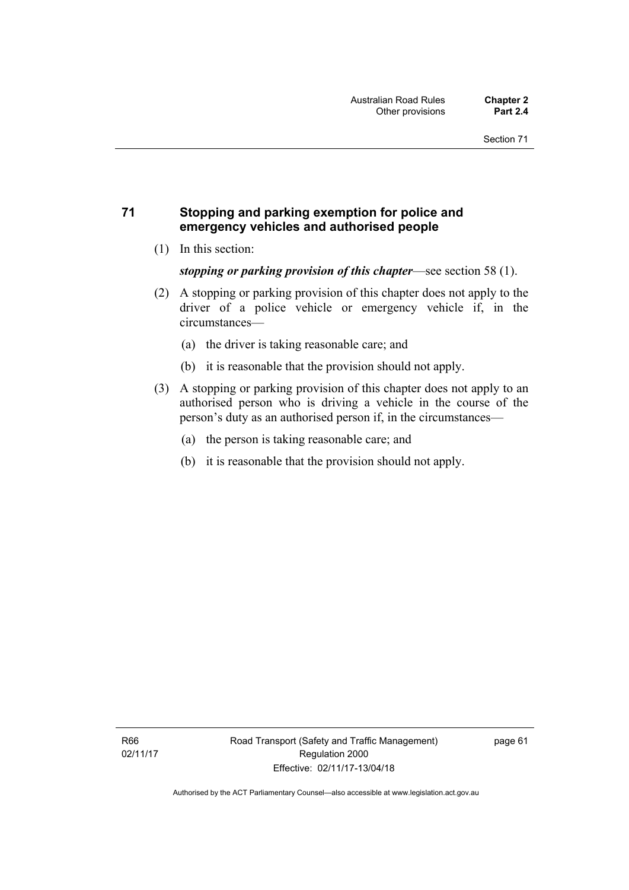## **71 Stopping and parking exemption for police and emergency vehicles and authorised people**

(1) In this section:

*stopping or parking provision of this chapter*—see section 58 (1).

- (2) A stopping or parking provision of this chapter does not apply to the driver of a police vehicle or emergency vehicle if, in the circumstances—
	- (a) the driver is taking reasonable care; and
	- (b) it is reasonable that the provision should not apply.
- (3) A stopping or parking provision of this chapter does not apply to an authorised person who is driving a vehicle in the course of the person's duty as an authorised person if, in the circumstances—
	- (a) the person is taking reasonable care; and
	- (b) it is reasonable that the provision should not apply.

page 61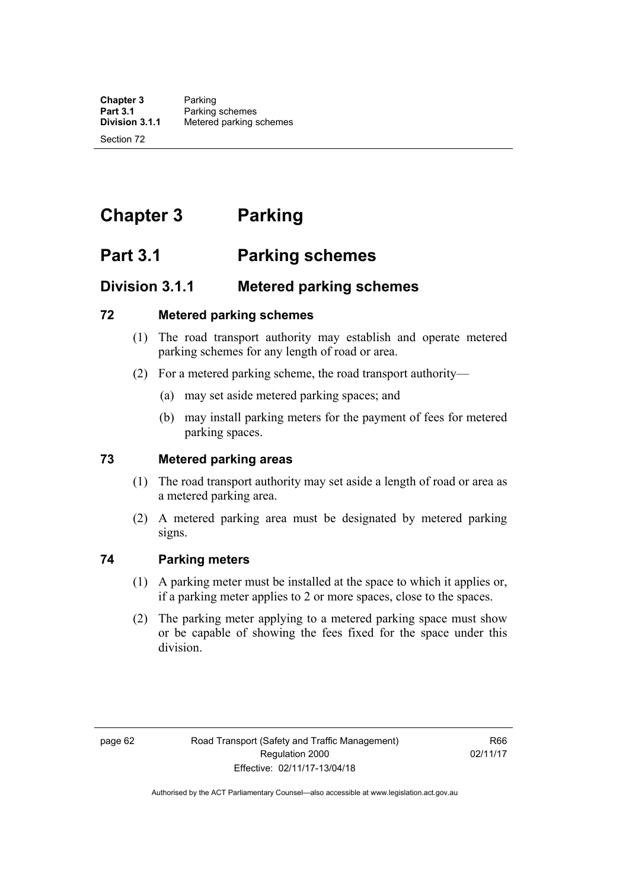# **Chapter 3 Parking**

# **Part 3.1 Parking schemes**

# **Division 3.1.1 Metered parking schemes**

#### **72 Metered parking schemes**

- (1) The road transport authority may establish and operate metered parking schemes for any length of road or area.
- (2) For a metered parking scheme, the road transport authority—
	- (a) may set aside metered parking spaces; and
	- (b) may install parking meters for the payment of fees for metered parking spaces.

## **73 Metered parking areas**

- (1) The road transport authority may set aside a length of road or area as a metered parking area.
- (2) A metered parking area must be designated by metered parking signs.

## **74 Parking meters**

- (1) A parking meter must be installed at the space to which it applies or, if a parking meter applies to 2 or more spaces, close to the spaces.
- (2) The parking meter applying to a metered parking space must show or be capable of showing the fees fixed for the space under this division.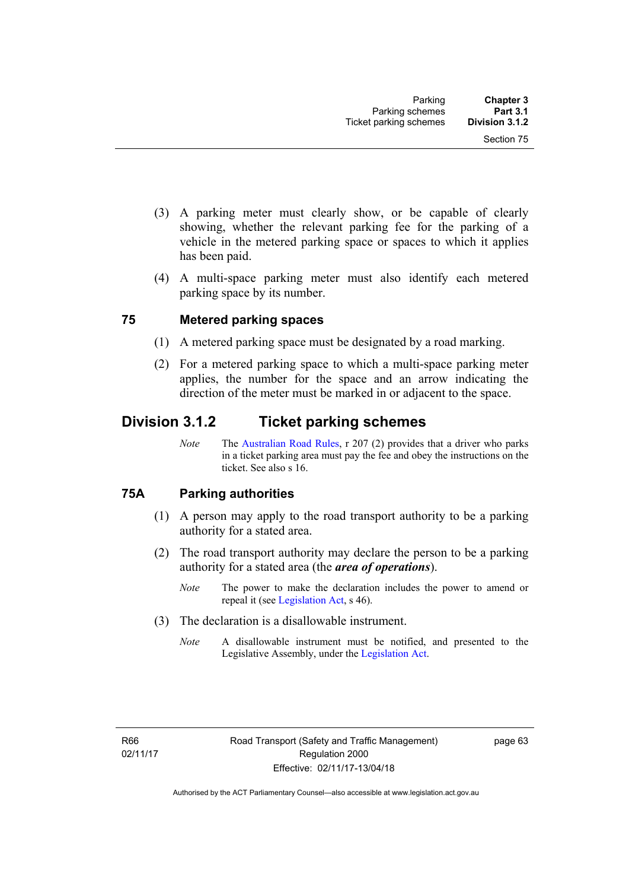- (3) A parking meter must clearly show, or be capable of clearly showing, whether the relevant parking fee for the parking of a vehicle in the metered parking space or spaces to which it applies has been paid.
- (4) A multi-space parking meter must also identify each metered parking space by its number.

#### **75 Metered parking spaces**

- (1) A metered parking space must be designated by a road marking.
- (2) For a metered parking space to which a multi-space parking meter applies, the number for the space and an arrow indicating the direction of the meter must be marked in or adjacent to the space.

# **Division 3.1.2 Ticket parking schemes**

*Note* The [Australian Road Rules](http://www.legislation.act.gov.au//ni/db_37271/default.asp), r 207 (2) provides that a driver who parks in a ticket parking area must pay the fee and obey the instructions on the ticket. See also s 16.

## **75A Parking authorities**

- (1) A person may apply to the road transport authority to be a parking authority for a stated area.
- (2) The road transport authority may declare the person to be a parking authority for a stated area (the *area of operations*).
	- *Note* The power to make the declaration includes the power to amend or repeal it (see [Legislation Act,](http://www.legislation.act.gov.au/a/2001-14) s 46).
- (3) The declaration is a disallowable instrument.
	- *Note* A disallowable instrument must be notified, and presented to the Legislative Assembly, under the [Legislation Act.](http://www.legislation.act.gov.au/a/2001-14)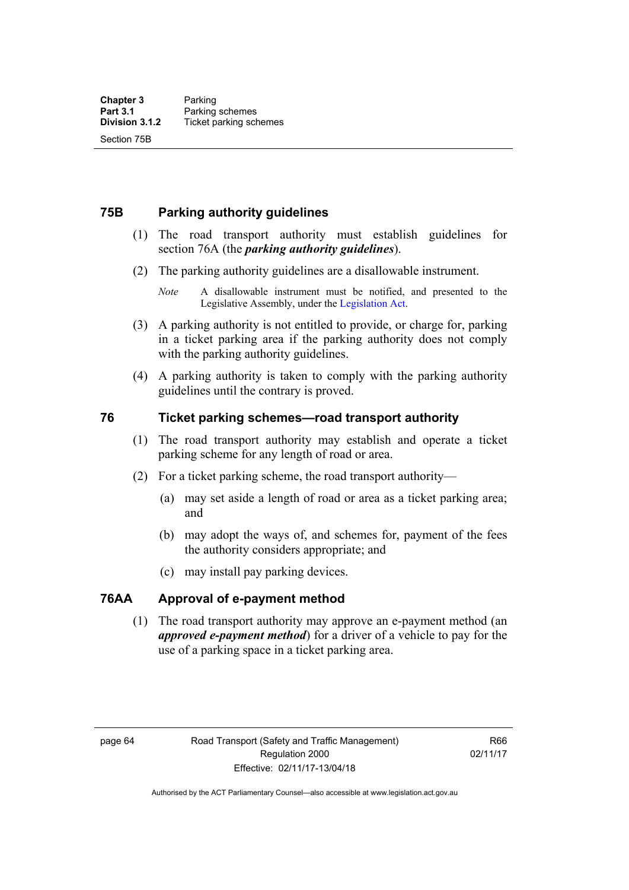### **75B Parking authority guidelines**

- (1) The road transport authority must establish guidelines for section 76A (the *parking authority guidelines*).
- (2) The parking authority guidelines are a disallowable instrument.

- (3) A parking authority is not entitled to provide, or charge for, parking in a ticket parking area if the parking authority does not comply with the parking authority guidelines.
- (4) A parking authority is taken to comply with the parking authority guidelines until the contrary is proved.

#### **76 Ticket parking schemes—road transport authority**

- (1) The road transport authority may establish and operate a ticket parking scheme for any length of road or area.
- (2) For a ticket parking scheme, the road transport authority—
	- (a) may set aside a length of road or area as a ticket parking area; and
	- (b) may adopt the ways of, and schemes for, payment of the fees the authority considers appropriate; and
	- (c) may install pay parking devices.

### **76AA Approval of e-payment method**

(1) The road transport authority may approve an e-payment method (an *approved e-payment method*) for a driver of a vehicle to pay for the use of a parking space in a ticket parking area.

*Note* A disallowable instrument must be notified, and presented to the Legislative Assembly, under the [Legislation Act.](http://www.legislation.act.gov.au/a/2001-14)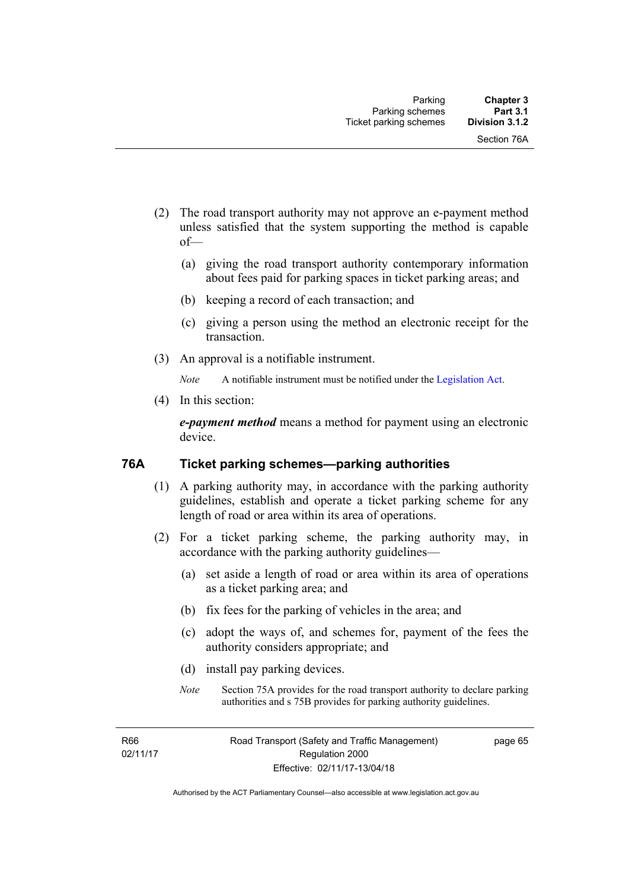- (2) The road transport authority may not approve an e-payment method unless satisfied that the system supporting the method is capable of—
	- (a) giving the road transport authority contemporary information about fees paid for parking spaces in ticket parking areas; and
	- (b) keeping a record of each transaction; and
	- (c) giving a person using the method an electronic receipt for the transaction.
- (3) An approval is a notifiable instrument.

*Note* A notifiable instrument must be notified under the [Legislation Act](http://www.legislation.act.gov.au/a/2001-14).

(4) In this section:

*e-payment method* means a method for payment using an electronic device.

#### **76A Ticket parking schemes—parking authorities**

- (1) A parking authority may, in accordance with the parking authority guidelines, establish and operate a ticket parking scheme for any length of road or area within its area of operations.
- (2) For a ticket parking scheme, the parking authority may, in accordance with the parking authority guidelines—
	- (a) set aside a length of road or area within its area of operations as a ticket parking area; and
	- (b) fix fees for the parking of vehicles in the area; and
	- (c) adopt the ways of, and schemes for, payment of the fees the authority considers appropriate; and
	- (d) install pay parking devices.
	- *Note* Section 75A provides for the road transport authority to declare parking authorities and s 75B provides for parking authority guidelines.

R66 02/11/17 page 65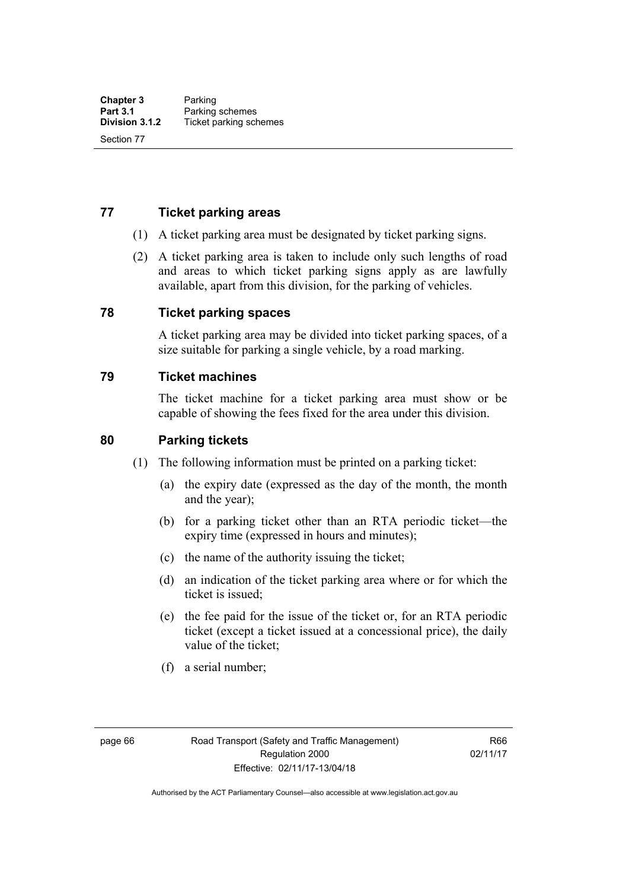#### **77 Ticket parking areas**

- (1) A ticket parking area must be designated by ticket parking signs.
- (2) A ticket parking area is taken to include only such lengths of road and areas to which ticket parking signs apply as are lawfully available, apart from this division, for the parking of vehicles.

#### **78 Ticket parking spaces**

A ticket parking area may be divided into ticket parking spaces, of a size suitable for parking a single vehicle, by a road marking.

#### **79 Ticket machines**

The ticket machine for a ticket parking area must show or be capable of showing the fees fixed for the area under this division.

#### **80 Parking tickets**

- (1) The following information must be printed on a parking ticket:
	- (a) the expiry date (expressed as the day of the month, the month and the year);
	- (b) for a parking ticket other than an RTA periodic ticket—the expiry time (expressed in hours and minutes);
	- (c) the name of the authority issuing the ticket;
	- (d) an indication of the ticket parking area where or for which the ticket is issued;
	- (e) the fee paid for the issue of the ticket or, for an RTA periodic ticket (except a ticket issued at a concessional price), the daily value of the ticket;
	- (f) a serial number;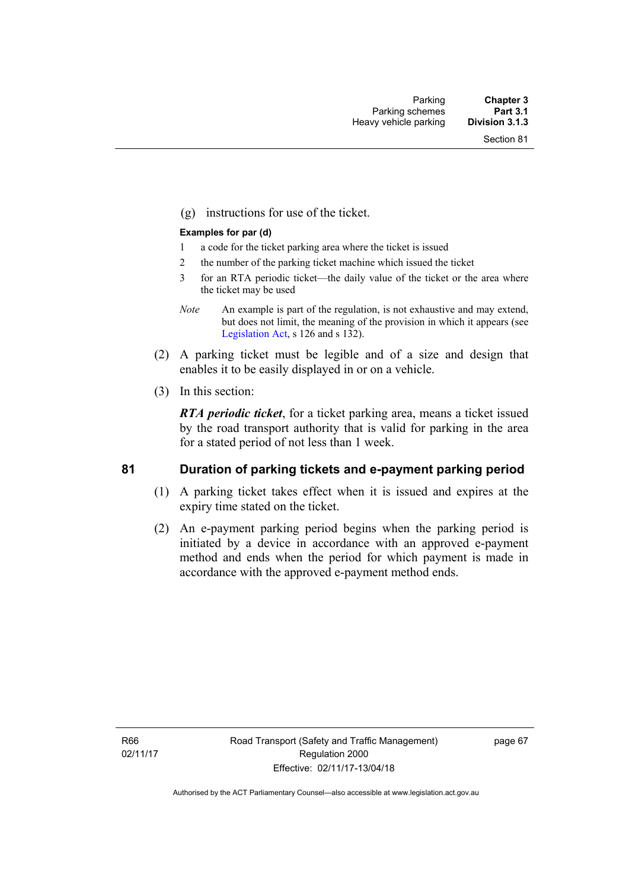(g) instructions for use of the ticket.

#### **Examples for par (d)**

- 1 a code for the ticket parking area where the ticket is issued
- 2 the number of the parking ticket machine which issued the ticket
- 3 for an RTA periodic ticket—the daily value of the ticket or the area where the ticket may be used
- *Note* An example is part of the regulation, is not exhaustive and may extend, but does not limit, the meaning of the provision in which it appears (see [Legislation Act,](http://www.legislation.act.gov.au/a/2001-14) s 126 and s 132).
- (2) A parking ticket must be legible and of a size and design that enables it to be easily displayed in or on a vehicle.
- (3) In this section:

*RTA periodic ticket*, for a ticket parking area, means a ticket issued by the road transport authority that is valid for parking in the area for a stated period of not less than 1 week.

#### **81 Duration of parking tickets and e-payment parking period**

- (1) A parking ticket takes effect when it is issued and expires at the expiry time stated on the ticket.
- (2) An e-payment parking period begins when the parking period is initiated by a device in accordance with an approved e-payment method and ends when the period for which payment is made in accordance with the approved e-payment method ends.

R66 02/11/17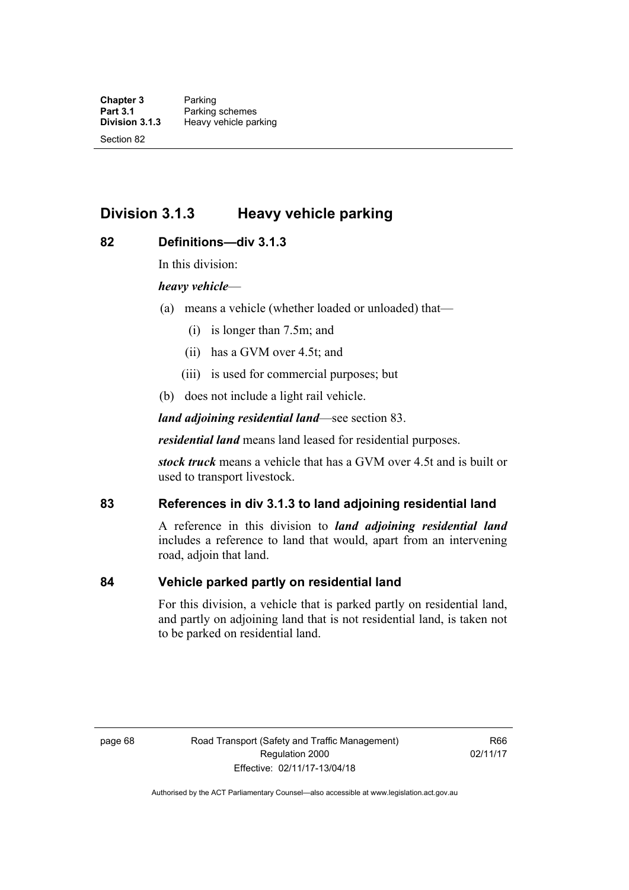# **Division 3.1.3 Heavy vehicle parking**

#### **82 Definitions—div 3.1.3**

In this division:

#### *heavy vehicle*—

- (a) means a vehicle (whether loaded or unloaded) that—
	- (i) is longer than 7.5m; and
	- (ii) has a GVM over 4.5t; and
	- (iii) is used for commercial purposes; but
- (b) does not include a light rail vehicle.

*land adjoining residential land*—see section 83.

*residential land* means land leased for residential purposes.

*stock truck* means a vehicle that has a GVM over 4.5t and is built or used to transport livestock.

### **83 References in div 3.1.3 to land adjoining residential land**

A reference in this division to *land adjoining residential land* includes a reference to land that would, apart from an intervening road, adjoin that land.

#### **84 Vehicle parked partly on residential land**

For this division, a vehicle that is parked partly on residential land, and partly on adjoining land that is not residential land, is taken not to be parked on residential land.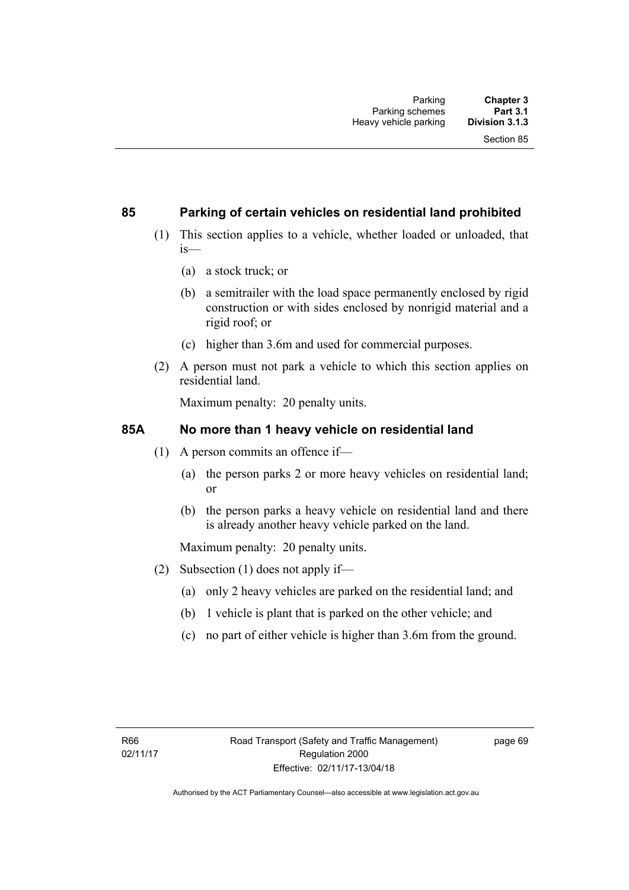#### **85 Parking of certain vehicles on residential land prohibited**

- (1) This section applies to a vehicle, whether loaded or unloaded, that is—
	- (a) a stock truck; or
	- (b) a semitrailer with the load space permanently enclosed by rigid construction or with sides enclosed by nonrigid material and a rigid roof; or
	- (c) higher than 3.6m and used for commercial purposes.
- (2) A person must not park a vehicle to which this section applies on residential land.

Maximum penalty: 20 penalty units.

#### **85A No more than 1 heavy vehicle on residential land**

- (1) A person commits an offence if—
	- (a) the person parks 2 or more heavy vehicles on residential land; or
	- (b) the person parks a heavy vehicle on residential land and there is already another heavy vehicle parked on the land.

Maximum penalty: 20 penalty units.

- (2) Subsection (1) does not apply if—
	- (a) only 2 heavy vehicles are parked on the residential land; and
	- (b) 1 vehicle is plant that is parked on the other vehicle; and
	- (c) no part of either vehicle is higher than 3.6m from the ground.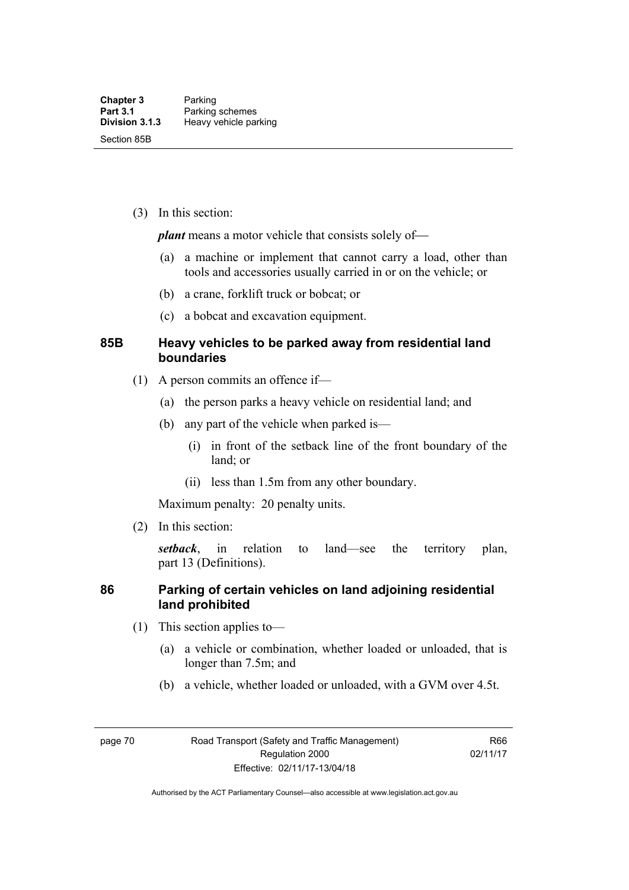(3) In this section:

*plant* means a motor vehicle that consists solely of—

- (a) a machine or implement that cannot carry a load, other than tools and accessories usually carried in or on the vehicle; or
- (b) a crane, forklift truck or bobcat; or
- (c) a bobcat and excavation equipment.

### **85B Heavy vehicles to be parked away from residential land boundaries**

- (1) A person commits an offence if—
	- (a) the person parks a heavy vehicle on residential land; and
	- (b) any part of the vehicle when parked is—
		- (i) in front of the setback line of the front boundary of the land; or
		- (ii) less than 1.5m from any other boundary.

Maximum penalty: 20 penalty units.

(2) In this section:

*setback*, in relation to land—see the territory plan, part 13 (Definitions).

#### **86 Parking of certain vehicles on land adjoining residential land prohibited**

- (1) This section applies to—
	- (a) a vehicle or combination, whether loaded or unloaded, that is longer than 7.5m; and
	- (b) a vehicle, whether loaded or unloaded, with a GVM over 4.5t.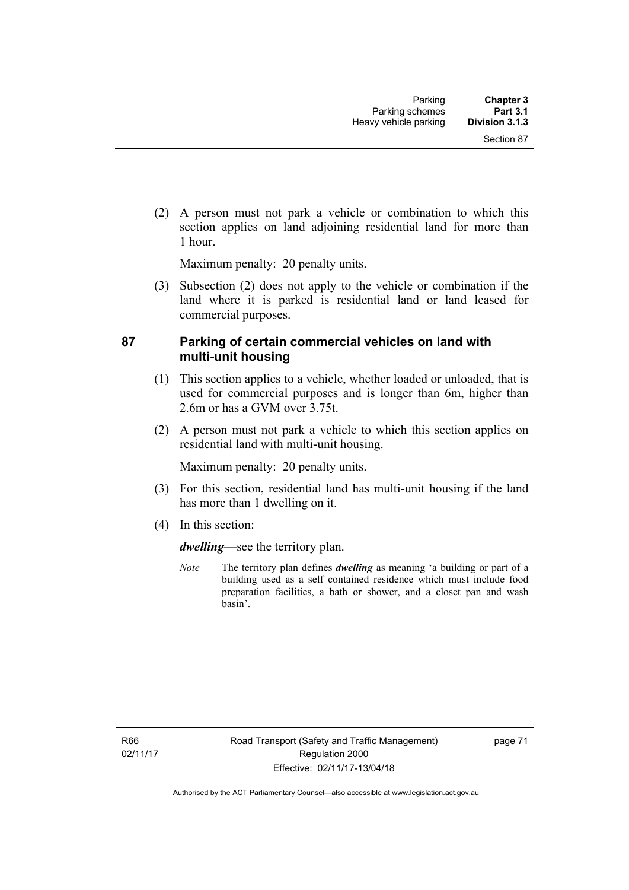(2) A person must not park a vehicle or combination to which this section applies on land adjoining residential land for more than 1 hour.

Maximum penalty: 20 penalty units.

 (3) Subsection (2) does not apply to the vehicle or combination if the land where it is parked is residential land or land leased for commercial purposes.

#### **87 Parking of certain commercial vehicles on land with multi-unit housing**

- (1) This section applies to a vehicle, whether loaded or unloaded, that is used for commercial purposes and is longer than 6m, higher than 2.6m or has a GVM over 3.75t.
- (2) A person must not park a vehicle to which this section applies on residential land with multi-unit housing.

Maximum penalty: 20 penalty units.

- (3) For this section, residential land has multi-unit housing if the land has more than 1 dwelling on it.
- (4) In this section:

*dwelling—*see the territory plan.

*Note* The territory plan defines *dwelling* as meaning 'a building or part of a building used as a self contained residence which must include food preparation facilities, a bath or shower, and a closet pan and wash basin'.

page 71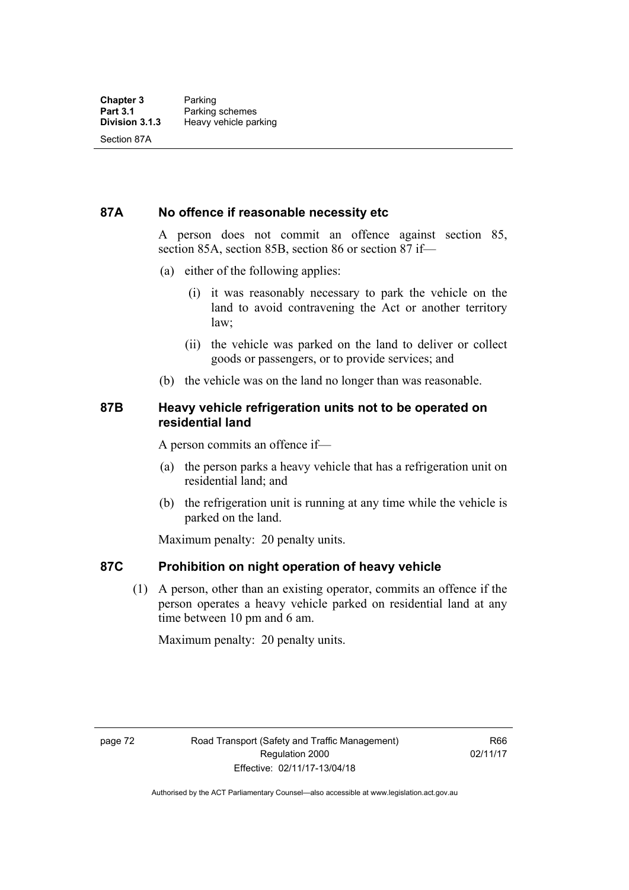#### **87A No offence if reasonable necessity etc**

A person does not commit an offence against section 85, section 85A, section 85B, section 86 or section 87 if—

- (a) either of the following applies:
	- (i) it was reasonably necessary to park the vehicle on the land to avoid contravening the Act or another territory law;
	- (ii) the vehicle was parked on the land to deliver or collect goods or passengers, or to provide services; and
- (b) the vehicle was on the land no longer than was reasonable.

#### **87B Heavy vehicle refrigeration units not to be operated on residential land**

A person commits an offence if—

- (a) the person parks a heavy vehicle that has a refrigeration unit on residential land; and
- (b) the refrigeration unit is running at any time while the vehicle is parked on the land.

Maximum penalty: 20 penalty units.

#### **87C Prohibition on night operation of heavy vehicle**

 (1) A person, other than an existing operator, commits an offence if the person operates a heavy vehicle parked on residential land at any time between 10 pm and 6 am.

Maximum penalty: 20 penalty units.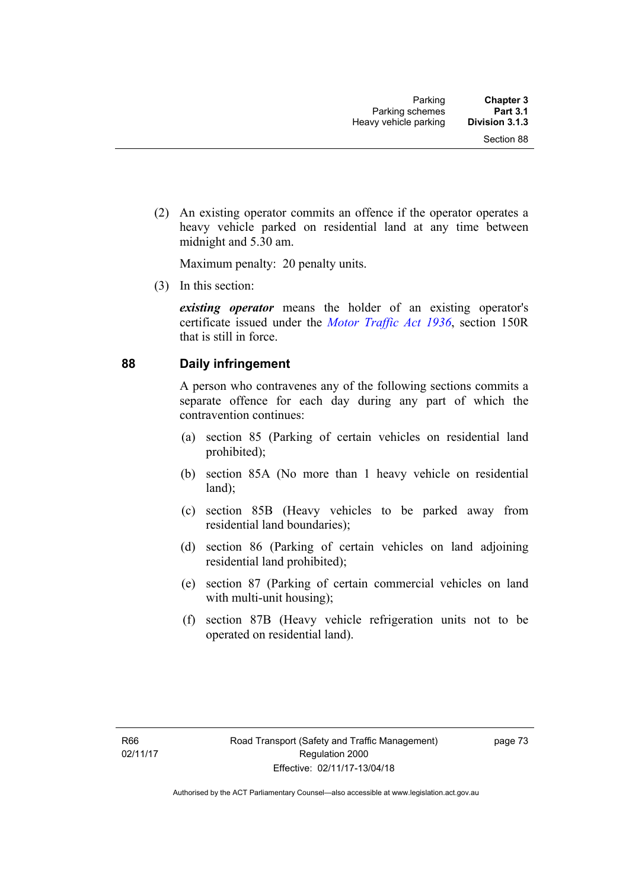(2) An existing operator commits an offence if the operator operates a heavy vehicle parked on residential land at any time between midnight and 5.30 am.

Maximum penalty: 20 penalty units.

(3) In this section:

*existing operator* means the holder of an existing operator's certificate issued under the *[Motor Traffic Act 1936](http://www.legislation.act.gov.au/a/1936-45)*, section 150R that is still in force.

#### **88 Daily infringement**

A person who contravenes any of the following sections commits a separate offence for each day during any part of which the contravention continues:

- (a) section 85 (Parking of certain vehicles on residential land prohibited);
- (b) section 85A (No more than 1 heavy vehicle on residential land);
- (c) section 85B (Heavy vehicles to be parked away from residential land boundaries);
- (d) section 86 (Parking of certain vehicles on land adjoining residential land prohibited);
- (e) section 87 (Parking of certain commercial vehicles on land with multi-unit housing);
- (f) section 87B (Heavy vehicle refrigeration units not to be operated on residential land).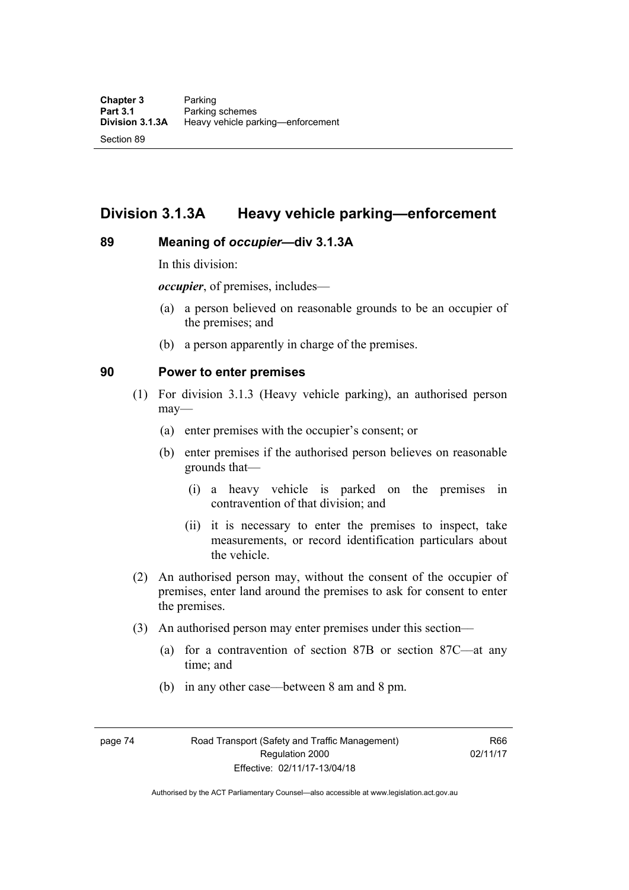# **Division 3.1.3A Heavy vehicle parking—enforcement**

#### **89 Meaning of** *occupier***—div 3.1.3A**

In this division:

*occupier*, of premises, includes—

- (a) a person believed on reasonable grounds to be an occupier of the premises; and
- (b) a person apparently in charge of the premises.

#### **90 Power to enter premises**

- (1) For division 3.1.3 (Heavy vehicle parking), an authorised person may—
	- (a) enter premises with the occupier's consent; or
	- (b) enter premises if the authorised person believes on reasonable grounds that—
		- (i) a heavy vehicle is parked on the premises in contravention of that division; and
		- (ii) it is necessary to enter the premises to inspect, take measurements, or record identification particulars about the vehicle.
- (2) An authorised person may, without the consent of the occupier of premises, enter land around the premises to ask for consent to enter the premises.
- (3) An authorised person may enter premises under this section––
	- (a) for a contravention of section 87B or section 87C––at any time; and
	- (b) in any other case––between 8 am and 8 pm.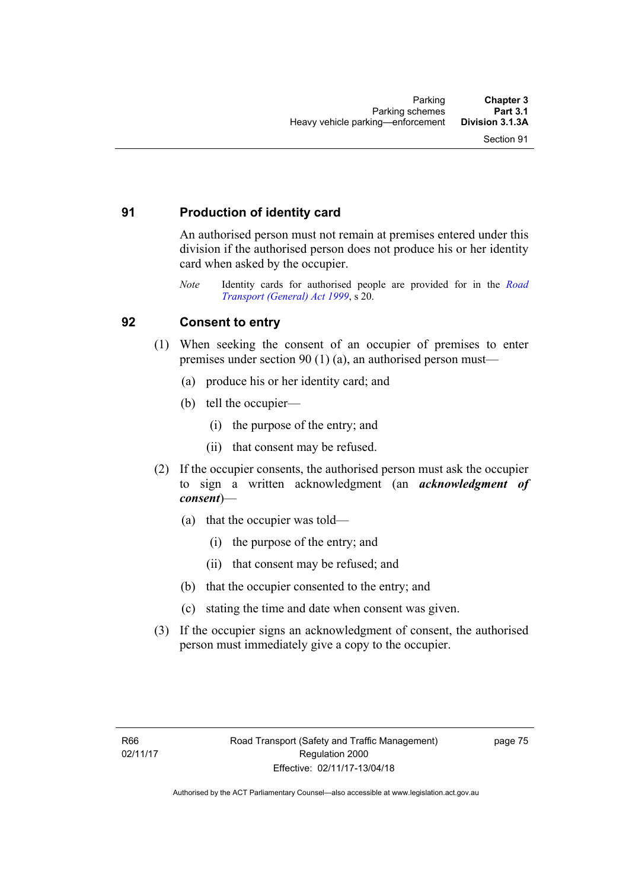## **91 Production of identity card**

An authorised person must not remain at premises entered under this division if the authorised person does not produce his or her identity card when asked by the occupier.

*Note* Identity cards for authorised people are provided for in the *[Road](http://www.legislation.act.gov.au/a/1999-77)  [Transport \(General\) Act 1999](http://www.legislation.act.gov.au/a/1999-77)*, s 20.

# **92 Consent to entry**

- (1) When seeking the consent of an occupier of premises to enter premises under section 90 (1) (a), an authorised person must—
	- (a) produce his or her identity card; and
	- (b) tell the occupier—
		- (i) the purpose of the entry; and
		- (ii) that consent may be refused.
- (2) If the occupier consents, the authorised person must ask the occupier to sign a written acknowledgment (an *acknowledgment of consent*)—
	- (a) that the occupier was told—
		- (i) the purpose of the entry; and
		- (ii) that consent may be refused; and
	- (b) that the occupier consented to the entry; and
	- (c) stating the time and date when consent was given.
- (3) If the occupier signs an acknowledgment of consent, the authorised person must immediately give a copy to the occupier.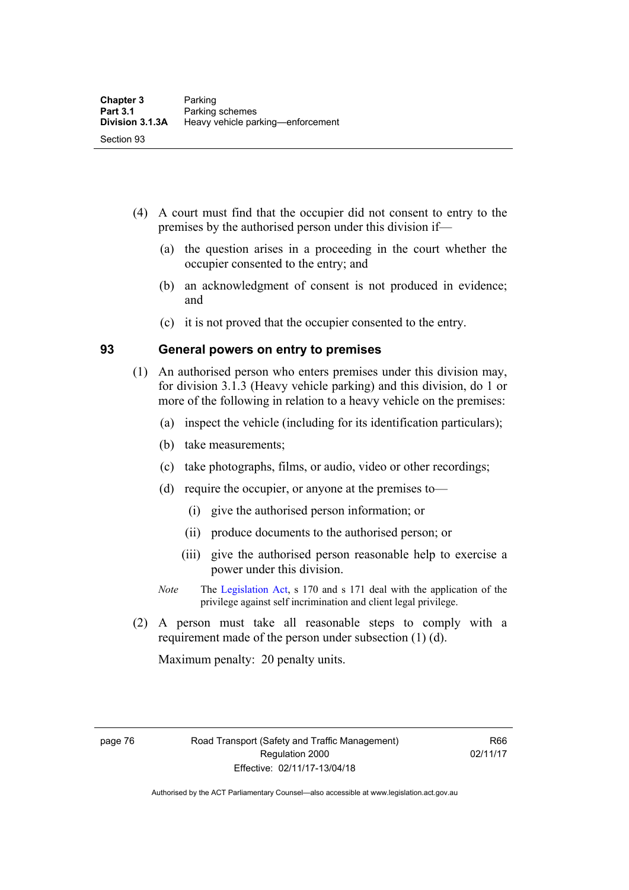- (4) A court must find that the occupier did not consent to entry to the premises by the authorised person under this division if—
	- (a) the question arises in a proceeding in the court whether the occupier consented to the entry; and
	- (b) an acknowledgment of consent is not produced in evidence; and
	- (c) it is not proved that the occupier consented to the entry.

#### **93 General powers on entry to premises**

- (1) An authorised person who enters premises under this division may, for division 3.1.3 (Heavy vehicle parking) and this division, do 1 or more of the following in relation to a heavy vehicle on the premises:
	- (a) inspect the vehicle (including for its identification particulars);
	- (b) take measurements;
	- (c) take photographs, films, or audio, video or other recordings;
	- (d) require the occupier, or anyone at the premises to—
		- (i) give the authorised person information; or
		- (ii) produce documents to the authorised person; or
		- (iii) give the authorised person reasonable help to exercise a power under this division.
	- *Note* The [Legislation Act](http://www.legislation.act.gov.au/a/2001-14), s 170 and s 171 deal with the application of the privilege against self incrimination and client legal privilege.
- (2) A person must take all reasonable steps to comply with a requirement made of the person under subsection (1) (d).

Maximum penalty: 20 penalty units.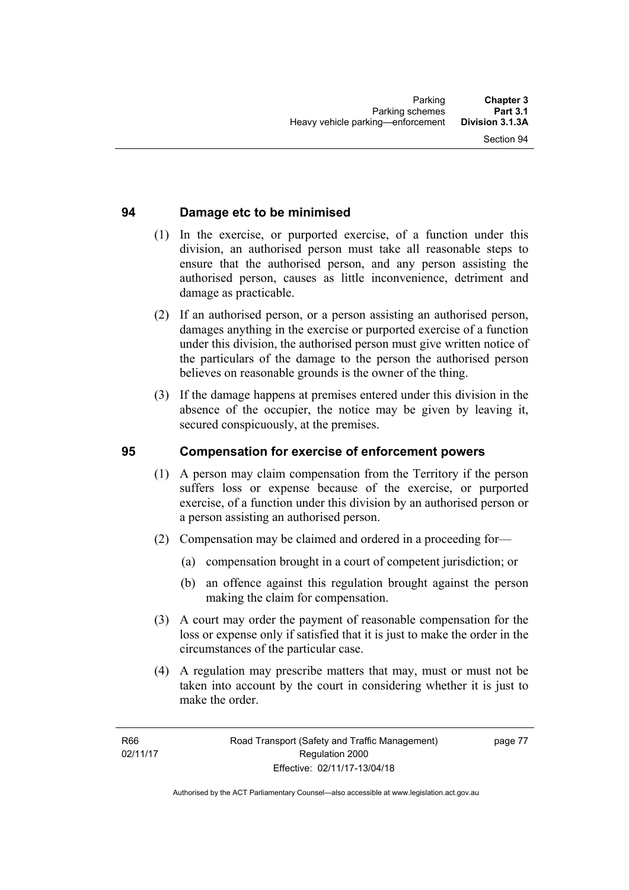## **94 Damage etc to be minimised**

- (1) In the exercise, or purported exercise, of a function under this division, an authorised person must take all reasonable steps to ensure that the authorised person, and any person assisting the authorised person, causes as little inconvenience, detriment and damage as practicable.
- (2) If an authorised person, or a person assisting an authorised person, damages anything in the exercise or purported exercise of a function under this division, the authorised person must give written notice of the particulars of the damage to the person the authorised person believes on reasonable grounds is the owner of the thing.
- (3) If the damage happens at premises entered under this division in the absence of the occupier, the notice may be given by leaving it, secured conspicuously, at the premises.

#### **95 Compensation for exercise of enforcement powers**

- (1) A person may claim compensation from the Territory if the person suffers loss or expense because of the exercise, or purported exercise, of a function under this division by an authorised person or a person assisting an authorised person.
- (2) Compensation may be claimed and ordered in a proceeding for—
	- (a) compensation brought in a court of competent jurisdiction; or
	- (b) an offence against this regulation brought against the person making the claim for compensation.
- (3) A court may order the payment of reasonable compensation for the loss or expense only if satisfied that it is just to make the order in the circumstances of the particular case.
- (4) A regulation may prescribe matters that may, must or must not be taken into account by the court in considering whether it is just to make the order.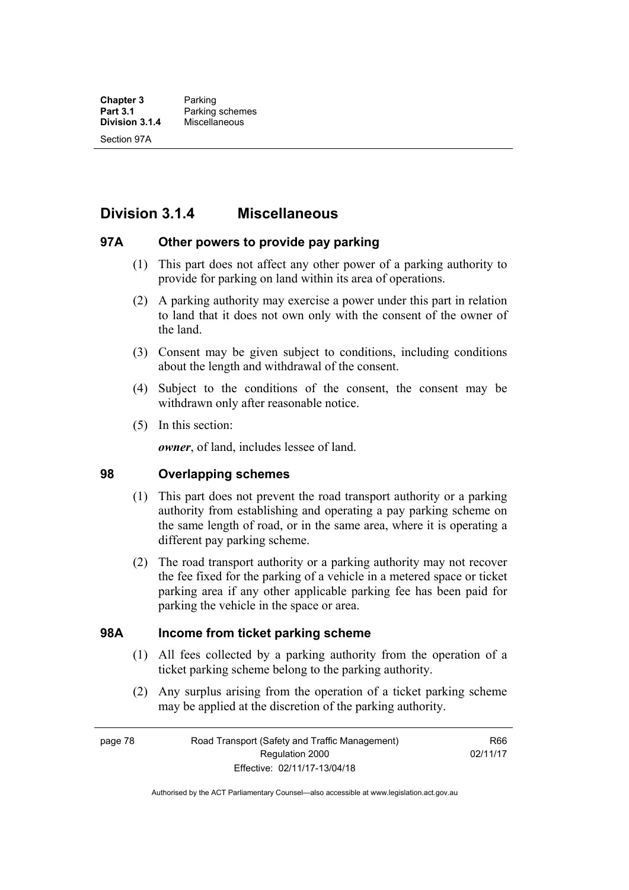# **Division 3.1.4 Miscellaneous**

#### **97A Other powers to provide pay parking**

- (1) This part does not affect any other power of a parking authority to provide for parking on land within its area of operations.
- (2) A parking authority may exercise a power under this part in relation to land that it does not own only with the consent of the owner of the land.
- (3) Consent may be given subject to conditions, including conditions about the length and withdrawal of the consent.
- (4) Subject to the conditions of the consent, the consent may be withdrawn only after reasonable notice.
- (5) In this section:

*owner*, of land, includes lessee of land.

#### **98 Overlapping schemes**

- (1) This part does not prevent the road transport authority or a parking authority from establishing and operating a pay parking scheme on the same length of road, or in the same area, where it is operating a different pay parking scheme.
- (2) The road transport authority or a parking authority may not recover the fee fixed for the parking of a vehicle in a metered space or ticket parking area if any other applicable parking fee has been paid for parking the vehicle in the space or area.

#### **98A Income from ticket parking scheme**

- (1) All fees collected by a parking authority from the operation of a ticket parking scheme belong to the parking authority.
- (2) Any surplus arising from the operation of a ticket parking scheme may be applied at the discretion of the parking authority.

page 78 Road Transport (Safety and Traffic Management) Regulation 2000 Effective: 02/11/17-13/04/18

R66 02/11/17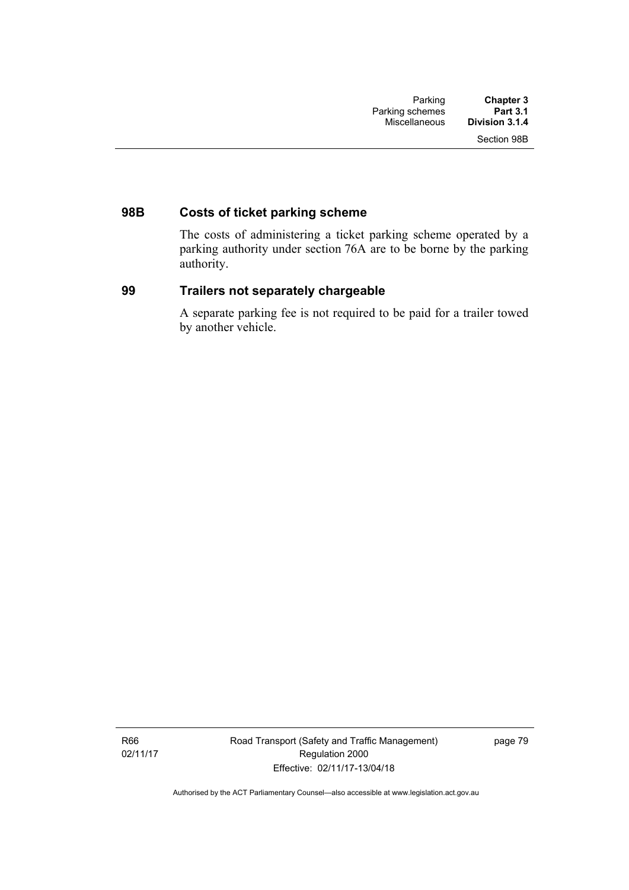# **98B Costs of ticket parking scheme**

The costs of administering a ticket parking scheme operated by a parking authority under section 76A are to be borne by the parking authority.

#### **99 Trailers not separately chargeable**

A separate parking fee is not required to be paid for a trailer towed by another vehicle.

R66 02/11/17 Road Transport (Safety and Traffic Management) Regulation 2000 Effective: 02/11/17-13/04/18

page 79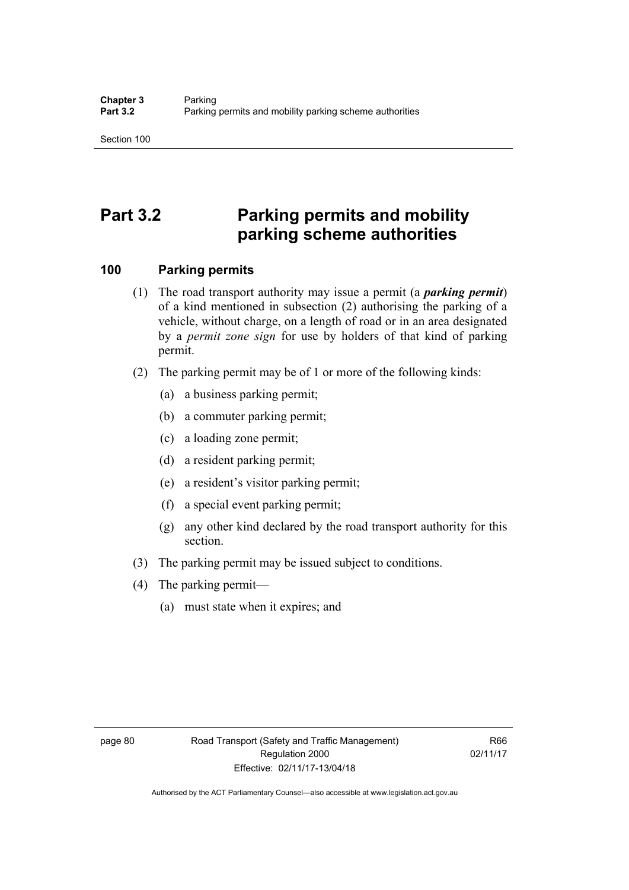# **Part 3.2 Parking permits and mobility parking scheme authorities**

### **100 Parking permits**

- (1) The road transport authority may issue a permit (a *parking permit*) of a kind mentioned in subsection (2) authorising the parking of a vehicle, without charge, on a length of road or in an area designated by a *permit zone sign* for use by holders of that kind of parking permit.
- (2) The parking permit may be of 1 or more of the following kinds:
	- (a) a business parking permit;
	- (b) a commuter parking permit;
	- (c) a loading zone permit;
	- (d) a resident parking permit;
	- (e) a resident's visitor parking permit;
	- (f) a special event parking permit;
	- (g) any other kind declared by the road transport authority for this section.
- (3) The parking permit may be issued subject to conditions.
- (4) The parking permit—
	- (a) must state when it expires; and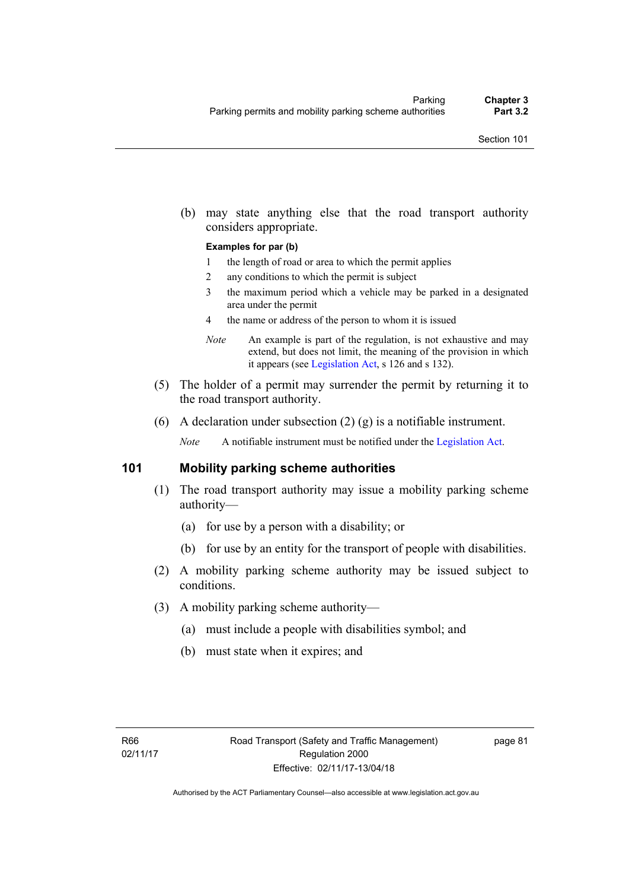(b) may state anything else that the road transport authority considers appropriate.

#### **Examples for par (b)**

- 1 the length of road or area to which the permit applies
- 2 any conditions to which the permit is subject
- 3 the maximum period which a vehicle may be parked in a designated area under the permit
- 4 the name or address of the person to whom it is issued
- *Note* An example is part of the regulation, is not exhaustive and may extend, but does not limit, the meaning of the provision in which it appears (see [Legislation Act,](http://www.legislation.act.gov.au/a/2001-14) s 126 and s 132).
- (5) The holder of a permit may surrender the permit by returning it to the road transport authority.
- (6) A declaration under subsection  $(2)$  (g) is a notifiable instrument.

*Note* A notifiable instrument must be notified under the [Legislation Act](http://www.legislation.act.gov.au/a/2001-14).

#### **101 Mobility parking scheme authorities**

- (1) The road transport authority may issue a mobility parking scheme authority—
	- (a) for use by a person with a disability; or
	- (b) for use by an entity for the transport of people with disabilities.
- (2) A mobility parking scheme authority may be issued subject to conditions.
- (3) A mobility parking scheme authority—
	- (a) must include a people with disabilities symbol; and
	- (b) must state when it expires; and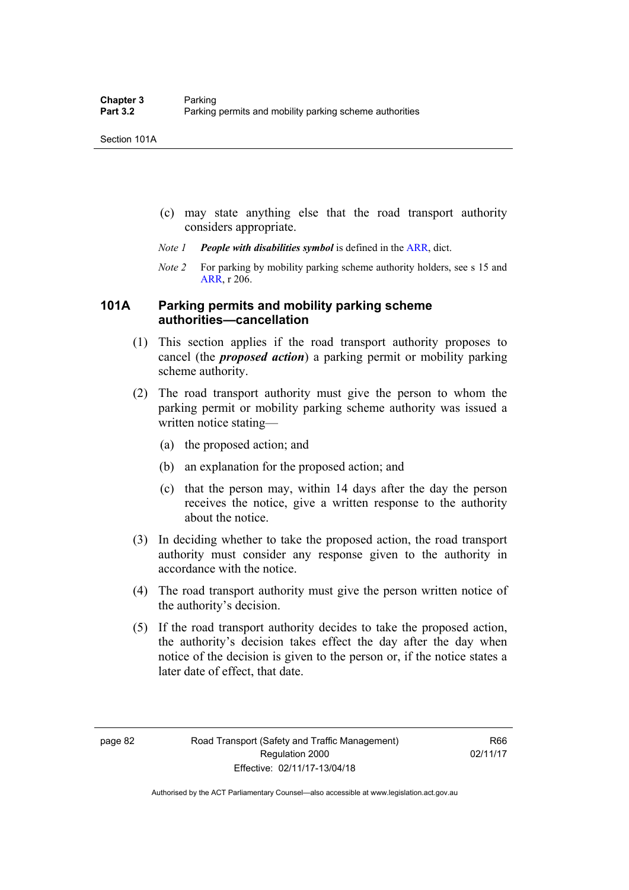- (c) may state anything else that the road transport authority considers appropriate.
- *Note 1 People with disabilities symbol* is defined in the [ARR](http://www.legislation.act.gov.au//ni/db_37271/default.asp), dict.
- *Note 2* For parking by mobility parking scheme authority holders, see s 15 and [ARR,](http://www.legislation.act.gov.au//ni/db_37271/default.asp) r 206.

#### **101A Parking permits and mobility parking scheme authorities—cancellation**

- (1) This section applies if the road transport authority proposes to cancel (the *proposed action*) a parking permit or mobility parking scheme authority.
- (2) The road transport authority must give the person to whom the parking permit or mobility parking scheme authority was issued a written notice stating—
	- (a) the proposed action; and
	- (b) an explanation for the proposed action; and
	- (c) that the person may, within 14 days after the day the person receives the notice, give a written response to the authority about the notice.
- (3) In deciding whether to take the proposed action, the road transport authority must consider any response given to the authority in accordance with the notice.
- (4) The road transport authority must give the person written notice of the authority's decision.
- (5) If the road transport authority decides to take the proposed action, the authority's decision takes effect the day after the day when notice of the decision is given to the person or, if the notice states a later date of effect, that date.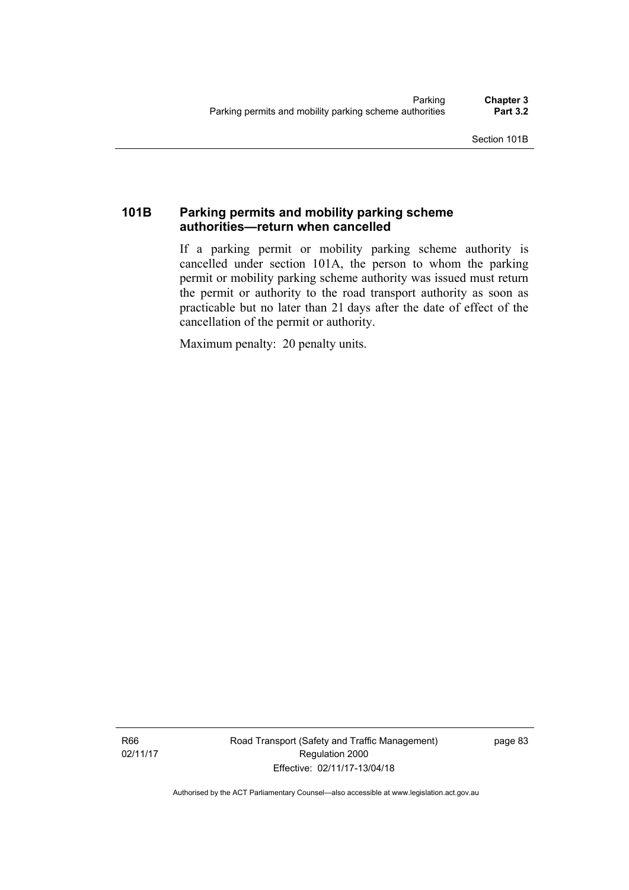## **101B Parking permits and mobility parking scheme authorities—return when cancelled**

If a parking permit or mobility parking scheme authority is cancelled under section 101A, the person to whom the parking permit or mobility parking scheme authority was issued must return the permit or authority to the road transport authority as soon as practicable but no later than 21 days after the date of effect of the cancellation of the permit or authority.

Maximum penalty: 20 penalty units.

R66 02/11/17 Road Transport (Safety and Traffic Management) Regulation 2000 Effective: 02/11/17-13/04/18

page 83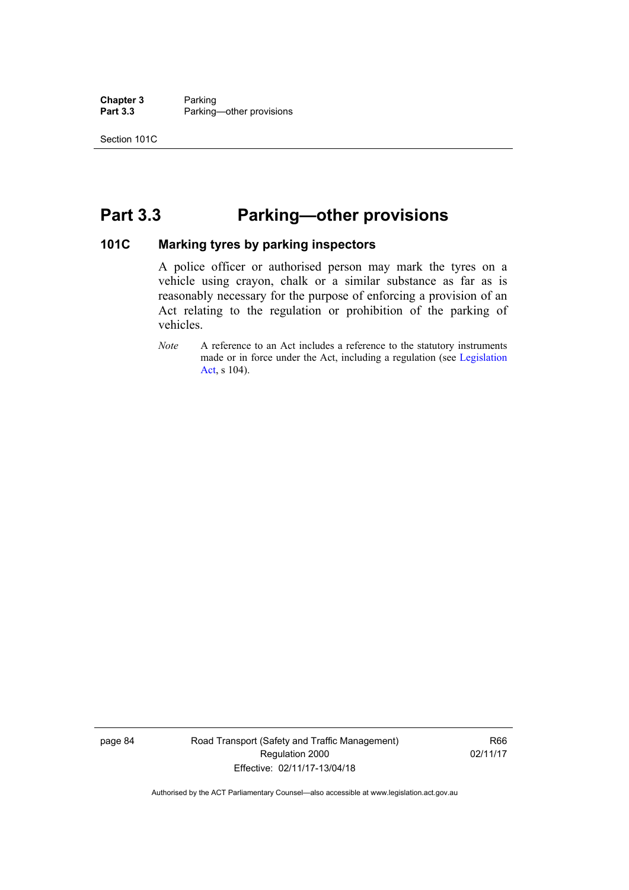**Chapter 3** Parking<br> **Part 3.3** Parking Parking—other provisions

# **Part 3.3 Parking—other provisions**

#### **101C Marking tyres by parking inspectors**

A police officer or authorised person may mark the tyres on a vehicle using crayon, chalk or a similar substance as far as is reasonably necessary for the purpose of enforcing a provision of an Act relating to the regulation or prohibition of the parking of vehicles.

*Note* A reference to an Act includes a reference to the statutory instruments made or in force under the Act, including a regulation (see [Legislation](http://www.legislation.act.gov.au/a/2001-14)  [Act](http://www.legislation.act.gov.au/a/2001-14), s 104).

page 84 Road Transport (Safety and Traffic Management) Regulation 2000 Effective: 02/11/17-13/04/18

R66 02/11/17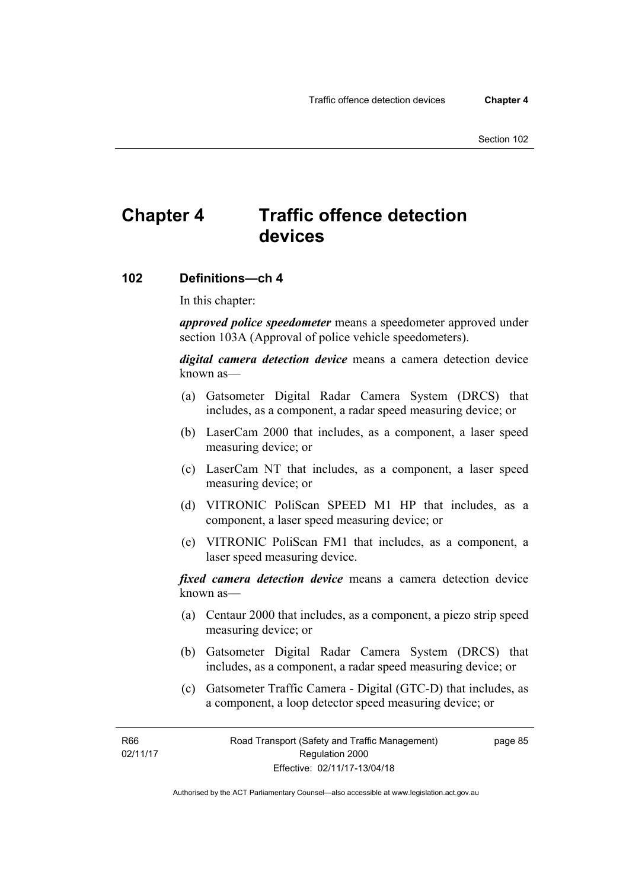# **Chapter 4 Traffic offence detection devices**

#### **102 Definitions—ch 4**

In this chapter:

*approved police speedometer* means a speedometer approved under section 103A (Approval of police vehicle speedometers).

*digital camera detection device* means a camera detection device known as—

- (a) Gatsometer Digital Radar Camera System (DRCS) that includes, as a component, a radar speed measuring device; or
- (b) LaserCam 2000 that includes, as a component, a laser speed measuring device; or
- (c) LaserCam NT that includes, as a component, a laser speed measuring device; or
- (d) VITRONIC PoliScan SPEED M1 HP that includes, as a component, a laser speed measuring device; or
- (e) VITRONIC PoliScan FM1 that includes, as a component, a laser speed measuring device.

*fixed camera detection device* means a camera detection device known as—

- (a) Centaur 2000 that includes, as a component, a piezo strip speed measuring device; or
- (b) Gatsometer Digital Radar Camera System (DRCS) that includes, as a component, a radar speed measuring device; or
- (c) Gatsometer Traffic Camera Digital (GTC-D) that includes, as a component, a loop detector speed measuring device; or

R66 02/11/17 page 85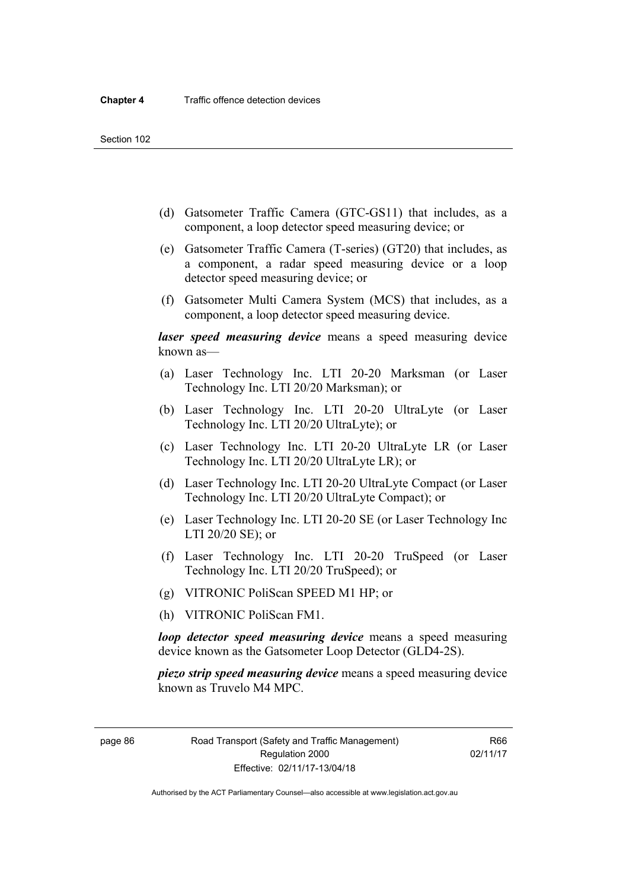- (d) Gatsometer Traffic Camera (GTC-GS11) that includes, as a component, a loop detector speed measuring device; or
- (e) Gatsometer Traffic Camera (T-series) (GT20) that includes, as a component, a radar speed measuring device or a loop detector speed measuring device; or
- (f) Gatsometer Multi Camera System (MCS) that includes, as a component, a loop detector speed measuring device.

*laser speed measuring device* means a speed measuring device known as—

- (a) Laser Technology Inc. LTI 20-20 Marksman (or Laser Technology Inc. LTI 20/20 Marksman); or
- (b) Laser Technology Inc. LTI 20-20 UltraLyte (or Laser Technology Inc. LTI 20/20 UltraLyte); or
- (c) Laser Technology Inc. LTI 20-20 UltraLyte LR (or Laser Technology Inc. LTI 20/20 UltraLyte LR); or
- (d) Laser Technology Inc. LTI 20-20 UltraLyte Compact (or Laser Technology Inc. LTI 20/20 UltraLyte Compact); or
- (e) Laser Technology Inc. LTI 20-20 SE (or Laser Technology Inc LTI 20/20 SE); or
- (f) Laser Technology Inc. LTI 20-20 TruSpeed (or Laser Technology Inc. LTI 20/20 TruSpeed); or
- (g) VITRONIC PoliScan SPEED M1 HP; or
- (h) VITRONIC PoliScan FM1.

*loop detector speed measuring device* means a speed measuring device known as the Gatsometer Loop Detector (GLD4-2S).

*piezo strip speed measuring device* means a speed measuring device known as Truvelo M4 MPC.

page 86 Road Transport (Safety and Traffic Management) Regulation 2000 Effective: 02/11/17-13/04/18

R66 02/11/17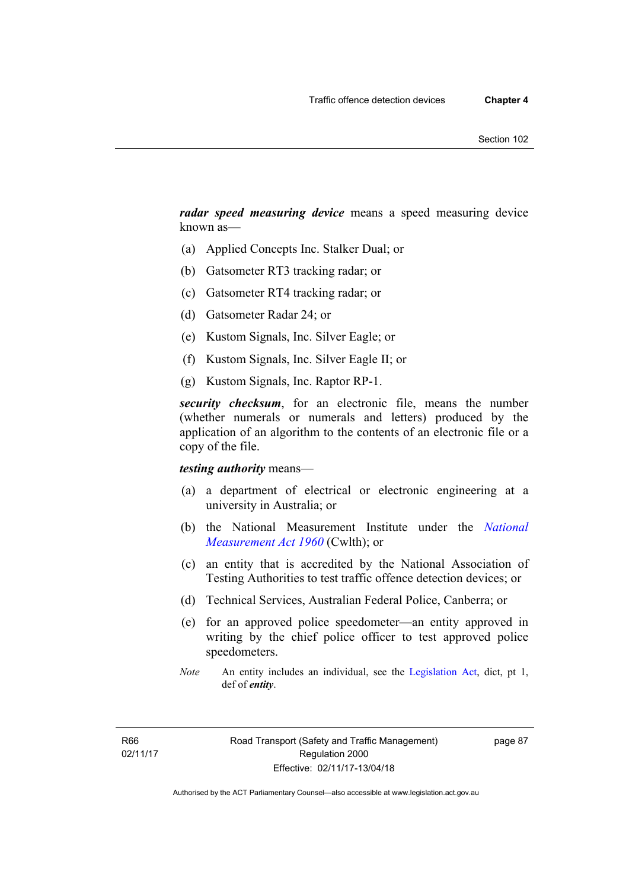*radar speed measuring device* means a speed measuring device known as—

- (a) Applied Concepts Inc. Stalker Dual; or
- (b) Gatsometer RT3 tracking radar; or
- (c) Gatsometer RT4 tracking radar; or
- (d) Gatsometer Radar 24; or
- (e) Kustom Signals, Inc. Silver Eagle; or
- (f) Kustom Signals, Inc. Silver Eagle II; or
- (g) Kustom Signals, Inc. Raptor RP-1.

*security checksum*, for an electronic file, means the number (whether numerals or numerals and letters) produced by the application of an algorithm to the contents of an electronic file or a copy of the file.

#### *testing authority* means—

- (a) a department of electrical or electronic engineering at a university in Australia; or
- (b) the National Measurement Institute under the *[National](http://www.comlaw.gov.au/Series/C2004A07405)  [Measurement Act 1960](http://www.comlaw.gov.au/Series/C2004A07405)* (Cwlth); or
- (c) an entity that is accredited by the National Association of Testing Authorities to test traffic offence detection devices; or
- (d) Technical Services, Australian Federal Police, Canberra; or
- (e) for an approved police speedometer—an entity approved in writing by the chief police officer to test approved police speedometers.
- *Note* An entity includes an individual, see the [Legislation Act,](http://www.legislation.act.gov.au/a/2001-14) dict, pt 1, def of *entity*.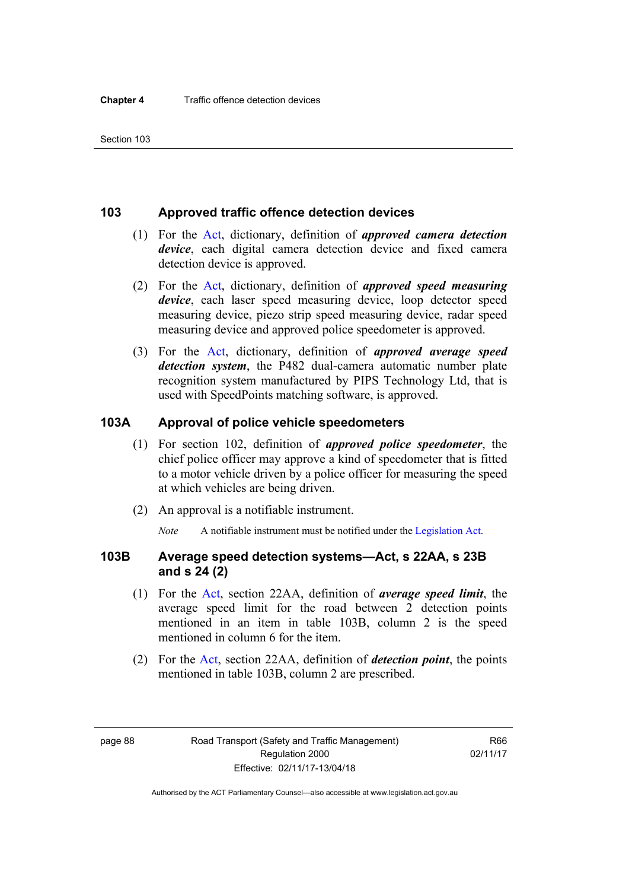#### **103 Approved traffic offence detection devices**

- (1) For the [Act](http://www.legislation.act.gov.au/a/1999-80/default.asp), dictionary, definition of *approved camera detection device*, each digital camera detection device and fixed camera detection device is approved.
- (2) For the [Act,](http://www.legislation.act.gov.au/a/1999-80/default.asp) dictionary, definition of *approved speed measuring device*, each laser speed measuring device, loop detector speed measuring device, piezo strip speed measuring device, radar speed measuring device and approved police speedometer is approved.
- (3) For the [Act](http://www.legislation.act.gov.au/a/1999-80/default.asp), dictionary, definition of *approved average speed detection system*, the P482 dual-camera automatic number plate recognition system manufactured by PIPS Technology Ltd, that is used with SpeedPoints matching software, is approved.

#### **103A Approval of police vehicle speedometers**

- (1) For section 102, definition of *approved police speedometer*, the chief police officer may approve a kind of speedometer that is fitted to a motor vehicle driven by a police officer for measuring the speed at which vehicles are being driven.
- (2) An approval is a notifiable instrument.

*Note* A notifiable instrument must be notified under the [Legislation Act](http://www.legislation.act.gov.au/a/2001-14).

#### **103B Average speed detection systems—Act, s 22AA, s 23B and s 24 (2)**

- (1) For the [Act](http://www.legislation.act.gov.au/a/1999-80/default.asp), section 22AA, definition of *average speed limit*, the average speed limit for the road between 2 detection points mentioned in an item in table 103B, column 2 is the speed mentioned in column 6 for the item.
- (2) For the [Act](http://www.legislation.act.gov.au/a/1999-80/default.asp), section 22AA, definition of *detection point*, the points mentioned in table 103B, column 2 are prescribed.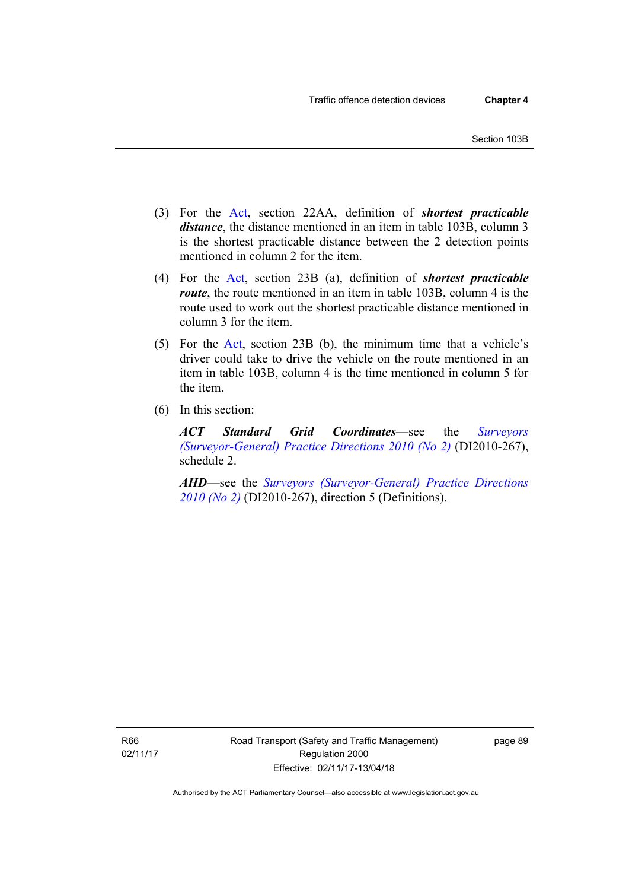- (3) For the [Act](http://www.legislation.act.gov.au/a/1999-80/default.asp), section 22AA, definition of *shortest practicable distance*, the distance mentioned in an item in table 103B, column 3 is the shortest practicable distance between the 2 detection points mentioned in column 2 for the item.
- (4) For the [Act,](http://www.legislation.act.gov.au/a/1999-80/default.asp) section 23B (a), definition of *shortest practicable route*, the route mentioned in an item in table 103B, column 4 is the route used to work out the shortest practicable distance mentioned in column 3 for the item.
- (5) For the [Act](http://www.legislation.act.gov.au/a/1999-80/default.asp), section 23B (b), the minimum time that a vehicle's driver could take to drive the vehicle on the route mentioned in an item in table 103B, column 4 is the time mentioned in column 5 for the item.
- (6) In this section:

*ACT Standard Grid Coordinates*—see the *[Surveyors](http://www.legislation.act.gov.au/di/2010-267/default.asp)  [\(Surveyor-General\) Practice Directions 2010 \(No 2\)](http://www.legislation.act.gov.au/di/2010-267/default.asp)* (DI2010-267), schedule 2.

*AHD*—see the *[Surveyors \(Surveyor-General\) Practice Directions](http://www.legislation.act.gov.au/di/2010-267/default.asp)  [2010 \(No 2\)](http://www.legislation.act.gov.au/di/2010-267/default.asp)* (DI2010-267), direction 5 (Definitions).

R66 02/11/17 page 89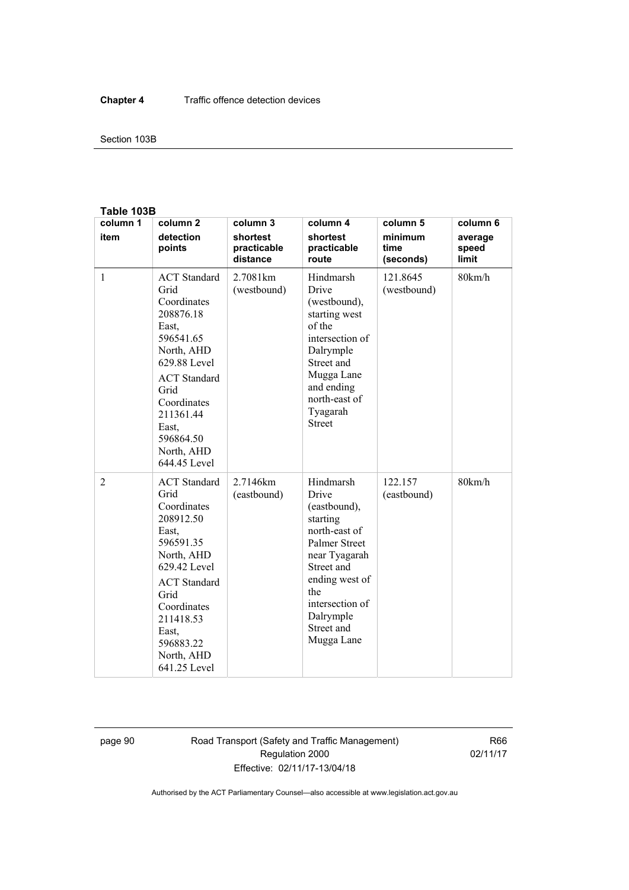#### Section 103B

#### **Table 103B**

| column 1     | column <sub>2</sub>                                                                                                                                                                                                        | column 3                            | column 4                                                                                                                                                                                                    | column 5                     | column 6                  |
|--------------|----------------------------------------------------------------------------------------------------------------------------------------------------------------------------------------------------------------------------|-------------------------------------|-------------------------------------------------------------------------------------------------------------------------------------------------------------------------------------------------------------|------------------------------|---------------------------|
| item         | detection<br>points                                                                                                                                                                                                        | shortest<br>practicable<br>distance | shortest<br>practicable<br>route                                                                                                                                                                            | minimum<br>time<br>(seconds) | average<br>speed<br>limit |
| $\mathbf{1}$ | <b>ACT</b> Standard<br>Grid<br>Coordinates<br>208876.18<br>East.<br>596541.65<br>North, AHD<br>629.88 Level<br><b>ACT</b> Standard<br>Grid<br>Coordinates<br>211361.44<br>East,<br>596864.50<br>North, AHD<br>644.45 Level | 2.7081 km<br>(westbound)            | Hindmarsh<br>Drive<br>(westbound),<br>starting west<br>of the<br>intersection of<br>Dalrymple<br>Street and<br>Mugga Lane<br>and ending<br>north-east of<br>Tyagarah<br><b>Street</b>                       | 121.8645<br>(westbound)      | 80km/h                    |
| 2            | <b>ACT</b> Standard<br>Grid<br>Coordinates<br>208912.50<br>East,<br>596591.35<br>North, AHD<br>629.42 Level<br><b>ACT</b> Standard<br>Grid<br>Coordinates<br>211418.53<br>East.<br>596883.22<br>North, AHD<br>641.25 Level | 2.7146km<br>(eastbound)             | Hindmarsh<br>Drive<br>(eastbound),<br>starting<br>north-east of<br><b>Palmer Street</b><br>near Tyagarah<br>Street and<br>ending west of<br>the<br>intersection of<br>Dalrymple<br>Street and<br>Mugga Lane | 122.157<br>(eastbound)       | 80km/h                    |

page 90 Road Transport (Safety and Traffic Management) Regulation 2000 Effective: 02/11/17-13/04/18

R66 02/11/17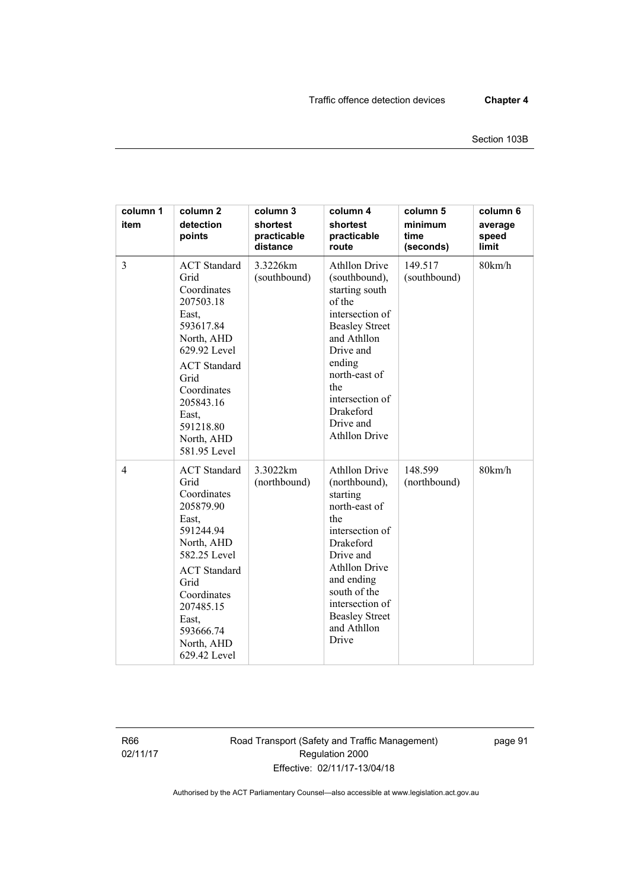| column 1<br>item | column <sub>2</sub><br>detection<br>points                                                                                                                                                                                 | column 3<br>shortest<br>practicable<br>distance | column 4<br>shortest<br>practicable<br>route                                                                                                                                                                                                            | column 5<br>minimum<br>time<br>(seconds) | column 6<br>average<br>speed<br>limit |
|------------------|----------------------------------------------------------------------------------------------------------------------------------------------------------------------------------------------------------------------------|-------------------------------------------------|---------------------------------------------------------------------------------------------------------------------------------------------------------------------------------------------------------------------------------------------------------|------------------------------------------|---------------------------------------|
| $\overline{3}$   | <b>ACT</b> Standard<br>Grid<br>Coordinates<br>207503.18<br>East,<br>593617.84<br>North, AHD<br>629.92 Level<br><b>ACT</b> Standard<br>Grid<br>Coordinates<br>205843.16<br>East.<br>591218.80<br>North, AHD<br>581.95 Level | 3.3226km<br>(southbound)                        | <b>Athllon Drive</b><br>(southbound),<br>starting south<br>of the<br>intersection of<br><b>Beasley Street</b><br>and Athllon<br>Drive and<br>ending<br>north-east of<br>the<br>intersection of<br><b>Drakeford</b><br>Drive and<br><b>Athllon Drive</b> | 149.517<br>(southbound)                  | 80km/h                                |
| $\overline{4}$   | <b>ACT</b> Standard<br>Grid<br>Coordinates<br>205879.90<br>East,<br>591244.94<br>North, AHD<br>582.25 Level<br><b>ACT</b> Standard<br>Grid<br>Coordinates<br>207485.15<br>East,<br>593666.74<br>North, AHD<br>629.42 Level | 3.3022km<br>(northbound)                        | <b>Athllon Drive</b><br>(northbound),<br>starting<br>north-east of<br>the<br>intersection of<br>Drakeford<br>Drive and<br><b>Athllon Drive</b><br>and ending<br>south of the<br>intersection of<br><b>Beasley Street</b><br>and Athllon<br>Drive        | 148.599<br>(northbound)                  | 80km/h                                |

R66 02/11/17 Road Transport (Safety and Traffic Management) Regulation 2000 Effective: 02/11/17-13/04/18

page 91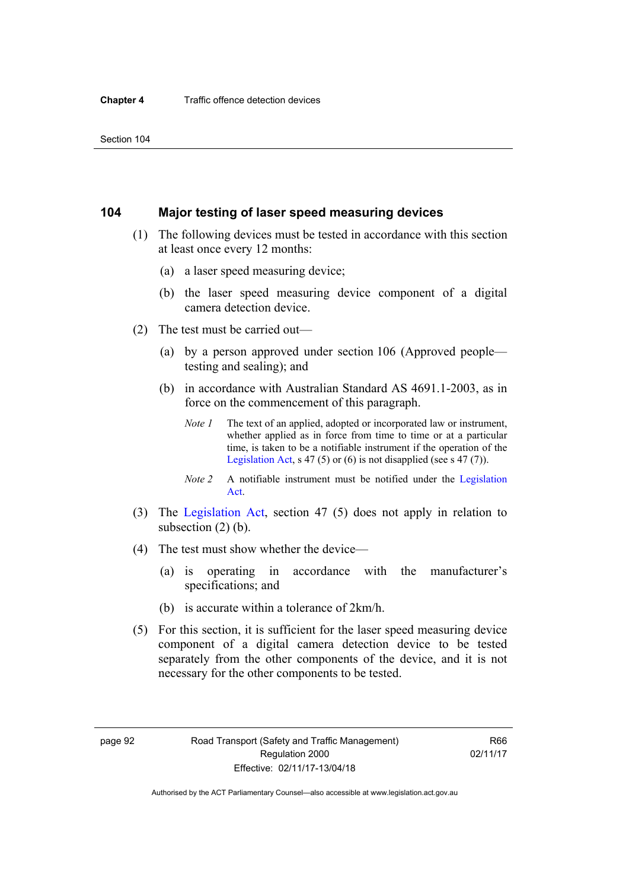# **104 Major testing of laser speed measuring devices**

- (1) The following devices must be tested in accordance with this section at least once every 12 months:
	- (a) a laser speed measuring device;
	- (b) the laser speed measuring device component of a digital camera detection device.
- (2) The test must be carried out—
	- (a) by a person approved under section 106 (Approved people testing and sealing); and
	- (b) in accordance with Australian Standard AS 4691.1-2003, as in force on the commencement of this paragraph.
		- *Note 1* The text of an applied, adopted or incorporated law or instrument, whether applied as in force from time to time or at a particular time, is taken to be a notifiable instrument if the operation of the [Legislation Act,](http://www.legislation.act.gov.au/a/2001-14) s 47 (5) or (6) is not disapplied (see s 47 (7)).
		- *Note 2* A notifiable instrument must be notified under the [Legislation](http://www.legislation.act.gov.au/a/2001-14)  [Act](http://www.legislation.act.gov.au/a/2001-14).
- (3) The [Legislation Act,](http://www.legislation.act.gov.au/a/2001-14) section 47 (5) does not apply in relation to subsection (2) (b).
- (4) The test must show whether the device—
	- (a) is operating in accordance with the manufacturer's specifications; and
	- (b) is accurate within a tolerance of 2km/h.
- (5) For this section, it is sufficient for the laser speed measuring device component of a digital camera detection device to be tested separately from the other components of the device, and it is not necessary for the other components to be tested.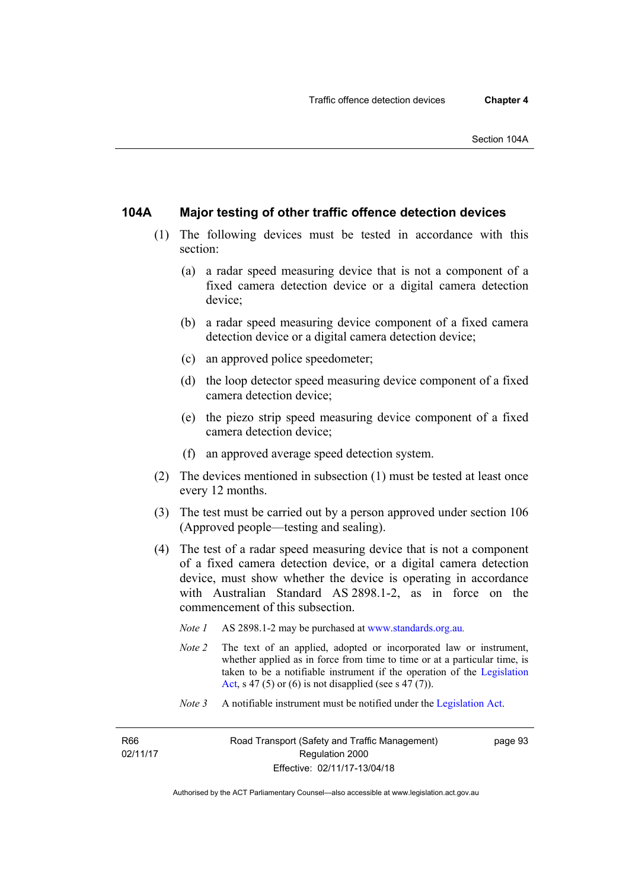# **104A Major testing of other traffic offence detection devices**

- (1) The following devices must be tested in accordance with this section:
	- (a) a radar speed measuring device that is not a component of a fixed camera detection device or a digital camera detection device;
	- (b) a radar speed measuring device component of a fixed camera detection device or a digital camera detection device;
	- (c) an approved police speedometer;
	- (d) the loop detector speed measuring device component of a fixed camera detection device;
	- (e) the piezo strip speed measuring device component of a fixed camera detection device;
	- (f) an approved average speed detection system.
- (2) The devices mentioned in subsection (1) must be tested at least once every 12 months.
- (3) The test must be carried out by a person approved under section 106 (Approved people—testing and sealing).
- (4) The test of a radar speed measuring device that is not a component of a fixed camera detection device, or a digital camera detection device, must show whether the device is operating in accordance with Australian Standard AS 2898.1-2, as in force on the commencement of this subsection.
	- *Note 1* AS 2898.1-2 may be purchased at [www.standards.org.au](http://www.standards.org.au/Pages/default.aspx)*.*
	- *Note 2* The text of an applied, adopted or incorporated law or instrument, whether applied as in force from time to time or at a particular time, is taken to be a notifiable instrument if the operation of the [Legislation](http://www.legislation.act.gov.au/a/2001-14)  [Act,](http://www.legislation.act.gov.au/a/2001-14) s 47 (5) or (6) is not disapplied (see s 47 (7)).
	- *Note 3* A notifiable instrument must be notified under the [Legislation Act](http://www.legislation.act.gov.au/a/2001-14).

R66 02/11/17 page 93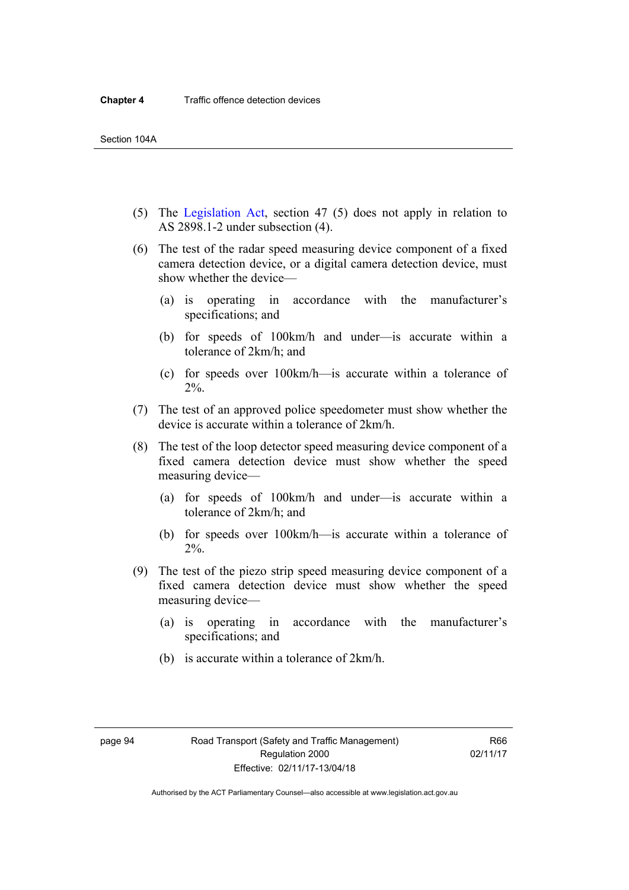- (5) The [Legislation Act,](http://www.legislation.act.gov.au/a/2001-14) section 47 (5) does not apply in relation to AS 2898.1-2 under subsection (4).
- (6) The test of the radar speed measuring device component of a fixed camera detection device, or a digital camera detection device, must show whether the device—
	- (a) is operating in accordance with the manufacturer's specifications; and
	- (b) for speeds of 100km/h and under—is accurate within a tolerance of 2km/h; and
	- (c) for speeds over 100km/h—is accurate within a tolerance of 2%.
- (7) The test of an approved police speedometer must show whether the device is accurate within a tolerance of 2km/h.
- (8) The test of the loop detector speed measuring device component of a fixed camera detection device must show whether the speed measuring device—
	- (a) for speeds of 100km/h and under—is accurate within a tolerance of 2km/h; and
	- (b) for speeds over 100km/h—is accurate within a tolerance of 2%.
- (9) The test of the piezo strip speed measuring device component of a fixed camera detection device must show whether the speed measuring device—
	- (a) is operating in accordance with the manufacturer's specifications; and
	- (b) is accurate within a tolerance of 2km/h.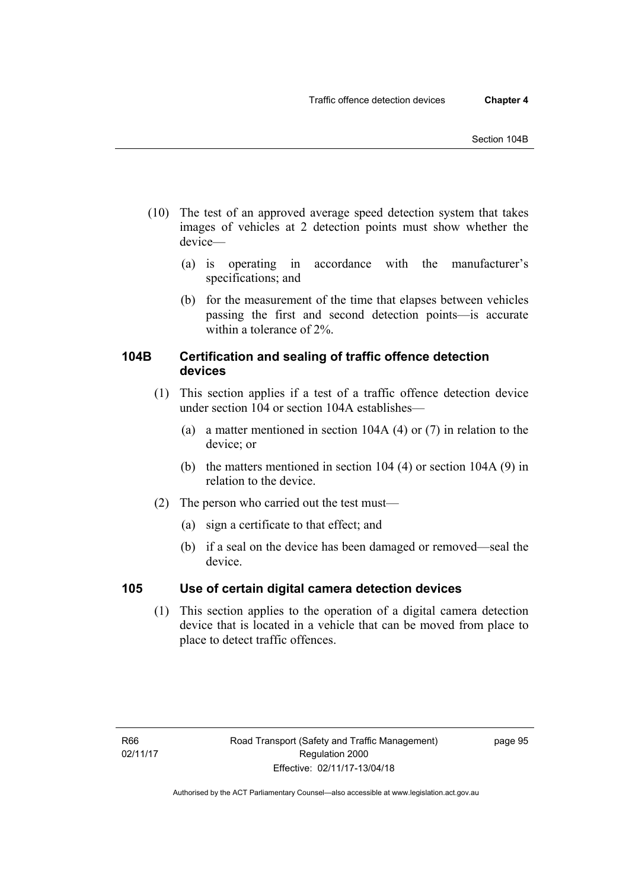- (10) The test of an approved average speed detection system that takes images of vehicles at 2 detection points must show whether the device—
	- (a) is operating in accordance with the manufacturer's specifications; and
	- (b) for the measurement of the time that elapses between vehicles passing the first and second detection points—is accurate within a tolerance of 2%.

# **104B Certification and sealing of traffic offence detection devices**

- (1) This section applies if a test of a traffic offence detection device under section 104 or section 104A establishes—
	- (a) a matter mentioned in section 104A (4) or (7) in relation to the device; or
	- (b) the matters mentioned in section 104 (4) or section 104A (9) in relation to the device.
- (2) The person who carried out the test must—
	- (a) sign a certificate to that effect; and
	- (b) if a seal on the device has been damaged or removed—seal the device.

# **105 Use of certain digital camera detection devices**

(1) This section applies to the operation of a digital camera detection device that is located in a vehicle that can be moved from place to place to detect traffic offences.

page 95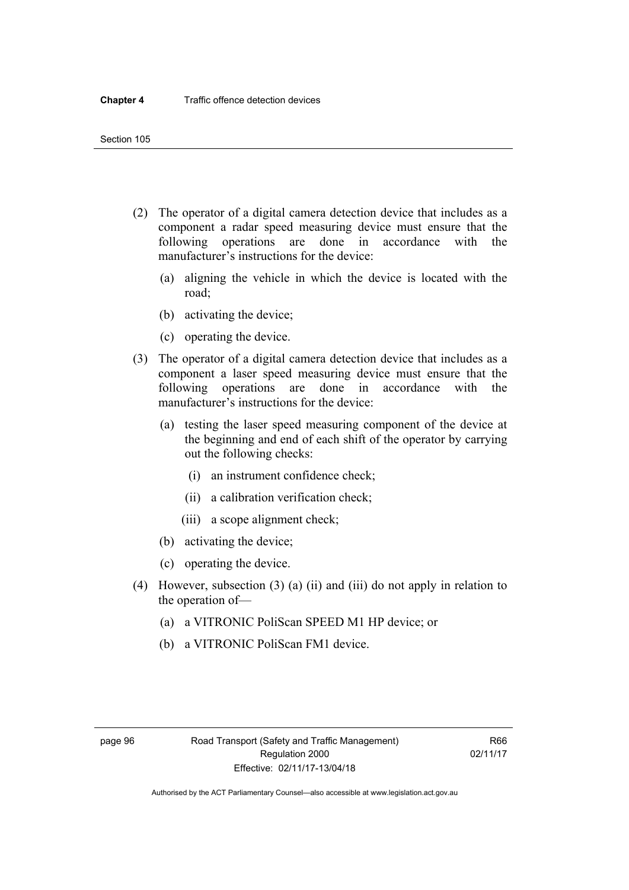- (2) The operator of a digital camera detection device that includes as a component a radar speed measuring device must ensure that the following operations are done in accordance with the manufacturer's instructions for the device:
	- (a) aligning the vehicle in which the device is located with the road;
	- (b) activating the device;
	- (c) operating the device.
- (3) The operator of a digital camera detection device that includes as a component a laser speed measuring device must ensure that the following operations are done in accordance with the manufacturer's instructions for the device:
	- (a) testing the laser speed measuring component of the device at the beginning and end of each shift of the operator by carrying out the following checks:
		- (i) an instrument confidence check;
		- (ii) a calibration verification check;
		- (iii) a scope alignment check;
	- (b) activating the device;
	- (c) operating the device.
- (4) However, subsection (3) (a) (ii) and (iii) do not apply in relation to the operation of—
	- (a) a VITRONIC PoliScan SPEED M1 HP device; or
	- (b) a VITRONIC PoliScan FM1 device.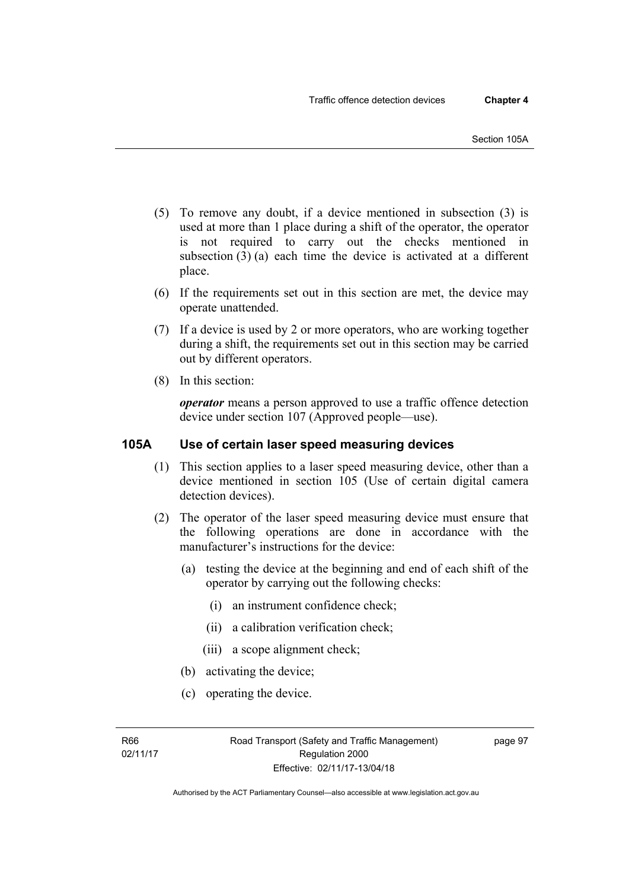- (5) To remove any doubt, if a device mentioned in subsection (3) is used at more than 1 place during a shift of the operator, the operator is not required to carry out the checks mentioned in subsection (3) (a) each time the device is activated at a different place.
- (6) If the requirements set out in this section are met, the device may operate unattended.
- (7) If a device is used by 2 or more operators, who are working together during a shift, the requirements set out in this section may be carried out by different operators.
- (8) In this section:

*operator* means a person approved to use a traffic offence detection device under section 107 (Approved people—use).

# **105A Use of certain laser speed measuring devices**

- (1) This section applies to a laser speed measuring device, other than a device mentioned in section 105 (Use of certain digital camera detection devices).
- (2) The operator of the laser speed measuring device must ensure that the following operations are done in accordance with the manufacturer's instructions for the device:
	- (a) testing the device at the beginning and end of each shift of the operator by carrying out the following checks:
		- (i) an instrument confidence check;
		- (ii) a calibration verification check;
		- (iii) a scope alignment check;
	- (b) activating the device;
	- (c) operating the device.

page 97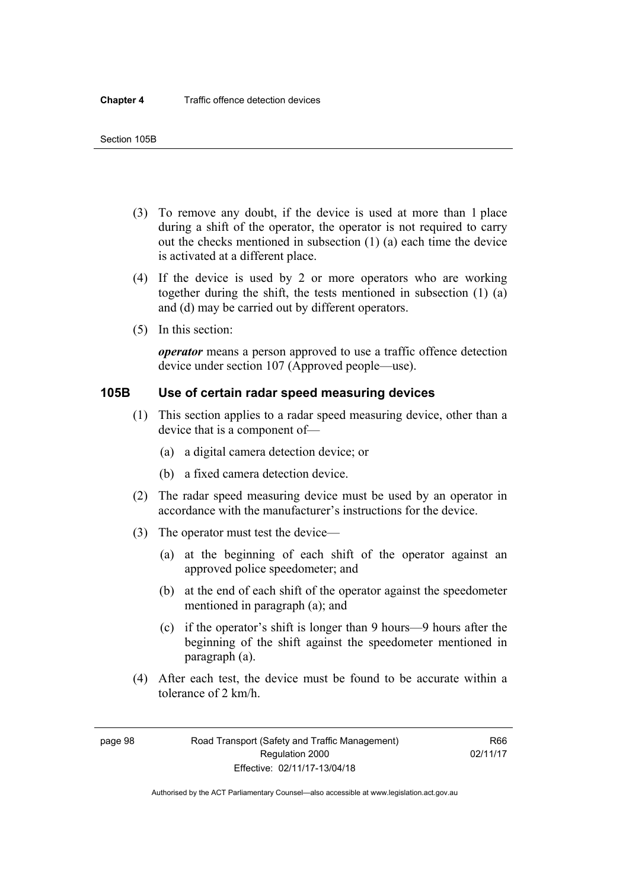- (3) To remove any doubt, if the device is used at more than 1 place during a shift of the operator, the operator is not required to carry out the checks mentioned in subsection (1) (a) each time the device is activated at a different place.
- (4) If the device is used by 2 or more operators who are working together during the shift, the tests mentioned in subsection (1) (a) and (d) may be carried out by different operators.
- (5) In this section:

*operator* means a person approved to use a traffic offence detection device under section 107 (Approved people—use).

# **105B Use of certain radar speed measuring devices**

- (1) This section applies to a radar speed measuring device, other than a device that is a component of—
	- (a) a digital camera detection device; or
	- (b) a fixed camera detection device.
- (2) The radar speed measuring device must be used by an operator in accordance with the manufacturer's instructions for the device.
- (3) The operator must test the device—
	- (a) at the beginning of each shift of the operator against an approved police speedometer; and
	- (b) at the end of each shift of the operator against the speedometer mentioned in paragraph (a); and
	- (c) if the operator's shift is longer than 9 hours—9 hours after the beginning of the shift against the speedometer mentioned in paragraph (a).
- (4) After each test, the device must be found to be accurate within a tolerance of 2 km/h.

page 98 Road Transport (Safety and Traffic Management) Regulation 2000 Effective: 02/11/17-13/04/18

R66 02/11/17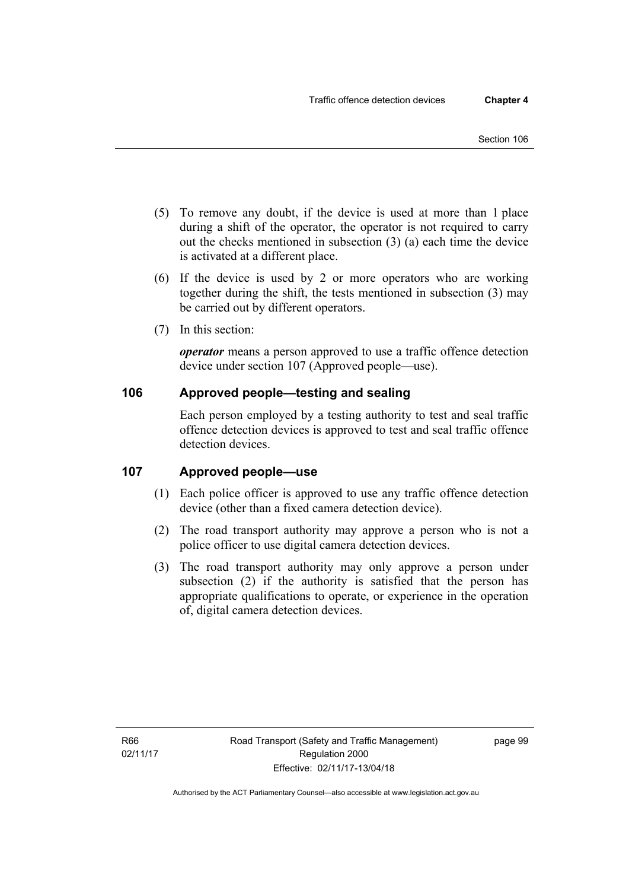- (5) To remove any doubt, if the device is used at more than 1 place during a shift of the operator, the operator is not required to carry out the checks mentioned in subsection (3) (a) each time the device is activated at a different place.
- (6) If the device is used by 2 or more operators who are working together during the shift, the tests mentioned in subsection (3) may be carried out by different operators.
- (7) In this section:

*operator* means a person approved to use a traffic offence detection device under section 107 (Approved people—use).

# **106 Approved people—testing and sealing**

Each person employed by a testing authority to test and seal traffic offence detection devices is approved to test and seal traffic offence detection devices.

# **107 Approved people—use**

- (1) Each police officer is approved to use any traffic offence detection device (other than a fixed camera detection device).
- (2) The road transport authority may approve a person who is not a police officer to use digital camera detection devices.
- (3) The road transport authority may only approve a person under subsection (2) if the authority is satisfied that the person has appropriate qualifications to operate, or experience in the operation of, digital camera detection devices.

page 99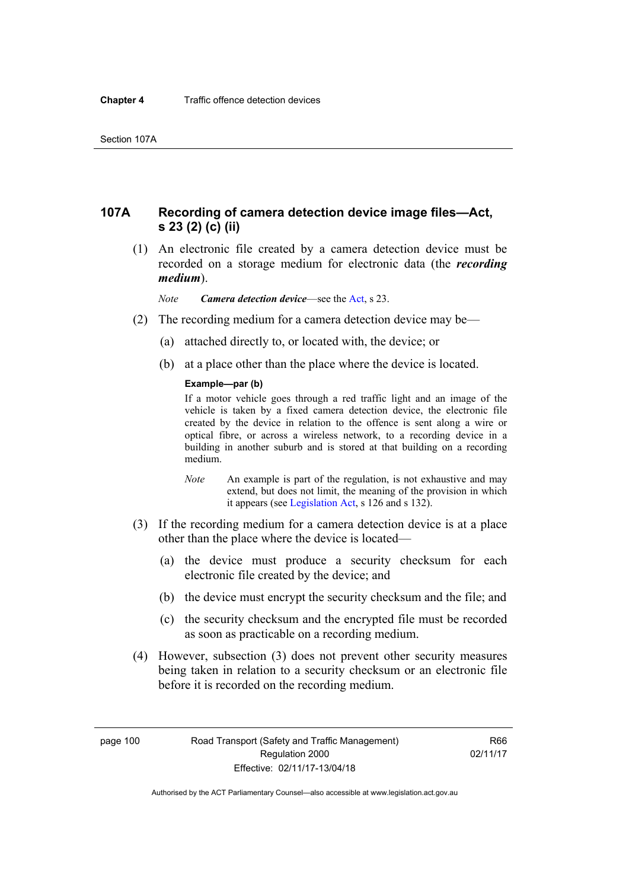# **107A Recording of camera detection device image files—Act, s 23 (2) (c) (ii)**

 (1) An electronic file created by a camera detection device must be recorded on a storage medium for electronic data (the *recording medium*).

*Note Camera detection device*—see the [Act,](http://www.legislation.act.gov.au/a/1999-80/default.asp) s 23.

- (2) The recording medium for a camera detection device may be—
	- (a) attached directly to, or located with, the device; or
	- (b) at a place other than the place where the device is located.

#### **Example—par (b)**

If a motor vehicle goes through a red traffic light and an image of the vehicle is taken by a fixed camera detection device, the electronic file created by the device in relation to the offence is sent along a wire or optical fibre, or across a wireless network, to a recording device in a building in another suburb and is stored at that building on a recording medium.

- *Note* An example is part of the regulation, is not exhaustive and may extend, but does not limit, the meaning of the provision in which it appears (see [Legislation Act,](http://www.legislation.act.gov.au/a/2001-14) s 126 and s 132).
- (3) If the recording medium for a camera detection device is at a place other than the place where the device is located—
	- (a) the device must produce a security checksum for each electronic file created by the device; and
	- (b) the device must encrypt the security checksum and the file; and
	- (c) the security checksum and the encrypted file must be recorded as soon as practicable on a recording medium.
- (4) However, subsection (3) does not prevent other security measures being taken in relation to a security checksum or an electronic file before it is recorded on the recording medium.

page 100 Road Transport (Safety and Traffic Management) Regulation 2000 Effective: 02/11/17-13/04/18

R66 02/11/17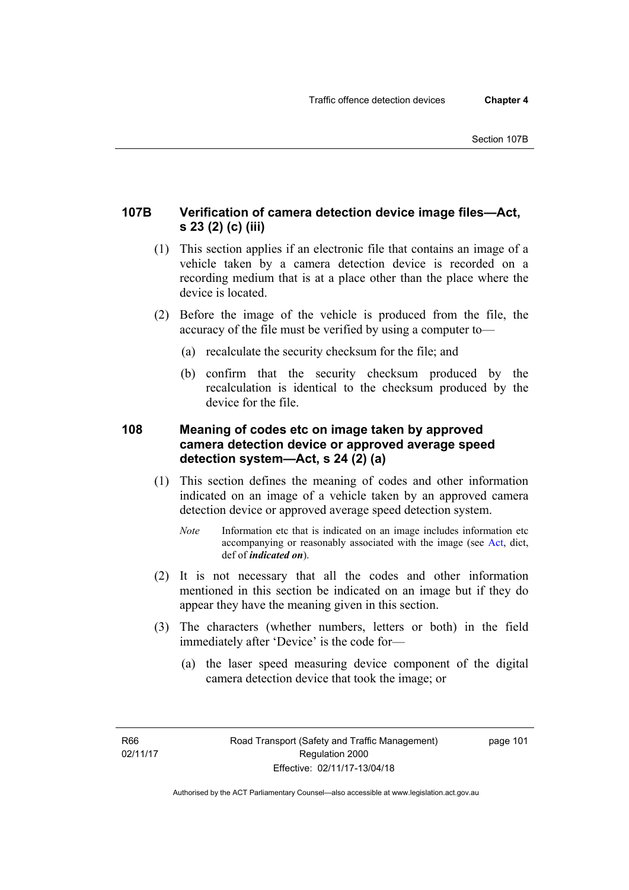# **107B Verification of camera detection device image files—Act, s 23 (2) (c) (iii)**

- (1) This section applies if an electronic file that contains an image of a vehicle taken by a camera detection device is recorded on a recording medium that is at a place other than the place where the device is located.
- (2) Before the image of the vehicle is produced from the file, the accuracy of the file must be verified by using a computer to—
	- (a) recalculate the security checksum for the file; and
	- (b) confirm that the security checksum produced by the recalculation is identical to the checksum produced by the device for the file.

# **108 Meaning of codes etc on image taken by approved camera detection device or approved average speed detection system—Act, s 24 (2) (a)**

- (1) This section defines the meaning of codes and other information indicated on an image of a vehicle taken by an approved camera detection device or approved average speed detection system.
	- *Note* Information etc that is indicated on an image includes information etc accompanying or reasonably associated with the image (see [Act,](http://www.legislation.act.gov.au/a/1999-80/default.asp) dict, def of *indicated on*).
- (2) It is not necessary that all the codes and other information mentioned in this section be indicated on an image but if they do appear they have the meaning given in this section.
- (3) The characters (whether numbers, letters or both) in the field immediately after 'Device' is the code for—
	- (a) the laser speed measuring device component of the digital camera detection device that took the image; or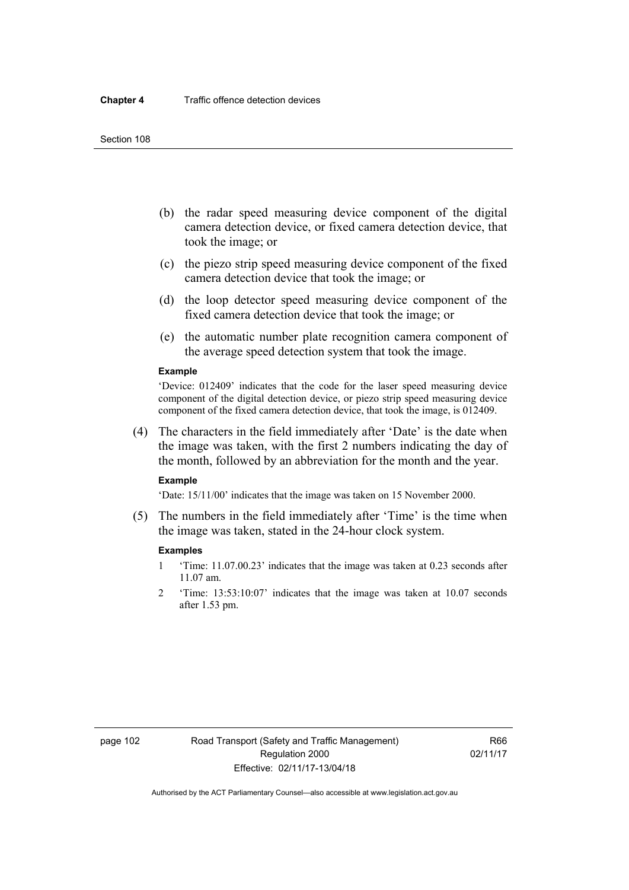- (b) the radar speed measuring device component of the digital camera detection device, or fixed camera detection device, that took the image; or
- (c) the piezo strip speed measuring device component of the fixed camera detection device that took the image; or
- (d) the loop detector speed measuring device component of the fixed camera detection device that took the image; or
- (e) the automatic number plate recognition camera component of the average speed detection system that took the image.

#### **Example**

'Device: 012409' indicates that the code for the laser speed measuring device component of the digital detection device, or piezo strip speed measuring device component of the fixed camera detection device, that took the image, is 012409.

 (4) The characters in the field immediately after 'Date' is the date when the image was taken, with the first 2 numbers indicating the day of the month, followed by an abbreviation for the month and the year.

#### **Example**

'Date: 15/11/00' indicates that the image was taken on 15 November 2000.

 (5) The numbers in the field immediately after 'Time' is the time when the image was taken, stated in the 24-hour clock system.

#### **Examples**

- 1 'Time: 11.07.00.23' indicates that the image was taken at 0.23 seconds after 11.07 am.
- 2 'Time: 13:53:10:07' indicates that the image was taken at 10.07 seconds after 1.53 pm.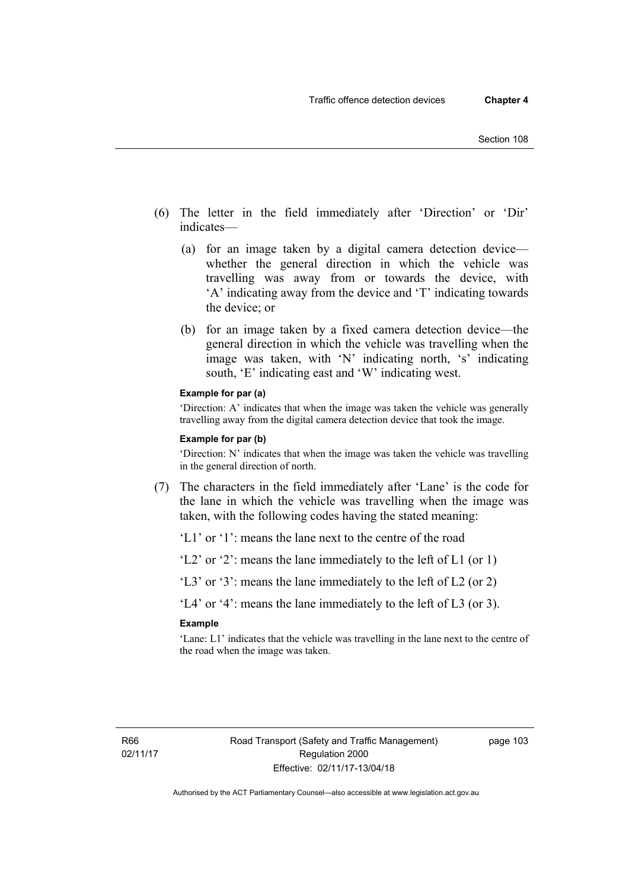- (6) The letter in the field immediately after 'Direction' or 'Dir' indicates—
	- (a) for an image taken by a digital camera detection device whether the general direction in which the vehicle was travelling was away from or towards the device, with 'A' indicating away from the device and 'T' indicating towards the device; or
	- (b) for an image taken by a fixed camera detection device—the general direction in which the vehicle was travelling when the image was taken, with 'N' indicating north, 's' indicating south, 'E' indicating east and 'W' indicating west.

#### **Example for par (a)**

'Direction: A' indicates that when the image was taken the vehicle was generally travelling away from the digital camera detection device that took the image.

#### **Example for par (b)**

'Direction: N' indicates that when the image was taken the vehicle was travelling in the general direction of north.

 (7) The characters in the field immediately after 'Lane' is the code for the lane in which the vehicle was travelling when the image was taken, with the following codes having the stated meaning:

'L1' or '1': means the lane next to the centre of the road

'L2' or '2': means the lane immediately to the left of L1 (or 1)

'L3' or '3': means the lane immediately to the left of L2 (or 2)

'L4' or '4': means the lane immediately to the left of L3 (or 3).

#### **Example**

'Lane: L1' indicates that the vehicle was travelling in the lane next to the centre of the road when the image was taken.

page 103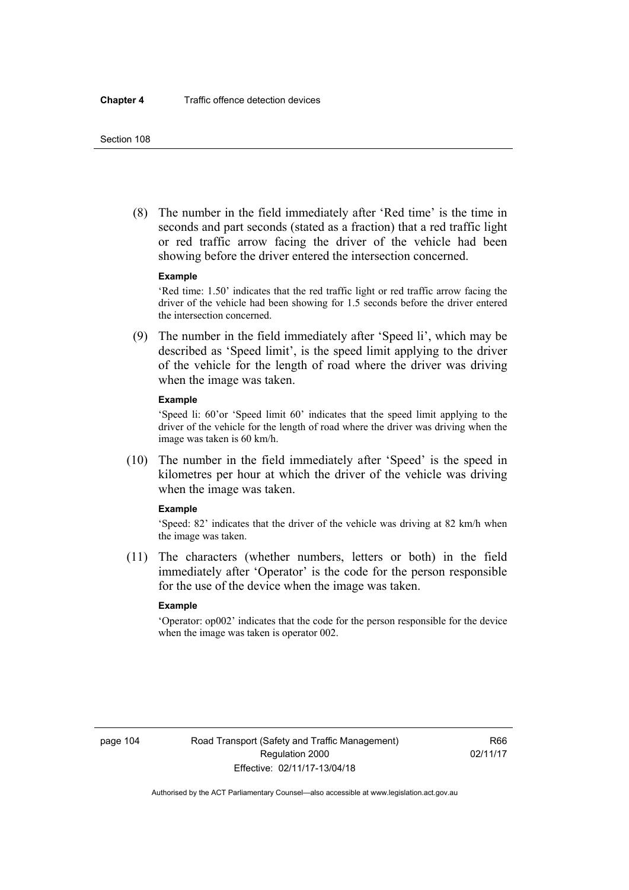(8) The number in the field immediately after 'Red time' is the time in seconds and part seconds (stated as a fraction) that a red traffic light or red traffic arrow facing the driver of the vehicle had been showing before the driver entered the intersection concerned.

#### **Example**

'Red time: 1.50' indicates that the red traffic light or red traffic arrow facing the driver of the vehicle had been showing for 1.5 seconds before the driver entered the intersection concerned.

 (9) The number in the field immediately after 'Speed li', which may be described as 'Speed limit', is the speed limit applying to the driver of the vehicle for the length of road where the driver was driving when the image was taken.

#### **Example**

'Speed li: 60'or 'Speed limit 60' indicates that the speed limit applying to the driver of the vehicle for the length of road where the driver was driving when the image was taken is 60 km/h.

 (10) The number in the field immediately after 'Speed' is the speed in kilometres per hour at which the driver of the vehicle was driving when the image was taken.

### **Example**

'Speed: 82' indicates that the driver of the vehicle was driving at 82 km/h when the image was taken.

 (11) The characters (whether numbers, letters or both) in the field immediately after 'Operator' is the code for the person responsible for the use of the device when the image was taken.

### **Example**

'Operator: op002' indicates that the code for the person responsible for the device when the image was taken is operator 002.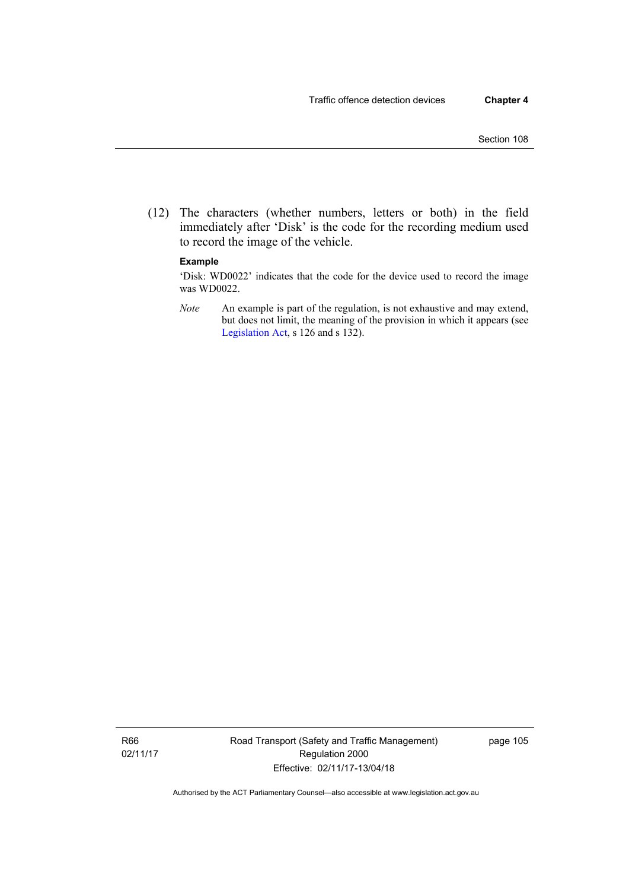(12) The characters (whether numbers, letters or both) in the field immediately after 'Disk' is the code for the recording medium used to record the image of the vehicle.

### **Example**

'Disk: WD0022' indicates that the code for the device used to record the image was WD0022.

*Note* An example is part of the regulation, is not exhaustive and may extend, but does not limit, the meaning of the provision in which it appears (see [Legislation Act,](http://www.legislation.act.gov.au/a/2001-14) s 126 and s 132).

R66 02/11/17 Road Transport (Safety and Traffic Management) Regulation 2000 Effective: 02/11/17-13/04/18

page 105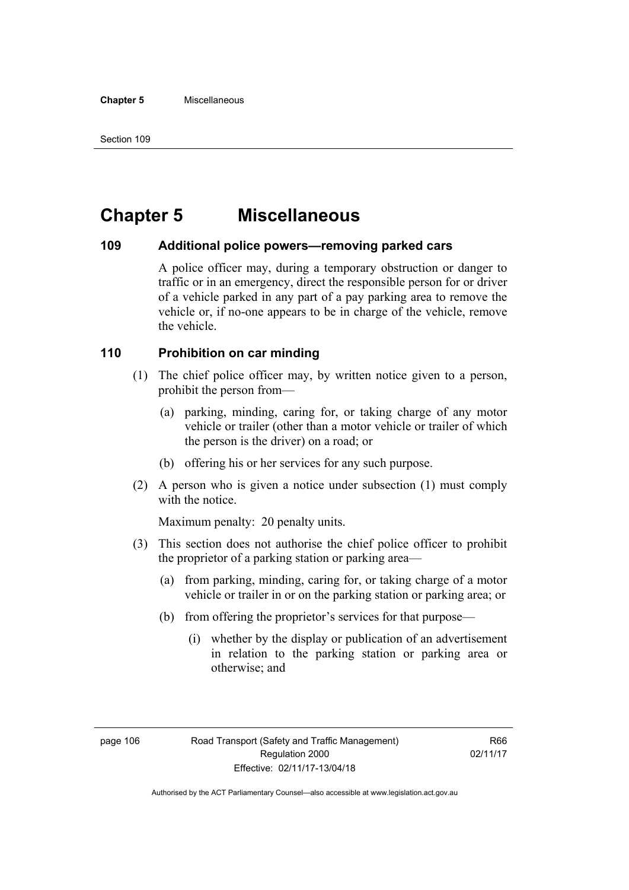# **Chapter 5 Miscellaneous**

## **109 Additional police powers—removing parked cars**

A police officer may, during a temporary obstruction or danger to traffic or in an emergency, direct the responsible person for or driver of a vehicle parked in any part of a pay parking area to remove the vehicle or, if no-one appears to be in charge of the vehicle, remove the vehicle.

# **110 Prohibition on car minding**

- (1) The chief police officer may, by written notice given to a person, prohibit the person from—
	- (a) parking, minding, caring for, or taking charge of any motor vehicle or trailer (other than a motor vehicle or trailer of which the person is the driver) on a road; or
	- (b) offering his or her services for any such purpose.
- (2) A person who is given a notice under subsection (1) must comply with the notice.

Maximum penalty: 20 penalty units.

- (3) This section does not authorise the chief police officer to prohibit the proprietor of a parking station or parking area—
	- (a) from parking, minding, caring for, or taking charge of a motor vehicle or trailer in or on the parking station or parking area; or
	- (b) from offering the proprietor's services for that purpose—
		- (i) whether by the display or publication of an advertisement in relation to the parking station or parking area or otherwise; and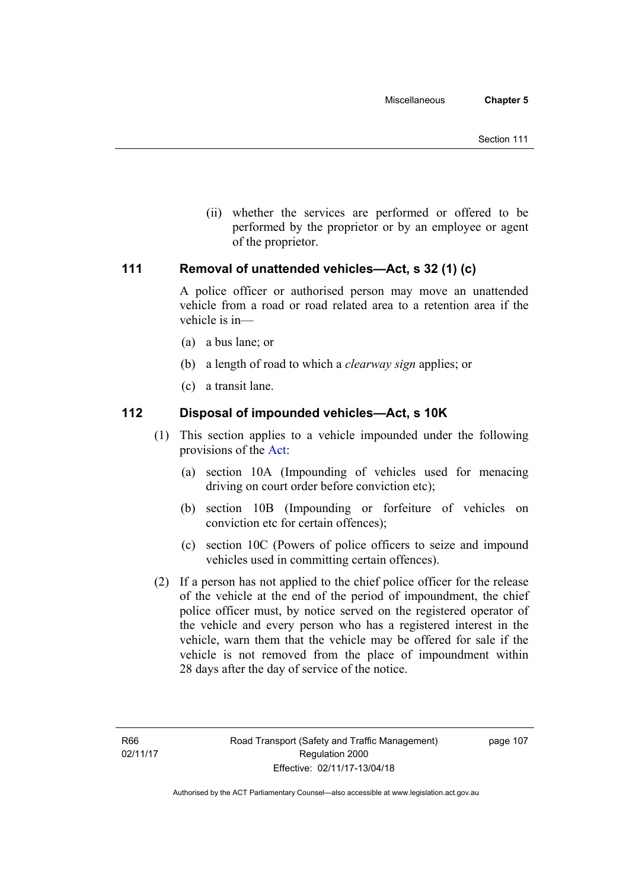(ii) whether the services are performed or offered to be performed by the proprietor or by an employee or agent of the proprietor.

# **111 Removal of unattended vehicles—Act, s 32 (1) (c)**

A police officer or authorised person may move an unattended vehicle from a road or road related area to a retention area if the vehicle is in—

- (a) a bus lane; or
- (b) a length of road to which a *clearway sign* applies; or
- (c) a transit lane.

# **112 Disposal of impounded vehicles—Act, s 10K**

- (1) This section applies to a vehicle impounded under the following provisions of the [Act](http://www.legislation.act.gov.au/a/1999-80/default.asp):
	- (a) section 10A (Impounding of vehicles used for menacing driving on court order before conviction etc);
	- (b) section 10B (Impounding or forfeiture of vehicles on conviction etc for certain offences);
	- (c) section 10C (Powers of police officers to seize and impound vehicles used in committing certain offences).
- (2) If a person has not applied to the chief police officer for the release of the vehicle at the end of the period of impoundment, the chief police officer must, by notice served on the registered operator of the vehicle and every person who has a registered interest in the vehicle, warn them that the vehicle may be offered for sale if the vehicle is not removed from the place of impoundment within 28 days after the day of service of the notice.

page 107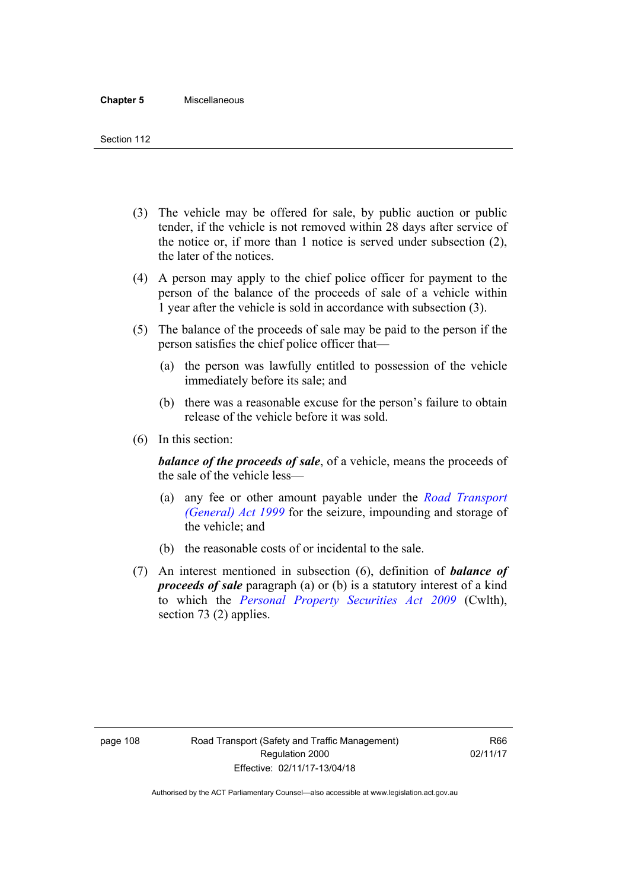- (3) The vehicle may be offered for sale, by public auction or public tender, if the vehicle is not removed within 28 days after service of the notice or, if more than 1 notice is served under subsection (2), the later of the notices.
- (4) A person may apply to the chief police officer for payment to the person of the balance of the proceeds of sale of a vehicle within 1 year after the vehicle is sold in accordance with subsection (3).
- (5) The balance of the proceeds of sale may be paid to the person if the person satisfies the chief police officer that—
	- (a) the person was lawfully entitled to possession of the vehicle immediately before its sale; and
	- (b) there was a reasonable excuse for the person's failure to obtain release of the vehicle before it was sold.
- (6) In this section:

*balance of the proceeds of sale*, of a vehicle, means the proceeds of the sale of the vehicle less—

- (a) any fee or other amount payable under the *[Road Transport](http://www.legislation.act.gov.au/a/1999-77)  [\(General\) Act 1999](http://www.legislation.act.gov.au/a/1999-77)* for the seizure, impounding and storage of the vehicle; and
- (b) the reasonable costs of or incidental to the sale.
- (7) An interest mentioned in subsection (6), definition of *balance of proceeds of sale* paragraph (a) or (b) is a statutory interest of a kind to which the *[Personal Property Securities Act 2009](http://www.comlaw.gov.au/Series/C2009A00130)* (Cwlth), section 73 (2) applies.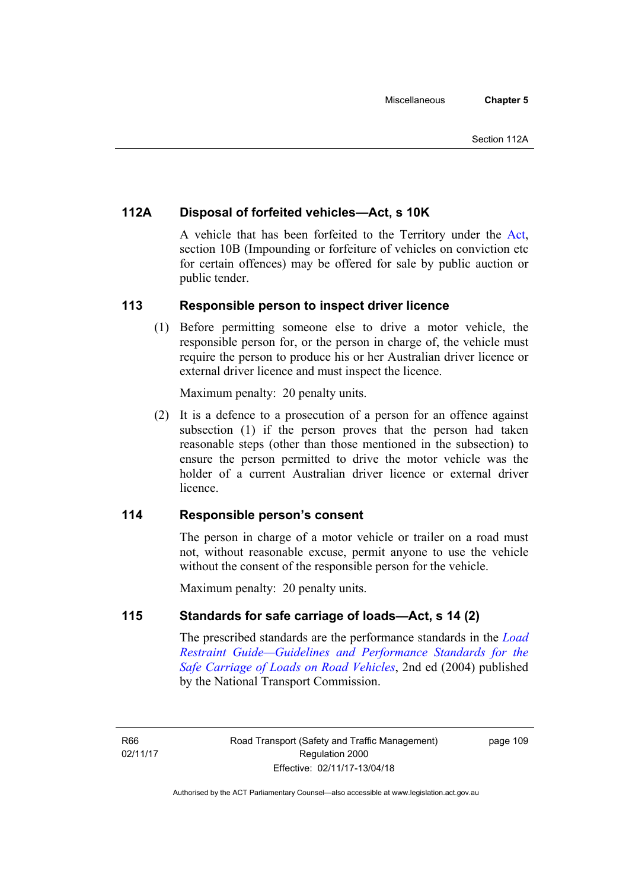# **112A Disposal of forfeited vehicles—Act, s 10K**

A vehicle that has been forfeited to the Territory under the [Act](http://www.legislation.act.gov.au/a/1999-80/default.asp), section 10B (Impounding or forfeiture of vehicles on conviction etc for certain offences) may be offered for sale by public auction or public tender.

# **113 Responsible person to inspect driver licence**

(1) Before permitting someone else to drive a motor vehicle, the responsible person for, or the person in charge of, the vehicle must require the person to produce his or her Australian driver licence or external driver licence and must inspect the licence.

Maximum penalty: 20 penalty units.

 (2) It is a defence to a prosecution of a person for an offence against subsection (1) if the person proves that the person had taken reasonable steps (other than those mentioned in the subsection) to ensure the person permitted to drive the motor vehicle was the holder of a current Australian driver licence or external driver **licence** 

# **114 Responsible person's consent**

The person in charge of a motor vehicle or trailer on a road must not, without reasonable excuse, permit anyone to use the vehicle without the consent of the responsible person for the vehicle.

Maximum penalty: 20 penalty units.

# **115 Standards for safe carriage of loads—Act, s 14 (2)**

The prescribed standards are the performance standards in the *[Load](http://www.ntc.gov.au/viewpage.aspx?documentid=862)  [Restraint Guide—Guidelines and Performance Standards for the](http://www.ntc.gov.au/viewpage.aspx?documentid=862)  [Safe Carriage of Loads on Road Vehicles](http://www.ntc.gov.au/viewpage.aspx?documentid=862)*, 2nd ed (2004) published by the National Transport Commission.

page 109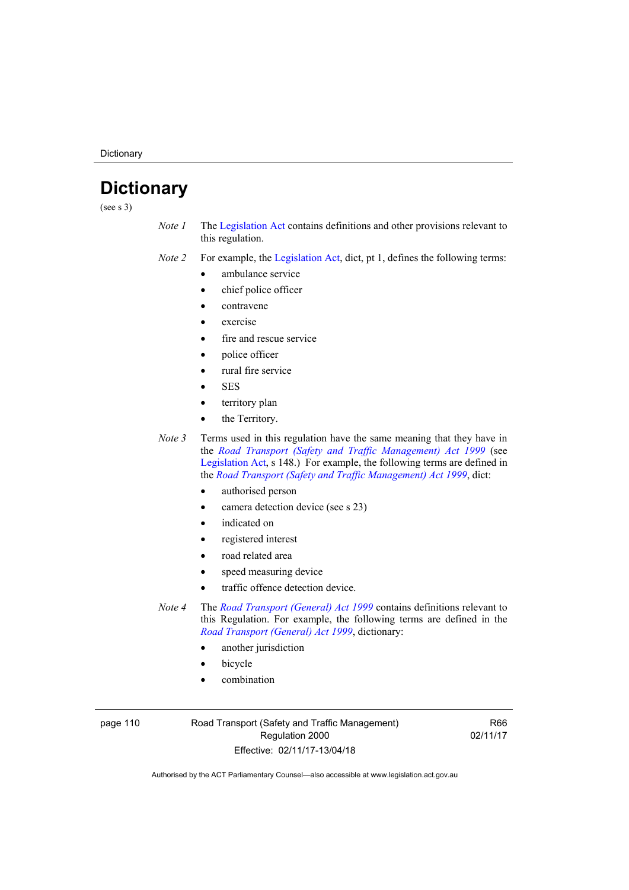**Dictionary** 

# **Dictionary**

(see s 3)

- *Note 1* The [Legislation Act](http://www.legislation.act.gov.au/a/2001-14) contains definitions and other provisions relevant to this regulation.
- *Note 2* For example, the [Legislation Act,](http://www.legislation.act.gov.au/a/2001-14) dict, pt 1, defines the following terms:
	- ambulance service
	- chief police officer
	- contravene
	- exercise
	- fire and rescue service
	- police officer
	- rural fire service
	- **SES**
	- territory plan
	- the Territory.
- *Note 3* Terms used in this regulation have the same meaning that they have in the *[Road Transport \(Safety and Traffic Management\) Act 1999](http://www.legislation.act.gov.au/a/1999-80)* (see [Legislation Act,](http://www.legislation.act.gov.au/a/2001-14) s 148.) For example, the following terms are defined in the *[Road Transport \(Safety and Traffic Management\) Act 1999](http://www.legislation.act.gov.au/a/1999-80)*, dict:
	- authorised person
	- camera detection device (see s 23)
	- indicated on
	- registered interest
	- road related area
	- speed measuring device
	- traffic offence detection device.
- *Note 4* The *[Road Transport \(General\) Act 1999](http://www.legislation.act.gov.au/a/1999-77)* contains definitions relevant to this Regulation. For example, the following terms are defined in the *[Road Transport \(General\) Act 1999](http://www.legislation.act.gov.au/a/1999-77)*, dictionary:
	- another jurisdiction
	- bicycle
	- combination

page 110 Road Transport (Safety and Traffic Management) Regulation 2000 Effective: 02/11/17-13/04/18

R66 02/11/17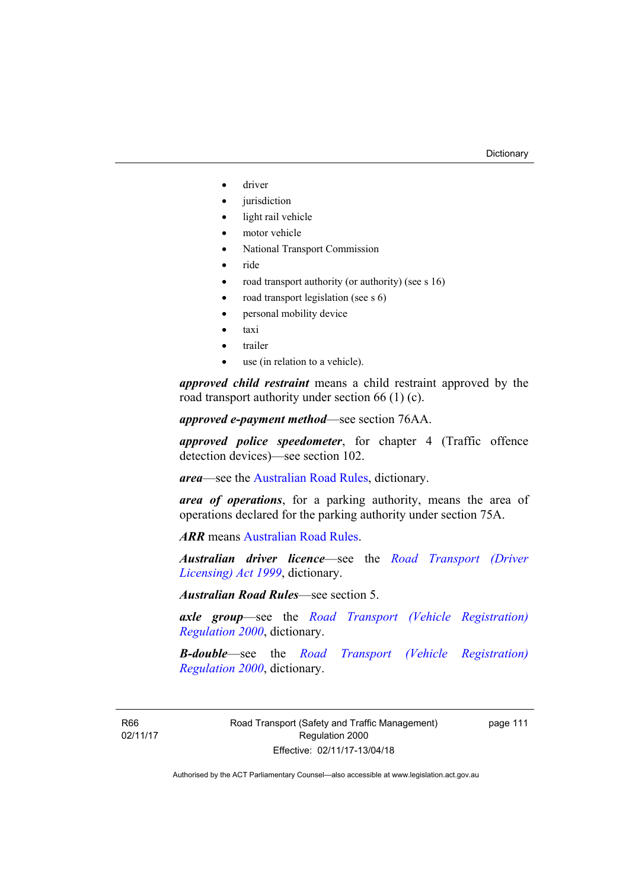- driver
- jurisdiction
- light rail vehicle
- motor vehicle
- National Transport Commission
- ride
- road transport authority (or authority) (see s 16)
- road transport legislation (see s 6)
- personal mobility device
- taxi
- trailer
- use (in relation to a vehicle).

*approved child restraint* means a child restraint approved by the road transport authority under section 66 (1) (c).

*approved e-payment method*—see section 76AA.

*approved police speedometer*, for chapter 4 (Traffic offence detection devices)—see section 102.

*area*—see the [Australian Road Rules,](http://www.legislation.act.gov.au//ni/db_37271/default.asp) dictionary.

*area of operations*, for a parking authority, means the area of operations declared for the parking authority under section 75A.

*ARR* means [Australian Road Rules](http://www.legislation.act.gov.au//ni/db_37271/default.asp).

*Australian driver licence*—see the *[Road Transport \(Driver](http://www.legislation.act.gov.au/a/1999-78)  [Licensing\) Act 1999](http://www.legislation.act.gov.au/a/1999-78)*, dictionary.

*Australian Road Rules*—see section 5.

*axle group*—see the *[Road Transport \(Vehicle Registration\)](http://www.legislation.act.gov.au/sl/2000-12)  [Regulation 2000](http://www.legislation.act.gov.au/sl/2000-12)*, dictionary.

*B-double*—see the *[Road Transport \(Vehicle Registration\)](http://www.legislation.act.gov.au/sl/2000-12)  [Regulation 2000](http://www.legislation.act.gov.au/sl/2000-12)*, dictionary.

R66 02/11/17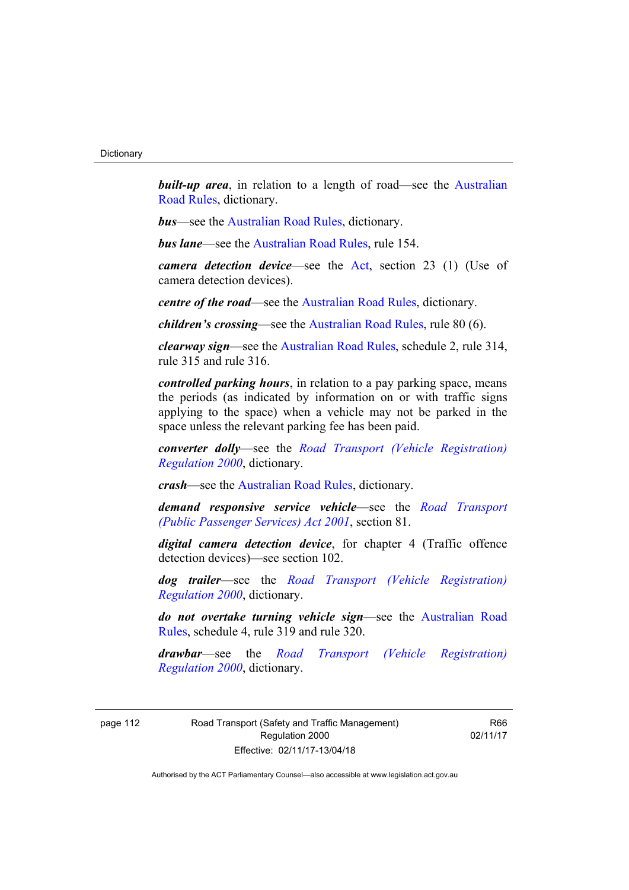**built-up area**, in relation to a length of road—see the Australian [Road Rules,](http://www.legislation.act.gov.au//ni/db_37271/default.asp) dictionary.

*bus*—see the [Australian Road Rules,](http://www.legislation.act.gov.au//ni/db_37271/default.asp) dictionary.

*bus lane*—see the [Australian Road Rules](http://www.legislation.act.gov.au//ni/db_37271/default.asp), rule 154.

*camera detection device*—see the [Act](http://www.legislation.act.gov.au/a/1999-80/default.asp), section 23 (1) (Use of camera detection devices).

*centre of the road*—see the [Australian Road Rules](http://www.legislation.act.gov.au//ni/db_37271/default.asp), dictionary.

*children's crossing*—see the [Australian Road Rules](http://www.legislation.act.gov.au//ni/db_37271/default.asp), rule 80 (6).

*clearway sign*—see the [Australian Road Rules,](http://www.legislation.act.gov.au//ni/db_37271/default.asp) schedule 2, rule 314, rule 315 and rule 316.

*controlled parking hours*, in relation to a pay parking space, means the periods (as indicated by information on or with traffic signs applying to the space) when a vehicle may not be parked in the space unless the relevant parking fee has been paid.

*converter dolly*—see the *[Road Transport \(Vehicle Registration\)](http://www.legislation.act.gov.au/sl/2000-12)  [Regulation 2000](http://www.legislation.act.gov.au/sl/2000-12)*, dictionary.

*crash*—see the [Australian Road Rules](http://www.legislation.act.gov.au//ni/db_37271/default.asp), dictionary.

*demand responsive service vehicle*—see the *[Road Transport](http://www.legislation.act.gov.au/a/2001-62)  [\(Public Passenger Services\) Act 2001](http://www.legislation.act.gov.au/a/2001-62)*, section 81.

*digital camera detection device*, for chapter 4 (Traffic offence detection devices)—see section 102.

*dog trailer*—see the *[Road Transport \(Vehicle Registration\)](http://www.legislation.act.gov.au/sl/2000-12)  [Regulation 2000](http://www.legislation.act.gov.au/sl/2000-12)*, dictionary.

*do not overtake turning vehicle sign*—see the [Australian Road](http://www.legislation.act.gov.au//ni/db_37271/default.asp)  [Rules](http://www.legislation.act.gov.au//ni/db_37271/default.asp), schedule 4, rule 319 and rule 320.

*drawbar*—see the *[Road Transport \(Vehicle Registration\)](http://www.legislation.act.gov.au/sl/2000-12)  [Regulation 2000](http://www.legislation.act.gov.au/sl/2000-12)*, dictionary.

page 112 Road Transport (Safety and Traffic Management) Regulation 2000 Effective: 02/11/17-13/04/18

R66 02/11/17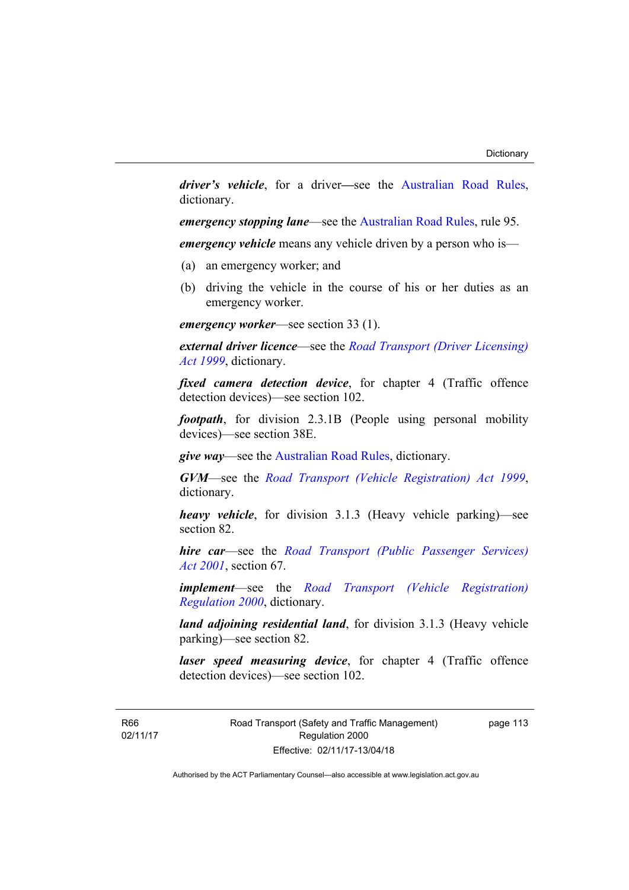*driver's vehicle*, for a driver*—*see the [Australian Road Rules](http://www.legislation.act.gov.au//ni/db_37271/default.asp), dictionary.

*emergency stopping lane—see the [Australian Road Rules](http://www.legislation.act.gov.au//ni/db_37271/default.asp), rule 95.* 

*emergency vehicle* means any vehicle driven by a person who is—

- (a) an emergency worker; and
- (b) driving the vehicle in the course of his or her duties as an emergency worker.

*emergency worker*—see section 33 (1).

*external driver licence*—see the *[Road Transport \(Driver Licensing\)](http://www.legislation.act.gov.au/a/1999-78)  [Act 1999](http://www.legislation.act.gov.au/a/1999-78)*, dictionary.

*fixed camera detection device*, for chapter 4 (Traffic offence detection devices)—see section 102.

*footpath*, for division 2.3.1B (People using personal mobility devices)—see section 38E.

*give way*—see the [Australian Road Rules](http://www.legislation.act.gov.au//ni/db_37271/default.asp), dictionary.

*GVM*—see the *[Road Transport \(Vehicle Registration\) Act 1999](http://www.legislation.act.gov.au/a/1999-81)*, dictionary.

*heavy vehicle*, for division 3.1.3 (Heavy vehicle parking)—see section 82.

*hire car*—see the *[Road Transport \(Public Passenger Services\)](http://www.legislation.act.gov.au/a/2001-62)  [Act 2001](http://www.legislation.act.gov.au/a/2001-62)*, section 67.

*implement*—see the *[Road Transport \(Vehicle Registration\)](http://www.legislation.act.gov.au/sl/2000-12)  [Regulation 2000](http://www.legislation.act.gov.au/sl/2000-12)*, dictionary.

*land adjoining residential land*, for division 3.1.3 (Heavy vehicle parking)—see section 82.

*laser speed measuring device*, for chapter 4 (Traffic offence detection devices)—see section 102.

R66 02/11/17 Road Transport (Safety and Traffic Management) Regulation 2000 Effective: 02/11/17-13/04/18

page 113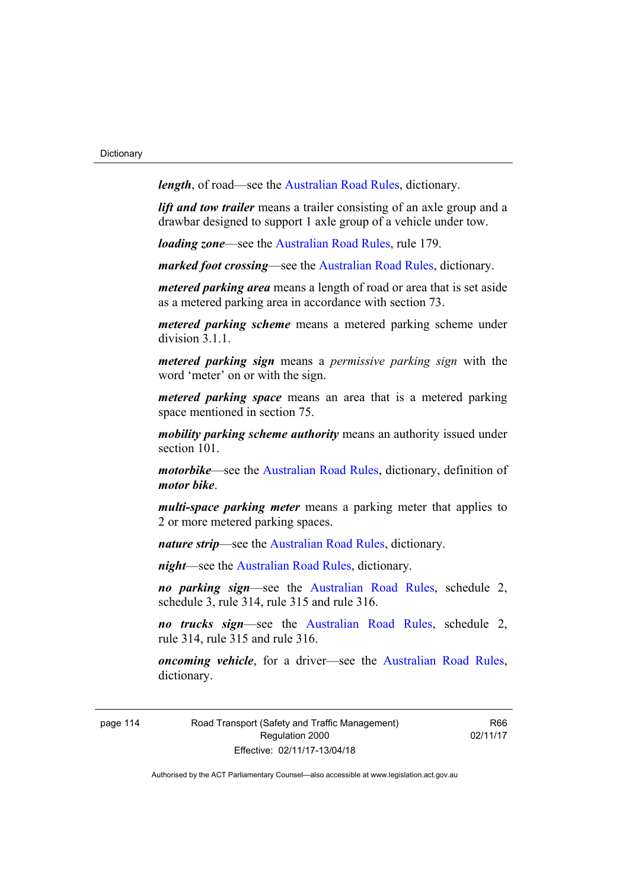*length*, of road—see the [Australian Road Rules](http://www.legislation.act.gov.au//ni/db_37271/default.asp), dictionary.

*lift and tow trailer* means a trailer consisting of an axle group and a drawbar designed to support 1 axle group of a vehicle under tow.

*loading zone*—see the [Australian Road Rules,](http://www.legislation.act.gov.au//ni/db_37271/default.asp) rule 179.

*marked foot crossing*—see the [Australian Road Rules,](http://www.legislation.act.gov.au//ni/db_37271/default.asp) dictionary.

*metered parking area* means a length of road or area that is set aside as a metered parking area in accordance with section 73.

*metered parking scheme* means a metered parking scheme under division 3.1.1.

*metered parking sign* means a *permissive parking sign* with the word 'meter' on or with the sign.

*metered parking space* means an area that is a metered parking space mentioned in section 75.

*mobility parking scheme authority* means an authority issued under section 101

*motorbike*—see the [Australian Road Rules,](http://www.legislation.act.gov.au//ni/db_37271/default.asp) dictionary, definition of *motor bike*.

*multi-space parking meter* means a parking meter that applies to 2 or more metered parking spaces.

*nature strip*—see the [Australian Road Rules](http://www.legislation.act.gov.au//ni/db_37271/default.asp), dictionary.

*night*—see the [Australian Road Rules,](http://www.legislation.act.gov.au//ni/db_37271/default.asp) dictionary.

*no parking sign*—see the [Australian Road Rules](http://www.legislation.act.gov.au//ni/db_37271/default.asp), schedule 2, schedule 3, rule 314, rule 315 and rule 316.

*no trucks sign*—see the [Australian Road Rules,](http://www.legislation.act.gov.au//ni/db_37271/default.asp) schedule 2, rule 314, rule 315 and rule 316.

*oncoming vehicle*, for a driver—see the [Australian Road Rules](http://www.legislation.act.gov.au//ni/db_37271/default.asp), dictionary.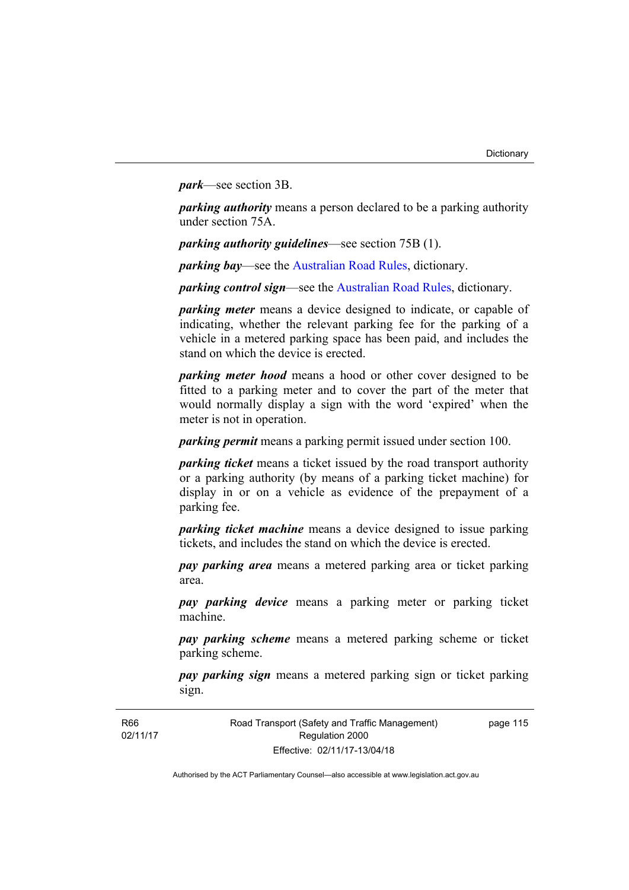*park*—see section 3B.

*parking authority* means a person declared to be a parking authority under section 75A.

*parking authority guidelines*—see section 75B (1).

*parking bay*—see the [Australian Road Rules,](http://www.legislation.act.gov.au//ni/db_37271/default.asp) dictionary.

*parking control sign*—see the [Australian Road Rules](http://www.legislation.act.gov.au//ni/db_37271/default.asp), dictionary.

*parking meter* means a device designed to indicate, or capable of indicating, whether the relevant parking fee for the parking of a vehicle in a metered parking space has been paid, and includes the stand on which the device is erected.

*parking meter hood* means a hood or other cover designed to be fitted to a parking meter and to cover the part of the meter that would normally display a sign with the word 'expired' when the meter is not in operation.

*parking permit* means a parking permit issued under section 100.

*parking ticket* means a ticket issued by the road transport authority or a parking authority (by means of a parking ticket machine) for display in or on a vehicle as evidence of the prepayment of a parking fee.

*parking ticket machine* means a device designed to issue parking tickets, and includes the stand on which the device is erected.

*pay parking area* means a metered parking area or ticket parking area.

*pay parking device* means a parking meter or parking ticket machine.

*pay parking scheme* means a metered parking scheme or ticket parking scheme.

*pay parking sign* means a metered parking sign or ticket parking sign.

Road Transport (Safety and Traffic Management) Regulation 2000 Effective: 02/11/17-13/04/18

page 115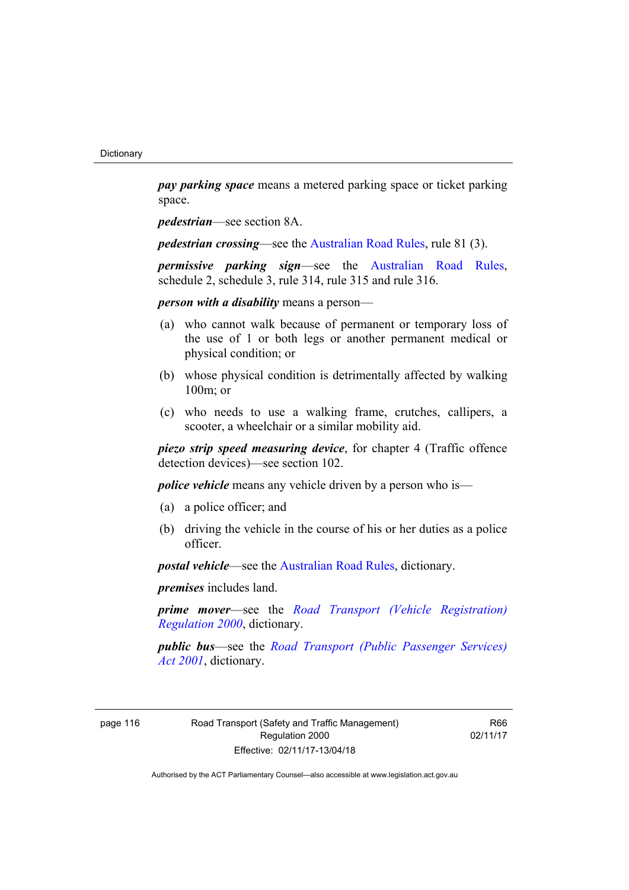*pay parking space* means a metered parking space or ticket parking space.

*pedestrian*—see section 8A.

*pedestrian crossing*—see the [Australian Road Rules](http://www.legislation.act.gov.au//ni/db_37271/default.asp), rule 81 (3).

*permissive parking sign*—see the [Australian Road Rules](http://www.legislation.act.gov.au//ni/db_37271/default.asp), schedule 2, schedule 3, rule 314, rule 315 and rule 316.

*person with a disability* means a person—

- (a) who cannot walk because of permanent or temporary loss of the use of 1 or both legs or another permanent medical or physical condition; or
- (b) whose physical condition is detrimentally affected by walking 100m; or
- (c) who needs to use a walking frame, crutches, callipers, a scooter, a wheelchair or a similar mobility aid.

*piezo strip speed measuring device*, for chapter 4 (Traffic offence detection devices)—see section 102.

*police vehicle* means any vehicle driven by a person who is—

- (a) a police officer; and
- (b) driving the vehicle in the course of his or her duties as a police officer.

*postal vehicle*—see the [Australian Road Rules,](http://www.legislation.act.gov.au//ni/db_37271/default.asp) dictionary.

*premises* includes land.

*prime mover*—see the *[Road Transport \(Vehicle Registration\)](http://www.legislation.act.gov.au/sl/2000-12)  [Regulation 2000](http://www.legislation.act.gov.au/sl/2000-12)*, dictionary.

*public bus*—see the *[Road Transport \(Public Passenger Services\)](http://www.legislation.act.gov.au/a/2001-62)  [Act 2001](http://www.legislation.act.gov.au/a/2001-62)*, dictionary.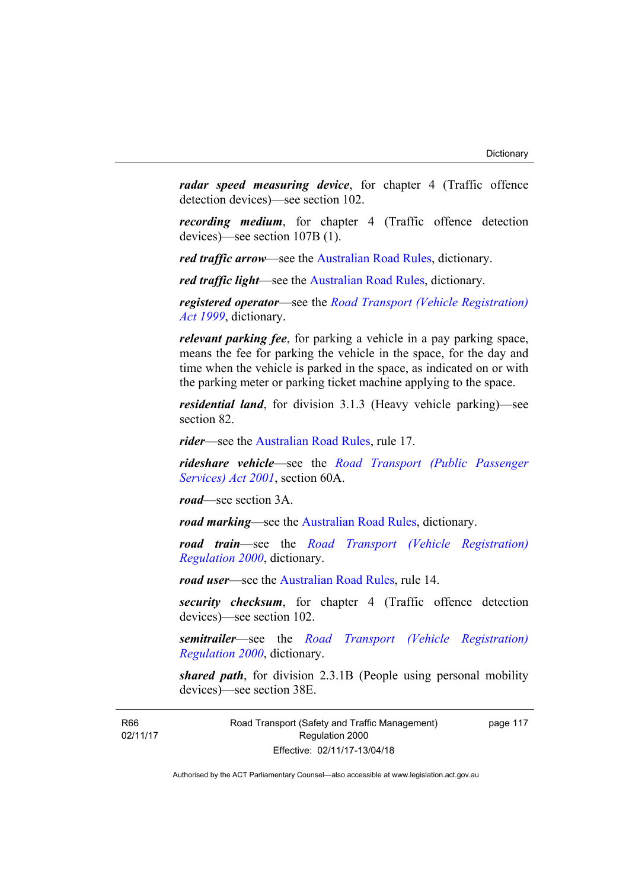*radar speed measuring device*, for chapter 4 (Traffic offence detection devices)—see section 102.

*recording medium*, for chapter 4 (Traffic offence detection devices)—see section 107B (1).

*red traffic arrow*—see the [Australian Road Rules,](http://www.legislation.act.gov.au//ni/db_37271/default.asp) dictionary.

*red traffic light*—see the [Australian Road Rules](http://www.legislation.act.gov.au//ni/db_37271/default.asp), dictionary.

*registered operator*—see the *[Road Transport \(Vehicle Registration\)](http://www.legislation.act.gov.au/a/1999-81)  [Act 1999](http://www.legislation.act.gov.au/a/1999-81)*, dictionary.

*relevant parking fee*, for parking a vehicle in a pay parking space, means the fee for parking the vehicle in the space, for the day and time when the vehicle is parked in the space, as indicated on or with the parking meter or parking ticket machine applying to the space.

*residential land*, for division 3.1.3 (Heavy vehicle parking)—see section 82.

*rider*—see the [Australian Road Rules,](http://www.legislation.act.gov.au//ni/db_37271/default.asp) rule 17.

*rideshare vehicle*—see the *[Road Transport \(Public Passenger](http://www.legislation.act.gov.au/a/2001-62)  [Services\) Act 2001](http://www.legislation.act.gov.au/a/2001-62)*, section 60A.

*road*—see section 3A.

*road marking*—see the [Australian Road Rules](http://www.legislation.act.gov.au//ni/db_37271/default.asp), dictionary.

*road train*—see the *[Road Transport \(Vehicle Registration\)](http://www.legislation.act.gov.au/sl/2000-12)  [Regulation 2000](http://www.legislation.act.gov.au/sl/2000-12)*, dictionary.

*road user*—see the [Australian Road Rules,](http://www.legislation.act.gov.au//ni/db_37271/default.asp) rule 14.

*security checksum*, for chapter 4 (Traffic offence detection devices)—see section 102.

*semitrailer*—see the *[Road Transport \(Vehicle Registration\)](http://www.legislation.act.gov.au/sl/2000-12)  [Regulation 2000](http://www.legislation.act.gov.au/sl/2000-12)*, dictionary.

*shared path*, for division 2.3.1B (People using personal mobility devices)—see section 38E.

R66 02/11/17 Road Transport (Safety and Traffic Management) Regulation 2000 Effective: 02/11/17-13/04/18

page 117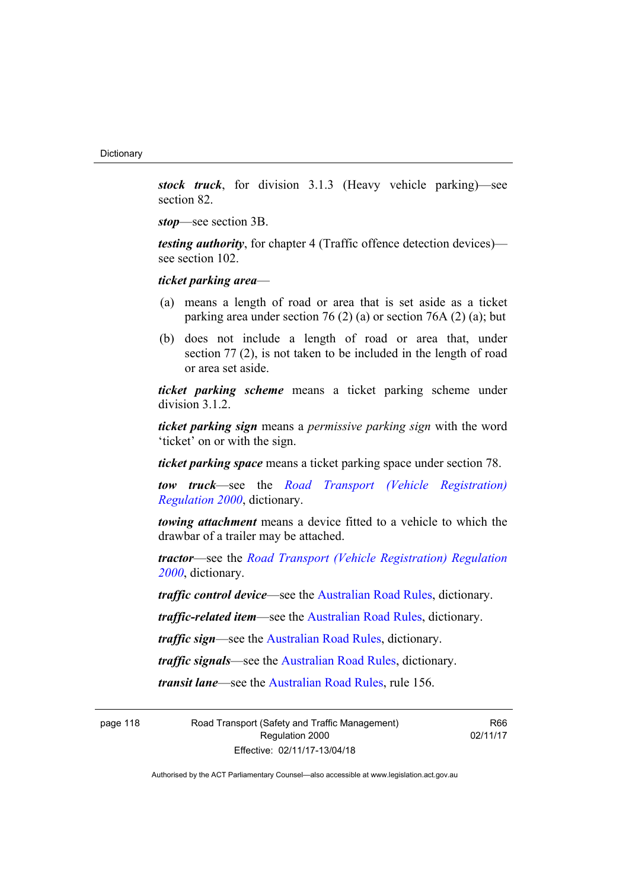*stock truck*, for division 3.1.3 (Heavy vehicle parking)—see section 82.

*stop*—see section 3B.

*testing authority*, for chapter 4 (Traffic offence detection devices) see section 102.

*ticket parking area*—

- (a) means a length of road or area that is set aside as a ticket parking area under section 76 (2) (a) or section 76A (2) (a); but
- (b) does not include a length of road or area that, under section 77 (2), is not taken to be included in the length of road or area set aside.

*ticket parking scheme* means a ticket parking scheme under division 3.1.2.

*ticket parking sign* means a *permissive parking sign* with the word 'ticket' on or with the sign.

*ticket parking space* means a ticket parking space under section 78.

*tow truck*—see the *[Road Transport \(Vehicle Registration\)](http://www.legislation.act.gov.au/sl/2000-12)  [Regulation 2000](http://www.legislation.act.gov.au/sl/2000-12)*, dictionary.

*towing attachment* means a device fitted to a vehicle to which the drawbar of a trailer may be attached.

*tractor*—see the *[Road Transport \(Vehicle Registration\) Regulation](http://www.legislation.act.gov.au/sl/2000-12)  [2000](http://www.legislation.act.gov.au/sl/2000-12)*, dictionary.

*traffic control device*—see the [Australian Road Rules](http://www.legislation.act.gov.au//ni/db_37271/default.asp), dictionary.

*traffic-related item*—see the [Australian Road Rules,](http://www.legislation.act.gov.au//ni/db_37271/default.asp) dictionary.

*traffic sign*—see the [Australian Road Rules](http://www.legislation.act.gov.au//ni/db_37271/default.asp), dictionary.

*traffic signals*—see the [Australian Road Rules](http://www.legislation.act.gov.au//ni/db_37271/default.asp), dictionary.

*transit lane*—see the [Australian Road Rules,](http://www.legislation.act.gov.au//ni/db_37271/default.asp) rule 156.

page 118 Road Transport (Safety and Traffic Management) Regulation 2000 Effective: 02/11/17-13/04/18

R66 02/11/17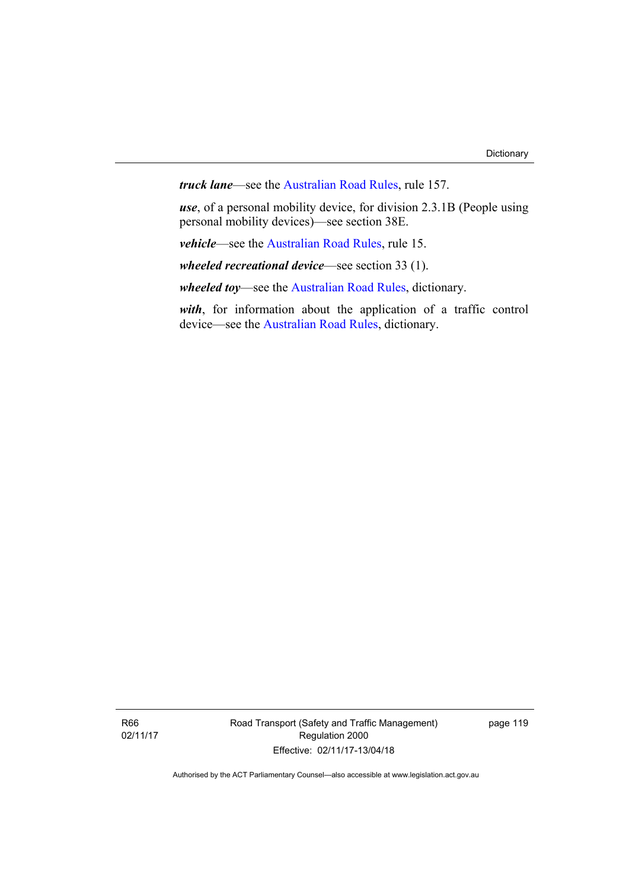*truck lane*—see the [Australian Road Rules](http://www.legislation.act.gov.au//ni/db_37271/default.asp), rule 157.

*use*, of a personal mobility device, for division 2.3.1B (People using personal mobility devices)—see section 38E.

*vehicle*—see the [Australian Road Rules](http://www.legislation.act.gov.au//ni/db_37271/default.asp), rule 15.

*wheeled recreational device*—see section 33 (1).

*wheeled toy*—see the [Australian Road Rules](http://www.legislation.act.gov.au//ni/db_37271/default.asp), dictionary.

*with*, for information about the application of a traffic control device—see the [Australian Road Rules](http://www.legislation.act.gov.au//ni/db_37271/default.asp), dictionary.

R66 02/11/17 Road Transport (Safety and Traffic Management) Regulation 2000 Effective: 02/11/17-13/04/18

page 119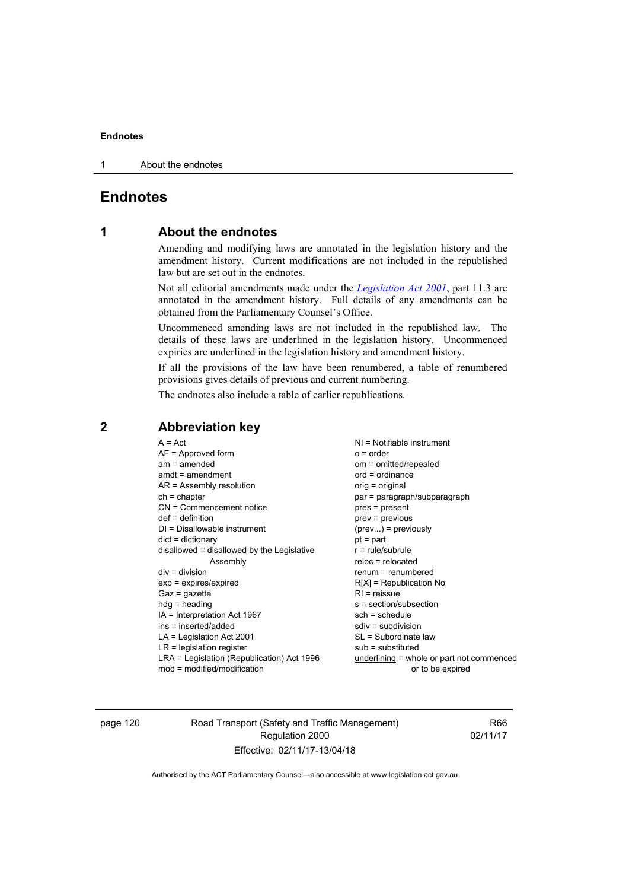1 About the endnotes

# **Endnotes**

# **1 About the endnotes**

Amending and modifying laws are annotated in the legislation history and the amendment history. Current modifications are not included in the republished law but are set out in the endnotes.

Not all editorial amendments made under the *[Legislation Act 2001](http://www.legislation.act.gov.au/a/2001-14)*, part 11.3 are annotated in the amendment history. Full details of any amendments can be obtained from the Parliamentary Counsel's Office.

Uncommenced amending laws are not included in the republished law. The details of these laws are underlined in the legislation history. Uncommenced expiries are underlined in the legislation history and amendment history.

If all the provisions of the law have been renumbered, a table of renumbered provisions gives details of previous and current numbering.

The endnotes also include a table of earlier republications.

| $LR =$ legislation register<br>$sub =$ substituted<br>$LRA =$ Legislation (Republication) Act 1996<br>underlining = whole or part not commenced<br>$mod = modified/modification$<br>or to be expired | ins = inserted/added<br>$sdiv = subdivision$ | $A = Act$<br>$AF =$ Approved form<br>$am = amended$<br>$amdt = amendment$<br>$AR = Assembly resolution$<br>$ch = chapter$<br>$CN =$ Commencement notice<br>$def = definition$<br>$DI = Disallowable instrument$<br>$dict = dictionary$<br>disallowed = disallowed by the Legislative<br>Assembly<br>$div = division$<br>$exp = expires/expired$<br>$Gaz = gazette$<br>$hdg =$ heading<br>IA = Interpretation Act 1967<br>$LA =$ Legislation Act 2001 | NI = Notifiable instrument<br>$o = order$<br>om = omitted/repealed<br>$ord = ordinance$<br>orig = original<br>par = paragraph/subparagraph<br>$pres = present$<br>$prev = previous$<br>$(\text{prev})$ = previously<br>$pt = part$<br>$r = rule/subrule$<br>$reloc = relocated$<br>$remum = renumbered$<br>$R[X]$ = Republication No<br>$RI = reissue$<br>$s = section/subsection$<br>$sch = schedule$<br>SL = Subordinate law |
|------------------------------------------------------------------------------------------------------------------------------------------------------------------------------------------------------|----------------------------------------------|------------------------------------------------------------------------------------------------------------------------------------------------------------------------------------------------------------------------------------------------------------------------------------------------------------------------------------------------------------------------------------------------------------------------------------------------------|--------------------------------------------------------------------------------------------------------------------------------------------------------------------------------------------------------------------------------------------------------------------------------------------------------------------------------------------------------------------------------------------------------------------------------|
|                                                                                                                                                                                                      |                                              |                                                                                                                                                                                                                                                                                                                                                                                                                                                      |                                                                                                                                                                                                                                                                                                                                                                                                                                |
|                                                                                                                                                                                                      |                                              |                                                                                                                                                                                                                                                                                                                                                                                                                                                      |                                                                                                                                                                                                                                                                                                                                                                                                                                |
|                                                                                                                                                                                                      |                                              |                                                                                                                                                                                                                                                                                                                                                                                                                                                      |                                                                                                                                                                                                                                                                                                                                                                                                                                |
|                                                                                                                                                                                                      |                                              |                                                                                                                                                                                                                                                                                                                                                                                                                                                      |                                                                                                                                                                                                                                                                                                                                                                                                                                |
|                                                                                                                                                                                                      |                                              |                                                                                                                                                                                                                                                                                                                                                                                                                                                      |                                                                                                                                                                                                                                                                                                                                                                                                                                |
|                                                                                                                                                                                                      |                                              |                                                                                                                                                                                                                                                                                                                                                                                                                                                      |                                                                                                                                                                                                                                                                                                                                                                                                                                |
|                                                                                                                                                                                                      |                                              |                                                                                                                                                                                                                                                                                                                                                                                                                                                      |                                                                                                                                                                                                                                                                                                                                                                                                                                |
|                                                                                                                                                                                                      |                                              |                                                                                                                                                                                                                                                                                                                                                                                                                                                      |                                                                                                                                                                                                                                                                                                                                                                                                                                |
|                                                                                                                                                                                                      |                                              |                                                                                                                                                                                                                                                                                                                                                                                                                                                      |                                                                                                                                                                                                                                                                                                                                                                                                                                |
|                                                                                                                                                                                                      |                                              |                                                                                                                                                                                                                                                                                                                                                                                                                                                      |                                                                                                                                                                                                                                                                                                                                                                                                                                |
|                                                                                                                                                                                                      |                                              |                                                                                                                                                                                                                                                                                                                                                                                                                                                      |                                                                                                                                                                                                                                                                                                                                                                                                                                |
|                                                                                                                                                                                                      |                                              |                                                                                                                                                                                                                                                                                                                                                                                                                                                      |                                                                                                                                                                                                                                                                                                                                                                                                                                |
|                                                                                                                                                                                                      |                                              |                                                                                                                                                                                                                                                                                                                                                                                                                                                      |                                                                                                                                                                                                                                                                                                                                                                                                                                |
|                                                                                                                                                                                                      |                                              |                                                                                                                                                                                                                                                                                                                                                                                                                                                      |                                                                                                                                                                                                                                                                                                                                                                                                                                |
|                                                                                                                                                                                                      |                                              |                                                                                                                                                                                                                                                                                                                                                                                                                                                      |                                                                                                                                                                                                                                                                                                                                                                                                                                |

# **2 Abbreviation key**

page 120 Road Transport (Safety and Traffic Management) Regulation 2000 Effective: 02/11/17-13/04/18

R66 02/11/17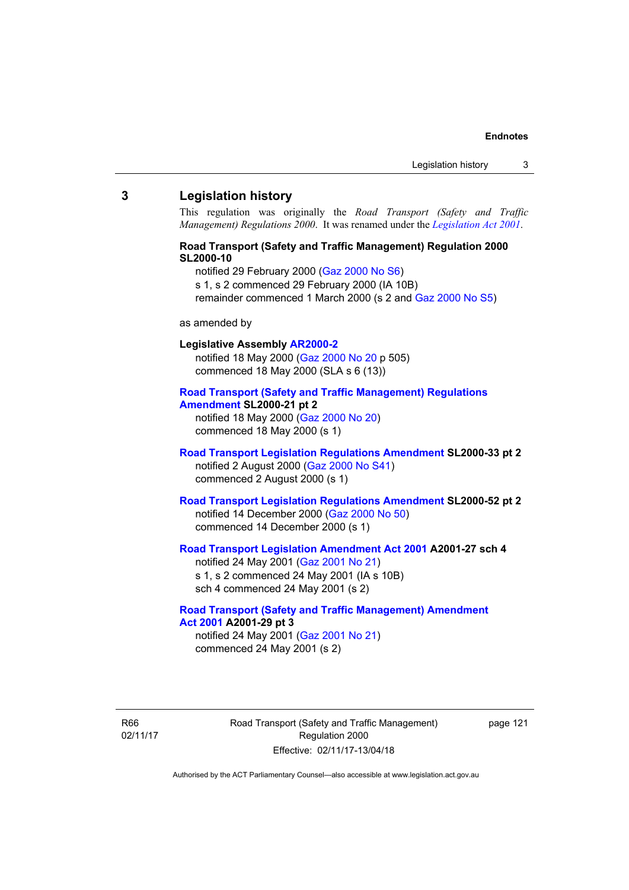#### **3 Legislation history**

This regulation was originally the *Road Transport (Safety and Traffic Management) Regulations 2000*. It was renamed under the *[Legislation Act 2001](http://www.legislation.act.gov.au/a/2001-14)*.

### **Road Transport (Safety and Traffic Management) Regulation 2000 SL2000-10**

notified 29 February 2000 [\(Gaz 2000 No S6](http://www.legislation.act.gov.au/gaz/2000-S6/default.asp))

s 1, s 2 commenced 29 February 2000 (IA 10B)

remainder commenced 1 March 2000 (s 2 and [Gaz 2000 No S5\)](http://www.legislation.act.gov.au/gaz/2000-S5/default.asp)

### as amended by

# **Legislative Assembly [AR2000-2](http://www.legislation.act.gov.au/ar/2000-2/default.asp)**

notified 18 May 2000 ([Gaz 2000 No 20 p](http://www.legislation.act.gov.au/gaz/2000-20/default.asp) 505) commenced 18 May 2000 (SLA s 6 (13))

#### **[Road Transport \(Safety and Traffic Management\) Regulations](http://www.legislation.act.gov.au/sl/2000-21/default.asp)  [Amendment](http://www.legislation.act.gov.au/sl/2000-21/default.asp) SL2000-21 pt 2**

notified 18 May 2000 ([Gaz 2000 No 20\)](http://www.legislation.act.gov.au/gaz/2000-20/default.asp) commenced 18 May 2000 (s 1)

### **[Road Transport Legislation Regulations Amendment](http://www.legislation.act.gov.au/sl/2000-33/default.asp) SL2000-33 pt 2**  notified 2 August 2000 ([Gaz 2000 No S41](http://www.legislation.act.gov.au/gaz/2000-S41/default.asp)) commenced 2 August 2000 (s 1)

### **[Road Transport Legislation Regulations Amendment](http://www.legislation.act.gov.au/sl/2000-52/default.asp) SL2000-52 pt 2**  notified 14 December 2000 [\(Gaz 2000 No 50](http://www.legislation.act.gov.au/gaz/2000-50/default.asp)) commenced 14 December 2000 (s 1)

# **[Road Transport Legislation Amendment Act 2001](http://www.legislation.act.gov.au/a/2001-27) A2001-27 sch 4**

notified 24 May 2001 ([Gaz 2001 No 21\)](http://www.legislation.act.gov.au/gaz/2001-21/default.asp) s 1, s 2 commenced 24 May 2001 (IA s 10B) sch 4 commenced 24 May 2001 (s 2)

### **[Road Transport \(Safety and Traffic Management\) Amendment](http://www.legislation.act.gov.au/a/2001-29)  [Act 2001](http://www.legislation.act.gov.au/a/2001-29) A2001-29 pt 3**  notified 24 May 2001 ([Gaz 2001 No 21\)](http://www.legislation.act.gov.au/gaz/2001-21/default.asp)

commenced 24 May 2001 (s 2)

R66 02/11/17 Road Transport (Safety and Traffic Management) Regulation 2000 Effective: 02/11/17-13/04/18

page 121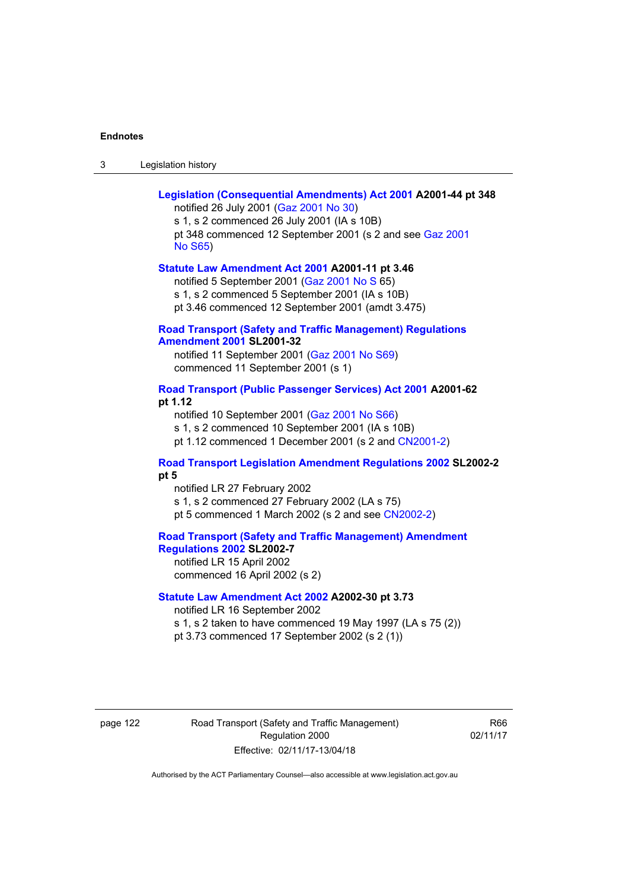| -3 | Legislation history |  |
|----|---------------------|--|
|    |                     |  |

| Legislation (Consequential Amendments) Act 2001 A2001-44 pt 348<br>notified 26 July 2001 (Gaz 2001 No 30)<br>s 1, s 2 commenced 26 July 2001 (IA s 10B)<br>pt 348 commenced 12 September 2001 (s 2 and see Gaz 2001<br><b>No S65)</b> |
|---------------------------------------------------------------------------------------------------------------------------------------------------------------------------------------------------------------------------------------|
| Statute Law Amendment Act 2001 A2001-11 pt 3.46<br>notified 5 September 2001 (Gaz 2001 No S 65)<br>s 1, s 2 commenced 5 September 2001 (IA s 10B)<br>pt 3.46 commenced 12 September 2001 (amdt 3.475)                                 |
| <b>Road Transport (Safety and Traffic Management) Regulations</b><br><b>Amendment 2001 SL2001-32</b><br>notified 11 September 2001 (Gaz 2001 No S69)<br>commenced 11 September 2001 (s 1)                                             |
| Road Transport (Public Passenger Services) Act 2001 A2001-62<br>pt 1.12<br>notified 10 September 2001 (Gaz 2001 No S66)<br>s 1, s 2 commenced 10 September 2001 (IA s 10B)<br>pt 1.12 commenced 1 December 2001 (s 2 and CN2001-2)    |
| Road Transport Legislation Amendment Regulations 2002 SL2002-2<br>pt 5<br>notified LR 27 February 2002<br>s 1, s 2 commenced 27 February 2002 (LA s 75)<br>pt 5 commenced 1 March 2002 (s 2 and see CN2002-2)                         |
| <b>Road Transport (Safety and Traffic Management) Amendment</b><br>Regulations 2002 SL2002-7<br>notified LR 15 April 2002<br>commenced 16 April 2002 (s 2)                                                                            |
| Statute Law Amendment Act 2002 A2002-30 pt 3.73<br>notified LR 16 September 2002<br>s 1, s 2 taken to have commenced 19 May 1997 (LA s 75 (2))<br>pt 3.73 commenced 17 September 2002 (s 2 (1))                                       |

page 122 Road Transport (Safety and Traffic Management) Regulation 2000 Effective: 02/11/17-13/04/18

R66 02/11/17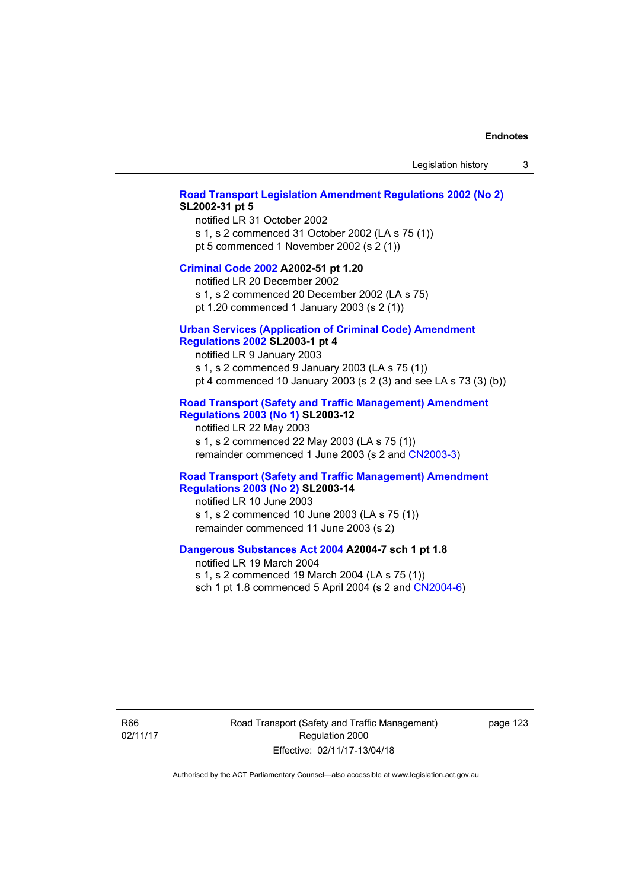#### **[Road Transport Legislation Amendment Regulations 2002 \(No 2\)](http://www.legislation.act.gov.au/sl/2002-31) SL2002-31 pt 5**

notified LR 31 October 2002 s 1, s 2 commenced 31 October 2002 (LA s 75 (1)) pt 5 commenced 1 November 2002 (s 2 (1))

#### **[Criminal Code 2002](http://www.legislation.act.gov.au/a/2002-51) A2002-51 pt 1.20**

notified LR 20 December 2002 s 1, s 2 commenced 20 December 2002 (LA s 75)

pt 1.20 commenced 1 January 2003 (s 2 (1))

# **[Urban Services \(Application of Criminal Code\) Amendment](http://www.legislation.act.gov.au/sl/2003-1)**

### **[Regulations 2002](http://www.legislation.act.gov.au/sl/2003-1) SL2003-1 pt 4**

notified LR 9 January 2003 s 1, s 2 commenced 9 January 2003 (LA s 75 (1)) pt 4 commenced 10 January 2003 (s 2 (3) and see LA s 73 (3) (b))

### **[Road Transport \(Safety and Traffic Management\) Amendment](http://www.legislation.act.gov.au/sl/2003-12)  [Regulations 2003 \(No 1\)](http://www.legislation.act.gov.au/sl/2003-12) SL2003-12**

notified LR 22 May 2003 s 1, s 2 commenced 22 May 2003 (LA s 75 (1)) remainder commenced 1 June 2003 (s 2 and [CN2003-3](http://www.legislation.act.gov.au/cn/2003-3/default.asp))

### **[Road Transport \(Safety and Traffic Management\) Amendment](http://www.legislation.act.gov.au/sl/2003-14)  [Regulations 2003 \(No 2\)](http://www.legislation.act.gov.au/sl/2003-14) SL2003-14**

notified LR 10 June 2003 s 1, s 2 commenced 10 June 2003 (LA s 75 (1)) remainder commenced 11 June 2003 (s 2)

### **[Dangerous Substances Act 2004](http://www.legislation.act.gov.au/a/2004-7) A2004-7 sch 1 pt 1.8**

notified LR 19 March 2004 s 1, s 2 commenced 19 March 2004 (LA s 75 (1)) sch 1 pt 1.8 commenced 5 April 2004 (s 2 and [CN2004-6](http://www.legislation.act.gov.au/cn/2004-6/default.asp))

R66 02/11/17 Road Transport (Safety and Traffic Management) Regulation 2000 Effective: 02/11/17-13/04/18

page 123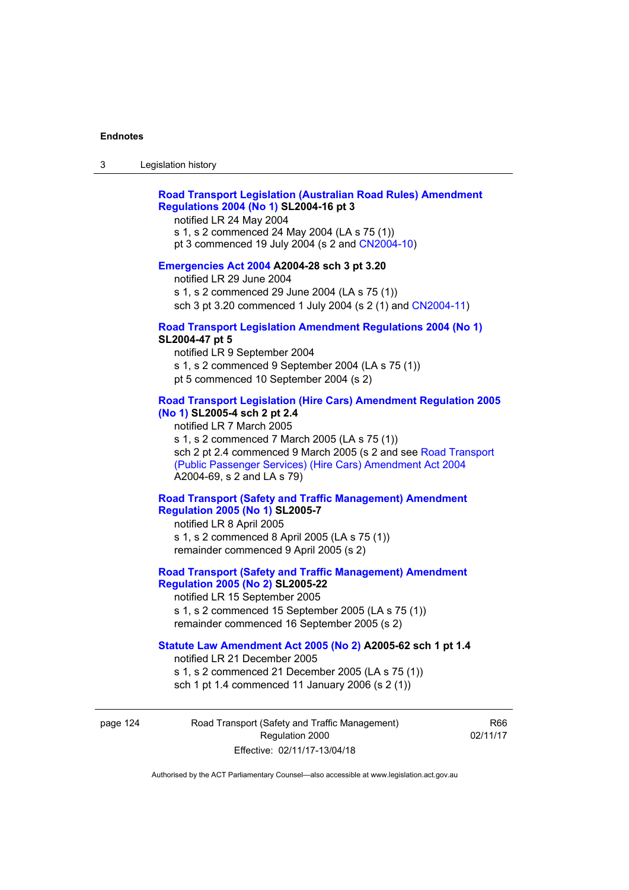### **[Road Transport Legislation \(Australian Road Rules\) Amendment](http://www.legislation.act.gov.au/sl/2004-16)  [Regulations 2004 \(No 1\)](http://www.legislation.act.gov.au/sl/2004-16) SL2004-16 pt 3**

notified LR 24 May 2004

s 1, s 2 commenced 24 May 2004 (LA s 75 (1)) pt 3 commenced 19 July 2004 (s 2 and [CN2004-10](http://www.legislation.act.gov.au/cn/2004-10/default.asp))

#### **[Emergencies Act 2004](http://www.legislation.act.gov.au/a/2004-28) A2004-28 sch 3 pt 3.20**

notified LR 29 June 2004 s 1, s 2 commenced 29 June 2004 (LA s 75 (1)) sch 3 pt 3.20 commenced 1 July 2004 (s 2 (1) and [CN2004-11](http://www.legislation.act.gov.au/cn/2004-11/default.asp))

#### **[Road Transport Legislation Amendment Regulations 2004 \(No 1\)](http://www.legislation.act.gov.au/sl/2004-47) SL2004-47 pt 5**

notified LR 9 September 2004 s 1, s 2 commenced 9 September 2004 (LA s 75 (1)) pt 5 commenced 10 September 2004 (s 2)

### **[Road Transport Legislation \(Hire Cars\) Amendment Regulation 2005](http://www.legislation.act.gov.au/sl/2005-4)  [\(No 1\)](http://www.legislation.act.gov.au/sl/2005-4) SL2005-4 sch 2 pt 2.4**

notified LR 7 March 2005 s 1, s 2 commenced 7 March 2005 (LA s 75 (1)) sch 2 pt 2.4 commenced 9 March 2005 (s 2 and see [Road Transport](http://www.legislation.act.gov.au/a/2004-69)  [\(Public Passenger Services\) \(Hire Cars\) Amendment Act 2004](http://www.legislation.act.gov.au/a/2004-69) A2004-69, s 2 and LA s 79)

### **[Road Transport \(Safety and Traffic Management\) Amendment](http://www.legislation.act.gov.au/sl/2005-7)  [Regulation 2005 \(No 1\)](http://www.legislation.act.gov.au/sl/2005-7) SL2005-7**

notified LR 8 April 2005 s 1, s 2 commenced 8 April 2005 (LA s 75 (1)) remainder commenced 9 April 2005 (s 2)

### **[Road Transport \(Safety and Traffic Management\) Amendment](http://www.legislation.act.gov.au/sl/2005-22)  [Regulation 2005 \(No 2\)](http://www.legislation.act.gov.au/sl/2005-22) SL2005-22**

notified LR 15 September 2005 s 1, s 2 commenced 15 September 2005 (LA s 75 (1)) remainder commenced 16 September 2005 (s 2)

### **[Statute Law Amendment Act 2005 \(No 2\)](http://www.legislation.act.gov.au/a/2005-62) A2005-62 sch 1 pt 1.4**

notified LR 21 December 2005 s 1, s 2 commenced 21 December 2005 (LA s 75 (1)) sch 1 pt 1.4 commenced 11 January 2006 (s 2 (1))

page 124 Road Transport (Safety and Traffic Management) Regulation 2000 Effective: 02/11/17-13/04/18

R66 02/11/17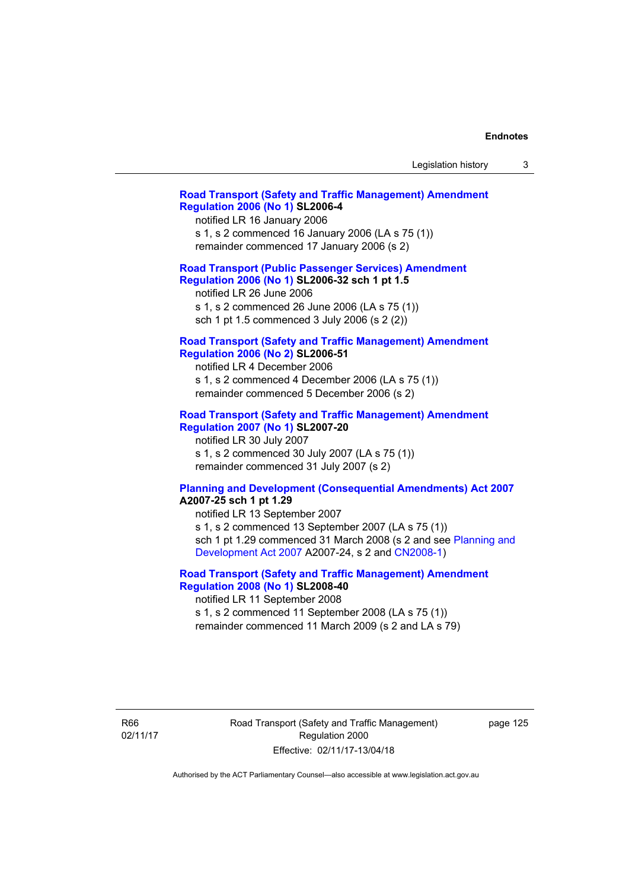| Legislation history |  |
|---------------------|--|
|---------------------|--|

### **[Road Transport \(Safety and Traffic Management\) Amendment](http://www.legislation.act.gov.au/sl/2006-4)  [Regulation 2006 \(No 1\)](http://www.legislation.act.gov.au/sl/2006-4) SL2006-4**

notified LR 16 January 2006 s 1, s 2 commenced 16 January 2006 (LA s 75 (1)) remainder commenced 17 January 2006 (s 2)

### **[Road Transport \(Public Passenger Services\) Amendment](http://www.legislation.act.gov.au/sl/2006-32)  [Regulation 2006 \(No 1\)](http://www.legislation.act.gov.au/sl/2006-32) SL2006-32 sch 1 pt 1.5**

notified LR 26 June 2006 s 1, s 2 commenced 26 June 2006 (LA s 75 (1)) sch 1 pt 1.5 commenced 3 July 2006 (s 2 (2))

#### **[Road Transport \(Safety and Traffic Management\) Amendment](http://www.legislation.act.gov.au/sl/2006-51)  [Regulation 2006 \(No 2\)](http://www.legislation.act.gov.au/sl/2006-51) SL2006-51**

notified LR 4 December 2006 s 1, s 2 commenced 4 December 2006 (LA s 75 (1)) remainder commenced 5 December 2006 (s 2)

### **[Road Transport \(Safety and Traffic Management\) Amendment](http://www.legislation.act.gov.au/sl/2007-20)**

**[Regulation 2007 \(No 1\)](http://www.legislation.act.gov.au/sl/2007-20) SL2007-20**  notified LR 30 July 2007 s 1, s 2 commenced 30 July 2007 (LA s 75 (1)) remainder commenced 31 July 2007 (s 2)

#### **[Planning and Development \(Consequential Amendments\) Act 2007](http://www.legislation.act.gov.au/a/2007-25) A2007-25 sch 1 pt 1.29**

notified LR 13 September 2007 s 1, s 2 commenced 13 September 2007 (LA s 75 (1)) sch 1 pt 1.29 commenced 31 March 2008 (s 2 and see [Planning and](http://www.legislation.act.gov.au/a/2007-24)  [Development Act 2007](http://www.legislation.act.gov.au/a/2007-24) A2007-24, s 2 and [CN2008-1](http://www.legislation.act.gov.au/cn/2008-1/default.asp))

### **[Road Transport \(Safety and Traffic Management\) Amendment](http://www.legislation.act.gov.au/sl/2008-40)  [Regulation 2008 \(No 1\)](http://www.legislation.act.gov.au/sl/2008-40) SL2008-40**

notified LR 11 September 2008 s 1, s 2 commenced 11 September 2008 (LA s 75 (1)) remainder commenced 11 March 2009 (s 2 and LA s 79)

R66 02/11/17 Road Transport (Safety and Traffic Management) Regulation 2000 Effective: 02/11/17-13/04/18

page 125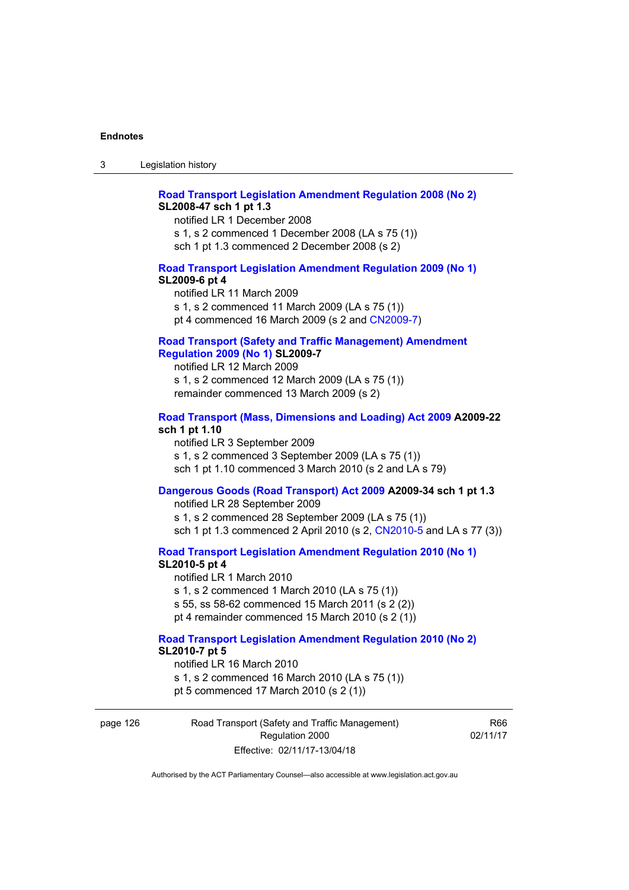## **[Road Transport Legislation Amendment Regulation 2008 \(No 2\)](http://www.legislation.act.gov.au/sl/2008-47) SL2008-47 sch 1 pt 1.3**

notified LR 1 December 2008 s 1, s 2 commenced 1 December 2008 (LA s 75 (1))

sch 1 pt 1.3 commenced 2 December 2008 (s 2)

### **[Road Transport Legislation Amendment Regulation 2009 \(No 1\)](http://www.legislation.act.gov.au/sl/2009-6) SL2009-6 pt 4**

notified LR 11 March 2009 s 1, s 2 commenced 11 March 2009 (LA s 75 (1)) pt 4 commenced 16 March 2009 (s 2 and [CN2009-7\)](http://www.legislation.act.gov.au/cn/2009-7/default.asp)

### **[Road Transport \(Safety and Traffic Management\) Amendment](http://www.legislation.act.gov.au/sl/2009-7)  [Regulation 2009 \(No 1\)](http://www.legislation.act.gov.au/sl/2009-7) SL2009-7**

notified LR 12 March 2009 s 1, s 2 commenced 12 March 2009 (LA s 75 (1)) remainder commenced 13 March 2009 (s 2)

#### **[Road Transport \(Mass, Dimensions and Loading\) Act 2009](http://www.legislation.act.gov.au/a/2009-22/default.asp) A2009-22 sch 1 pt 1.10**

notified LR 3 September 2009 s 1, s 2 commenced 3 September 2009 (LA s 75 (1)) sch 1 pt 1.10 commenced 3 March 2010 (s 2 and LA s 79)

### **[Dangerous Goods \(Road Transport\) Act 2009](http://www.legislation.act.gov.au/a/2009-34) A2009-34 sch 1 pt 1.3**

notified LR 28 September 2009 s 1, s 2 commenced 28 September 2009 (LA s 75 (1)) sch 1 pt 1.3 commenced 2 April 2010 (s 2, [CN2010-5 a](http://www.legislation.act.gov.au/cn/2010-5/default.asp)nd LA s 77 (3))

**[Road Transport Legislation Amendment Regulation 2010 \(No 1\)](http://www.legislation.act.gov.au/sl/2010-5)**

#### **SL2010-5 pt 4**

notified LR 1 March 2010 s 1, s 2 commenced 1 March 2010 (LA s 75 (1)) s 55, ss 58-62 commenced 15 March 2011 (s 2 (2)) pt 4 remainder commenced 15 March 2010 (s 2 (1))

#### **[Road Transport Legislation Amendment Regulation 2010 \(No 2\)](http://www.legislation.act.gov.au/sl/2010-7) SL2010-7 pt 5**  notified LR 16 March 2010

s 1, s 2 commenced 16 March 2010 (LA s 75 (1)) pt 5 commenced 17 March 2010 (s 2 (1))

page 126 Road Transport (Safety and Traffic Management) Regulation 2000 Effective: 02/11/17-13/04/18

R66 02/11/17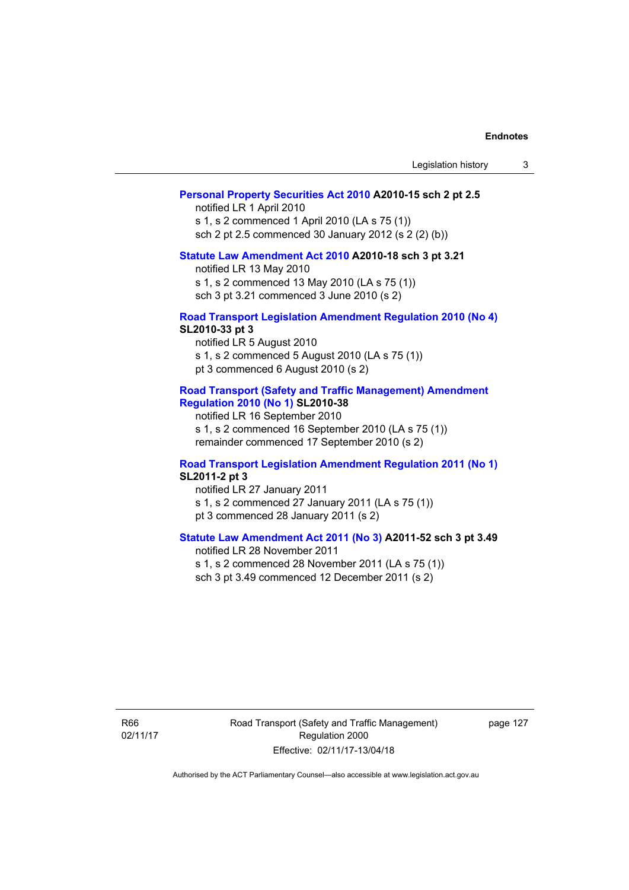| Legislation history |  |  |
|---------------------|--|--|
|---------------------|--|--|

## **[Personal Property Securities Act 2010](http://www.legislation.act.gov.au/a/2010-15) A2010-15 sch 2 pt 2.5**

notified LR 1 April 2010 s 1, s 2 commenced 1 April 2010 (LA s 75 (1)) sch 2 pt 2.5 commenced 30 January 2012 (s 2 (2) (b))

# **[Statute Law Amendment Act 2010](http://www.legislation.act.gov.au/a/2010-18) A2010-18 sch 3 pt 3.21**

notified LR 13 May 2010 s 1, s 2 commenced 13 May 2010 (LA s 75 (1)) sch 3 pt 3.21 commenced 3 June 2010 (s 2)

#### **[Road Transport Legislation Amendment Regulation 2010 \(No 4\)](http://www.legislation.act.gov.au/sl/2010-33) SL2010-33 pt 3**

notified LR 5 August 2010 s 1, s 2 commenced 5 August 2010 (LA s 75 (1)) pt 3 commenced 6 August 2010 (s 2)

### **[Road Transport \(Safety and Traffic Management\) Amendment](http://www.legislation.act.gov.au/sl/2010-38)  [Regulation 2010 \(No 1\)](http://www.legislation.act.gov.au/sl/2010-38) SL2010-38**

notified LR 16 September 2010 s 1, s 2 commenced 16 September 2010 (LA s 75 (1)) remainder commenced 17 September 2010 (s 2)

#### **[Road Transport Legislation Amendment Regulation 2011 \(No 1\)](http://www.legislation.act.gov.au/sl/2011-2) SL2011-2 pt 3**

notified LR 27 January 2011 s 1, s 2 commenced 27 January 2011 (LA s 75 (1)) pt 3 commenced 28 January 2011 (s 2)

# **[Statute Law Amendment Act 2011 \(No 3\)](http://www.legislation.act.gov.au/a/2011-52) A2011-52 sch 3 pt 3.49**

notified LR 28 November 2011 s 1, s 2 commenced 28 November 2011 (LA s 75 (1)) sch 3 pt 3.49 commenced 12 December 2011 (s 2)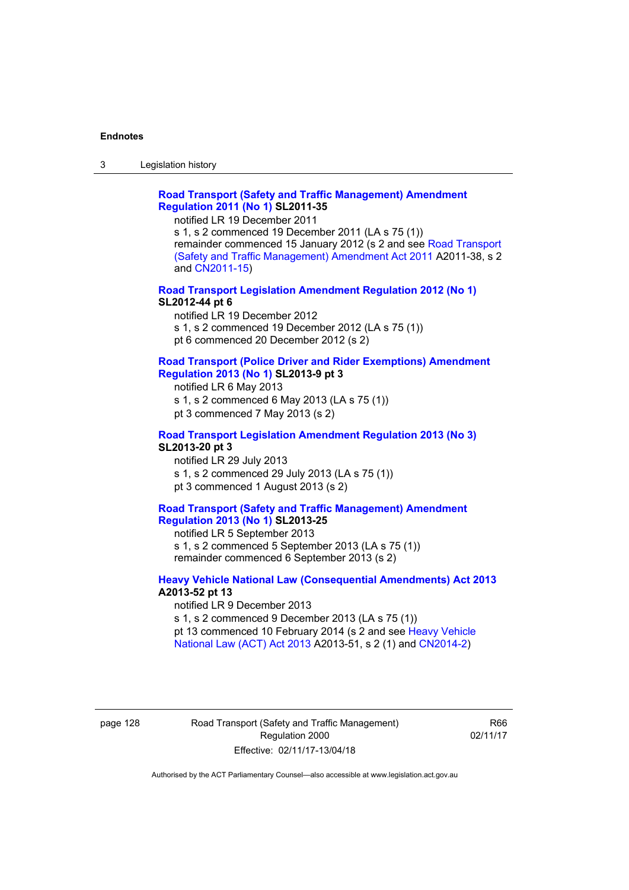3 Legislation history

## **[Road Transport \(Safety and Traffic Management\) Amendment](http://www.legislation.act.gov.au/sl/2011-35)  [Regulation 2011 \(No 1\)](http://www.legislation.act.gov.au/sl/2011-35) SL2011-35**

notified LR 19 December 2011

s 1, s 2 commenced 19 December 2011 (LA s 75 (1)) remainder commenced 15 January 2012 (s 2 and see [Road Transport](http://www.legislation.act.gov.au/a/2011-38)  [\(Safety and Traffic Management\) Amendment Act 2011](http://www.legislation.act.gov.au/a/2011-38) A2011-38, s 2 and [CN2011-15\)](http://www.legislation.act.gov.au/cn/2011-15/default.asp)

**[Road Transport Legislation Amendment Regulation 2012 \(No 1\)](http://www.legislation.act.gov.au/sl/2012-44/default.asp) SL2012-44 pt 6** 

notified LR 19 December 2012 s 1, s 2 commenced 19 December 2012 (LA s 75 (1)) pt 6 commenced 20 December 2012 (s 2)

#### **[Road Transport \(Police Driver and Rider Exemptions\) Amendment](http://www.legislation.act.gov.au/sl/2013-9/default.asp)  [Regulation 2013 \(No 1\)](http://www.legislation.act.gov.au/sl/2013-9/default.asp) SL2013-9 pt 3**

notified LR 6 May 2013 s 1, s 2 commenced 6 May 2013 (LA s 75 (1)) pt 3 commenced 7 May 2013 (s 2)

**[Road Transport Legislation Amendment Regulation 2013 \(No 3\)](http://www.legislation.act.gov.au/sl/2013-20) SL2013-20 pt 3**  notified LR 29 July 2013

s 1, s 2 commenced 29 July 2013 (LA s 75 (1)) pt 3 commenced 1 August 2013 (s 2)

## **[Road Transport \(Safety and Traffic Management\) Amendment](http://www.legislation.act.gov.au/sl/2013-25)  [Regulation 2013 \(No 1\)](http://www.legislation.act.gov.au/sl/2013-25) SL2013-25**

notified LR 5 September 2013

s 1, s 2 commenced 5 September 2013 (LA s 75 (1)) remainder commenced 6 September 2013 (s 2)

#### **[Heavy Vehicle National Law \(Consequential Amendments\) Act 2013](http://www.legislation.act.gov.au/a/2013-52) A2013-52 pt 13**  notified LR 9 December 2013

s 1, s 2 commenced 9 December 2013 (LA s 75 (1)) pt 13 commenced 10 February 2014 (s 2 and see [Heavy Vehicle](http://www.legislation.act.gov.au/a/2013-51/default.asp)  [National Law \(ACT\) Act 2013](http://www.legislation.act.gov.au/a/2013-51/default.asp) A2013-51, s 2 (1) and [CN2014-2](http://www.legislation.act.gov.au/cn/2014-2/default.asp))

page 128 Road Transport (Safety and Traffic Management) Regulation 2000 Effective: 02/11/17-13/04/18

R66 02/11/17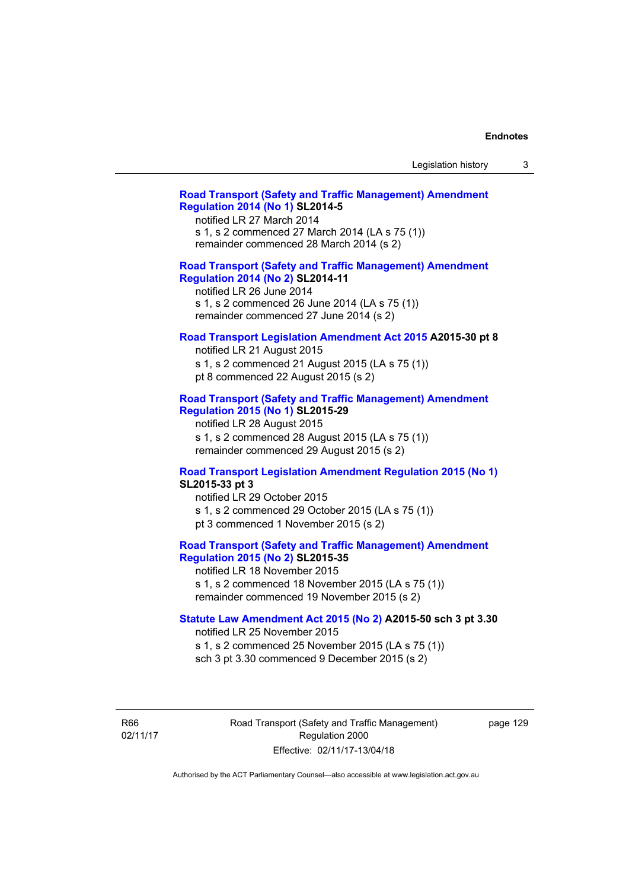# **[Road Transport \(Safety and Traffic Management\) Amendment](http://www.legislation.act.gov.au/sl/2014-5)  [Regulation 2014 \(No 1\)](http://www.legislation.act.gov.au/sl/2014-5) SL2014-5**

notified LR 27 March 2014 s 1, s 2 commenced 27 March 2014 (LA s 75 (1)) remainder commenced 28 March 2014 (s 2)

# **[Road Transport \(Safety and Traffic Management\) Amendment](http://www.legislation.act.gov.au/sl/2014-11)**

**[Regulation 2014 \(No 2\)](http://www.legislation.act.gov.au/sl/2014-11) SL2014-11**  notified LR 26 June 2014 s 1, s 2 commenced 26 June 2014 (LA s 75 (1)) remainder commenced 27 June 2014 (s 2)

#### **[Road Transport Legislation Amendment Act 2015](http://www.legislation.act.gov.au/a/2015-30/default.asp) A2015-30 pt 8**

notified LR 21 August 2015 s 1, s 2 commenced 21 August 2015 (LA s 75 (1)) pt 8 commenced 22 August 2015 (s 2)

## **[Road Transport \(Safety and Traffic Management\) Amendment](http://www.legislation.act.gov.au/sl/2015-29)  [Regulation 2015 \(No 1\)](http://www.legislation.act.gov.au/sl/2015-29) SL2015-29**

notified LR 28 August 2015 s 1, s 2 commenced 28 August 2015 (LA s 75 (1)) remainder commenced 29 August 2015 (s 2)

#### **[Road Transport Legislation Amendment Regulation 2015 \(No 1\)](http://www.legislation.act.gov.au/sl/2015-33) SL2015-33 pt 3**

notified LR 29 October 2015 s 1, s 2 commenced 29 October 2015 (LA s 75 (1)) pt 3 commenced 1 November 2015 (s 2)

## **[Road Transport \(Safety and Traffic Management\) Amendment](http://www.legislation.act.gov.au/sl/2015-35)  [Regulation 2015 \(No 2\)](http://www.legislation.act.gov.au/sl/2015-35) SL2015-35**

notified LR 18 November 2015 s 1, s 2 commenced 18 November 2015 (LA s 75 (1)) remainder commenced 19 November 2015 (s 2)

#### **[Statute Law Amendment Act 2015 \(No 2\)](http://www.legislation.act.gov.au/a/2015-50) A2015-50 sch 3 pt 3.30**

notified LR 25 November 2015

s 1, s 2 commenced 25 November 2015 (LA s 75 (1)) sch 3 pt 3.30 commenced 9 December 2015 (s 2)

R66 02/11/17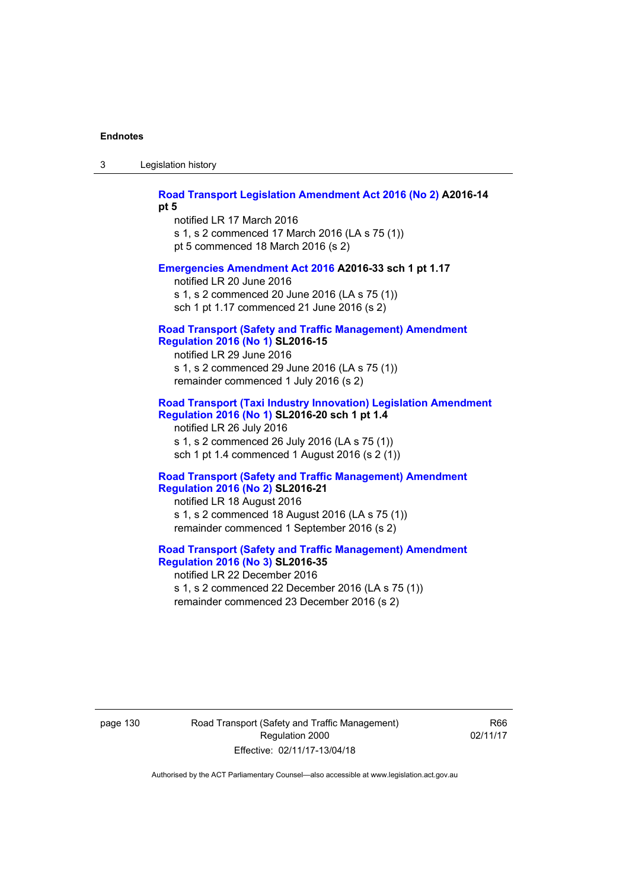3 Legislation history

# **[Road Transport Legislation Amendment Act 2016 \(No 2\)](http://www.legislation.act.gov.au/a/2016-14) A2016-14**

**pt 5** 

notified LR 17 March 2016 s 1, s 2 commenced 17 March 2016 (LA s 75 (1)) pt 5 commenced 18 March 2016 (s 2)

### **[Emergencies Amendment Act 2016](http://www.legislation.act.gov.au/a/2016-33) A2016-33 sch 1 pt 1.17**

notified LR 20 June 2016 s 1, s 2 commenced 20 June 2016 (LA s 75 (1)) sch 1 pt 1.17 commenced 21 June 2016 (s 2)

#### **[Road Transport \(Safety and Traffic Management\) Amendment](http://www.legislation.act.gov.au/sl/2016-15)  [Regulation 2016 \(No 1\)](http://www.legislation.act.gov.au/sl/2016-15) SL2016-15**

notified LR 29 June 2016 s 1, s 2 commenced 29 June 2016 (LA s 75 (1)) remainder commenced 1 July 2016 (s 2)

## **[Road Transport \(Taxi Industry Innovation\) Legislation Amendment](http://www.legislation.act.gov.au/sl/2016-20/default.asp)  [Regulation 2016 \(No 1\)](http://www.legislation.act.gov.au/sl/2016-20/default.asp) SL2016-20 sch 1 pt 1.4**

notified LR 26 July 2016 s 1, s 2 commenced 26 July 2016 (LA s 75 (1)) sch 1 pt 1.4 commenced 1 August 2016 (s 2 (1))

### **[Road Transport \(Safety and Traffic Management\) Amendment](http://www.legislation.act.gov.au/sl/2016-21/default.asp)  [Regulation 2016 \(No 2\)](http://www.legislation.act.gov.au/sl/2016-21/default.asp) SL2016-21**

notified LR 18 August 2016 s 1, s 2 commenced 18 August 2016 (LA s 75 (1)) remainder commenced 1 September 2016 (s 2)

# **[Road Transport \(Safety and Traffic Management\) Amendment](http://www.legislation.act.gov.au/sl/2016-35/default.asp)  [Regulation 2016 \(No 3\)](http://www.legislation.act.gov.au/sl/2016-35/default.asp) SL2016-35**

notified LR 22 December 2016 s 1, s 2 commenced 22 December 2016 (LA s 75 (1)) remainder commenced 23 December 2016 (s 2)

page 130 Road Transport (Safety and Traffic Management) Regulation 2000 Effective: 02/11/17-13/04/18

R66 02/11/17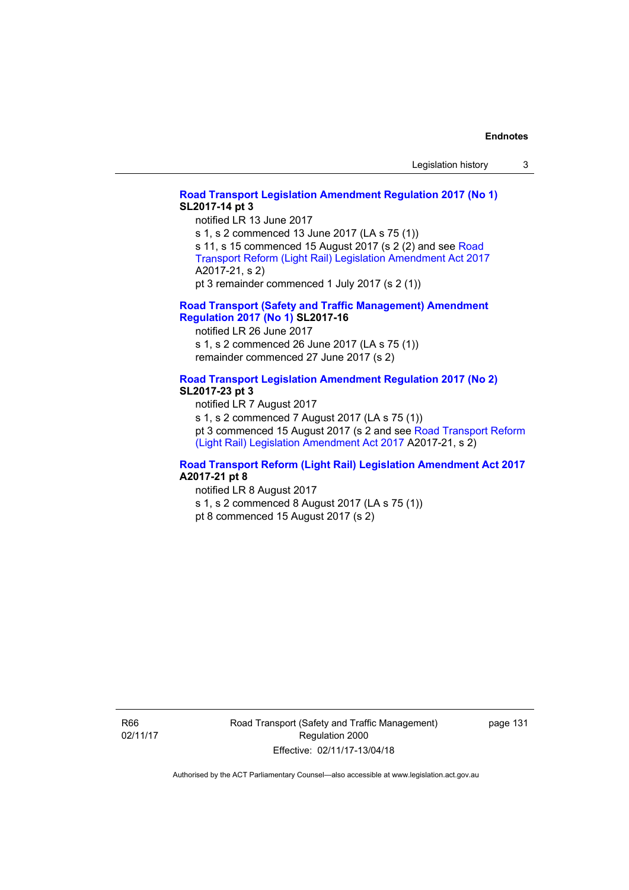# **[Road Transport Legislation Amendment Regulation 2017 \(No 1\)](http://www.legislation.act.gov.au/sl/2017-14/default.asp) SL2017-14 pt 3**

notified LR 13 June 2017

s 1, s 2 commenced 13 June 2017 (LA s 75 (1)) s 11, s 15 commenced 15 August 2017 (s 2 (2) and see [Road](http://www.legislation.act.gov.au/a/2017-21/default.asp)  [Transport Reform \(Light Rail\) Legislation Amendment Act 2017](http://www.legislation.act.gov.au/a/2017-21/default.asp) A2017-21, s 2)

pt 3 remainder commenced 1 July 2017 (s 2 (1))

## **[Road Transport \(Safety and Traffic Management\) Amendment](http://www.legislation.act.gov.au/sl/2017-16/default.asp)  [Regulation 2017 \(No 1\)](http://www.legislation.act.gov.au/sl/2017-16/default.asp) SL2017-16**

notified LR 26 June 2017 s 1, s 2 commenced 26 June 2017 (LA s 75 (1)) remainder commenced 27 June 2017 (s 2)

# **[Road Transport Legislation Amendment Regulation 2017 \(No 2\)](http://www.legislation.act.gov.au/sl/2017-23/default.asp)**

## **SL2017-23 pt 3**

notified LR 7 August 2017 s 1, s 2 commenced 7 August 2017 (LA s 75 (1)) pt 3 commenced 15 August 2017 (s 2 and see [Road Transport Reform](http://www.legislation.act.gov.au/a/2017-21/default.asp)  [\(Light Rail\) Legislation Amendment Act 2017](http://www.legislation.act.gov.au/a/2017-21/default.asp) A2017-21, s 2)

## **[Road Transport Reform \(Light Rail\) Legislation Amendment Act 2017](http://www.legislation.act.gov.au/a/2017-21/default.asp) A2017-21 pt 8**

notified LR 8 August 2017

s 1, s 2 commenced 8 August 2017 (LA s 75 (1))

pt 8 commenced 15 August 2017 (s 2)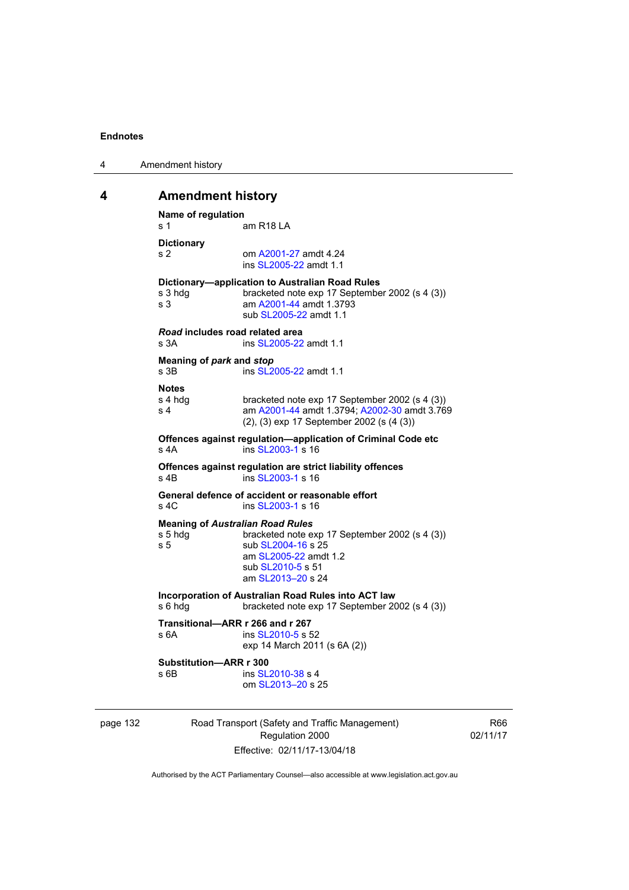| 4 | Amendment history |
|---|-------------------|
|---|-------------------|

# **4 Amendment history**

```
Name of regulation 
s 1 am R18 LA
Dictionary 
s 2 om A2001-27 amdt 4.24
                 ins SL2005-22 amdt 1.1 
Dictionary—application to Australian Road Rules 
s 3 hdg bracketed note exp 17 September 2002 (s 4 (3))
s 3 am A2001-44 amdt 1.3793 
                 sub SL2005-22 amdt 1.1 
Road includes road related area 
s 3A ins SL2005-22 amdt 1.1
Meaning of park and stop
s 3B ins SL2005-22 amdt 1.1
Notes 
s 4 hdg bracketed note exp 17 September 2002 (s 4 (3))<br>s 4 am A2001-44 amdt 1.3794: A2002-30 amdt 3.76
                A2001-44 A2002-30 amdt 3.769
                (2), (3) exp 17 September 2002 (s (4 (3)) 
Offences against regulation—application of Criminal Code etc 
SL2003-1 s 16
Offences against regulation are strict liability offences 
SL2003-1 s 16
General defence of accident or reasonable effort 
SL2003-1 s 16
Meaning of Australian Road Rules
s 5 hdg bracketed note exp 17 September 2002 (s 4 (3)) 
SL2004-16 s 25
                 am SL2005-22 amdt 1.2 
                 sub SL2010-5 s 51 
                 am SL2013–20 s 24 
Incorporation of Australian Road Rules into ACT law 
s 6 hdg bracketed note exp 17 September 2002 (s 4 (3))
Transitional—ARR r 266 and r 267 
s 6A ins SL2010-5 s 52 
                exp 14 March 2011 (s 6A (2)) 
Substitution—ARR r 300 
SL2010-38 s 4
                 om SL2013–20 s 25
```
page 132 Road Transport (Safety and Traffic Management) Regulation 2000 Effective: 02/11/17-13/04/18

R66 02/11/17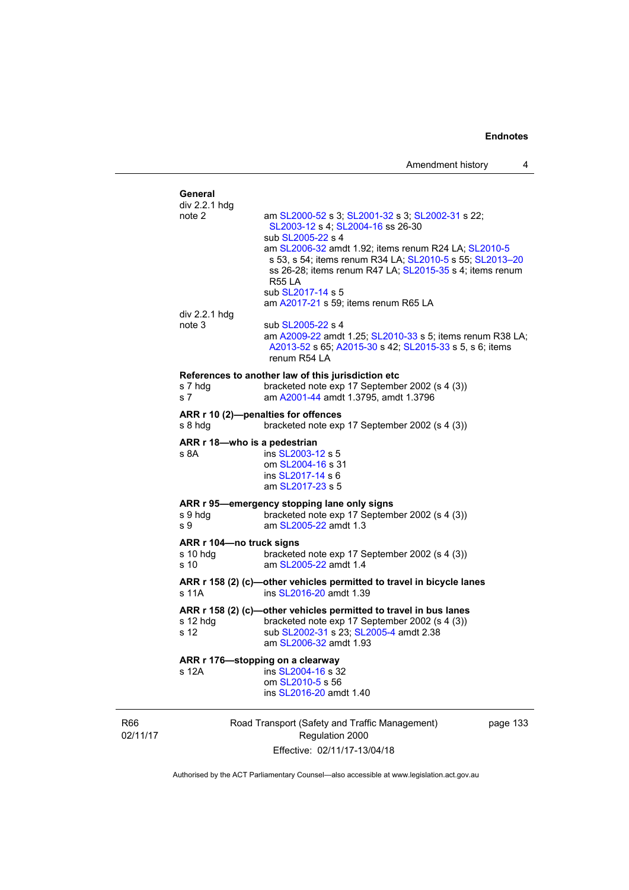|                        | General<br>div 2.2.1 hdg                       |                                                                                                                                                                                                                                                            |          |
|------------------------|------------------------------------------------|------------------------------------------------------------------------------------------------------------------------------------------------------------------------------------------------------------------------------------------------------------|----------|
|                        | note 2                                         | am SL2000-52 s 3; SL2001-32 s 3; SL2002-31 s 22;<br>SL2003-12 s 4; SL2004-16 ss 26-30<br>sub SL2005-22 s 4                                                                                                                                                 |          |
|                        |                                                | am SL2006-32 amdt 1.92; items renum R24 LA; SL2010-5<br>s 53, s 54; items renum R34 LA; SL2010-5 s 55; SL2013-20<br>ss 26-28; items renum R47 LA; SL2015-35 s 4; items renum<br><b>R55 LA</b><br>sub SL2017-14 s 5<br>am A2017-21 s 59; items renum R65 LA |          |
|                        | div 2.2.1 hdg<br>note 3                        | sub SL2005-22 s 4<br>am A2009-22 amdt 1.25; SL2010-33 s 5; items renum R38 LA;<br>A2013-52 s 65; A2015-30 s 42; SL2015-33 s 5, s 6; items<br>renum R54 LA                                                                                                  |          |
|                        | s 7 hdg<br>s 7                                 | References to another law of this jurisdiction etc<br>bracketed note exp 17 September 2002 (s 4 (3))<br>am A2001-44 amdt 1.3795, amdt 1.3796                                                                                                               |          |
|                        | s 8 hdq                                        | ARR r 10 (2)-penalties for offences<br>bracketed note exp 17 September 2002 (s 4 (3))                                                                                                                                                                      |          |
|                        | ARR r 18-who is a pedestrian<br>s 8A           | ins SL2003-12 s 5<br>om SL2004-16 s 31<br>ins SL2017-14 s 6<br>am SL2017-23 s 5                                                                                                                                                                            |          |
|                        | s 9 hdg<br>s 9                                 | ARR r 95-emergency stopping lane only signs<br>bracketed note exp 17 September 2002 (s 4 (3))<br>am SL2005-22 amdt 1.3                                                                                                                                     |          |
|                        | ARR r 104-no truck signs<br>$s$ 10 hdg<br>s 10 | bracketed note exp 17 September 2002 (s 4 (3))<br>am SL2005-22 amdt 1.4                                                                                                                                                                                    |          |
|                        | s 11A                                          | ARR r 158 (2) (c)-other vehicles permitted to travel in bicycle lanes<br>ins SL2016-20 amdt 1.39                                                                                                                                                           |          |
|                        | s 12 hdg<br>s 12                               | ARR r 158 (2) (c)-other vehicles permitted to travel in bus lanes<br>bracketed note exp 17 September 2002 (s 4 (3))<br>sub SL2002-31 s 23; SL2005-4 amdt 2.38<br>am SL2006-32 amdt 1.93                                                                    |          |
|                        | s 12A                                          | ARR r 176-stopping on a clearway<br>ins SL2004-16 s 32<br>om SL2010-5 s 56<br>ins SL2016-20 amdt 1.40                                                                                                                                                      |          |
| <b>R66</b><br>02/11/17 |                                                | Road Transport (Safety and Traffic Management)<br>Regulation 2000                                                                                                                                                                                          | page 133 |

Effective: 02/11/17-13/04/18

 $\overline{3}$ 

Authorised by the ACT Parliamentary Counsel—also accessible at www.legislation.act.gov.au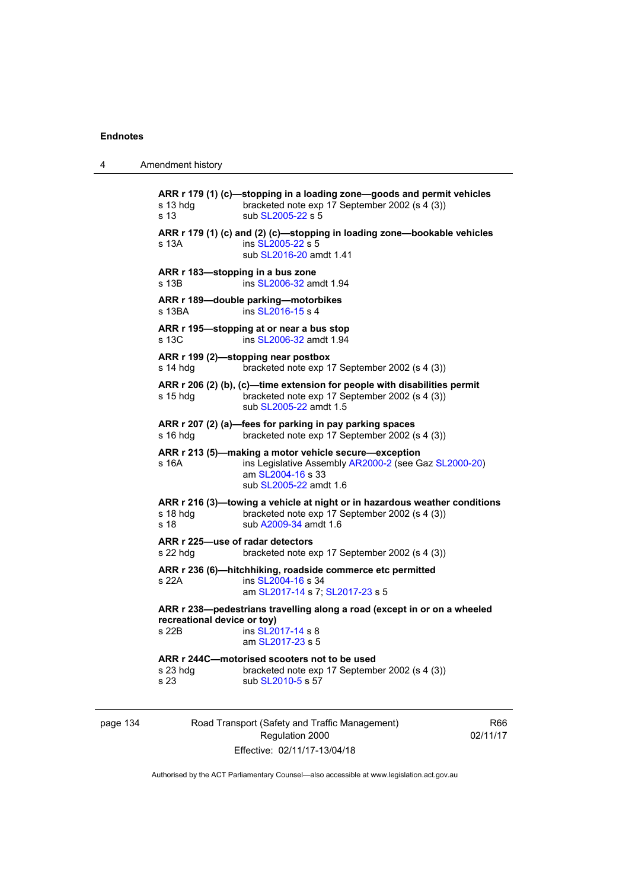| 4 | Amendment history                                                                                                                                                         |  |
|---|---------------------------------------------------------------------------------------------------------------------------------------------------------------------------|--|
|   | ARR r 179 (1) (c)-stopping in a loading zone-goods and permit vehicles<br>bracketed note exp 17 September 2002 (s 4 (3))<br>$s$ 13 hdg<br>sub SL2005-22 s 5<br>s 13       |  |
|   | ARR r 179 (1) (c) and (2) (c)-stopping in loading zone-bookable vehicles<br>s 13A<br>ins SL2005-22 s 5<br>sub SL2016-20 amdt 1.41                                         |  |
|   | ARR r 183-stopping in a bus zone<br>ins SL2006-32 amdt 1.94<br>s 13B                                                                                                      |  |
|   | ARR r 189-double parking-motorbikes<br>ins SL2016-15 s 4<br>s 13BA                                                                                                        |  |
|   | ARR r 195-stopping at or near a bus stop<br>s 13C<br>ins SL2006-32 amdt 1.94                                                                                              |  |
|   | ARR r 199 (2)—stopping near postbox<br>s 14 hdg<br>bracketed note exp 17 September 2002 (s 4 (3))                                                                         |  |
|   | ARR r 206 (2) (b), (c)-time extension for people with disabilities permit<br>bracketed note exp 17 September 2002 (s 4 (3))<br>s 15 hdg<br>sub SL2005-22 amdt 1.5         |  |
|   | ARR r 207 (2) (a)-fees for parking in pay parking spaces<br>bracketed note exp 17 September 2002 (s 4 (3))<br>$s$ 16 hdg                                                  |  |
|   | ARR r 213 (5)—making a motor vehicle secure—exception<br>s 16A<br>ins Legislative Assembly AR2000-2 (see Gaz SL2000-20)<br>am SL2004-16 s 33<br>sub SL2005-22 amdt 1.6    |  |
|   | ARR r 216 (3)—towing a vehicle at night or in hazardous weather conditions<br>s 18 hdg<br>bracketed note exp 17 September 2002 (s 4 (3))<br>sub A2009-34 amdt 1.6<br>s 18 |  |
|   | ARR r 225-use of radar detectors<br>$s$ 22 hdg<br>bracketed note exp 17 September 2002 (s 4 (3))                                                                          |  |
|   | ARR r 236 (6)-hitchhiking, roadside commerce etc permitted<br>s 22A<br>ins SL2004-16 s 34<br>am SL2017-14 s 7; SL2017-23 s 5                                              |  |
|   | ARR r 238-pedestrians travelling along a road (except in or on a wheeled<br>recreational device or toy)<br>$\frac{1}{2}$ ins SI 2017-14 s 8<br>s 22B<br>am SL2017-23 s 5  |  |
|   | ARR r 244C-motorised scooters not to be used<br>bracketed note exp 17 September 2002 (s 4 (3))<br>s 23 hdg<br>s 23<br>sub SL2010-5 s 57                                   |  |
|   |                                                                                                                                                                           |  |

page 134 Road Transport (Safety and Traffic Management) Regulation 2000 Effective: 02/11/17-13/04/18

R66 02/11/17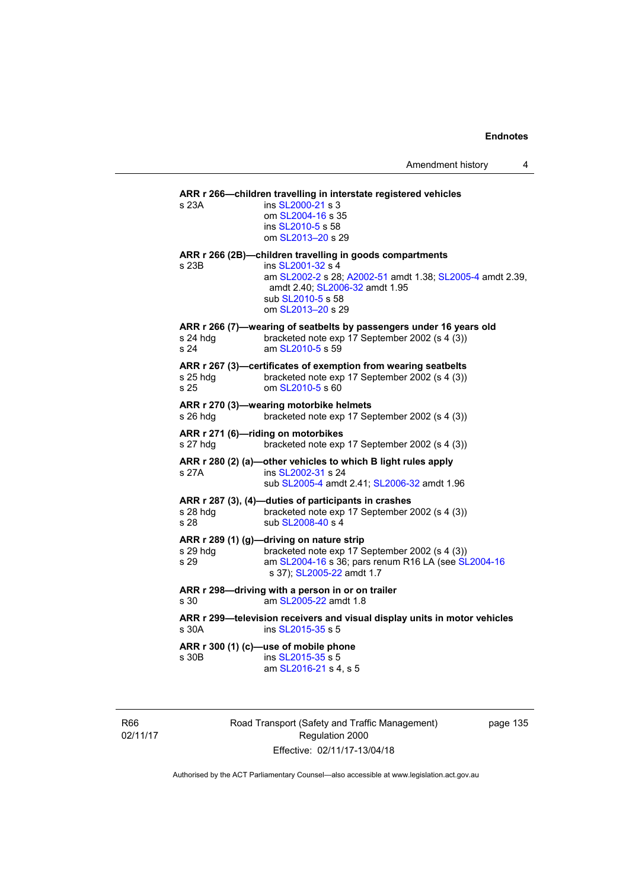| s 23A            | ARR r 266-children travelling in interstate registered vehicles<br>ins SL2000-21 s 3                                                                       |
|------------------|------------------------------------------------------------------------------------------------------------------------------------------------------------|
|                  | om SL2004-16 s 35                                                                                                                                          |
|                  | ins SL2010-5 s 58<br>om SL2013-20 s 29                                                                                                                     |
|                  | ARR r 266 (2B)-children travelling in goods compartments                                                                                                   |
| s 23B            | ins SL2001-32 s 4<br>am SL2002-2 s 28; A2002-51 amdt 1.38; SL2005-4 amdt 2.39,<br>amdt 2.40; SL2006-32 amdt 1.95<br>sub SL2010-5 s 58<br>om SL2013-20 s 29 |
|                  | ARR r 266 (7)-wearing of seatbelts by passengers under 16 years old                                                                                        |
| s 24 hdg<br>s 24 | bracketed note exp 17 September 2002 (s 4 (3))<br>am SL2010-5 s 59                                                                                         |
|                  | ARR r 267 (3)-certificates of exemption from wearing seatbelts                                                                                             |
| s 25 hdg<br>s 25 | bracketed note exp 17 September 2002 (s 4 (3))<br>om SL2010-5 s 60                                                                                         |
|                  | ARR r 270 (3)-wearing motorbike helmets                                                                                                                    |
| s 26 hdg         | bracketed note exp 17 September 2002 (s 4 (3))                                                                                                             |
| s 27 hdg         | ARR r 271 (6)-riding on motorbikes<br>bracketed note exp 17 September 2002 (s 4 (3))                                                                       |
|                  | ARR r 280 (2) (a)-other vehicles to which B light rules apply                                                                                              |
| s 27A            | ins SL2002-31 s 24<br>sub SL2005-4 amdt 2.41; SL2006-32 amdt 1.96                                                                                          |
|                  | ARR r 287 (3), (4)-duties of participants in crashes                                                                                                       |
| s 28 hdg         | bracketed note exp 17 September 2002 (s 4 (3))                                                                                                             |
| s 28             | sub SL2008-40 s 4                                                                                                                                          |
|                  | ARR r 289 (1) (g)-driving on nature strip                                                                                                                  |
| s 29 hdg         | bracketed note exp 17 September 2002 (s 4 (3))<br>am SL2004-16 s 36; pars renum R16 LA (see SL2004-16                                                      |
| s 29             | s 37); SL2005-22 amdt 1.7                                                                                                                                  |
|                  | ARR r 298-driving with a person in or on trailer                                                                                                           |
| s 30             | am SL2005-22 amdt 1.8                                                                                                                                      |
| s 30A            | ARR r 299-television receivers and visual display units in motor vehicles<br>ins SL2015-35 s 5                                                             |
|                  | ARR r 300 (1) (c)-use of mobile phone                                                                                                                      |
| s 30B            | ins SL2015-35 s 5                                                                                                                                          |
|                  | am SL2016-21 s 4, s 5                                                                                                                                      |
|                  |                                                                                                                                                            |

R66 02/11/17 Road Transport (Safety and Traffic Management) Regulation 2000 Effective: 02/11/17-13/04/18

page 135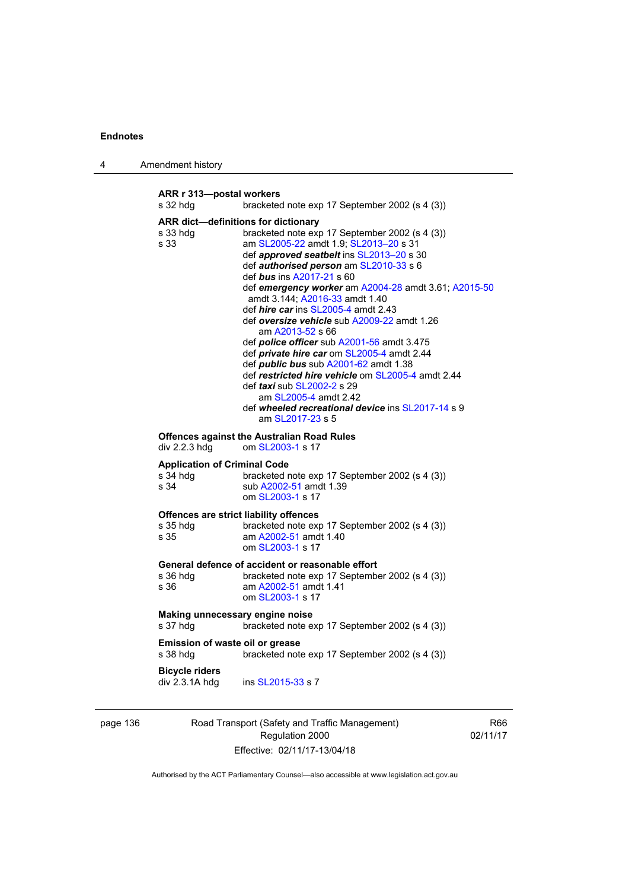| 4 | Amendment history |
|---|-------------------|
|---|-------------------|

**ARR r 313—postal workers**  s 32 hdg bracketed note exp 17 September 2002 (s 4 (3)) **ARR dict—definitions for dictionary**  bracketed note exp 17 September 2002 (s 4 (3)) s 33 am [SL2005-22](http://www.legislation.act.gov.au/sl/2005-22) amdt 1.9; [SL2013–20](http://www.legislation.act.gov.au/sl/2013-20) s 31 def *approved seatbelt* ins [SL2013–20](http://www.legislation.act.gov.au/sl/2013-20) s 30 def *authorised person* am [SL2010-33](http://www.legislation.act.gov.au/sl/2010-33) s 6 def *bus* ins [A2017-21](http://www.legislation.act.gov.au/a/2017-21/default.asp) s 60 def *emergency worker* am [A2004-28](http://www.legislation.act.gov.au/a/2004-28) amdt 3.61; [A2015-50](http://www.legislation.act.gov.au/a/2015-50) amdt 3.144; [A2016-33](http://www.legislation.act.gov.au/a/2016-33/default.asp) amdt 1.40 def *hire car* ins [SL2005-4](http://www.legislation.act.gov.au/sl/2005-4) amdt 2.43 def *oversize vehicle* sub [A2009-22](http://www.legislation.act.gov.au/a/2009-22) amdt 1.26 am [A2013-52](http://www.legislation.act.gov.au/a/2013-52) s 66 def *police officer* sub [A2001-56](http://www.legislation.act.gov.au/a/2001-56) amdt 3.475 def *private hire car* om [SL2005-4](http://www.legislation.act.gov.au/sl/2005-4) amdt 2.44 def *public bus* sub [A2001-62](http://www.legislation.act.gov.au/a/2001-62) amdt 1.38 def *restricted hire vehicle* om [SL2005-4](http://www.legislation.act.gov.au/sl/2005-4) amdt 2.44 def *taxi* sub [SL2002-2](http://www.legislation.act.gov.au/sl/2002-2) s 29 am [SL2005-4](http://www.legislation.act.gov.au/sl/2005-4) amdt 2.42 def *wheeled recreational device* ins [SL2017-14](http://www.legislation.act.gov.au/sl/2017-14/default.asp) s 9 am [SL2017-23](http://www.legislation.act.gov.au/sl/2017-23/default.asp) s 5 **Offences against the Australian Road Rules**  div 2.2.3 hdg om [SL2003-1](http://www.legislation.act.gov.au/sl/2003-1) s 17 **Application of Criminal Code**  s 34 hdg bracketed note exp 17 September 2002 (s 4 (3)) s 34 sub [A2002-51](http://www.legislation.act.gov.au/a/2002-51) amdt 1.39 om [SL2003-1](http://www.legislation.act.gov.au/sl/2003-1) s 17 **Offences are strict liability offences**<br>s 35 hdg bracketed note exp bracketed note exp 17 September 2002 (s 4 (3)) s 35 am [A2002-51](http://www.legislation.act.gov.au/a/2002-51) amdt 1.40 om [SL2003-1](http://www.legislation.act.gov.au/sl/2003-1) s 17 **General defence of accident or reasonable effort**  bracketed note exp 17 September 2002 (s 4 (3)) s 36 am [A2002-51](http://www.legislation.act.gov.au/a/2002-51) amdt 1.41 om [SL2003-1](http://www.legislation.act.gov.au/sl/2003-1) s 17 **Making unnecessary engine noise**  s 37 hdg bracketed note exp 17 September 2002 (s 4 (3)) **Emission of waste oil or grease**  s 38 hdg bracketed note exp 17 September 2002 (s 4 (3)) **Bicycle riders**  div 2.3.1A hdg ins [SL2015-33](http://www.legislation.act.gov.au/sl/2015-33) s 7

| page 136 | Road Transport (Safety and Traffic Management) |
|----------|------------------------------------------------|
|          | Regulation 2000                                |
|          | Effective: 02/11/17-13/04/18                   |

R66 02/11/17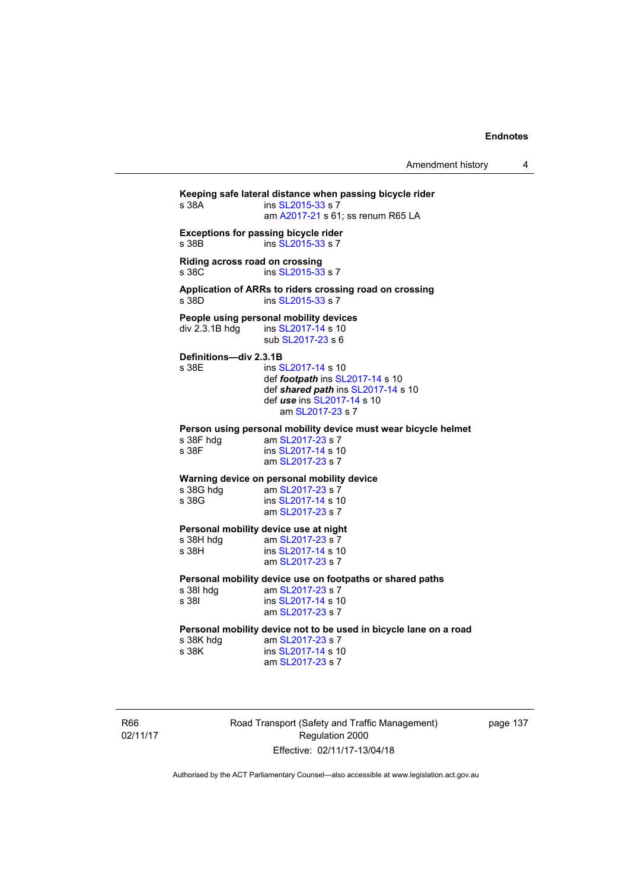Amendment history 4

**Keeping safe lateral distance when passing bicycle rider**  ins [SL2015-33](http://www.legislation.act.gov.au/sl/2015-33) s 7 am [A2017-21](http://www.legislation.act.gov.au/a/2017-21/default.asp) s 61; ss renum R65 LA **Exceptions for passing bicycle rider**  s 38B ins [SL2015-33](http://www.legislation.act.gov.au/sl/2015-33) s 7 **Riding across road on crossing**  s 38C ins [SL2015-33](http://www.legislation.act.gov.au/sl/2015-33) s 7 **Application of ARRs to riders crossing road on crossing**  s 38D ins [SL2015-33](http://www.legislation.act.gov.au/sl/2015-33) s 7 **People using personal mobility devices**  div 2.3.1B hdg ins [SL2017-14](http://www.legislation.act.gov.au/sl/2017-14/default.asp) s 10 sub [SL2017-23](http://www.legislation.act.gov.au/sl/2017-23/default.asp) s 6 **Definitions—div 2.3.1B**  s 38E ins [SL2017-14](http://www.legislation.act.gov.au/sl/2017-14/default.asp) s 10 def *footpath* ins [SL2017-14](http://www.legislation.act.gov.au/sl/2017-14/default.asp) s 10 def *shared path* ins [SL2017-14](http://www.legislation.act.gov.au/sl/2017-14/default.asp) s 10 def *use* ins [SL2017-14](http://www.legislation.act.gov.au/sl/2017-14/default.asp) s 10 am [SL2017-23](http://www.legislation.act.gov.au/sl/2017-23/default.asp) s 7 **Person using personal mobility device must wear bicycle helmet**  s 38F hdg am [SL2017-23](http://www.legislation.act.gov.au/sl/2017-23/default.asp) s 7 s 38F ins [SL2017-14](http://www.legislation.act.gov.au/sl/2017-14/default.asp) s 10 am [SL2017-23](http://www.legislation.act.gov.au/sl/2017-23/default.asp) s 7 **Warning device on personal mobility device**<br>s 38G hdg am SL2017-23 s 7 am [SL2017-23](http://www.legislation.act.gov.au/sl/2017-23/default.asp) s 7 s 38G ins [SL2017-14](http://www.legislation.act.gov.au/sl/2017-14/default.asp) s 10 am [SL2017-23](http://www.legislation.act.gov.au/sl/2017-23/default.asp) s 7 **Personal mobility device use at night**<br>s 38H hdg am SL2017-23 s 7 s 38H hdg am [SL2017-23](http://www.legislation.act.gov.au/sl/2017-23/default.asp) s 7<br>s 38H ins SI 2017-14 s 10 ins [SL2017-14](http://www.legislation.act.gov.au/sl/2017-14/default.asp) s 10 am [SL2017-23](http://www.legislation.act.gov.au/sl/2017-23/default.asp) s 7 **Personal mobility device use on footpaths or shared paths**  s 38I hdg am [SL2017-23](http://www.legislation.act.gov.au/sl/2017-23/default.asp) s 7 s 38I ins [SL2017-14](http://www.legislation.act.gov.au/sl/2017-14/default.asp) s 10 am [SL2017-23](http://www.legislation.act.gov.au/sl/2017-23/default.asp) s 7 **Personal mobility device not to be used in bicycle lane on a road**  s 38K hdg am [SL2017-23](http://www.legislation.act.gov.au/sl/2017-23/default.asp) s 7<br>s 38K ins SL2017-14 s 10 ins [SL2017-14](http://www.legislation.act.gov.au/sl/2017-14/default.asp) s 10 am [SL2017-23](http://www.legislation.act.gov.au/sl/2017-23/default.asp) s 7

R66 02/11/17 Road Transport (Safety and Traffic Management) Regulation 2000 Effective: 02/11/17-13/04/18

page 137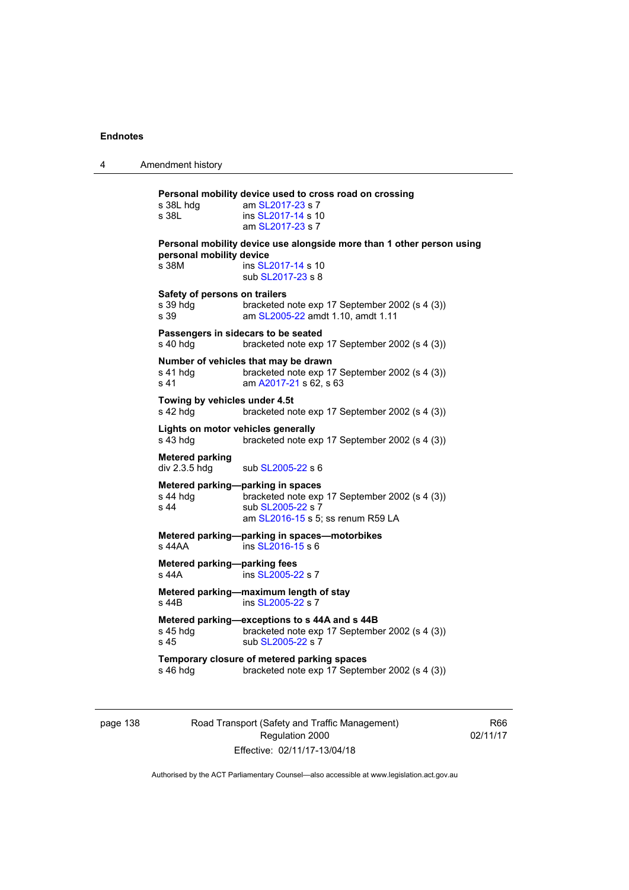4 Amendment history **Personal mobility device used to cross road on crossing**  s 38L hdg am [SL2017-23](http://www.legislation.act.gov.au/sl/2017-23/default.asp) s 7 s 38L ins [SL2017-14](http://www.legislation.act.gov.au/sl/2017-14/default.asp) s 10 am [SL2017-23](http://www.legislation.act.gov.au/sl/2017-23/default.asp) s 7 **Personal mobility device use alongside more than 1 other person using personal mobility device**  s 38M ins [SL2017-14](http://www.legislation.act.gov.au/sl/2017-14/default.asp) s 10 sub [SL2017-23](http://www.legislation.act.gov.au/sl/2017-23/default.asp) s 8 **Safety of persons on trailers**  s 39 hdg bracketed note exp 17 September 2002 (s 4 (3)) s 39 am [SL2005-22](http://www.legislation.act.gov.au/sl/2005-22) amdt 1.10, amdt 1.11 **Passengers in sidecars to be seated<br>s 40 hdg** bracketed note exp bracketed note exp 17 September 2002 (s 4 (3)) **Number of vehicles that may be drawn**<br>s 41 hdg bracketed note exp 1 s 41 hdg bracketed note exp 17 September 2002 (s 4 (3))<br>s 41 **bracketed** note exp 17 September 2002 (s 4 (3)) am [A2017-21](http://www.legislation.act.gov.au/a/2017-21/default.asp) s 62, s 63 **Towing by vehicles under 4.5t**  s 42 hdg bracketed note exp 17 September 2002 (s 4 (3)) **Lights on motor vehicles generally**  s 43 hdg bracketed note exp 17 September 2002 (s 4 (3)) **Metered parking**  div 2.3.5 hdg sub [SL2005-22](http://www.legislation.act.gov.au/sl/2005-22) s 6 **Metered parking—parking in spaces**  bracketed note exp 17 September 2002 (s 4 (3)) s 44 sub [SL2005-22](http://www.legislation.act.gov.au/sl/2005-22) s 7 am [SL2016-15](http://www.legislation.act.gov.au/sl/2016-15) s 5; ss renum R59 LA **Metered parking—parking in spaces—motorbikes**  s 44AA ins [SL2016-15](http://www.legislation.act.gov.au/sl/2016-15) s 6 **Metered parking—parking fees**  s 44A ins [SL2005-22](http://www.legislation.act.gov.au/sl/2005-22) s 7 **Metered parking—maximum length of stay**  s 44B ins [SL2005-22](http://www.legislation.act.gov.au/sl/2005-22) s 7 **Metered parking—exceptions to s 44A and s 44B**  s 45 hdg bracketed note exp 17 September 2002 (s 4 (3))<br>s 45  $\sinh$  SI 2005-22 s 7 sub [SL2005-22](http://www.legislation.act.gov.au/sl/2005-22) s 7 **Temporary closure of metered parking spaces**  s 46 hdg bracketed note exp 17 September 2002 (s 4 (3))

page 138 Road Transport (Safety and Traffic Management) Regulation 2000 Effective: 02/11/17-13/04/18

R66 02/11/17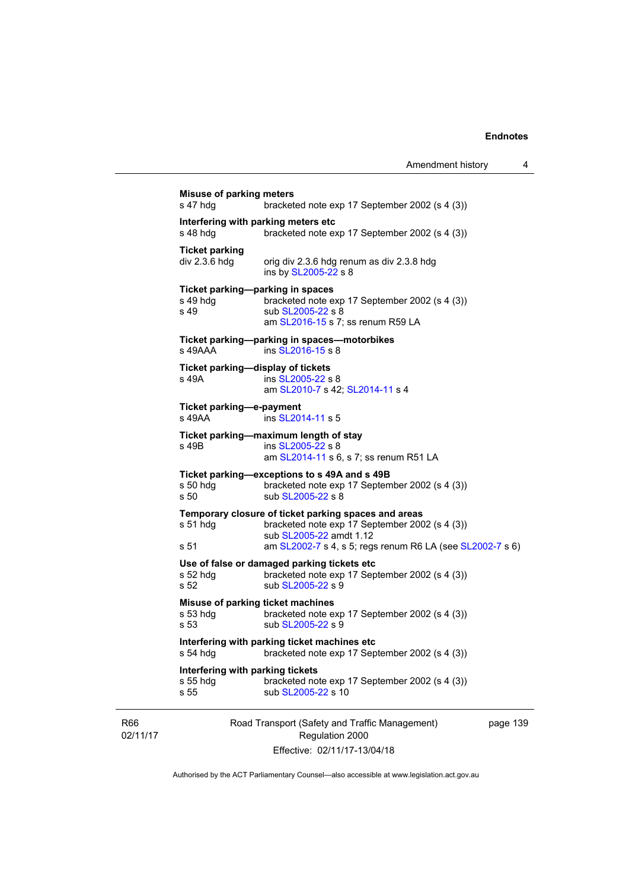| <b>Misuse of parking meters</b><br>s 47 hdg            | bracketed note exp 17 September 2002 (s 4 (3))                                                                                    |          |
|--------------------------------------------------------|-----------------------------------------------------------------------------------------------------------------------------------|----------|
| Interfering with parking meters etc<br>s 48 hda        | bracketed note exp 17 September 2002 (s 4 (3))                                                                                    |          |
| <b>Ticket parking</b><br>div 2.3.6 hdg                 | orig div 2.3.6 hdg renum as div 2.3.8 hdg<br>ins by SL2005-22 s 8                                                                 |          |
| Ticket parking-parking in spaces<br>$s$ 49 hdg<br>s 49 | bracketed note exp 17 September 2002 (s 4 (3))<br>sub SL2005-22 s 8<br>am SL2016-15 s 7; ss renum R59 LA                          |          |
| s 49AAA                                                | Ticket parking--parking in spaces--motorbikes<br>ins SL2016-15 s 8                                                                |          |
| Ticket parking-display of tickets<br>s 49A             | ins SL2005-22 s 8<br>am SL2010-7 s 42; SL2014-11 s 4                                                                              |          |
| Ticket parking-e-payment<br>s 49AA                     | ins SL2014-11 s 5                                                                                                                 |          |
| s 49B                                                  | Ticket parking-maximum length of stay<br>ins SL2005-22 s 8<br>am SL2014-11 s 6, s 7; ss renum R51 LA                              |          |
| $s50$ hdg<br>s 50                                      | Ticket parking-exceptions to s 49A and s 49B<br>bracketed note exp 17 September 2002 (s 4 (3))<br>sub SL2005-22 s 8               |          |
| $s51$ hdg                                              | Temporary closure of ticket parking spaces and areas<br>bracketed note exp 17 September 2002 (s 4 (3))<br>sub SL2005-22 amdt 1.12 |          |
| s 51                                                   | am SL2002-7 s 4, s 5; regs renum R6 LA (see SL2002-7 s 6)                                                                         |          |
| s 52 $hdg$<br>s 52                                     | Use of false or damaged parking tickets etc<br>bracketed note exp 17 September 2002 (s 4 (3))<br>sub SL2005-22 s 9                |          |
| Misuse of parking ticket machines<br>s 53 hdg<br>s 53  | bracketed note exp 17 September 2002 (s 4 (3))<br>sub SL2005-22 s 9                                                               |          |
| s 54 hdg                                               | Interfering with parking ticket machines etc<br>bracketed note exp 17 September 2002 (s 4 (3))                                    |          |
| Interfering with parking tickets<br>s 55 hdg<br>s 55   | bracketed note exp 17 September 2002 (s 4 (3))<br>sub SL2005-22 s 10                                                              |          |
| <b>R66</b><br>02/11/17                                 | Road Transport (Safety and Traffic Management)<br>Regulation 2000<br>Effective: 02/11/17-13/04/18                                 | page 139 |

Authorised by the ACT Parliamentary Counsel—also accessible at www.legislation.act.gov.au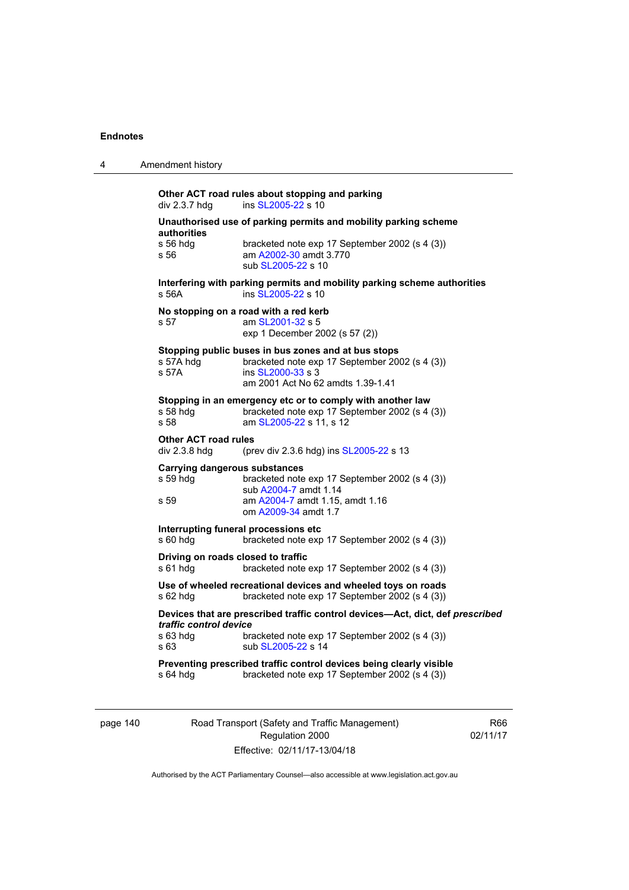| 4 | Amendment history                                                                                                                                                                                   |
|---|-----------------------------------------------------------------------------------------------------------------------------------------------------------------------------------------------------|
|   | Other ACT road rules about stopping and parking<br>ins SL2005-22 s 10<br>div 2.3.7 hdg                                                                                                              |
|   | Unauthorised use of parking permits and mobility parking scheme                                                                                                                                     |
|   | authorities<br>s 56 hdg<br>bracketed note exp 17 September 2002 (s 4 (3))<br>am A2002-30 amdt 3.770<br>s 56<br>sub SL2005-22 s 10                                                                   |
|   | Interfering with parking permits and mobility parking scheme authorities<br>s 56A<br>ins SL2005-22 s 10                                                                                             |
|   | No stopping on a road with a red kerb<br>s 57<br>am SL2001-32 s 5<br>exp 1 December 2002 (s 57 (2))                                                                                                 |
|   | Stopping public buses in bus zones and at bus stops<br>s 57A hdg<br>bracketed note exp 17 September 2002 (s 4 (3))<br>s 57A<br>ins SL2000-33 s 3<br>am 2001 Act No 62 amdts 1.39-1.41               |
|   | Stopping in an emergency etc or to comply with another law<br>s 58 hda<br>bracketed note exp 17 September 2002 (s 4 (3))<br>s.58<br>am SL2005-22 s 11, s 12                                         |
|   | <b>Other ACT road rules</b><br>div 2.3.8 hdg<br>(prev div 2.3.6 hdg) ins SL2005-22 s 13                                                                                                             |
|   | <b>Carrying dangerous substances</b><br>s 59 hdg<br>bracketed note exp 17 September 2002 (s 4 (3))<br>sub A2004-7 amdt 1.14                                                                         |
|   | am A2004-7 amdt 1.15, amdt 1.16<br>s 59<br>om A2009-34 amdt 1.7                                                                                                                                     |
|   | Interrupting funeral processions etc<br>s 60 hdg<br>bracketed note exp 17 September 2002 (s 4 (3))                                                                                                  |
|   | Driving on roads closed to traffic<br>s 61 hdg<br>bracketed note exp 17 September 2002 (s 4 (3))                                                                                                    |
|   | Use of wheeled recreational devices and wheeled toys on roads<br>bracketed note exp 17 September 2002 (s 4 (3))<br>s 62 hdg                                                                         |
|   | Devices that are prescribed traffic control devices-Act, dict, def prescribed<br>traffic control device<br>s 63 hdg<br>bracketed note exp 17 September 2002 (s 4 (3))<br>sub SL2005-22 s 14<br>s 63 |
|   | Preventing prescribed traffic control devices being clearly visible<br>s 64 hdg<br>bracketed note exp 17 September 2002 (s 4 (3))                                                                   |

page 140 Road Transport (Safety and Traffic Management) Regulation 2000 Effective: 02/11/17-13/04/18

R66 02/11/17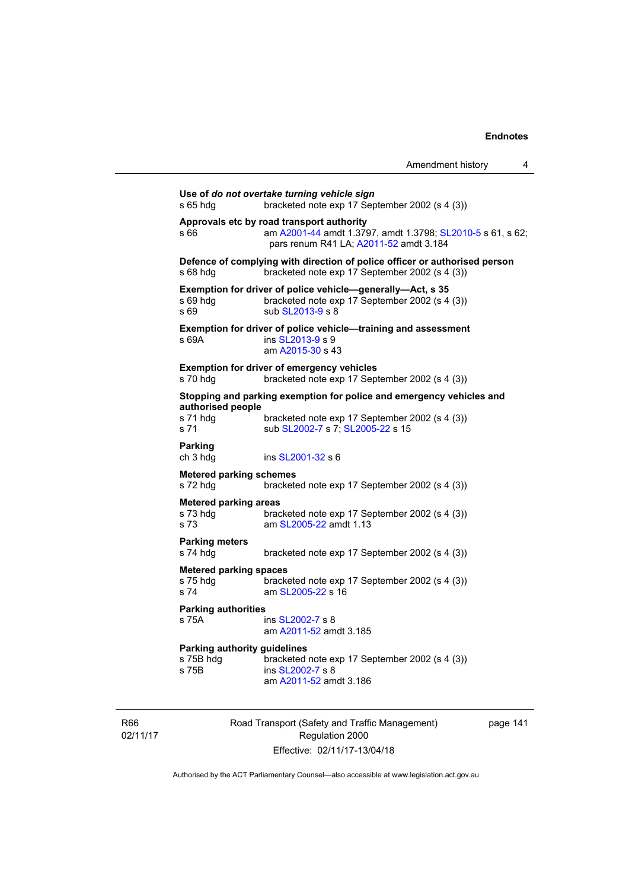|                                                           |                                                                                                                                                   | Amendment history | 4 |
|-----------------------------------------------------------|---------------------------------------------------------------------------------------------------------------------------------------------------|-------------------|---|
| s 65 hdg                                                  | Use of do not overtake turning vehicle sign<br>bracketed note exp 17 September 2002 (s 4 (3))                                                     |                   |   |
| s 66                                                      | Approvals etc by road transport authority<br>am A2001-44 amdt 1.3797, amdt 1.3798; SL2010-5 s 61, s 62;<br>pars renum R41 LA; A2011-52 amdt 3.184 |                   |   |
| s 68 hdg                                                  | Defence of complying with direction of police officer or authorised person<br>bracketed note exp 17 September 2002 (s 4 (3))                      |                   |   |
| s 69 hdg<br>s 69                                          | Exemption for driver of police vehicle-generally-Act, s 35<br>bracketed note exp 17 September 2002 (s 4 (3))<br>sub SL2013-9 s 8                  |                   |   |
| s 69A                                                     | Exemption for driver of police vehicle-training and assessment<br>ins SL2013-9 s 9<br>am A2015-30 s 43                                            |                   |   |
| s 70 hdg                                                  | <b>Exemption for driver of emergency vehicles</b><br>bracketed note exp 17 September 2002 (s 4 (3))                                               |                   |   |
|                                                           | Stopping and parking exemption for police and emergency vehicles and                                                                              |                   |   |
| authorised people<br>s 71 hdq<br>s 71                     | bracketed note exp 17 September 2002 (s 4 (3))<br>sub SL2002-7 s 7; SL2005-22 s 15                                                                |                   |   |
| Parking<br>ch 3 hdg                                       | ins SL2001-32 s 6                                                                                                                                 |                   |   |
| <b>Metered parking schemes</b><br>s 72 hdg                | bracketed note exp 17 September 2002 (s 4 (3))                                                                                                    |                   |   |
| <b>Metered parking areas</b><br>s 73 hdg<br>s 73          | bracketed note exp 17 September 2002 (s 4 (3))<br>am SL2005-22 amdt 1.13                                                                          |                   |   |
| <b>Parking meters</b><br>s 74 hdg                         | bracketed note exp 17 September 2002 (s 4 (3))                                                                                                    |                   |   |
| Metered parking spaces<br>s 75 hdg<br>s 74                | bracketed note exp 17 September 2002 (s 4 (3))<br>am SL2005-22 s 16                                                                               |                   |   |
| <b>Parking authorities</b>                                |                                                                                                                                                   |                   |   |
| s 75A                                                     | ins SL2002-7 s 8<br>am A2011-52 amdt 3.185                                                                                                        |                   |   |
| <b>Parking authority guidelines</b><br>s 75B hdg<br>s 75B | bracketed note exp 17 September 2002 (s 4 (3))<br>ins SL2002-7 s 8<br>am A2011-52 amdt 3.186                                                      |                   |   |

R66 02/11/17 Road Transport (Safety and Traffic Management) Regulation 2000 Effective: 02/11/17-13/04/18

page 141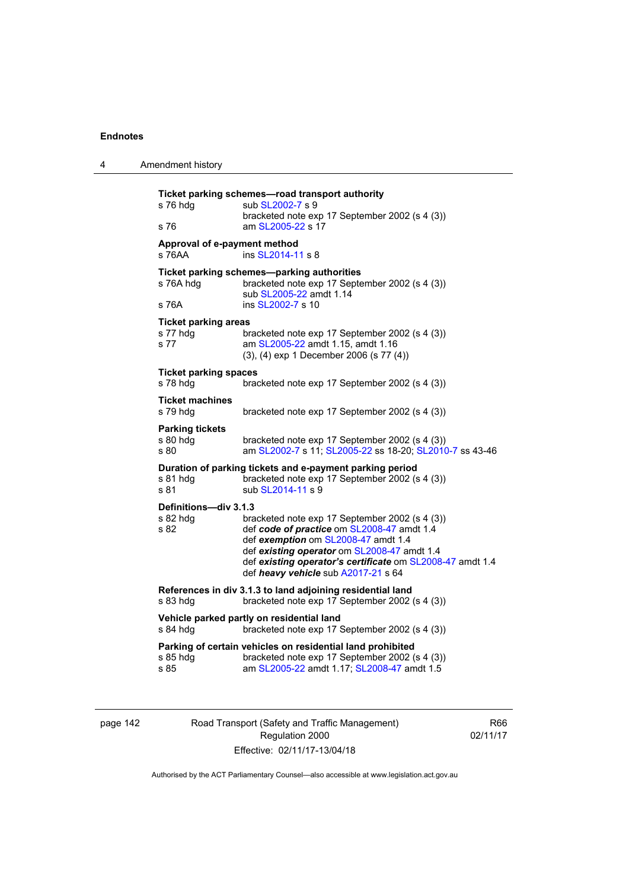| 4 | Amendment history                               |                                                                                                                                                                                                                                                                                        |
|---|-------------------------------------------------|----------------------------------------------------------------------------------------------------------------------------------------------------------------------------------------------------------------------------------------------------------------------------------------|
|   | s 76 hdg<br>s 76                                | Ticket parking schemes—road transport authority<br>sub SL2002-7 s 9<br>bracketed note exp 17 September 2002 (s 4 (3))<br>am SL2005-22 s 17                                                                                                                                             |
|   | Approval of e-payment method<br>s 76AA          | ins SL2014-11 s 8                                                                                                                                                                                                                                                                      |
|   | s 76A hdq<br>s 76A                              | Ticket parking schemes-parking authorities<br>bracketed note exp 17 September 2002 (s 4 (3))<br>sub SL2005-22 amdt 1.14<br>ins SL2002-7 s 10                                                                                                                                           |
|   | <b>Ticket parking areas</b><br>s 77 hdg<br>s 77 | bracketed note exp 17 September 2002 (s 4 (3))<br>am SL2005-22 amdt 1.15, amdt 1.16<br>(3), (4) exp 1 December 2006 (s 77 (4))                                                                                                                                                         |
|   | <b>Ticket parking spaces</b><br>s 78 hdg        | bracketed note exp 17 September 2002 (s 4 (3))                                                                                                                                                                                                                                         |
|   | <b>Ticket machines</b><br>s 79 hdg              | bracketed note exp 17 September 2002 (s 4 (3))                                                                                                                                                                                                                                         |
|   | <b>Parking tickets</b><br>s 80 hdg<br>s 80      | bracketed note exp 17 September 2002 (s 4 (3))<br>am SL2002-7 s 11; SL2005-22 ss 18-20; SL2010-7 ss 43-46                                                                                                                                                                              |
|   | s 81 hdg<br>s 81                                | Duration of parking tickets and e-payment parking period<br>bracketed note exp 17 September 2002 (s 4 (3))<br>sub SL2014-11 s 9                                                                                                                                                        |
|   | Definitions-div 3.1.3<br>s 82 hda<br>s 82       | bracketed note exp 17 September 2002 (s 4 (3))<br>def code of practice om SL2008-47 amdt 1.4<br>def exemption om SL2008-47 amdt 1.4<br>def existing operator om SL2008-47 amdt 1.4<br>def existing operator's certificate om SL2008-47 amdt 1.4<br>def heavy vehicle sub A2017-21 s 64 |
|   | s 83 hdg                                        | References in div 3.1.3 to land adjoining residential land<br>bracketed note exp 17 September 2002 (s 4 (3))                                                                                                                                                                           |
|   | s 84 hdg                                        | Vehicle parked partly on residential land<br>bracketed note exp 17 September 2002 (s 4 (3))                                                                                                                                                                                            |
|   | s 85 hdg<br>s 85                                | Parking of certain vehicles on residential land prohibited<br>bracketed note exp 17 September 2002 (s 4 (3))<br>am SL2005-22 amdt 1.17; SL2008-47 amdt 1.5                                                                                                                             |

page 142 Road Transport (Safety and Traffic Management) Regulation 2000 Effective: 02/11/17-13/04/18

R66 02/11/17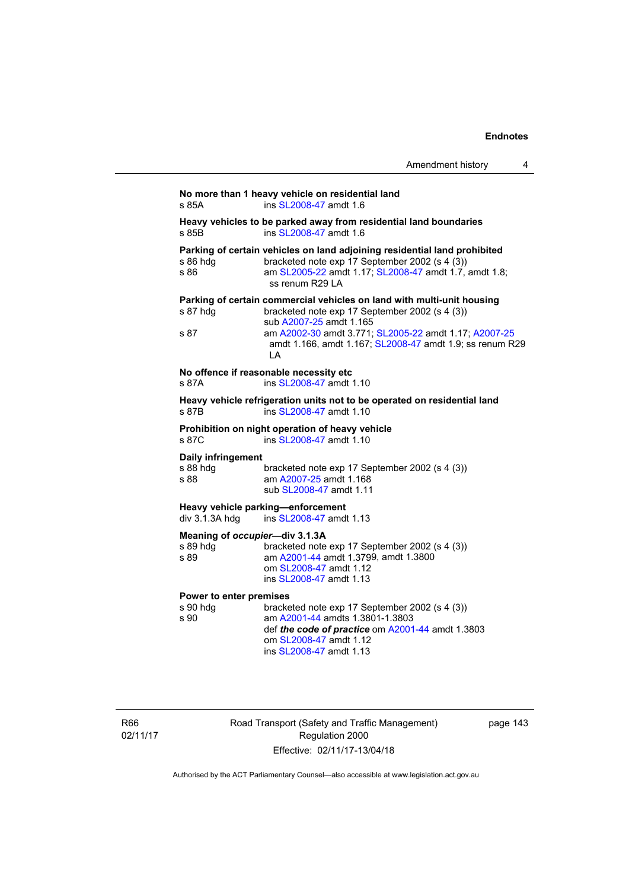|                                                    | Heavy vehicles to be parked away from residential land boundaries                                                                                                                                            |
|----------------------------------------------------|--------------------------------------------------------------------------------------------------------------------------------------------------------------------------------------------------------------|
| s 85B                                              | ins SL2008-47 amdt 1.6                                                                                                                                                                                       |
| s 86 hdg<br>s 86                                   | Parking of certain vehicles on land adjoining residential land prohibited<br>bracketed note exp 17 September 2002 (s 4 (3))<br>am SL2005-22 amdt 1.17; SL2008-47 amdt 1.7, amdt 1.8;<br>ss renum R29 LA      |
| s 87 hdg<br>s 87                                   | Parking of certain commercial vehicles on land with multi-unit housing<br>bracketed note exp 17 September 2002 (s 4 (3))<br>sub A2007-25 amdt 1.165<br>am A2002-30 amdt 3.771; SL2005-22 amdt 1.17; A2007-25 |
|                                                    | amdt 1.166, amdt 1.167; SL2008-47 amdt 1.9; ss renum R29<br>LA                                                                                                                                               |
| s 87A                                              | No offence if reasonable necessity etc<br>ins SL2008-47 amdt 1.10                                                                                                                                            |
| s 87B                                              | Heavy vehicle refrigeration units not to be operated on residential land<br>ins SL2008-47 amdt 1.10                                                                                                          |
| s 87C                                              | Prohibition on night operation of heavy vehicle<br>ins SL2008-47 amdt 1.10                                                                                                                                   |
| <b>Daily infringement</b><br>s 88 hdg<br>s 88      | bracketed note exp 17 September 2002 (s 4 (3))<br>am A2007-25 amdt 1.168<br>sub SL2008-47 amdt 1.11                                                                                                          |
| div 3.1.3A hdg                                     | Heavy vehicle parking-enforcement<br>ins SL2008-47 amdt 1.13                                                                                                                                                 |
| Meaning of occupier-div 3.1.3A<br>s 89 hdg<br>s 89 | bracketed note exp 17 September 2002 (s 4 (3))<br>am A2001-44 amdt 1.3799, amdt 1.3800<br>om SL2008-47 amdt 1.12<br>ins SL2008-47 amdt 1.13                                                                  |
| Power to enter premises<br>s 90 hdg<br>s 90        | bracketed note exp 17 September 2002 (s 4 (3))<br>am A2001-44 amdts 1.3801-1.3803<br>def the code of practice om A2001-44 amdt 1.3803<br>om SL2008-47 amdt 1.12<br>ins SL2008-47 amdt 1.13                   |

R66 02/11/17 Road Transport (Safety and Traffic Management) Regulation 2000 Effective: 02/11/17-13/04/18

page 143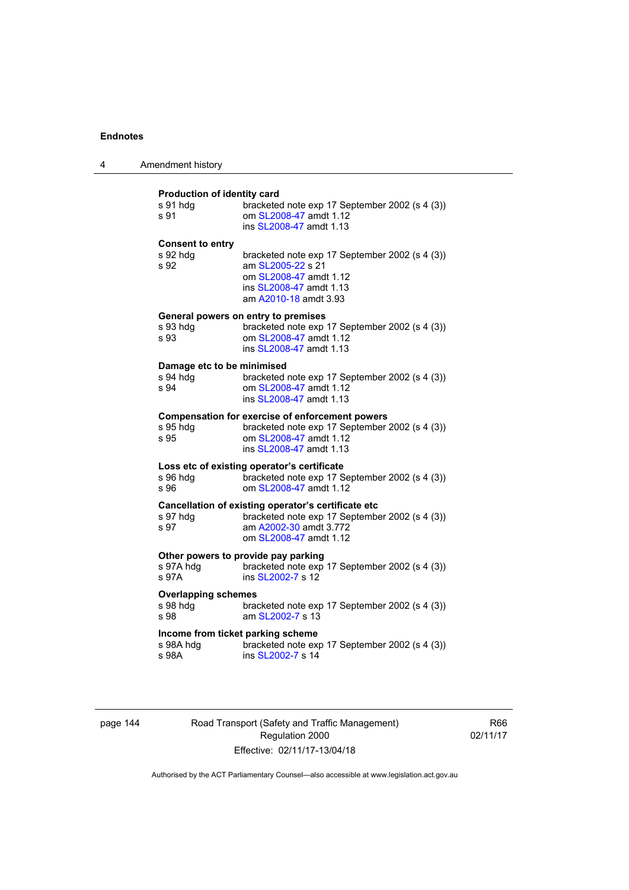| 4 | Amendment history                                                                                                                                                                                |  |
|---|--------------------------------------------------------------------------------------------------------------------------------------------------------------------------------------------------|--|
|   | Production of identity card<br>s 91 hdg<br>bracketed note exp 17 September 2002 (s 4 (3))<br>om SL2008-47 amdt 1.12<br>s 91<br>ins SL2008-47 amdt 1.13                                           |  |
|   | <b>Consent to entry</b><br>s 92 hdq<br>bracketed note exp 17 September 2002 (s 4 (3))<br>s 92<br>am SL2005-22 s 21<br>om SL2008-47 amdt 1.12<br>ins SL2008-47 amdt 1.13<br>am A2010-18 amdt 3.93 |  |
|   | General powers on entry to premises<br>bracketed note exp 17 September 2002 (s 4 (3))<br>s 93 hdg<br>om SL2008-47 amdt 1.12<br>s 93<br>ins SL2008-47 amdt 1.13                                   |  |
|   | Damage etc to be minimised<br>s 94 hdg<br>bracketed note exp 17 September 2002 (s 4 (3))<br>s 94<br>om SL2008-47 amdt 1.12<br>ins SL2008-47 amdt 1.13                                            |  |
|   | <b>Compensation for exercise of enforcement powers</b><br>bracketed note exp 17 September 2002 (s 4 (3))<br>s 95 hdg<br>om SL2008-47 amdt 1.12<br>s 95<br>ins SL2008-47 amdt 1.13                |  |
|   | Loss etc of existing operator's certificate<br>bracketed note exp 17 September 2002 (s 4 (3))<br>s 96 hdg<br>s.96<br>om SI 2008-47 amdt 1.12                                                     |  |
|   | Cancellation of existing operator's certificate etc<br>s 97 hdg<br>bracketed note exp 17 September 2002 (s 4 (3))<br>s 97<br>am A2002-30 amdt 3.772<br>om SL2008-47 amdt 1.12                    |  |
|   | Other powers to provide pay parking<br>bracketed note exp 17 September 2002 (s 4 (3))<br>s 97A hdg<br>s 97A<br>ins SL2002-7 s 12                                                                 |  |
|   | <b>Overlapping schemes</b><br>s 98 hdq<br>bracketed note exp 17 September 2002 (s 4 (3))<br>am SL2002-7 s 13<br>s 98                                                                             |  |
|   | Income from ticket parking scheme<br>s 98A hdg<br>bracketed note exp 17 September 2002 (s 4 (3))<br>s 98A<br>ins SL2002-7 s 14                                                                   |  |

page 144 Road Transport (Safety and Traffic Management) Regulation 2000 Effective: 02/11/17-13/04/18

R66 02/11/17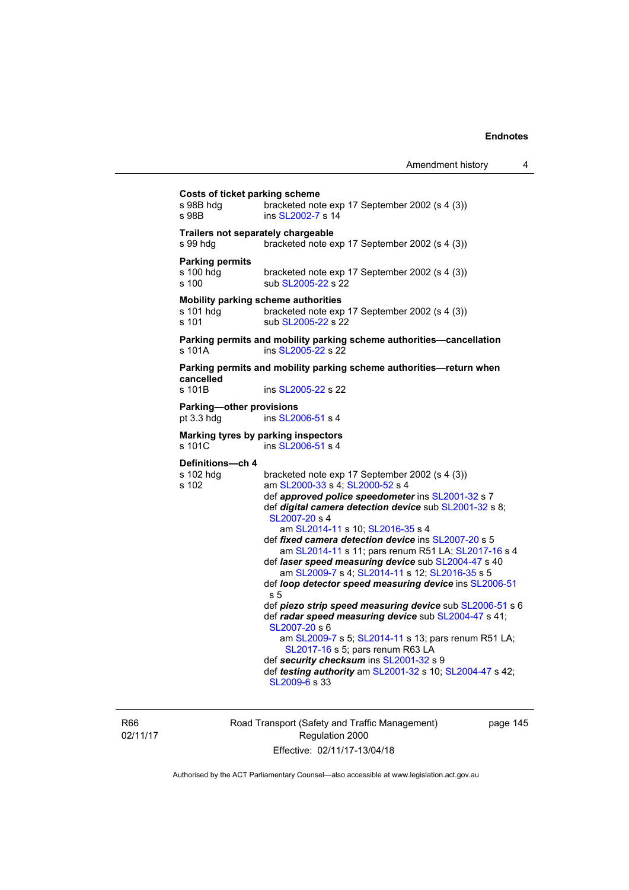| Costs of ticket parking scheme<br>s 98B hdg<br>bracketed note exp 17 September 2002 (s 4 (3))<br>ins SL2002-7 s 14<br>s 98B<br>Trailers not separately chargeable<br>s 99 hdg<br>bracketed note exp 17 September 2002 (s 4 (3))<br><b>Parking permits</b><br>s 100 hdg<br>bracketed note exp 17 September 2002 (s 4 (3))<br>s 100<br>sub SL2005-22 s 22<br>Mobility parking scheme authorities<br>s 101 hdg<br>bracketed note exp 17 September 2002 (s 4 (3))<br>s 101<br>sub SL2005-22 s 22<br>Parking permits and mobility parking scheme authorities-cancellation<br>s 101A<br>ins SL2005-22 s 22<br>Parking permits and mobility parking scheme authorities-return when<br>cancelled<br>s 101B<br>ins SL2005-22 s 22<br>Parking-other provisions<br>pt 3.3 hdg<br>ins SL2006-51 s 4<br>Marking tyres by parking inspectors<br>ins SL2006-51 s 4<br>s 101C<br>Definitions-ch 4<br>s 102 hdg<br>bracketed note exp 17 September 2002 (s 4 (3))<br>s 102<br>am SL2000-33 s 4; SL2000-52 s 4<br>def approved police speedometer ins SL2001-32 s 7<br>def digital camera detection device sub SL2001-32 s 8;<br>SL2007-20 s 4<br>am SL2014-11 s 10; SL2016-35 s 4<br>def fixed camera detection device ins SL2007-20 s 5<br>am SL2014-11 s 11; pars renum R51 LA; SL2017-16 s 4<br>def laser speed measuring device sub SL2004-47 s 40<br>am SL2009-7 s 4; SL2014-11 s 12; SL2016-35 s 5<br>def loop detector speed measuring device ins SL2006-51<br>s 5<br>def radar speed measuring device sub SL2004-47 s 41;<br>SL2007-20 s 6<br>am SL2009-7 s 5; SL2014-11 s 13; pars renum R51 LA;<br>SL2017-16 s 5; pars renum R63 LA<br>def security checksum ins SL2001-32 s 9 |  |                                                                                                                      |
|-------------------------------------------------------------------------------------------------------------------------------------------------------------------------------------------------------------------------------------------------------------------------------------------------------------------------------------------------------------------------------------------------------------------------------------------------------------------------------------------------------------------------------------------------------------------------------------------------------------------------------------------------------------------------------------------------------------------------------------------------------------------------------------------------------------------------------------------------------------------------------------------------------------------------------------------------------------------------------------------------------------------------------------------------------------------------------------------------------------------------------------------------------------------------------------------------------------------------------------------------------------------------------------------------------------------------------------------------------------------------------------------------------------------------------------------------------------------------------------------------------------------------------------------------------------------------------------------------------------------------------------------------------------------------|--|----------------------------------------------------------------------------------------------------------------------|
|                                                                                                                                                                                                                                                                                                                                                                                                                                                                                                                                                                                                                                                                                                                                                                                                                                                                                                                                                                                                                                                                                                                                                                                                                                                                                                                                                                                                                                                                                                                                                                                                                                                                         |  |                                                                                                                      |
|                                                                                                                                                                                                                                                                                                                                                                                                                                                                                                                                                                                                                                                                                                                                                                                                                                                                                                                                                                                                                                                                                                                                                                                                                                                                                                                                                                                                                                                                                                                                                                                                                                                                         |  |                                                                                                                      |
|                                                                                                                                                                                                                                                                                                                                                                                                                                                                                                                                                                                                                                                                                                                                                                                                                                                                                                                                                                                                                                                                                                                                                                                                                                                                                                                                                                                                                                                                                                                                                                                                                                                                         |  |                                                                                                                      |
|                                                                                                                                                                                                                                                                                                                                                                                                                                                                                                                                                                                                                                                                                                                                                                                                                                                                                                                                                                                                                                                                                                                                                                                                                                                                                                                                                                                                                                                                                                                                                                                                                                                                         |  |                                                                                                                      |
|                                                                                                                                                                                                                                                                                                                                                                                                                                                                                                                                                                                                                                                                                                                                                                                                                                                                                                                                                                                                                                                                                                                                                                                                                                                                                                                                                                                                                                                                                                                                                                                                                                                                         |  |                                                                                                                      |
|                                                                                                                                                                                                                                                                                                                                                                                                                                                                                                                                                                                                                                                                                                                                                                                                                                                                                                                                                                                                                                                                                                                                                                                                                                                                                                                                                                                                                                                                                                                                                                                                                                                                         |  |                                                                                                                      |
|                                                                                                                                                                                                                                                                                                                                                                                                                                                                                                                                                                                                                                                                                                                                                                                                                                                                                                                                                                                                                                                                                                                                                                                                                                                                                                                                                                                                                                                                                                                                                                                                                                                                         |  |                                                                                                                      |
|                                                                                                                                                                                                                                                                                                                                                                                                                                                                                                                                                                                                                                                                                                                                                                                                                                                                                                                                                                                                                                                                                                                                                                                                                                                                                                                                                                                                                                                                                                                                                                                                                                                                         |  |                                                                                                                      |
| SL2009-6 s 33                                                                                                                                                                                                                                                                                                                                                                                                                                                                                                                                                                                                                                                                                                                                                                                                                                                                                                                                                                                                                                                                                                                                                                                                                                                                                                                                                                                                                                                                                                                                                                                                                                                           |  | def piezo strip speed measuring device sub SL2006-51 s 6<br>def testing authority am SL2001-32 s 10; SL2004-47 s 42; |

R66 02/11/17 Road Transport (Safety and Traffic Management) Regulation 2000 Effective: 02/11/17-13/04/18

page 145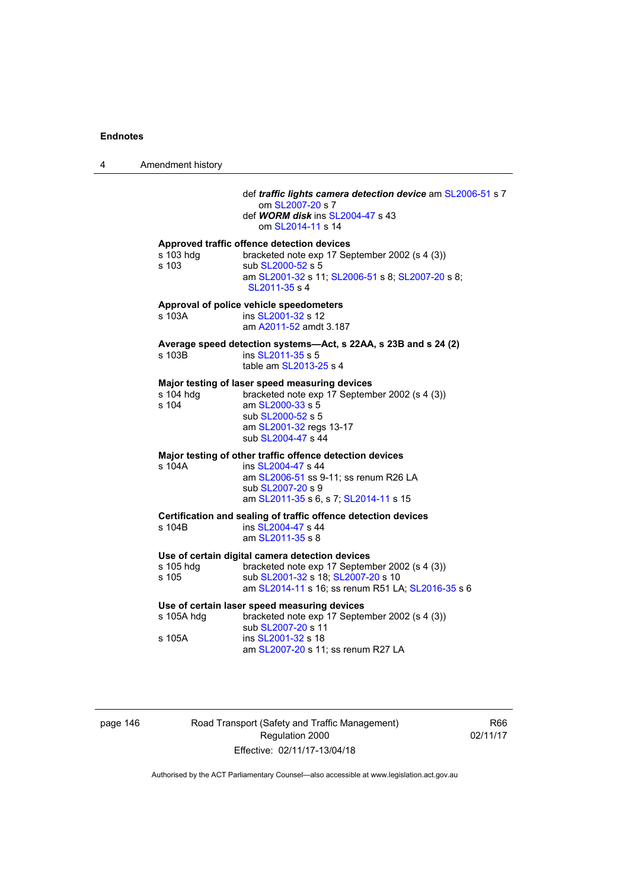4 Amendment history def *traffic lights camera detection device* am [SL2006-51](http://www.legislation.act.gov.au/sl/2006-51) s 7 om [SL2007-20](http://www.legislation.act.gov.au/sl/2007-20) s 7 def *WORM disk* ins [SL2004-47](http://www.legislation.act.gov.au/sl/2004-47) s 43 om [SL2014-11](http://www.legislation.act.gov.au/sl/2014-11) s 14 **Approved traffic offence detection devices**  s 103 hdg bracketed note exp 17 September 2002 (s 4 (3)) s 103 sub [SL2000-52](http://www.legislation.act.gov.au/sl/2000-52) s 5 am [SL2001-32](http://www.legislation.act.gov.au/sl/2001-32) s 11; [SL2006-51](http://www.legislation.act.gov.au/sl/2006-51) s 8; [SL2007-20](http://www.legislation.act.gov.au/sl/2007-20) s 8; [SL2011-35](http://www.legislation.act.gov.au/sl/2011-35) s 4 **Approval of police vehicle speedometers**  s 103A **ins [SL2001-32](http://www.legislation.act.gov.au/sl/2001-32) s 12**  am [A2011-52](http://www.legislation.act.gov.au/a/2011-52) amdt 3.187 **Average speed detection systems—Act, s 22AA, s 23B and s 24 (2)**  s 103B ins [SL2011-35](http://www.legislation.act.gov.au/sl/2011-35) s 5 table am [SL2013-25](http://www.legislation.act.gov.au/sl/2013-25) s 4 **Major testing of laser speed measuring devices**  s 104 hdg bracketed note exp 17 September 2002 (s 4 (3)) s 104 am [SL2000-33](http://www.legislation.act.gov.au/sl/2000-33) s 5 sub [SL2000-52](http://www.legislation.act.gov.au/sl/2000-52) s 5 am [SL2001-32](http://www.legislation.act.gov.au/sl/2001-32) regs 13-17 sub [SL2004-47](http://www.legislation.act.gov.au/sl/2004-47) s 44 **Major testing of other traffic offence detection devices**  s 104A ins [SL2004-47](http://www.legislation.act.gov.au/sl/2004-47) s 44 am [SL2006-51](http://www.legislation.act.gov.au/sl/2006-51) ss 9-11; ss renum R26 LA sub [SL2007-20](http://www.legislation.act.gov.au/sl/2007-20) s 9 am [SL2011-35](http://www.legislation.act.gov.au/sl/2011-35) s 6, s 7; [SL2014-11](http://www.legislation.act.gov.au/sl/2014-11) s 15 **Certification and sealing of traffic offence detection devices**  s 104B ins [SL2004-47](http://www.legislation.act.gov.au/sl/2004-47) s 44 am [SL2011-35](http://www.legislation.act.gov.au/sl/2011-35) s 8 **Use of certain digital camera detection devices**  s 105 hdg bracketed note exp 17 September 2002 (s 4 (3)) s 105 sub [SL2001-32](http://www.legislation.act.gov.au/sl/2001-32) s 18; [SL2007-20](http://www.legislation.act.gov.au/sl/2007-20) s 10 am [SL2014-11](http://www.legislation.act.gov.au/sl/2014-11) s 16; ss renum R51 LA; [SL2016-35](http://www.legislation.act.gov.au/sl/2016-35/default.asp) s 6 **Use of certain laser speed measuring devices**  s 105A hdg bracketed note exp 17 September 2002 (s 4 (3)) sub [SL2007-20](http://www.legislation.act.gov.au/sl/2007-20) s 11 s 105A ins [SL2001-32](http://www.legislation.act.gov.au/sl/2001-32) s 18 am [SL2007-20](http://www.legislation.act.gov.au/sl/2007-20) s 11; ss renum R27 LA

| page 146 |  |  |
|----------|--|--|
|          |  |  |

Road Transport (Safety and Traffic Management) Regulation 2000 Effective: 02/11/17-13/04/18

R66 02/11/17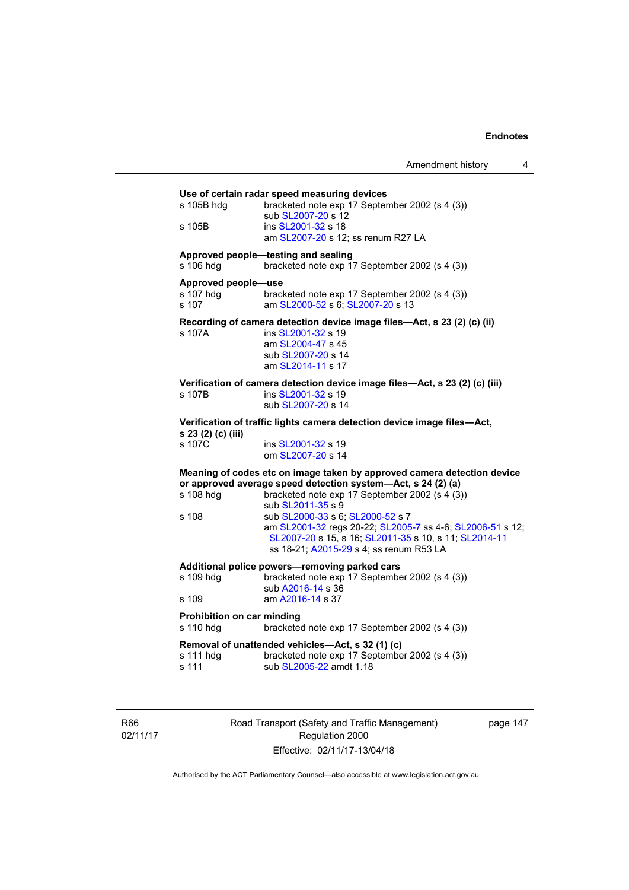| s 105B hdg                                       | bracketed note exp 17 September 2002 (s 4 (3))<br>sub SL2007-20 s 12                                                                                                                              |
|--------------------------------------------------|---------------------------------------------------------------------------------------------------------------------------------------------------------------------------------------------------|
| s 105B                                           | ins SL2001-32 s 18<br>am SL2007-20 s 12; ss renum R27 LA                                                                                                                                          |
| s 106 hdg                                        | Approved people-testing and sealing<br>bracketed note exp 17 September 2002 (s 4 (3))                                                                                                             |
| Approved people-use<br>s 107 hdg<br>s 107        | bracketed note exp 17 September 2002 (s 4 (3))<br>am SL2000-52 s 6; SL2007-20 s 13                                                                                                                |
| s 107A                                           | Recording of camera detection device image files-Act, s 23 (2) (c) (ii)<br>ins SL2001-32 s 19<br>am SL2004-47 s 45<br>sub SL2007-20 s 14<br>am SL2014-11 s 17                                     |
| s 107B                                           | Verification of camera detection device image files-Act, s 23 (2) (c) (iii)<br>ins SL2001-32 s 19<br>sub SL2007-20 s 14                                                                           |
|                                                  |                                                                                                                                                                                                   |
|                                                  | Verification of traffic lights camera detection device image files-Act,                                                                                                                           |
| s 23 (2) (c) (iii)<br>s 107C                     | ins SL2001-32 s 19<br>om SL2007-20 s 14                                                                                                                                                           |
|                                                  | Meaning of codes etc on image taken by approved camera detection device<br>or approved average speed detection system-Act, s 24 (2) (a)                                                           |
| s 108 hdg                                        | bracketed note $exp 17$ September 2002 (s $4(3)$ )<br>sub SL2011-35 s 9                                                                                                                           |
|                                                  | sub SL2000-33 s 6; SL2000-52 s 7<br>am SL2001-32 regs 20-22; SL2005-7 ss 4-6; SL2006-51 s 12;<br>SL2007-20 s 15, s 16; SL2011-35 s 10, s 11; SL2014-11<br>ss 18-21; A2015-29 s 4; ss renum R53 LA |
| s 108                                            | Additional police powers-removing parked cars                                                                                                                                                     |
| s 109 hdg                                        | bracketed note exp 17 September 2002 (s 4 (3))<br>sub A2016-14 s 36                                                                                                                               |
|                                                  | am A2016-14 s 37                                                                                                                                                                                  |
| s 109<br>Prohibition on car minding<br>s 110 hdg | bracketed note exp 17 September 2002 (s 4 (3))                                                                                                                                                    |

R66 02/11/17 Road Transport (Safety and Traffic Management) Regulation 2000 Effective: 02/11/17-13/04/18

page 147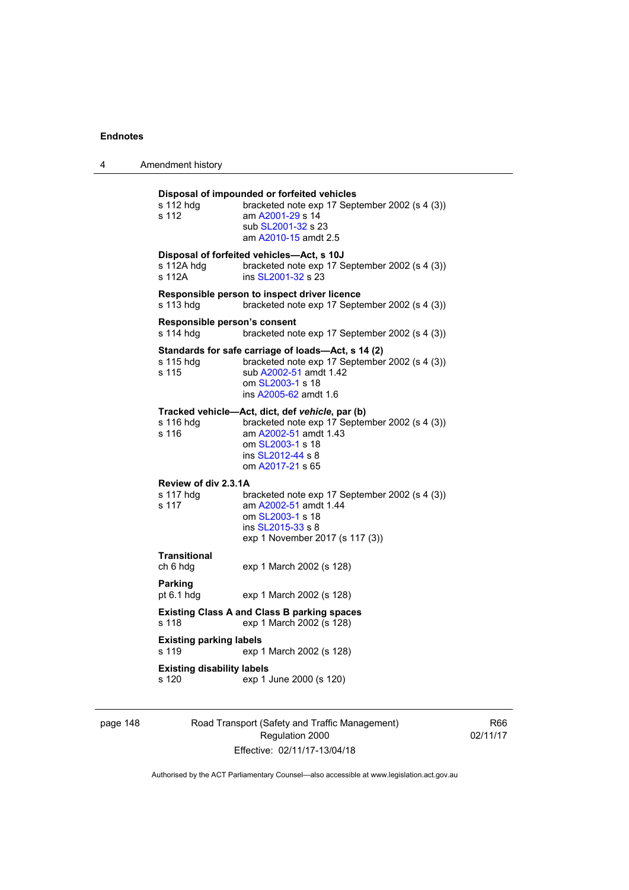| 4 | Amendment history                          |                                                                                                                                                                                         |
|---|--------------------------------------------|-----------------------------------------------------------------------------------------------------------------------------------------------------------------------------------------|
|   | s 112 hdg<br>s 112                         | Disposal of impounded or forfeited vehicles<br>bracketed note exp 17 September 2002 (s 4 (3))<br>am A2001-29 s 14<br>sub SL2001-32 s 23<br>am A2010-15 amdt 2.5                         |
|   | s 112A hdg<br>s 112A                       | Disposal of forfeited vehicles-Act, s 10J<br>bracketed note exp 17 September 2002 (s 4 (3))<br>ins SL2001-32 s 23                                                                       |
|   | s 113 hdg                                  | Responsible person to inspect driver licence<br>bracketed note exp 17 September 2002 (s 4 (3))                                                                                          |
|   | Responsible person's consent<br>s 114 hdg  | bracketed note exp 17 September 2002 (s 4 (3))                                                                                                                                          |
|   | s 115 hdg<br>s 115                         | Standards for safe carriage of loads-Act, s 14 (2)<br>bracketed note exp 17 September 2002 (s 4 (3))<br>sub A2002-51 amdt 1.42<br>om SL2003-1 s 18<br>ins A2005-62 amdt 1.6             |
|   | s 116 hdg<br>s 116                         | Tracked vehicle-Act, dict, def vehicle, par (b)<br>bracketed note exp 17 September 2002 (s 4 (3))<br>am A2002-51 amdt 1.43<br>om SL2003-1 s 18<br>ins SL2012-44 s 8<br>om A2017-21 s 65 |
|   | Review of div 2.3.1A<br>s 117 hdg<br>s 117 | bracketed note exp 17 September 2002 (s 4 (3))<br>am A2002-51 amdt 1.44<br>om SL2003-1 s 18<br>ins SL2015-33 s 8<br>exp 1 November 2017 (s 117 (3))                                     |
|   | Transitional<br>ch 6 hdg                   | exp 1 March 2002 (s 128)                                                                                                                                                                |
|   | Parking<br>pt 6.1 hdg                      | exp 1 March 2002 (s 128)                                                                                                                                                                |
|   | s 118                                      | <b>Existing Class A and Class B parking spaces</b><br>exp 1 March 2002 (s 128)                                                                                                          |
|   | <b>Existing parking labels</b><br>s 119    | exp 1 March 2002 (s 128)                                                                                                                                                                |
|   | <b>Existing disability labels</b><br>s 120 | exp 1 June 2000 (s 120)                                                                                                                                                                 |
|   |                                            |                                                                                                                                                                                         |

page 148 Road Transport (Safety and Traffic Management) Regulation 2000 Effective: 02/11/17-13/04/18

R66 02/11/17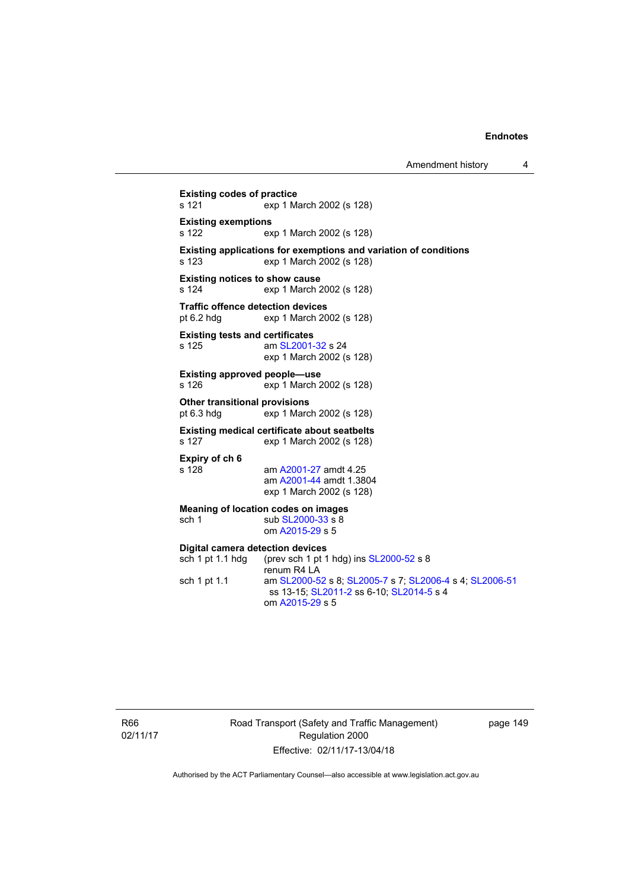Amendment history 4

```
Existing codes of practice 
s 121 exp 1 March 2002 (s 128) 
Existing exemptions 
s 122 exp 1 March 2002 (s 128) 
Existing applications for exemptions and variation of conditions 
s 123 exp 1 March 2002 (s 128) 
Existing notices to show cause 
s 124 exp 1 March 2002 (s 128) 
Traffic offence detection devices<br>pt 6.2 hdg exp 1 March 20
                 exp 1 March 2002 (s 128)
Existing tests and certificates 
SL2001-32 s 24
                 exp 1 March 2002 (s 128) 
Existing approved people—use 
s 126 exp 1 March 2002 (s 128) 
Other transitional provisions<br>pt 6.3 hdg exp 1 Marc
                exp 1 March 2002 (s 128)
Existing medical certificate about seatbelts 
s 127 exp 1 March 2002 (s 128) 
Expiry of ch 6 
                 A2001-27 amdt 4.25
                  am A2001-44 amdt 1.3804 
                 exp 1 March 2002 (s 128) 
Meaning of location codes on images 
 SL2000-33 s 8
                  om A2015-29 s 5 
Digital camera detection devices 
 SL2000-52 s 8
                 renum R4 LA 
sch 1 pt 1.1 am SL2000-52 s 8; SL2005-7 s 7; SL2006-4 s 4; SL2006-51
                  ss 13-15; SL2011-2 ss 6-10; SL2014-5 s 4 
                  om A2015-29 s 5
```
R66 02/11/17 Road Transport (Safety and Traffic Management) Regulation 2000 Effective: 02/11/17-13/04/18

page 149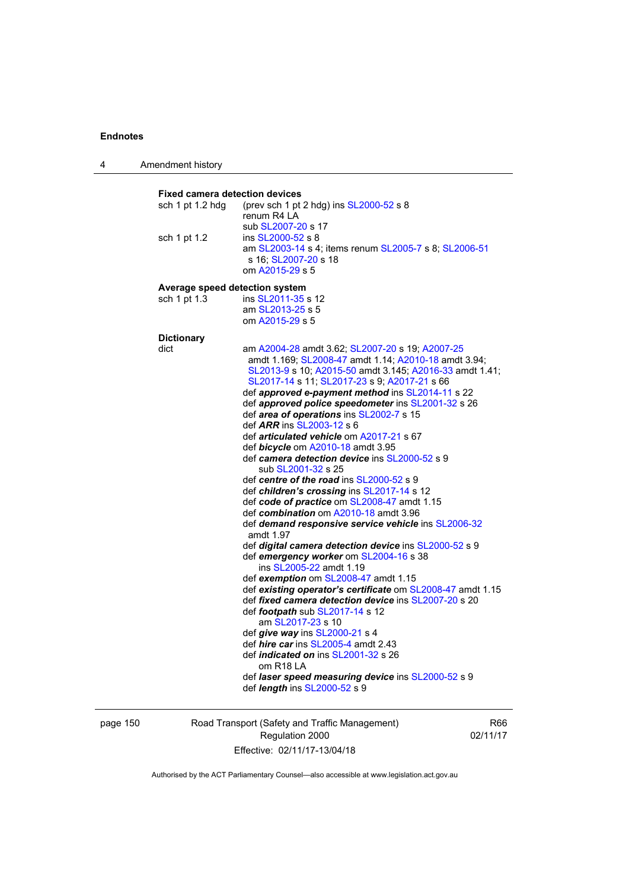4 Amendment history

**Fixed camera detection devices**  sch 1 pt 1.2 hdg (prev sch 1 pt 2 hdg) ins [SL2000-52](http://www.legislation.act.gov.au/sl/2000-52) s 8 renum R4 LA sub [SL2007-20](http://www.legislation.act.gov.au/sl/2007-20) s 17<br>sch 1 pt 1.2 ins SL2000-52 s 8 ins [SL2000-52](http://www.legislation.act.gov.au/sl/2000-52) s 8 am [SL2003-14](http://www.legislation.act.gov.au/sl/2003-14) s 4; items renum [SL2005-7](http://www.legislation.act.gov.au/sl/2005-7) s 8; [SL2006-51](http://www.legislation.act.gov.au/sl/2006-51) s 16; [SL2007-20](http://www.legislation.act.gov.au/sl/2007-20) s 18 om [A2015-29](http://www.legislation.act.gov.au/a/2015-29) s 5 **Average speed detection system**  sch 1 pt 1.3 ins [SL2011-35](http://www.legislation.act.gov.au/sl/2011-35) s 12 am [SL2013-25](http://www.legislation.act.gov.au/sl/2013-25) s 5 om [A2015-29](http://www.legislation.act.gov.au/a/2015-29) s 5 **Dictionary**  dict am [A2004-28](http://www.legislation.act.gov.au/a/2004-28) amdt 3.62; [SL2007-20](http://www.legislation.act.gov.au/sl/2007-20) s 19; [A2007-25](http://www.legislation.act.gov.au/a/2007-25) amdt 1.169; [SL2008-47](http://www.legislation.act.gov.au/sl/2008-47) amdt 1.14; [A2010-18](http://www.legislation.act.gov.au/a/2010-18) amdt 3.94; [SL2013-9](http://www.legislation.act.gov.au/sl/2013-9/default.asp) s 10; [A2015-50](http://www.legislation.act.gov.au/a/2015-50) amdt 3.145; [A2016-33](http://www.legislation.act.gov.au/a/2016-33/default.asp) amdt 1.41; [SL2017-14](http://www.legislation.act.gov.au/sl/2017-14/default.asp) s 11; [SL2017-23](http://www.legislation.act.gov.au/sl/2017-23/default.asp) s 9; [A2017-21](http://www.legislation.act.gov.au/a/2017-21/default.asp) s 66 def *approved e-payment method* ins [SL2014-11](http://www.legislation.act.gov.au/sl/2014-11) s 22 def *approved police speedometer* ins [SL2001-32](http://www.legislation.act.gov.au/sl/2001-32) s 26 def *area of operations* ins [SL2002-7](http://www.legislation.act.gov.au/sl/2002-7) s 15 def *ARR* ins [SL2003-12](http://www.legislation.act.gov.au/sl/2003-12) s 6 def *articulated vehicle* om [A2017-21](http://www.legislation.act.gov.au/a/2017-21/default.asp) s 67 def *bicycle* om [A2010-18](http://www.legislation.act.gov.au/a/2010-18) amdt 3.95 def *camera detection device* ins [SL2000-52](http://www.legislation.act.gov.au/sl/2000-52) s 9 sub [SL2001-32](http://www.legislation.act.gov.au/sl/2001-32) s 25 def *centre of the road* ins [SL2000-52](http://www.legislation.act.gov.au/sl/2000-52) s 9 def *children's crossing* ins [SL2017-14](http://www.legislation.act.gov.au/sl/2017-14/default.asp) s 12 def *code of practice* om [SL2008-47](http://www.legislation.act.gov.au/sl/2008-47) amdt 1.15 def *combination* om [A2010-18](http://www.legislation.act.gov.au/a/2010-18) amdt 3.96 def *demand responsive service vehicle* ins [SL2006-32](http://www.legislation.act.gov.au/sl/2006-32) amdt 1.97 def *digital camera detection device* ins [SL2000-52](http://www.legislation.act.gov.au/sl/2000-52) s 9 def *emergency worker* om [SL2004-16](http://www.legislation.act.gov.au/sl/2004-16) s 38 ins [SL2005-22](http://www.legislation.act.gov.au/sl/2005-22) amdt 1.19 def *exemption* om [SL2008-47](http://www.legislation.act.gov.au/sl/2008-47) amdt 1.15 def *existing operator's certificate* om [SL2008-47](http://www.legislation.act.gov.au/sl/2008-47) amdt 1.15 def *fixed camera detection device* ins [SL2007-20](http://www.legislation.act.gov.au/sl/2007-20) s 20 def *footpath* sub [SL2017-14](http://www.legislation.act.gov.au/sl/2017-14/default.asp) s 12 am [SL2017-23](http://www.legislation.act.gov.au/sl/2017-23/default.asp) s 10 def *give way* ins [SL2000-21](http://www.legislation.act.gov.au/sl/2000-21) s 4 def *hire car* ins [SL2005-4](http://www.legislation.act.gov.au/sl/2005-4) amdt 2.43 def *indicated on* ins [SL2001-32](http://www.legislation.act.gov.au/sl/2001-32) s 26 om R18 LA def *laser speed measuring device* ins [SL2000-52](http://www.legislation.act.gov.au/sl/2000-52) s 9 def *length* ins [SL2000-52](http://www.legislation.act.gov.au/sl/2000-52) s 9

page 150 Road Transport (Safety and Traffic Management) Regulation 2000 Effective: 02/11/17-13/04/18

R66 02/11/17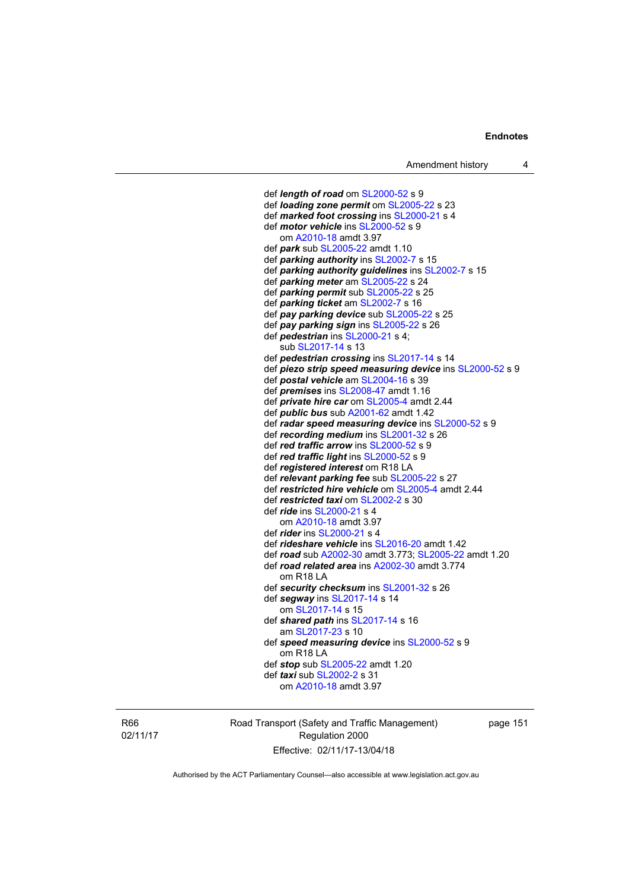def *length of road* om [SL2000-52](http://www.legislation.act.gov.au/sl/2000-52) s 9 def *loading zone permit* om [SL2005-22](http://www.legislation.act.gov.au/sl/2005-22) s 23 def *marked foot crossing* ins [SL2000-21](http://www.legislation.act.gov.au/sl/2000-21) s 4 def *motor vehicle* ins [SL2000-52](http://www.legislation.act.gov.au/sl/2000-52) s 9 om [A2010-18](http://www.legislation.act.gov.au/a/2010-18) amdt 3.97 def *park* sub [SL2005-22](http://www.legislation.act.gov.au/sl/2005-22) amdt 1.10 def *parking authority* ins [SL2002-7](http://www.legislation.act.gov.au/sl/2002-7) s 15 def *parking authority guidelines* ins [SL2002-7](http://www.legislation.act.gov.au/sl/2002-7) s 15 def *parking meter* am [SL2005-22](http://www.legislation.act.gov.au/sl/2005-22) s 24 def *parking permit* sub [SL2005-22](http://www.legislation.act.gov.au/sl/2005-22) s 25 def *parking ticket* am [SL2002-7](http://www.legislation.act.gov.au/sl/2002-7) s 16 def *pay parking device* sub [SL2005-22](http://www.legislation.act.gov.au/sl/2005-22) s 25 def *pay parking sign* ins [SL2005-22](http://www.legislation.act.gov.au/sl/2005-22) s 26 def *pedestrian* ins [SL2000-21](http://www.legislation.act.gov.au/sl/2000-21) s 4; sub [SL2017-14](http://www.legislation.act.gov.au/sl/2017-14/default.asp) s 13 def *pedestrian crossing* ins [SL2017-14](http://www.legislation.act.gov.au/sl/2017-14/default.asp) s 14 def *piezo strip speed measuring device* ins [SL2000-52](http://www.legislation.act.gov.au/sl/2000-52) s 9 def *postal vehicle* am [SL2004-16](http://www.legislation.act.gov.au/sl/2004-16) s 39 def *premises* ins [SL2008-47](http://www.legislation.act.gov.au/sl/2008-47) amdt 1.16 def *private hire car* om [SL2005-4](http://www.legislation.act.gov.au/sl/2005-4) amdt 2.44 def *public bus* sub [A2001-62](http://www.legislation.act.gov.au/a/2001-62) amdt 1.42 def *radar speed measuring device* ins [SL2000-52](http://www.legislation.act.gov.au/sl/2000-52) s 9 def *recording medium* ins [SL2001-32](http://www.legislation.act.gov.au/sl/2001-32) s 26 def *red traffic arrow* ins [SL2000-52](http://www.legislation.act.gov.au/sl/2000-52) s 9 def *red traffic light* ins [SL2000-52](http://www.legislation.act.gov.au/sl/2000-52) s 9 def *registered interest* om R18 LA def *relevant parking fee* sub [SL2005-22](http://www.legislation.act.gov.au/sl/2005-22) s 27 def *restricted hire vehicle* om [SL2005-4](http://www.legislation.act.gov.au/sl/2005-4) amdt 2.44 def *restricted taxi* om [SL2002-2](http://www.legislation.act.gov.au/sl/2002-2) s 30 def *ride* ins [SL2000-21](http://www.legislation.act.gov.au/sl/2000-21) s 4 om [A2010-18](http://www.legislation.act.gov.au/a/2010-18) amdt 3.97 def *rider* ins [SL2000-21](http://www.legislation.act.gov.au/sl/2000-21) s 4 def *rideshare vehicle* ins [SL2016-20](http://www.legislation.act.gov.au/sl/2016-20) amdt 1.42 def *road* sub [A2002-30](http://www.legislation.act.gov.au/a/2002-30) amdt 3.773; [SL2005-22](http://www.legislation.act.gov.au/sl/2005-22) amdt 1.20 def *road related area* ins [A2002-30](http://www.legislation.act.gov.au/a/2002-30) amdt 3.774 om R18 LA def *security checksum* ins [SL2001-32](http://www.legislation.act.gov.au/sl/2001-32) s 26 def *segway* ins [SL2017-14](http://www.legislation.act.gov.au/sl/2017-14/default.asp) s 14 om [SL2017-14](http://www.legislation.act.gov.au/sl/2017-14/default.asp) s 15 def *shared path* ins [SL2017-14](http://www.legislation.act.gov.au/sl/2017-14/default.asp) s 16 am [SL2017-23](http://www.legislation.act.gov.au/sl/2017-23/default.asp) s 10 def *speed measuring device* ins [SL2000-52](http://www.legislation.act.gov.au/sl/2000-52) s 9 om R18 LA def *stop* sub [SL2005-22](http://www.legislation.act.gov.au/sl/2005-22) amdt 1.20 def *taxi* sub [SL2002-2](http://www.legislation.act.gov.au/sl/2002-2) s 31 om [A2010-18](http://www.legislation.act.gov.au/a/2010-18) amdt 3.97

R66 02/11/17 Road Transport (Safety and Traffic Management) Regulation 2000 Effective: 02/11/17-13/04/18

page 151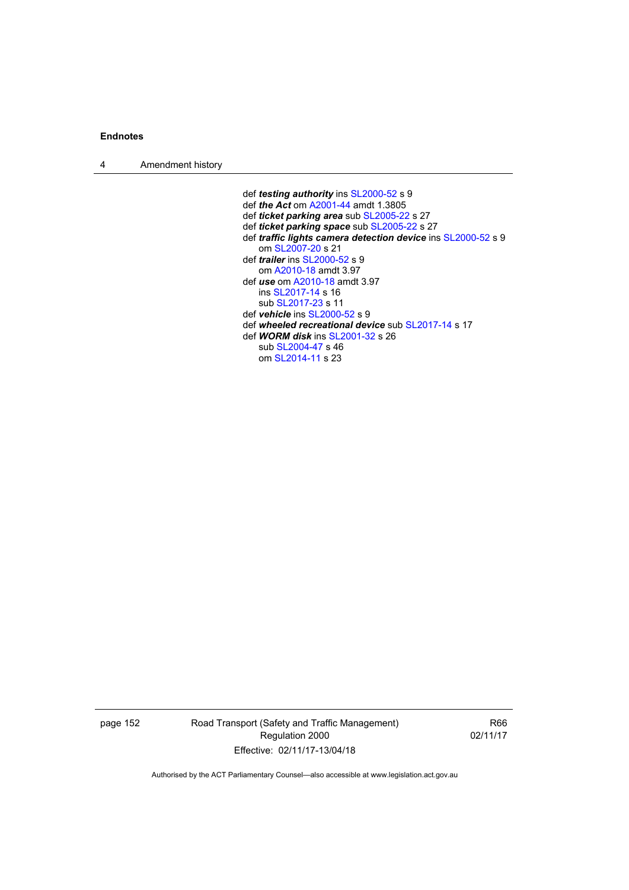4 Amendment history

 def *testing authority* ins [SL2000-52](http://www.legislation.act.gov.au/sl/2000-52) s 9 def *the Act* om [A2001-44](http://www.legislation.act.gov.au/a/2001-44) amdt 1.3805 def *ticket parking area* sub [SL2005-22](http://www.legislation.act.gov.au/sl/2005-22) s 27 def *ticket parking space* sub [SL2005-22](http://www.legislation.act.gov.au/sl/2005-22) s 27 def *traffic lights camera detection device* ins [SL2000-52](http://www.legislation.act.gov.au/sl/2000-52) s 9 om [SL2007-20](http://www.legislation.act.gov.au/sl/2007-20) s 21 def *trailer* ins [SL2000-52](http://www.legislation.act.gov.au/sl/2000-52) s 9 om [A2010-18](http://www.legislation.act.gov.au/a/2010-18) amdt 3.97 def *use* om [A2010-18](http://www.legislation.act.gov.au/a/2010-18) amdt 3.97 ins [SL2017-14](http://www.legislation.act.gov.au/sl/2017-14/default.asp) s 16 sub [SL2017-23](http://www.legislation.act.gov.au/sl/2017-23/default.asp) s 11 def *vehicle* ins [SL2000-52](http://www.legislation.act.gov.au/sl/2000-52) s 9 def *wheeled recreational device* sub [SL2017-14](http://www.legislation.act.gov.au/sl/2017-14/default.asp) s 17 def *WORM disk* ins [SL2001-32](http://www.legislation.act.gov.au/sl/2001-32) s 26 sub [SL2004-47](http://www.legislation.act.gov.au/sl/2004-47) s 46 om [SL2014-11](http://www.legislation.act.gov.au/sl/2014-11) s 23

page 152 Road Transport (Safety and Traffic Management) Regulation 2000 Effective: 02/11/17-13/04/18

R66 02/11/17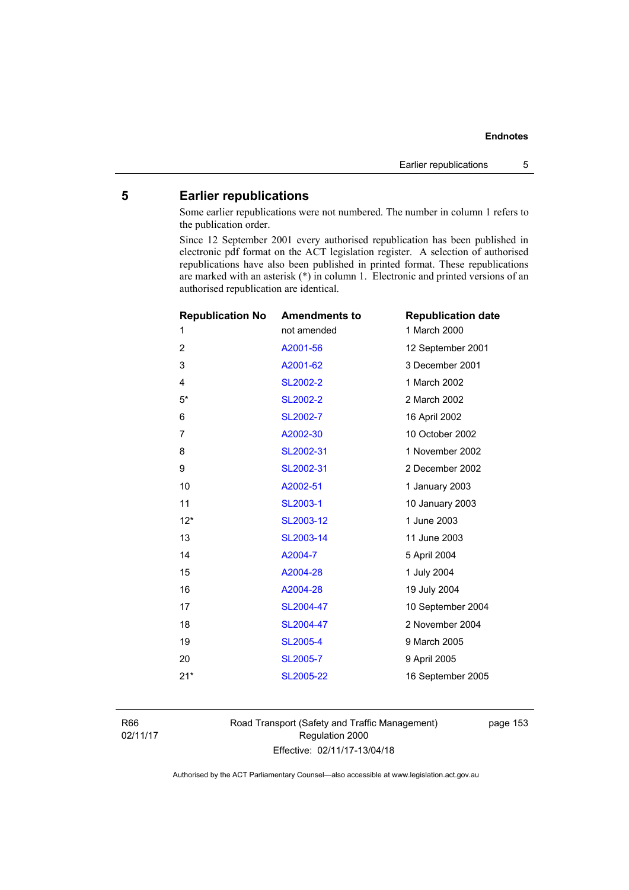# **5 Earlier republications**

Some earlier republications were not numbered. The number in column 1 refers to the publication order.

Since 12 September 2001 every authorised republication has been published in electronic pdf format on the ACT legislation register. A selection of authorised republications have also been published in printed format. These republications are marked with an asterisk (\*) in column 1. Electronic and printed versions of an authorised republication are identical.

| <b>Republication No</b> | <b>Amendments to</b> | <b>Republication date</b> |
|-------------------------|----------------------|---------------------------|
| 1                       | not amended          | 1 March 2000              |
| $\overline{2}$          | A2001-56             | 12 September 2001         |
| 3                       | A2001-62             | 3 December 2001           |
| $\overline{\mathbf{4}}$ | <b>SL2002-2</b>      | 1 March 2002              |
| $5*$                    | <b>SL2002-2</b>      | 2 March 2002              |
| 6                       | SL2002-7             | 16 April 2002             |
| $\overline{7}$          | A2002-30             | 10 October 2002           |
| 8                       | SL2002-31            | 1 November 2002           |
| 9                       | SL2002-31            | 2 December 2002           |
| 10                      | A2002-51             | 1 January 2003            |
| 11                      | SL2003-1             | 10 January 2003           |
| $12*$                   | SL2003-12            | 1 June 2003               |
| 13                      | SL2003-14            | 11 June 2003              |
| 14                      | A2004-7              | 5 April 2004              |
| 15                      | A2004-28             | 1 July 2004               |
| 16                      | A2004-28             | 19 July 2004              |
| 17                      | SL2004-47            | 10 September 2004         |
| 18                      | SL2004-47            | 2 November 2004           |
| 19                      | <b>SL2005-4</b>      | 9 March 2005              |
| 20                      | <b>SL2005-7</b>      | 9 April 2005              |
| $21*$                   | SL2005-22            | 16 September 2005         |
|                         |                      |                           |

R66 02/11/17 Road Transport (Safety and Traffic Management) Regulation 2000 Effective: 02/11/17-13/04/18

page 153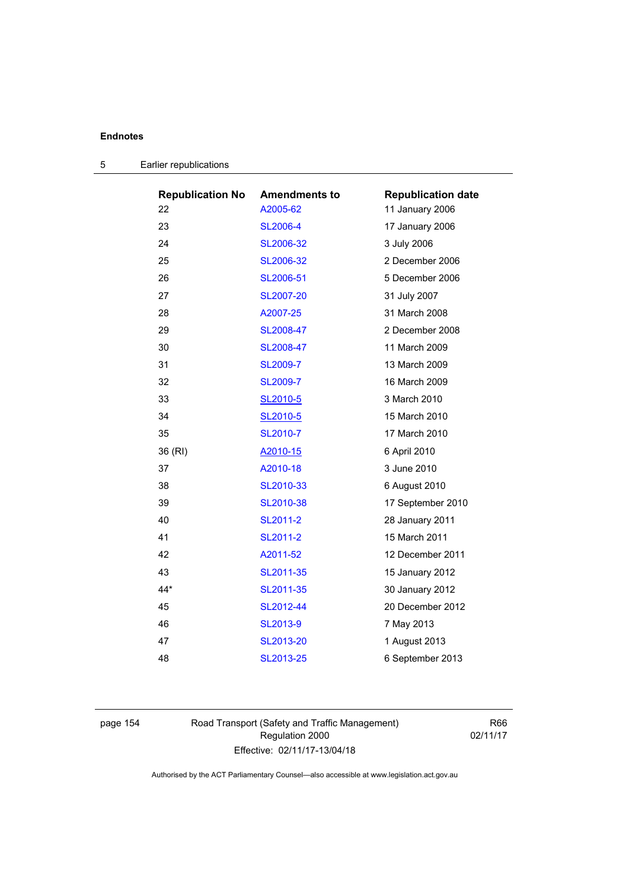| <b>Republication No</b> | <b>Amendments to</b> | <b>Republication date</b> |
|-------------------------|----------------------|---------------------------|
| 22                      | A2005-62             | 11 January 2006           |
| 23                      | <b>SL2006-4</b>      | 17 January 2006           |
| 24                      | SL2006-32            | 3 July 2006               |
| 25                      | SL2006-32            | 2 December 2006           |
| 26                      | SL2006-51            | 5 December 2006           |
| 27                      | SL2007-20            | 31 July 2007              |
| 28                      | A2007-25             | 31 March 2008             |
| 29                      | SL2008-47            | 2 December 2008           |
| 30                      | SL2008-47            | 11 March 2009             |
| 31                      | SL2009-7             | 13 March 2009             |
| 32                      | <b>SL2009-7</b>      | 16 March 2009             |
| 33                      | SL2010-5             | 3 March 2010              |
| 34                      | SL2010-5             | 15 March 2010             |
| 35                      | SL2010-7             | 17 March 2010             |
| 36 (RI)                 | A2010-15             | 6 April 2010              |
| 37                      | A2010-18             | 3 June 2010               |
| 38                      | SL2010-33            | 6 August 2010             |
| 39                      | SL2010-38            | 17 September 2010         |
| 40                      | SL2011-2             | 28 January 2011           |
| 41                      | SL2011-2             | 15 March 2011             |
| 42                      | A2011-52             | 12 December 2011          |
| 43                      | SL2011-35            | 15 January 2012           |
| $44*$                   | SL2011-35            | 30 January 2012           |
| 45                      | SL2012-44            | 20 December 2012          |
| 46                      | SL2013-9             | 7 May 2013                |
| 47                      | SL2013-20            | 1 August 2013             |
|                         |                      |                           |

| Earlier republications<br>5 |  |
|-----------------------------|--|
|-----------------------------|--|

page 154 Road Transport (Safety and Traffic Management) Regulation 2000 Effective: 02/11/17-13/04/18

R66 02/11/17